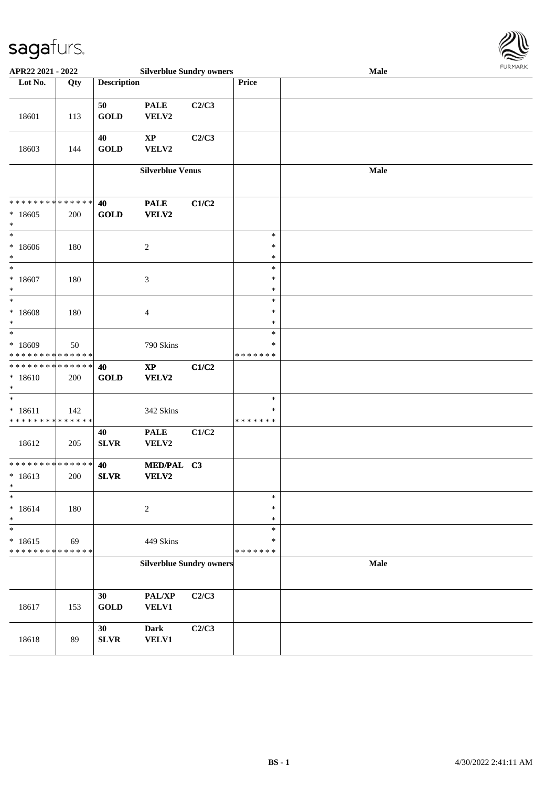

| APR22 2021 - 2022                                                                  |                   |                    | <b>Silverblue Sundry owners</b> |       |                                   | Male | <b>FURMARK</b> |
|------------------------------------------------------------------------------------|-------------------|--------------------|---------------------------------|-------|-----------------------------------|------|----------------|
| Lot No.                                                                            | Qty               | <b>Description</b> |                                 |       | Price                             |      |                |
| 18601                                                                              | 113               | 50<br><b>GOLD</b>  | <b>PALE</b><br>VELV2            | C2/C3 |                                   |      |                |
| 18603                                                                              | 144               | 40<br><b>GOLD</b>  | $\mathbf{X}\mathbf{P}$<br>VELV2 | C2/C3 |                                   |      |                |
|                                                                                    |                   |                    | <b>Silverblue Venus</b>         |       |                                   | Male |                |
| * * * * * * * * <mark>* * * * * * *</mark><br>$*18605$<br>$*$                      | 200               | 40<br><b>GOLD</b>  | <b>PALE</b><br><b>VELV2</b>     | C1/C2 |                                   |      |                |
| * 18606<br>$*$                                                                     | 180               |                    | $\overline{2}$                  |       | $\ast$<br>∗<br>$\ast$             |      |                |
| $* 18607$<br>$\ast$                                                                | 180               |                    | $\mathfrak{Z}$                  |       | $\ast$<br>$\ast$<br>$\ast$        |      |                |
| $\overline{\ast}$<br>* 18608<br>$\ast$                                             | 180               |                    | $\overline{4}$                  |       | $\ast$<br>$\ast$<br>$\ast$        |      |                |
| $\overline{\phantom{0}}$<br>$*18609$<br>* * * * * * * * <mark>* * * * * * *</mark> | 50                |                    | 790 Skins                       |       | $\ast$<br>$\ast$<br>* * * * * * * |      |                |
| * * * * * * * * <mark>* * * * * * *</mark><br>* 18610<br>$*$                       | 200               | 40<br><b>GOLD</b>  | $\bold{XP}$<br><b>VELV2</b>     | C1/C2 |                                   |      |                |
| $_{*}$<br>$* 18611$<br>* * * * * * * * <mark>* * * * * *</mark>                    | 142               |                    | 342 Skins                       |       | $\ast$<br>∗<br>* * * * * * *      |      |                |
| 18612                                                                              | 205               | 40<br><b>SLVR</b>  | <b>PALE</b><br>VELV2            | C1/C2 |                                   |      |                |
| * * * * * * * * * * * * * * *<br>$* 18613$<br>$*$ $-$                              | 200               | 40<br><b>SLVR</b>  | MED/PAL C3<br>VELV2             |       |                                   |      |                |
| $\ast$<br>$* 18614$<br>$\ast$                                                      | 180               |                    | $\sqrt{2}$                      |       | $\ast$<br>∗<br>∗                  |      |                |
| $\ast$<br>$* 18615$<br>* * * * * * * *                                             | 69<br>* * * * * * |                    | 449 Skins                       |       | $\ast$<br>$\ast$<br>* * * * * * * |      |                |
|                                                                                    |                   |                    | <b>Silverblue Sundry owners</b> |       |                                   | Male |                |
| 18617                                                                              | 153               | 30<br><b>GOLD</b>  | PAL/XP<br><b>VELV1</b>          | C2/C3 |                                   |      |                |
| 18618                                                                              | 89                | 30<br>${\bf SLVR}$ | <b>Dark</b><br><b>VELV1</b>     | C2/C3 |                                   |      |                |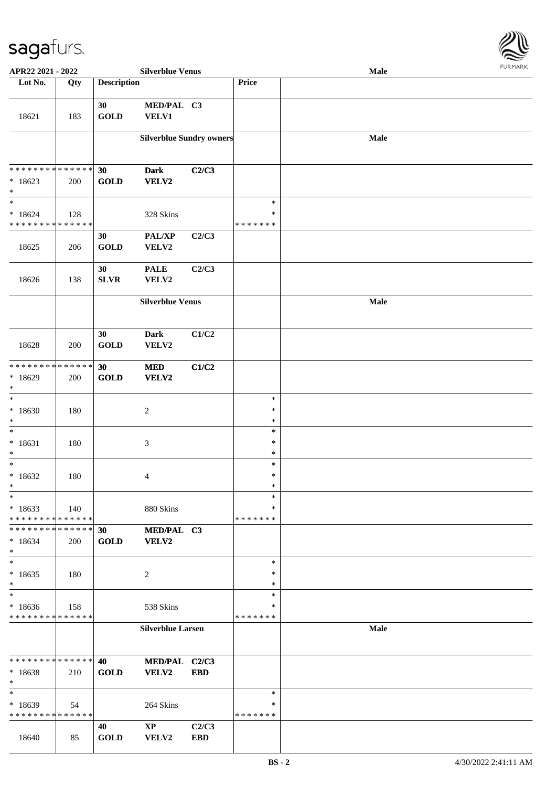

| APR22 2021 - 2022                                    |     |                    | <b>Silverblue Venus</b>         |                     |                                   | <b>Male</b> |  |
|------------------------------------------------------|-----|--------------------|---------------------------------|---------------------|-----------------------------------|-------------|--|
| Lot No.                                              | Qty | <b>Description</b> |                                 |                     | Price                             |             |  |
| 18621                                                | 183 | 30<br><b>GOLD</b>  | MED/PAL C3<br><b>VELV1</b>      |                     |                                   |             |  |
|                                                      |     |                    | <b>Silverblue Sundry owners</b> |                     |                                   | Male        |  |
| * * * * * * * * * * * * * *<br>$*18623$<br>$\ast$    | 200 | 30<br><b>GOLD</b>  | <b>Dark</b><br>VELV2            | C2/C3               |                                   |             |  |
| $\ast$<br>$*18624$<br>* * * * * * * * * * * * * *    | 128 |                    | 328 Skins                       |                     | $\ast$<br>$\ast$<br>* * * * * * * |             |  |
| 18625                                                | 206 | 30<br><b>GOLD</b>  | PAL/XP<br>VELV2                 | C2/C3               |                                   |             |  |
| 18626                                                | 138 | 30<br><b>SLVR</b>  | <b>PALE</b><br>VELV2            | C2/C3               |                                   |             |  |
|                                                      |     |                    | <b>Silverblue Venus</b>         |                     |                                   | Male        |  |
| 18628                                                | 200 | 30<br><b>GOLD</b>  | <b>Dark</b><br>VELV2            | C1/C2               |                                   |             |  |
| * * * * * * * * * * * * * *<br>* 18629<br>$\ast$     | 200 | 30<br><b>GOLD</b>  | $\bf MED$<br>VELV2              | C1/C2               |                                   |             |  |
| $\ast$<br>$*18630$<br>$\ast$                         | 180 |                    | $\overline{c}$                  |                     | $\ast$<br>$\ast$<br>$\ast$        |             |  |
| $\ast$<br>$* 18631$<br>$\ast$                        | 180 |                    | $\mathfrak{Z}$                  |                     | $\ast$<br>$\ast$<br>$\ast$        |             |  |
| $\ast$<br>$*18632$<br>$\ast$                         | 180 |                    | 4                               |                     | $\ast$<br>$\ast$<br>$\ast$        |             |  |
| $\ast$<br>$*18633$<br>* * * * * * * * * * * * * *    | 140 |                    | 880 Skins                       |                     | $\ast$<br>∗<br>* * * * * * *      |             |  |
| * * * * * * * * * * * * * * *<br>$*18634$<br>$\ast$  | 200 | 30<br><b>GOLD</b>  | MED/PAL C3<br><b>VELV2</b>      |                     |                                   |             |  |
| $\ast$<br>$*18635$<br>$\ast$                         | 180 |                    | $\overline{c}$                  |                     | $\ast$<br>$\ast$<br>$\ast$        |             |  |
| $\ast$<br>$*18636$<br>* * * * * * * * * * * * * *    | 158 |                    | 538 Skins                       |                     | $\ast$<br>∗<br>* * * * * * *      |             |  |
|                                                      |     |                    | <b>Silverblue Larsen</b>        |                     |                                   | Male        |  |
| * * * * * * * * * * * * * * *<br>$* 18638$<br>$\ast$ | 210 | 40<br><b>GOLD</b>  | MED/PAL C2/C3<br>VELV2          | <b>EBD</b>          |                                   |             |  |
| $\ast$<br>$*18639$<br>* * * * * * * * * * * * * *    | 54  |                    | 264 Skins                       |                     | $\ast$<br>∗<br>* * * * * * *      |             |  |
| 18640                                                | 85  | 40<br><b>GOLD</b>  | $\mathbf{X}\mathbf{P}$<br>VELV2 | C2/C3<br><b>EBD</b> |                                   |             |  |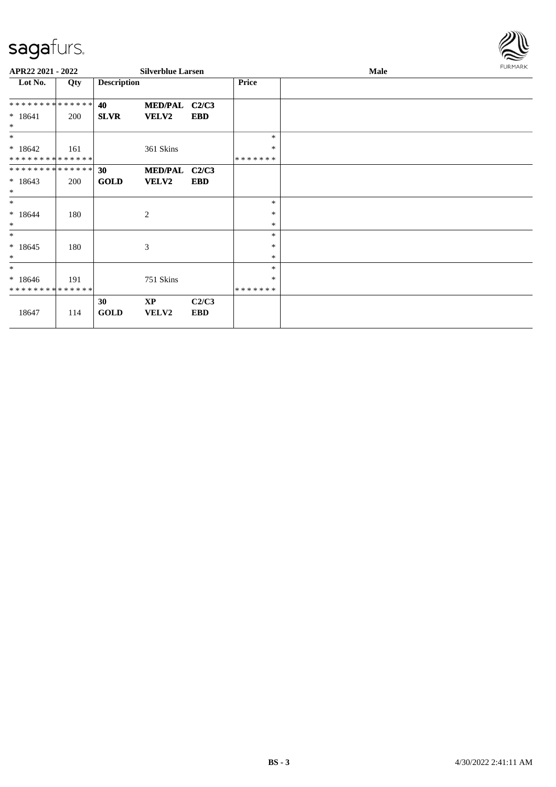

| APR22 2021 - 2022           |     |                    | <b>Silverblue Larsen</b>        |              |              | Male |  |  |  |  |
|-----------------------------|-----|--------------------|---------------------------------|--------------|--------------|------|--|--|--|--|
| Lot No.                     | Qty | <b>Description</b> |                                 |              | <b>Price</b> |      |  |  |  |  |
| **************              |     | 40                 | MED/PAL C2/C3                   |              |              |      |  |  |  |  |
| $* 18641$<br>$*$            | 200 | <b>SLVR</b>        | <b>VELV2</b>                    | <b>EBD</b>   |              |      |  |  |  |  |
| $*$                         |     |                    |                                 |              | $\ast$       |      |  |  |  |  |
| $*18642$                    | 161 |                    | 361 Skins                       |              | $\ast$       |      |  |  |  |  |
| **************              |     |                    |                                 |              | *******      |      |  |  |  |  |
| **************              |     | 30 <sup>°</sup>    | MED/PAL C2/C3                   |              |              |      |  |  |  |  |
| $* 18643$<br>$*$            | 200 | <b>GOLD</b>        | <b>VELV2</b>                    | <b>EBD</b>   |              |      |  |  |  |  |
| $*$                         |     |                    |                                 |              | $\ast$       |      |  |  |  |  |
| $*18644$                    | 180 |                    | 2                               |              | $\ast$       |      |  |  |  |  |
| $*$                         |     |                    |                                 |              | $\ast$       |      |  |  |  |  |
| $*$                         |     |                    |                                 |              | $\ast$       |      |  |  |  |  |
| $*18645$                    | 180 |                    | 3                               |              | $\ast$       |      |  |  |  |  |
| $*$                         |     |                    |                                 |              | $\ast$       |      |  |  |  |  |
| $*$                         |     |                    |                                 |              | $\ast$       |      |  |  |  |  |
| $* 18646$                   | 191 |                    | 751 Skins                       |              | $\ast$       |      |  |  |  |  |
| * * * * * * * * * * * * * * |     |                    |                                 |              | *******      |      |  |  |  |  |
| 18647                       | 114 | 30<br><b>GOLD</b>  | $\mathbf{X}\mathbf{P}$<br>VELV2 | C2/C3<br>EBD |              |      |  |  |  |  |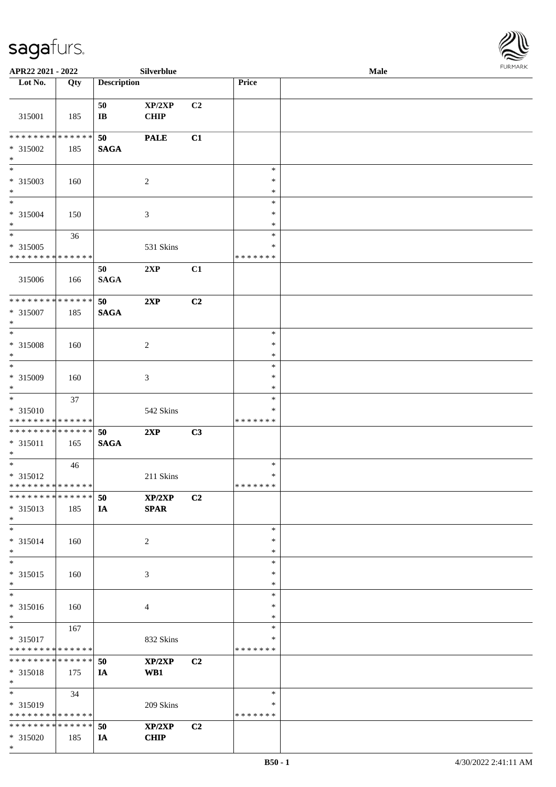

| APR22 2021 - 2022                                                   |     |                       | Silverblue            |                |                                   | Male |  |
|---------------------------------------------------------------------|-----|-----------------------|-----------------------|----------------|-----------------------------------|------|--|
| Lot No.                                                             | Qty | <b>Description</b>    |                       |                | Price                             |      |  |
|                                                                     |     |                       |                       |                |                                   |      |  |
| 315001                                                              | 185 | 50<br>$\bf I\bf B$    | XP/2XP<br><b>CHIP</b> | C2             |                                   |      |  |
| * * * * * * * * * * * * * *<br>* 315002<br>$\ast$                   | 185 | 50<br><b>SAGA</b>     | <b>PALE</b>           | C1             |                                   |      |  |
| $\overline{\phantom{a}^*}$<br>* 315003<br>$\ast$                    | 160 |                       | $\sqrt{2}$            |                | $\ast$<br>$\ast$<br>$\ast$        |      |  |
| $\overline{\phantom{1}}$<br>* 315004<br>$\ast$                      | 150 |                       | $\mathfrak{Z}$        |                | $\ast$<br>$\ast$<br>$\ast$        |      |  |
| $\ast$<br>$* 315005$<br>* * * * * * * * * * * * * *                 | 36  |                       | 531 Skins             |                | $\ast$<br>$\ast$<br>* * * * * * * |      |  |
| 315006                                                              | 166 | 50<br><b>SAGA</b>     | 2XP                   | C1             |                                   |      |  |
| **************<br>$* 315007$<br>$\ast$                              | 185 | 50<br><b>SAGA</b>     | 2XP                   | C2             |                                   |      |  |
| $\ast$<br>$* 315008$<br>$\ast$<br>$_{\ast}$                         | 160 |                       | $\sqrt{2}$            |                | $\ast$<br>$\ast$<br>∗             |      |  |
| * 315009<br>$\ast$                                                  | 160 |                       | 3                     |                | $\ast$<br>$\ast$<br>$\ast$        |      |  |
| $\ast$<br>* 315010<br>* * * * * * * * * * * * * *                   | 37  |                       | 542 Skins             |                | $\ast$<br>*<br>* * * * * * *      |      |  |
| **************<br>$* 315011$<br>$\ast$                              | 165 | 50<br>$\mathbf{SAGA}$ | 2XP                   | C3             |                                   |      |  |
| $\ast$<br>* 315012<br>**************                                | 46  |                       | 211 Skins             |                | $\ast$<br>$\ast$<br>* * * * * * * |      |  |
| * * * * * * * * * * * * * * *<br>* 315013<br>$*$                    | 185 | 50<br>IA              | XP/2XP<br>SPAR        | C2             |                                   |      |  |
| $*$<br>* 315014<br>$\ast$                                           | 160 |                       | $\overline{2}$        |                | $\ast$<br>*<br>*                  |      |  |
| $\ast$<br>* 315015<br>$*$                                           | 160 |                       | 3                     |                | $\ast$<br>∗<br>$\ast$             |      |  |
| $\overline{\phantom{a}^*}$<br>* 315016<br>$*$                       | 160 |                       | 4                     |                | $\ast$<br>*<br>∗                  |      |  |
| $*$<br>* 315017<br>* * * * * * * * * * * * * *                      | 167 |                       | 832 Skins             |                | $\ast$<br>*<br>* * * * * * *      |      |  |
| ******** <mark>******</mark><br>* 315018<br>$*$                     | 175 | 50<br>IA              | XP/2XP<br>WB1         | C2             |                                   |      |  |
| $\overline{\phantom{0}}$<br>* 315019<br>* * * * * * * * * * * * * * | 34  |                       | 209 Skins             |                | $\ast$<br>∗<br>* * * * * * *      |      |  |
| * * * * * * * * * * * * * * *<br>* 315020<br>$*$                    | 185 | 50<br>IA              | XP/2XP<br><b>CHIP</b> | C <sub>2</sub> |                                   |      |  |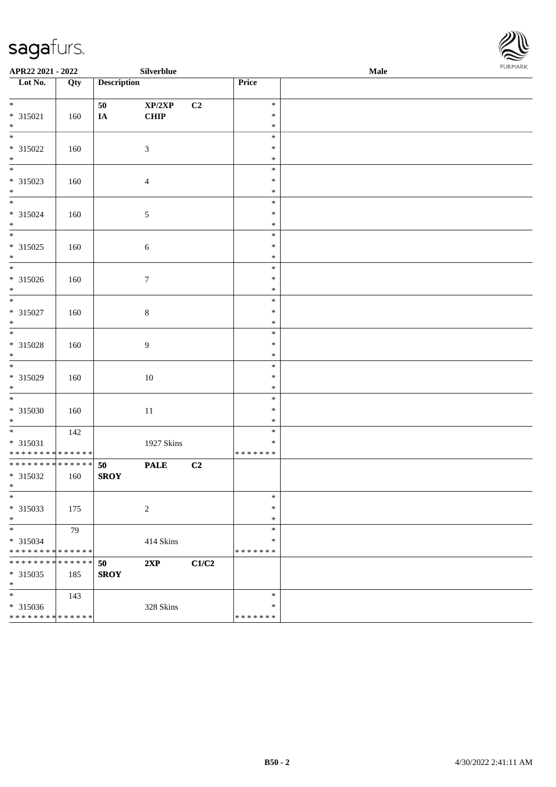

|                                                                           | Silverblue<br>APR22 2021 - 2022 |                    |                  |                | <b>FURPIARA</b><br>$\bf Male$     |  |  |
|---------------------------------------------------------------------------|---------------------------------|--------------------|------------------|----------------|-----------------------------------|--|--|
| $\overline{\phantom{1}}$ Lot No.                                          | Qty                             | <b>Description</b> |                  |                | Price                             |  |  |
| $*$<br>$* 315021$<br>$*$                                                  | 160                             | 50<br>IA           | XP/2XP<br>CHIP   | C <sub>2</sub> | $\ast$<br>$\ast$<br>$\ast$        |  |  |
| $\overline{\phantom{0}}$<br>$* 315022$<br>$*$<br>$\overline{\phantom{0}}$ | 160                             |                    | $\mathfrak{Z}$   |                | $\ast$<br>$\ast$<br>$\ast$        |  |  |
| * 315023<br>$\ast$                                                        | 160                             |                    | $\overline{4}$   |                | $\ast$<br>$\ast$<br>$\ast$        |  |  |
| * 315024<br>$\ast$                                                        | 160                             |                    | $\sqrt{5}$       |                | $\ast$<br>$\ast$<br>$\ast$        |  |  |
| $\overline{\phantom{0}}$<br>* 315025<br>$*$                               | 160                             |                    | $\sqrt{6}$       |                | $\ast$<br>$\ast$<br>$\ast$        |  |  |
| * 315026<br>$*$                                                           | 160                             |                    | $\boldsymbol{7}$ |                | $\ast$<br>$\ast$<br>$\ast$        |  |  |
| $* 315027$<br>$*$                                                         | 160                             |                    | $\,8\,$          |                | $\ast$<br>$\ast$<br>$\ast$        |  |  |
| $\overline{\ }$<br>$* 315028$<br>$*$                                      | 160                             |                    | 9                |                | $\ast$<br>$\ast$<br>$\ast$        |  |  |
| $*$<br>$* 315029$<br>$*$                                                  | 160                             |                    | 10               |                | $\ast$<br>$\ast$<br>$\ast$        |  |  |
| $* 315030$<br>$\ast$                                                      | 160                             |                    | 11               |                | $\ast$<br>$\ast$<br>$\ast$        |  |  |
| * 315031<br>* * * * * * * * * * * * * *                                   | 142                             |                    | 1927 Skins       |                | $\ast$<br>$\ast$<br>*******       |  |  |
| ******** <mark>******</mark><br>* 315032<br>$\star$                       | 160                             | 50<br><b>SROY</b>  | <b>PALE</b>      | C2             |                                   |  |  |
| $*$<br>$* 315033$<br>$*$                                                  | 175                             |                    | $\sqrt{2}$       |                | $\ast$<br>$\ast$<br>$\ast$        |  |  |
| $\overline{\phantom{0}}$<br>* 315034<br>* * * * * * * * * * * * * *       | 79                              |                    | 414 Skins        |                | $\ast$<br>$\ast$<br>* * * * * * * |  |  |
| * * * * * * * * * * * * * * *<br>* 315035<br>$\ast$                       | 185                             | 50<br><b>SROY</b>  | 2XP              | C1/C2          |                                   |  |  |
| $*$<br>* 315036<br>******** <mark>******</mark>                           | 143                             |                    | 328 Skins        |                | $\ast$<br>$\ast$<br>* * * * * * * |  |  |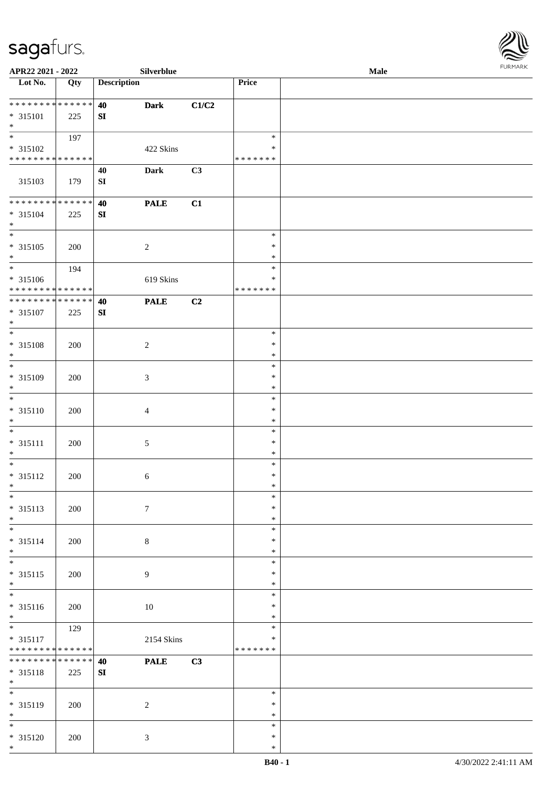

| APR22 2021 - 2022                                            |     |                    | Silverblue     |       |                                   | Male |  |
|--------------------------------------------------------------|-----|--------------------|----------------|-------|-----------------------------------|------|--|
| Lot No.                                                      | Qty | <b>Description</b> |                |       | Price                             |      |  |
| * * * * * * * * * * * * * *<br>$* 315101$<br>$*$             | 225 | 40<br>SI           | <b>Dark</b>    | C1/C2 |                                   |      |  |
| * 315102<br>* * * * * * * * * * * * * *                      | 197 |                    | 422 Skins      |       | $\ast$<br>∗<br>* * * * * * *      |      |  |
| 315103                                                       | 179 | 40<br>${\bf SI}$   | <b>Dark</b>    | C3    |                                   |      |  |
| ******** <mark>******</mark><br>$* 315104$<br>$*$            | 225 | 40<br>${\bf SI}$   | <b>PALE</b>    | C1    |                                   |      |  |
| $\overline{\phantom{0}}$<br>$* 315105$<br>$*$                | 200 |                    | $\sqrt{2}$     |       | $\ast$<br>$\ast$<br>$\ast$        |      |  |
| $\overline{\ast}$<br>* 315106<br>* * * * * * * * * * * * * * | 194 |                    | 619 Skins      |       | $\ast$<br>$\ast$<br>* * * * * * * |      |  |
| ******** <mark>******</mark><br>$* 315107$<br>$*$            | 225 | 40<br>${\bf SI}$   | <b>PALE</b>    | C2    |                                   |      |  |
| $*$<br>* 315108<br>$\ast$                                    | 200 |                    | $\sqrt{2}$     |       | $\ast$<br>$\ast$<br>$\ast$        |      |  |
| $*$<br>$* 315109$<br>$\ast$                                  | 200 |                    | 3              |       | $\ast$<br>$\ast$<br>$\ast$        |      |  |
| $\overline{\ast}$<br>$* 315110$<br>$*$                       | 200 |                    | $\overline{4}$ |       | $\ast$<br>$\ast$<br>$\ast$        |      |  |
| $*$<br>$* 315111$<br>$*$                                     | 200 |                    | $5\,$          |       | $\ast$<br>$\ast$<br>$\ast$        |      |  |
| $*$<br>$* 315112$<br>$*$                                     | 200 |                    | 6              |       | $\ast$<br>$\ast$<br>$\ast$        |      |  |
| $\ast$<br>* 315113<br>$*$                                    | 200 |                    | $\tau$         |       | $\ast$<br>$\ast$<br>$\ast$        |      |  |
| $\overline{\phantom{0}}$<br>* 315114<br>$*$                  | 200 |                    | 8              |       | $\ast$<br>$\ast$<br>$\ast$        |      |  |
| $\overline{\phantom{a}^*}$<br>$* 315115$<br>$*$              | 200 |                    | 9              |       | $\ast$<br>$\ast$<br>$\ast$        |      |  |
| $\overline{\phantom{0}}$<br>$* 315116$<br>$*$                | 200 |                    | $10\,$         |       | $\ast$<br>∗<br>$\ast$             |      |  |
| $* 315117$<br>* * * * * * * * * * * * * *                    | 129 |                    | 2154 Skins     |       | $\ast$<br>$\ast$<br>* * * * * * * |      |  |
| * * * * * * * * * * * * * *<br>* 315118<br>$*$               | 225 | 40<br>SI           | <b>PALE</b>    | C3    |                                   |      |  |
| $\overline{\phantom{0}}$<br>* 315119<br>$*$                  | 200 |                    | $\overline{c}$ |       | $\ast$<br>$\ast$<br>$\ast$        |      |  |
| $* 315120$<br>$*$                                            | 200 |                    | $\mathfrak{Z}$ |       | $\ast$<br>$\ast$<br>$\ast$        |      |  |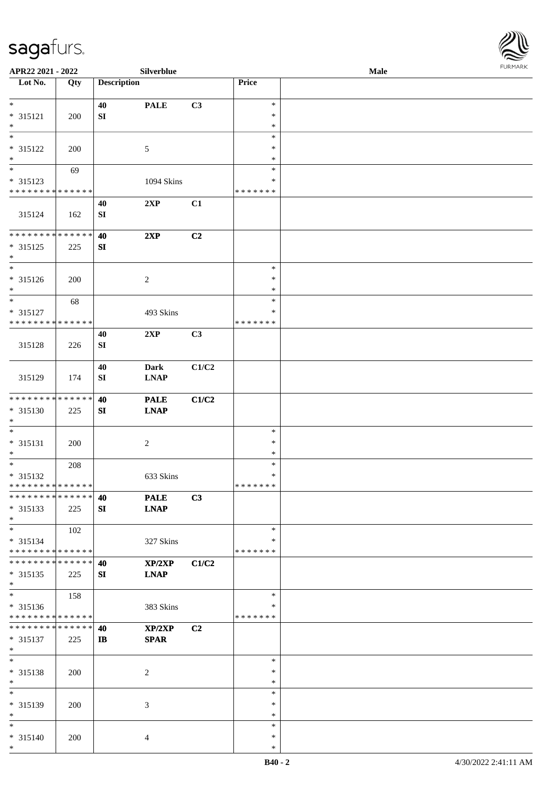

| APR22 2021 - 2022               |     |                    | Silverblue       |       |               | Male |
|---------------------------------|-----|--------------------|------------------|-------|---------------|------|
| Lot No.                         | Qty | <b>Description</b> |                  |       | Price         |      |
|                                 |     |                    |                  |       |               |      |
| $*$                             |     | 40                 | <b>PALE</b>      | C3    | $\ast$        |      |
|                                 |     |                    |                  |       | $\ast$        |      |
| * 315121                        | 200 | SI                 |                  |       |               |      |
| $\ast$                          |     |                    |                  |       | $\ast$        |      |
| $*$                             |     |                    |                  |       | $\ast$        |      |
| * 315122                        | 200 |                    | 5                |       | ∗             |      |
| $\ast$                          |     |                    |                  |       | $\ast$        |      |
| $\overline{\phantom{0}}$        | 69  |                    |                  |       | $\ast$        |      |
| * 315123                        |     |                    |                  |       | $\ast$        |      |
| * * * * * * * * * * * * * *     |     |                    | 1094 Skins       |       |               |      |
|                                 |     |                    |                  |       | * * * * * * * |      |
|                                 |     | 40                 | 2XP              | C1    |               |      |
| 315124                          | 162 | ${\bf SI}$         |                  |       |               |      |
|                                 |     |                    |                  |       |               |      |
| * * * * * * * * * * * * * *     |     | 40                 | 2XP              | C2    |               |      |
|                                 |     |                    |                  |       |               |      |
| $* 315125$                      | 225 | SI                 |                  |       |               |      |
| $*$                             |     |                    |                  |       |               |      |
| $\ast$                          |     |                    |                  |       | $\ast$        |      |
| $* 315126$                      | 200 |                    | $\overline{c}$   |       | $\ast$        |      |
| $*$                             |     |                    |                  |       | $\ast$        |      |
| $\ast$                          | 68  |                    |                  |       | $\ast$        |      |
| * 315127                        |     |                    |                  |       | ∗             |      |
|                                 |     |                    | 493 Skins        |       |               |      |
| * * * * * * * * * * * * * *     |     |                    |                  |       | * * * * * * * |      |
|                                 |     | 40                 | 2XP              | C3    |               |      |
| 315128                          | 226 | SI                 |                  |       |               |      |
|                                 |     |                    |                  |       |               |      |
|                                 |     | 40                 | <b>Dark</b>      | C1/C2 |               |      |
| 315129                          | 174 | ${\bf S}{\bf I}$   | <b>LNAP</b>      |       |               |      |
|                                 |     |                    |                  |       |               |      |
|                                 |     |                    |                  |       |               |      |
| * * * * * * * * * * * * * *     |     | 40                 | <b>PALE</b>      | C1/C2 |               |      |
| * 315130                        | 225 | SI                 | <b>LNAP</b>      |       |               |      |
| $*$                             |     |                    |                  |       |               |      |
| $*$                             |     |                    |                  |       | $\ast$        |      |
| $* 315131$                      | 200 |                    | $\boldsymbol{2}$ |       | $\ast$        |      |
|                                 |     |                    |                  |       |               |      |
| $*$                             |     |                    |                  |       | $\ast$        |      |
| $*$                             | 208 |                    |                  |       | $\ast$        |      |
| * 315132                        |     |                    | 633 Skins        |       | $\ast$        |      |
| * * * * * * * * * * * * * *     |     |                    |                  |       | *******       |      |
| * * * * * * * * * * * * * *     |     | 40                 | <b>PALE</b>      | C3    |               |      |
| * 315133                        | 225 | SI                 | <b>LNAP</b>      |       |               |      |
|                                 |     |                    |                  |       |               |      |
| $*$                             |     |                    |                  |       |               |      |
| $*$                             | 102 |                    |                  |       | $\ast$        |      |
| * 315134                        |     |                    | 327 Skins        |       | ∗             |      |
| * * * * * * * * * * * * * *     |     |                    |                  |       | * * * * * * * |      |
| * * * * * * * * * * * * * * *   |     | 40                 | XP/2XP           | C1/C2 |               |      |
| $* 315135$                      |     | SI                 |                  |       |               |      |
|                                 | 225 |                    | <b>LNAP</b>      |       |               |      |
| $*$<br>$\overline{\phantom{0}}$ |     |                    |                  |       |               |      |
|                                 | 158 |                    |                  |       | $\ast$        |      |
| * 315136                        |     |                    | 383 Skins        |       | ∗             |      |
| * * * * * * * * * * * * * *     |     |                    |                  |       | * * * * * * * |      |
| * * * * * * * * * * * * * * *   |     | 40                 | XP/2XP           | C2    |               |      |
|                                 |     |                    |                  |       |               |      |
| * 315137                        | 225 | $\mathbf{I}$       | <b>SPAR</b>      |       |               |      |
| $*$                             |     |                    |                  |       |               |      |
| $*$                             |     |                    |                  |       | $\ast$        |      |
| * 315138                        | 200 |                    | 2                |       | $\ast$        |      |
| $*$                             |     |                    |                  |       | $\ast$        |      |
| $\ast$                          |     |                    |                  |       | $\ast$        |      |
|                                 |     |                    |                  |       |               |      |
| * 315139                        | 200 |                    | 3                |       | $\ast$        |      |
| $*$                             |     |                    |                  |       | $\ast$        |      |
| $*$                             |     |                    |                  |       | $\ast$        |      |
| * 315140                        | 200 |                    | 4                |       | $\ast$        |      |
| $*$                             |     |                    |                  |       | $\ast$        |      |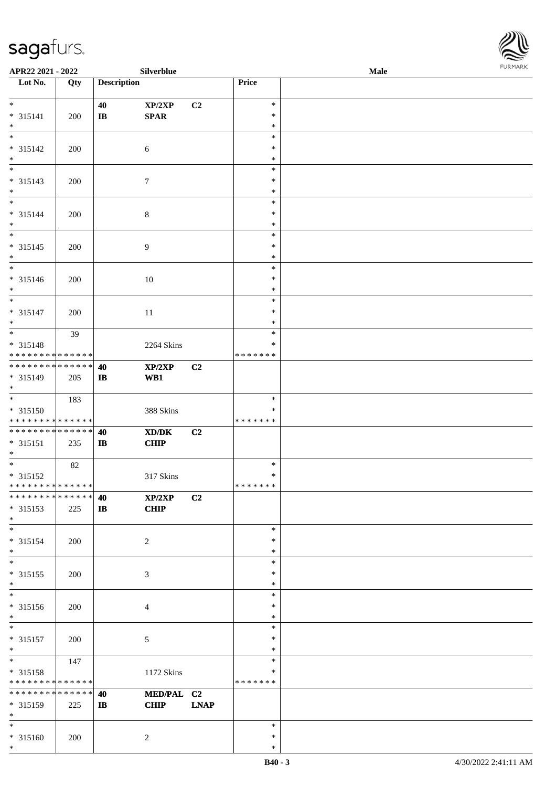

| APR22 2021 - 2022                          |     |                        | Silverblue     |             |               | <b>Male</b> |  |
|--------------------------------------------|-----|------------------------|----------------|-------------|---------------|-------------|--|
| Lot No.                                    | Qty | <b>Description</b>     |                |             | Price         |             |  |
|                                            |     |                        |                |             |               |             |  |
| $*$                                        |     | 40                     | XP/2XP         | C2          | $\ast$        |             |  |
| * 315141                                   | 200 | $\mathbf{I}\mathbf{B}$ | <b>SPAR</b>    |             | $\ast$        |             |  |
| $*$                                        |     |                        |                |             | $\ast$        |             |  |
|                                            |     |                        |                |             | $\ast$        |             |  |
|                                            |     |                        |                |             |               |             |  |
| * 315142                                   | 200 |                        | 6              |             | $\ast$        |             |  |
| $*$                                        |     |                        |                |             | $\ast$        |             |  |
| $\overline{\phantom{0}}$                   |     |                        |                |             | $\ast$        |             |  |
| * 315143                                   | 200 |                        | $\tau$         |             | $\ast$        |             |  |
| $*$                                        |     |                        |                |             | $\ast$        |             |  |
| $*$                                        |     |                        |                |             | $\ast$        |             |  |
| * 315144                                   | 200 |                        | $\,8\,$        |             | $\ast$        |             |  |
| $*$                                        |     |                        |                |             | $\ast$        |             |  |
| $\overline{\ast}$                          |     |                        |                |             | $\ast$        |             |  |
| $* 315145$                                 | 200 |                        | 9              |             | $\ast$        |             |  |
| $\ast$                                     |     |                        |                |             | $\ast$        |             |  |
|                                            |     |                        |                |             | $\ast$        |             |  |
|                                            |     |                        |                |             |               |             |  |
| * 315146                                   | 200 |                        | 10             |             | $\ast$        |             |  |
| $*$                                        |     |                        |                |             | $\ast$        |             |  |
|                                            |     |                        |                |             | $\ast$        |             |  |
| * 315147                                   | 200 |                        | 11             |             | $\ast$        |             |  |
| $*$                                        |     |                        |                |             | $\ast$        |             |  |
| $\overline{\ast}$                          | 39  |                        |                |             | $\ast$        |             |  |
| * 315148                                   |     |                        | 2264 Skins     |             | ∗             |             |  |
| * * * * * * * * * * * * * * *              |     |                        |                |             | * * * * * * * |             |  |
| * * * * * * * * <mark>* * * * * * *</mark> |     | 40                     | XP/2XP         | C2          |               |             |  |
| * 315149                                   | 205 | $\mathbf{I}$           | WB1            |             |               |             |  |
| $*$                                        |     |                        |                |             |               |             |  |
|                                            |     |                        |                |             | $\ast$        |             |  |
|                                            | 183 |                        |                |             |               |             |  |
| * 315150                                   |     |                        | 388 Skins      |             | ∗             |             |  |
| * * * * * * * * <mark>* * * * * * *</mark> |     |                        |                |             | *******       |             |  |
| * * * * * * * * <mark>* * * * * * *</mark> |     | 40                     | XD/DK          | C2          |               |             |  |
| $* 315151$                                 | 235 | $\mathbf{I}$           | CHIP           |             |               |             |  |
| $*$                                        |     |                        |                |             |               |             |  |
| $*$ $-$                                    | 82  |                        |                |             | $\ast$        |             |  |
| * 315152                                   |     |                        | 317 Skins      |             | $\ast$        |             |  |
| * * * * * * * * <mark>* * * * * * *</mark> |     |                        |                |             | *******       |             |  |
|                                            |     | 40                     | XP/2XP         | C2          |               |             |  |
| * 315153                                   | 225 | $\mathbf{I}$           | <b>CHIP</b>    |             |               |             |  |
| $*$                                        |     |                        |                |             |               |             |  |
| $*$                                        |     |                        |                |             | $\ast$        |             |  |
|                                            |     |                        |                |             | $\ast$        |             |  |
| * 315154<br>$*$                            | 200 |                        | 2              |             | $\ast$        |             |  |
|                                            |     |                        |                |             |               |             |  |
|                                            |     |                        |                |             | $\ast$        |             |  |
| * 315155                                   | 200 |                        | $\mathfrak{Z}$ |             | $\ast$        |             |  |
| $*$                                        |     |                        |                |             | $\ast$        |             |  |
| $*$                                        |     |                        |                |             | $\ast$        |             |  |
| * 315156                                   | 200 |                        | $\overline{4}$ |             | $\ast$        |             |  |
| $*$                                        |     |                        |                |             | $\ast$        |             |  |
| $*$                                        |     |                        |                |             | $\ast$        |             |  |
| * 315157                                   | 200 |                        | $\mathfrak{S}$ |             | $\ast$        |             |  |
| $*$                                        |     |                        |                |             | $\ast$        |             |  |
| $*$                                        | 147 |                        |                |             | $\ast$        |             |  |
| * 315158                                   |     |                        | 1172 Skins     |             | $\ast$        |             |  |
| * * * * * * * * * * * * * *                |     |                        |                |             | * * * * * * * |             |  |
| * * * * * * * * <mark>* * * * * *</mark>   |     | 40                     | MED/PAL C2     |             |               |             |  |
|                                            |     |                        |                |             |               |             |  |
| * 315159                                   | 225 | $\mathbf{I}$           | <b>CHIP</b>    | <b>LNAP</b> |               |             |  |
| $*$                                        |     |                        |                |             |               |             |  |
| $*$                                        |     |                        |                |             | $\ast$        |             |  |
| * 315160                                   | 200 |                        | 2              |             | ∗             |             |  |
| $\ast$                                     |     |                        |                |             | $\ast$        |             |  |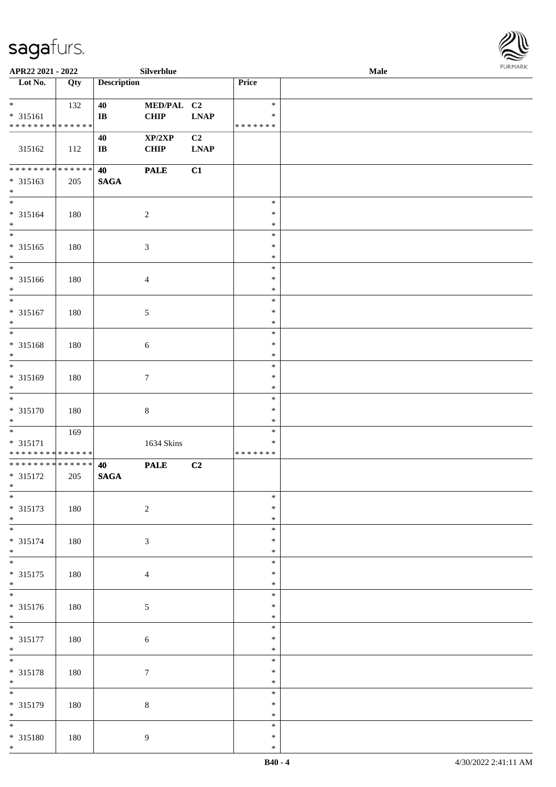

| APR22 2021 - 2022            |     |                        | Silverblue       |                |                  | Male | . |
|------------------------------|-----|------------------------|------------------|----------------|------------------|------|---|
| Lot No.                      | Qty | <b>Description</b>     |                  |                | Price            |      |   |
|                              |     |                        |                  |                |                  |      |   |
| $*$                          | 132 | 40                     | MED/PAL C2       |                | $\ast$           |      |   |
| $* 315161$                   |     | $\mathbf{I}$ <b>B</b>  | <b>CHIP</b>      | <b>LNAP</b>    | $\ast$           |      |   |
| * * * * * * * * * * * * * *  |     |                        |                  |                | * * * * * * *    |      |   |
| 315162                       |     | 40                     | XP/2XP           | C <sub>2</sub> |                  |      |   |
|                              | 112 | $\mathbf{I}\mathbf{B}$ | <b>CHIP</b>      | <b>LNAP</b>    |                  |      |   |
| ******** <mark>******</mark> |     | 40                     | <b>PALE</b>      | C1             |                  |      |   |
| $* 315163$                   | 205 | <b>SAGA</b>            |                  |                |                  |      |   |
| $*$                          |     |                        |                  |                |                  |      |   |
| $\overline{\phantom{a}^*}$   |     |                        |                  |                | $\ast$           |      |   |
| * 315164                     | 180 |                        | $\sqrt{2}$       |                | $\ast$           |      |   |
| $\ast$                       |     |                        |                  |                | $\ast$           |      |   |
| $\overline{\phantom{0}}$     |     |                        |                  |                | $\ast$           |      |   |
| $* 315165$                   | 180 |                        | $\sqrt{3}$       |                | $\ast$           |      |   |
| $\ast$                       |     |                        |                  |                | $\ast$           |      |   |
| $\overline{\phantom{a}^*}$   |     |                        |                  |                | $\ast$           |      |   |
| $* 315166$                   | 180 |                        | $\overline{4}$   |                | $\ast$           |      |   |
| $\ast$<br>$\overline{\ast}$  |     |                        |                  |                | $\ast$           |      |   |
|                              |     |                        |                  |                | $\ast$           |      |   |
| $* 315167$                   | 180 |                        | $\mathfrak{S}$   |                | $\ast$           |      |   |
| $\ast$<br>$\ast$             |     |                        |                  |                | $\ast$<br>$\ast$ |      |   |
| * 315168                     | 180 |                        |                  |                | $\ast$           |      |   |
| $\ast$                       |     |                        | $6\,$            |                | $\ast$           |      |   |
| $\overline{\ast}$            |     |                        |                  |                | $\ast$           |      |   |
| * 315169                     | 180 |                        | $\tau$           |                | $\ast$           |      |   |
| $\ast$                       |     |                        |                  |                | $\ast$           |      |   |
| $\overline{\phantom{a}^*}$   |     |                        |                  |                | $\ast$           |      |   |
| $* 315170$                   | 180 |                        | $\,$ 8 $\,$      |                | $\ast$           |      |   |
| $*$                          |     |                        |                  |                | $\ast$           |      |   |
| $\ast$                       | 169 |                        |                  |                | $\ast$           |      |   |
| $* 315171$                   |     |                        | 1634 Skins       |                | $\ast$           |      |   |
| * * * * * * * * * * * * * *  |     |                        |                  |                | * * * * * * *    |      |   |
| ******** <mark>******</mark> |     | 40                     | <b>PALE</b>      | C <sub>2</sub> |                  |      |   |
| $* 315172$                   | 205 | <b>SAGA</b>            |                  |                |                  |      |   |
| $*$<br>$*$                   |     |                        |                  |                | $\ast$           |      |   |
|                              |     |                        |                  |                | $\ast$           |      |   |
| $* 315173$<br>$\ast$         | 180 |                        | $\sqrt{2}$       |                | $\ast$           |      |   |
| $\overline{\phantom{0}}$     |     |                        |                  |                | $\ast$           |      |   |
| $* 315174$                   | 180 |                        | $\mathfrak{Z}$   |                | $\ast$           |      |   |
| $\ast$                       |     |                        |                  |                | $\ast$           |      |   |
| $\overline{\ast}$            |     |                        |                  |                | $\ast$           |      |   |
| $* 315175$                   | 180 |                        | $\overline{4}$   |                | ∗                |      |   |
| $\ast$                       |     |                        |                  |                | $\ast$           |      |   |
| $_{\ast}^{-}$                |     |                        |                  |                | $\ast$           |      |   |
| $* 315176$                   | 180 |                        | $\sqrt{5}$       |                | $\ast$           |      |   |
| $*$                          |     |                        |                  |                | $\ast$           |      |   |
| $\overline{\phantom{0}}$     |     |                        |                  |                | $\ast$           |      |   |
| $* 315177$                   | 180 |                        | $\sqrt{6}$       |                | $\ast$           |      |   |
| $\ast$<br>$_{\ast}$          |     |                        |                  |                | $\ast$           |      |   |
|                              |     |                        |                  |                | $\ast$           |      |   |
| * 315178<br>$\ast$           | 180 |                        | $\boldsymbol{7}$ |                | $\ast$<br>$\ast$ |      |   |
| $\overline{\phantom{a}^*}$   |     |                        |                  |                | $\ast$           |      |   |
| * 315179                     | 180 |                        | $\,8\,$          |                | $\ast$           |      |   |
| $\ast$                       |     |                        |                  |                | $\ast$           |      |   |
| $\ast$                       |     |                        |                  |                | $\ast$           |      |   |
| * 315180                     | 180 |                        | $\overline{9}$   |                | $\ast$           |      |   |
| $\ast$                       |     |                        |                  |                | $\ast$           |      |   |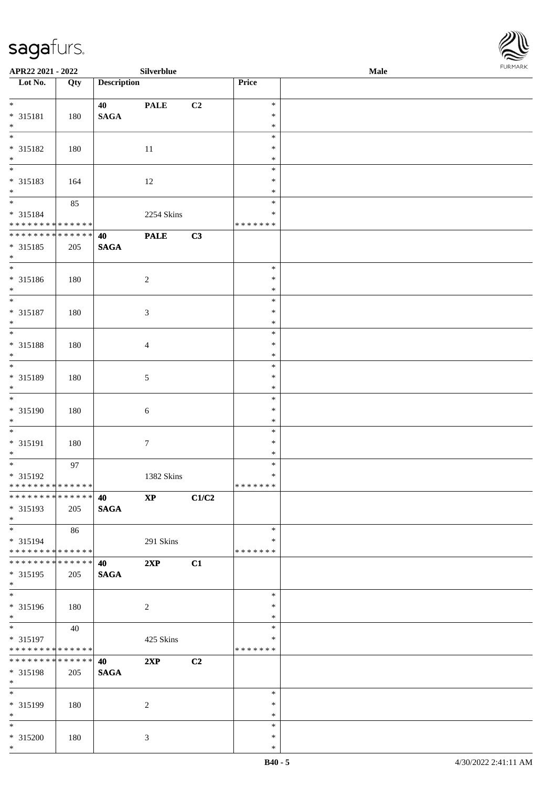

| APR22 2021 - 2022                                                                 |     |                    | Silverblue             |       |               | Male |  |
|-----------------------------------------------------------------------------------|-----|--------------------|------------------------|-------|---------------|------|--|
| Lot No.                                                                           | Qty | <b>Description</b> |                        |       | Price         |      |  |
|                                                                                   |     |                    |                        |       |               |      |  |
| $*$                                                                               |     | 40                 | <b>PALE</b>            | C2    | $\ast$        |      |  |
| * 315181                                                                          | 180 | <b>SAGA</b>        |                        |       | $\ast$        |      |  |
| $*$                                                                               |     |                    |                        |       | $\ast$        |      |  |
|                                                                                   |     |                    |                        |       | $\ast$        |      |  |
| * 315182                                                                          | 180 |                    | 11                     |       | $\ast$        |      |  |
| $*$                                                                               |     |                    |                        |       | $\ast$        |      |  |
|                                                                                   |     |                    |                        |       | $\ast$        |      |  |
| * 315183                                                                          | 164 |                    | 12                     |       | $\ast$        |      |  |
| $*$                                                                               |     |                    |                        |       | $\ast$        |      |  |
| $*$                                                                               | 85  |                    |                        |       | $\ast$        |      |  |
| * 315184                                                                          |     |                    | 2254 Skins             |       | $\ast$        |      |  |
| * * * * * * * * <mark>* * * * * * *</mark>                                        |     |                    |                        |       | *******       |      |  |
| * * * * * * * * <mark>* * * * * * *</mark>                                        |     | 40                 | <b>PALE</b>            | C3    |               |      |  |
| * 315185                                                                          | 205 | <b>SAGA</b>        |                        |       |               |      |  |
| $\ast$                                                                            |     |                    |                        |       |               |      |  |
|                                                                                   |     |                    |                        |       | $\ast$        |      |  |
| * 315186                                                                          | 180 |                    | $\overline{2}$         |       | $\ast$        |      |  |
| $*$                                                                               |     |                    |                        |       | $\ast$        |      |  |
|                                                                                   |     |                    |                        |       | $\ast$        |      |  |
| * 315187                                                                          | 180 |                    |                        |       | $\ast$        |      |  |
| $*$                                                                               |     |                    | 3                      |       | $\ast$        |      |  |
| $\overline{\ast}$                                                                 |     |                    |                        |       | $\ast$        |      |  |
| * 315188                                                                          |     |                    |                        |       | $\ast$        |      |  |
| $\ast$                                                                            | 180 |                    | $\overline{4}$         |       | $\ast$        |      |  |
|                                                                                   |     |                    |                        |       | $\ast$        |      |  |
|                                                                                   |     |                    |                        |       | $\ast$        |      |  |
| * 315189<br>$*$                                                                   | 180 |                    | $5\,$                  |       | $\ast$        |      |  |
| $\overline{\phantom{0}}$                                                          |     |                    |                        |       |               |      |  |
|                                                                                   |     |                    |                        |       | $\ast$        |      |  |
| * 315190                                                                          | 180 |                    | 6                      |       | $\ast$        |      |  |
| $*$                                                                               |     |                    |                        |       | $\ast$        |      |  |
| $*$                                                                               |     |                    |                        |       | $\ast$        |      |  |
| * 315191                                                                          | 180 |                    | $\boldsymbol{7}$       |       | $\ast$        |      |  |
| $*$                                                                               |     |                    |                        |       | $\ast$        |      |  |
|                                                                                   | 97  |                    |                        |       | $\ast$        |      |  |
| * 315192                                                                          |     |                    | 1382 Skins             |       | $\ast$        |      |  |
| * * * * * * * * <mark>* * * * * * *</mark><br>___<br>******** <mark>******</mark> |     |                    |                        |       | *******       |      |  |
|                                                                                   |     | 40 — 20            | $\mathbf{X}\mathbf{P}$ | C1/C2 |               |      |  |
| * 315193                                                                          | 205 | <b>SAGA</b>        |                        |       |               |      |  |
| $*$                                                                               |     |                    |                        |       |               |      |  |
| $*$                                                                               | 86  |                    |                        |       | $\ast$        |      |  |
| * 315194                                                                          |     |                    | 291 Skins              |       | ∗             |      |  |
| * * * * * * * * <mark>* * * * * * *</mark>                                        |     |                    |                        |       | * * * * * * * |      |  |
| * * * * * * * * * * * * * * *                                                     |     | 40                 | 2XP                    | C1    |               |      |  |
| * 315195                                                                          | 205 | <b>SAGA</b>        |                        |       |               |      |  |
| $*$                                                                               |     |                    |                        |       |               |      |  |
| $\ast$                                                                            |     |                    |                        |       | $\ast$        |      |  |
| * 315196                                                                          | 180 |                    | 2                      |       | $\ast$        |      |  |
| $*$                                                                               |     |                    |                        |       | $\ast$        |      |  |
| $*$                                                                               | 40  |                    |                        |       | $\ast$        |      |  |
| * 315197                                                                          |     |                    | 425 Skins              |       | $\ast$        |      |  |
| * * * * * * * * * * * * * *                                                       |     |                    |                        |       | *******       |      |  |
| * * * * * * * * <mark>* * * * * * *</mark>                                        |     | 40                 | 2XP                    | C2    |               |      |  |
| * 315198                                                                          | 205 | <b>SAGA</b>        |                        |       |               |      |  |
| $*$                                                                               |     |                    |                        |       |               |      |  |
| $*$                                                                               |     |                    |                        |       | $\ast$        |      |  |
| * 315199                                                                          | 180 |                    | 2                      |       | $\ast$        |      |  |
| $*$                                                                               |     |                    |                        |       | $\ast$        |      |  |
| $*$                                                                               |     |                    |                        |       | $\ast$        |      |  |
| * 315200                                                                          | 180 |                    | 3                      |       | $\ast$        |      |  |
| $\ast$                                                                            |     |                    |                        |       | $\ast$        |      |  |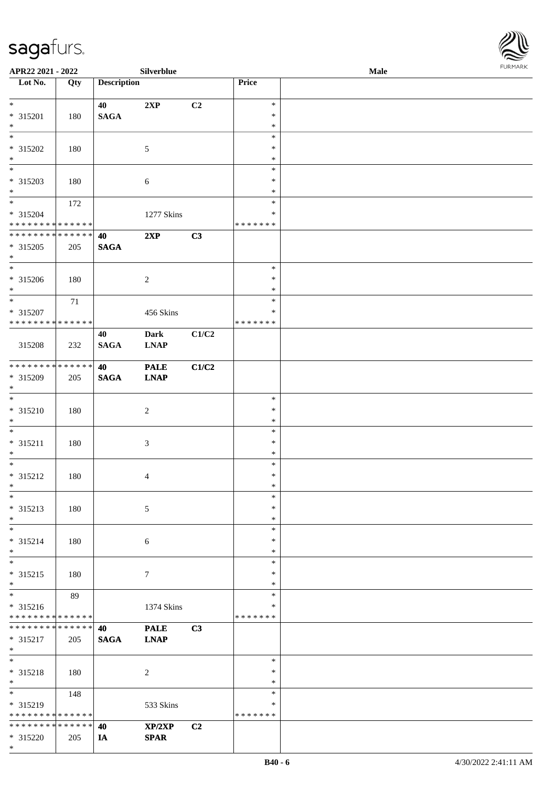

| APR22 2021 - 2022                          |     |                    | Silverblue     |                |               | Male |  |
|--------------------------------------------|-----|--------------------|----------------|----------------|---------------|------|--|
| Lot No.                                    | Qty | <b>Description</b> |                |                | Price         |      |  |
|                                            |     |                    |                |                |               |      |  |
| $*$                                        |     | 40                 | 2XP            | C2             | $\ast$        |      |  |
| * 315201                                   | 180 | <b>SAGA</b>        |                |                | $\ast$        |      |  |
| $*$                                        |     |                    |                |                | $\ast$        |      |  |
|                                            |     |                    |                |                | $\ast$        |      |  |
| * 315202                                   | 180 |                    | $\mathfrak{S}$ |                | $\ast$        |      |  |
| $\ast$                                     |     |                    |                |                | $\ast$        |      |  |
|                                            |     |                    |                |                | $\ast$        |      |  |
| * 315203                                   | 180 |                    | 6              |                | $\ast$        |      |  |
| $*$                                        |     |                    |                |                | $\ast$        |      |  |
| $*$                                        | 172 |                    |                |                | $\ast$        |      |  |
| * 315204                                   |     |                    | 1277 Skins     |                | $\ast$        |      |  |
| * * * * * * * * * * * * * *                |     |                    |                |                | *******       |      |  |
| * * * * * * * * <mark>* * * * * * *</mark> |     | 40                 | 2XP            | C3             |               |      |  |
| * 315205                                   | 205 | <b>SAGA</b>        |                |                |               |      |  |
| $\ast$                                     |     |                    |                |                |               |      |  |
|                                            |     |                    |                |                | $\ast$        |      |  |
| * 315206                                   | 180 |                    | $\overline{2}$ |                | $\ast$        |      |  |
| $*$                                        |     |                    |                |                | $\ast$        |      |  |
|                                            |     |                    |                |                | $\ast$        |      |  |
|                                            | 71  |                    |                |                |               |      |  |
| * 315207<br>* * * * * * * * * * * * * * *  |     |                    | 456 Skins      |                | $\ast$        |      |  |
|                                            |     |                    |                |                | * * * * * * * |      |  |
|                                            |     | 40                 | <b>Dark</b>    | C1/C2          |               |      |  |
| 315208                                     | 232 | <b>SAGA</b>        | <b>LNAP</b>    |                |               |      |  |
|                                            |     |                    |                |                |               |      |  |
| ******** <mark>******</mark>               |     | 40                 | <b>PALE</b>    | C1/C2          |               |      |  |
| * 315209                                   | 205 | <b>SAGA</b>        | <b>LNAP</b>    |                |               |      |  |
| $*$                                        |     |                    |                |                |               |      |  |
|                                            |     |                    |                |                | $\ast$        |      |  |
| $* 315210$                                 | 180 |                    | $\overline{2}$ |                | $\ast$        |      |  |
| $*$                                        |     |                    |                |                | $\ast$        |      |  |
| $*$                                        |     |                    |                |                | $\ast$        |      |  |
| * 315211                                   | 180 |                    | $\mathfrak{Z}$ |                | $\ast$        |      |  |
| $\ast$                                     |     |                    |                |                | $\ast$        |      |  |
| $*$                                        |     |                    |                |                | $\ast$        |      |  |
| * 315212                                   | 180 |                    | $\overline{4}$ |                | $\ast$        |      |  |
| $*$                                        |     |                    |                |                | $\ast$        |      |  |
| $\ast$                                     |     |                    |                |                | $\ast$        |      |  |
| * 315213                                   | 180 |                    | 5              |                | $\ast$        |      |  |
| $*$                                        |     |                    |                |                | $\ast$        |      |  |
| $*$                                        |     |                    |                |                | $\ast$        |      |  |
| * 315214                                   | 180 |                    | 6              |                | $\ast$        |      |  |
| $*$                                        |     |                    |                |                | $\ast$        |      |  |
| $*$                                        |     |                    |                |                | $\ast$        |      |  |
| * 315215                                   | 180 |                    | $\tau$         |                | $\ast$        |      |  |
| $\ast$                                     |     |                    |                |                | $\ast$        |      |  |
| $*$                                        | 89  |                    |                |                | $\ast$        |      |  |
| * 315216                                   |     |                    | 1374 Skins     |                | ∗             |      |  |
| * * * * * * * * * * * * * *                |     |                    |                |                | *******       |      |  |
| * * * * * * * * <mark>* * * * * *</mark> * |     | 40                 | <b>PALE</b>    | C3             |               |      |  |
| * 315217                                   | 205 | <b>SAGA</b>        | <b>LNAP</b>    |                |               |      |  |
| $*$                                        |     |                    |                |                |               |      |  |
| $*$                                        |     |                    |                |                | $\ast$        |      |  |
| * 315218                                   | 180 |                    | 2              |                | $\ast$        |      |  |
| $*$                                        |     |                    |                |                | $\ast$        |      |  |
| $*$                                        | 148 |                    |                |                | $\ast$        |      |  |
|                                            |     |                    |                |                | ∗             |      |  |
| * 315219<br>* * * * * * * * * * * * * *    |     |                    | 533 Skins      |                | *******       |      |  |
| * * * * * * * * <mark>* * * * * * *</mark> |     |                    |                |                |               |      |  |
|                                            |     | 40                 | XP/2XP         | C <sub>2</sub> |               |      |  |
| * 315220                                   | 205 | IA                 | <b>SPAR</b>    |                |               |      |  |
| $\ast$                                     |     |                    |                |                |               |      |  |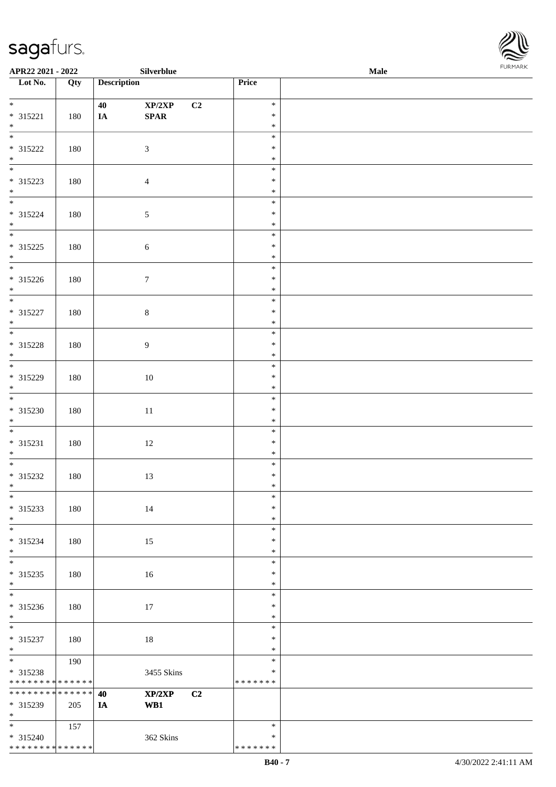

| APR22 2021 - 2022                  |                   |                    | Silverblue                      |                  | <b>Male</b><br>. |  |
|------------------------------------|-------------------|--------------------|---------------------------------|------------------|------------------|--|
| Lot No.                            | $\overline{Q}$ ty | <b>Description</b> |                                 | Price            |                  |  |
|                                    |                   |                    |                                 |                  |                  |  |
| $*$                                |                   | 40                 | XP/2XP<br>C2                    | $\ast$           |                  |  |
| $* 315221$                         | 180               | IA                 | $\pmb{\quad \text{SPAR} \quad}$ | $\ast$           |                  |  |
| $\ast$                             |                   |                    |                                 | $\ast$           |                  |  |
|                                    |                   |                    |                                 | $\ast$           |                  |  |
| $* 315222$                         | 180               | $\mathfrak{Z}$     |                                 | $\ast$           |                  |  |
|                                    |                   |                    |                                 | $\ast$           |                  |  |
| $*$ $*$                            |                   |                    |                                 | $\ast$           |                  |  |
|                                    |                   |                    |                                 |                  |                  |  |
| $* 315223$                         | 180               |                    | $\overline{4}$                  | $\ast$           |                  |  |
| $\ast$<br>$\overline{\phantom{0}}$ |                   |                    |                                 | $\ast$           |                  |  |
|                                    |                   |                    |                                 | $\ast$           |                  |  |
| $* 315224$                         | 180               | $\sqrt{5}$         |                                 | $\ast$           |                  |  |
| $\ast$                             |                   |                    |                                 | $\ast$           |                  |  |
| $\overline{\phantom{0}}$           |                   |                    |                                 | $\ast$           |                  |  |
| $* 315225$                         | 180               |                    | $\sqrt{6}$                      | $\ast$           |                  |  |
| $\ast$                             |                   |                    |                                 | $\ast$           |                  |  |
| $\overline{\phantom{0}}$           |                   |                    |                                 | $\ast$           |                  |  |
| $* 315226$                         | 180               | $\boldsymbol{7}$   |                                 | $\ast$           |                  |  |
| $\ast$                             |                   |                    |                                 | $\ast$           |                  |  |
| $\overline{\phantom{a}^*}$         |                   |                    |                                 | $\ast$           |                  |  |
| $* 315227$                         | 180               |                    | $8\,$                           | $\ast$           |                  |  |
|                                    |                   |                    |                                 | $\ast$           |                  |  |
| $*$ $*$                            |                   |                    |                                 | $\ast$           |                  |  |
|                                    |                   |                    |                                 | $\ast$           |                  |  |
| * 315228                           | 180               |                    | 9                               |                  |                  |  |
| $\ast$<br>$\overline{\phantom{0}}$ |                   |                    |                                 | $\ast$           |                  |  |
|                                    |                   |                    |                                 | $\ast$           |                  |  |
| * 315229                           | 180               |                    | $10\,$                          | $\ast$           |                  |  |
| $*$                                |                   |                    |                                 | $\ast$           |                  |  |
| $\overline{\phantom{0}}$           |                   |                    |                                 | $\ast$           |                  |  |
| $* 315230$                         | 180               |                    | $11\,$                          | $\ast$           |                  |  |
| $*$                                |                   |                    |                                 | $\ast$           |                  |  |
| $\overline{\ast}$                  |                   |                    |                                 | $\ast$           |                  |  |
| $* 315231$                         | 180               |                    | $12\,$                          | $\ast$           |                  |  |
| $\ast$                             |                   |                    |                                 | $\ast$           |                  |  |
| $\overline{\phantom{0}}$           |                   |                    |                                 | $\ast$           |                  |  |
| $* 315232$                         | 180               |                    | 13                              | $\ast$           |                  |  |
| $*$                                |                   |                    |                                 | $\ast$           |                  |  |
| $*$                                |                   |                    |                                 | $\ast$           |                  |  |
| $* 315233$                         |                   |                    | 14                              | $\ast$           |                  |  |
|                                    | 180               |                    |                                 |                  |                  |  |
| $*$<br>$\overline{\phantom{0}}$    |                   |                    |                                 | $\ast$<br>$\ast$ |                  |  |
|                                    |                   |                    |                                 |                  |                  |  |
| * 315234                           | 180               |                    | 15                              | $\ast$           |                  |  |
| $*$<br>$\overline{\phantom{0}}$    |                   |                    |                                 | $\ast$           |                  |  |
|                                    |                   |                    |                                 | $\ast$           |                  |  |
| $* 315235$                         | 180               |                    | 16                              | $\ast$           |                  |  |
| $*$                                |                   |                    |                                 | $\ast$           |                  |  |
| $\overline{\phantom{0}}$           |                   |                    |                                 | $\ast$           |                  |  |
| * 315236                           | 180               |                    | 17                              | $\ast$           |                  |  |
| $*$                                |                   |                    |                                 | $\ast$           |                  |  |
| $*$                                |                   |                    |                                 | $\ast$           |                  |  |
| $* 315237$                         | 180               |                    | 18                              | $\ast$           |                  |  |
| $*$                                |                   |                    |                                 | $\ast$           |                  |  |
| $\overline{\phantom{0}}$           | 190               |                    |                                 | $\ast$           |                  |  |
| * 315238                           |                   |                    | 3455 Skins                      | $\ast$           |                  |  |
| ******** <mark>******</mark>       |                   |                    |                                 | * * * * * * *    |                  |  |
| ******** <mark>******</mark>       |                   | 40                 | XP/2XP<br>C2                    |                  |                  |  |
|                                    |                   |                    |                                 |                  |                  |  |
| * 315239                           | 205               | IA                 | WB1                             |                  |                  |  |
| $*$<br>$\overline{\ast}$           |                   |                    |                                 |                  |                  |  |
|                                    | 157               |                    |                                 | $\ast$           |                  |  |
| * 315240                           |                   |                    | 362 Skins                       | $\ast$           |                  |  |
| **************                     |                   |                    |                                 | * * * * * * *    |                  |  |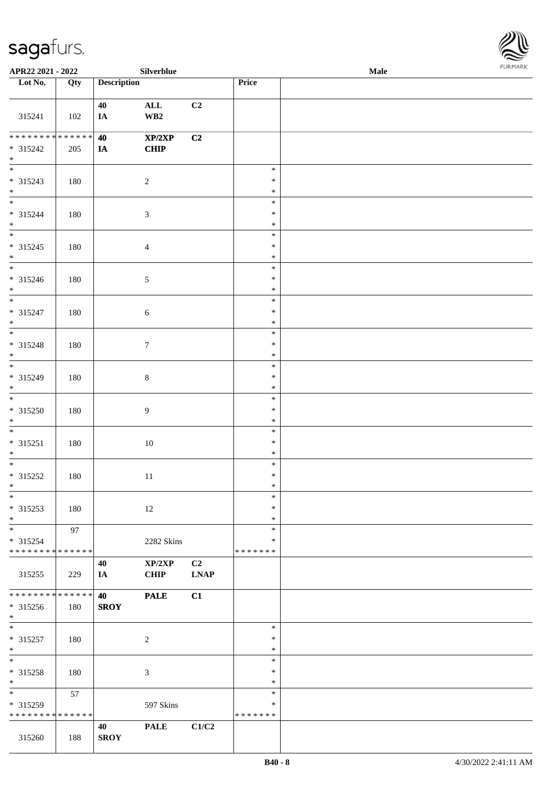

| APR22 2021 - 2022                    |     |                    | Silverblue                  |             |               | Male | . |
|--------------------------------------|-----|--------------------|-----------------------------|-------------|---------------|------|---|
| Lot No.                              | Qty | <b>Description</b> |                             |             | Price         |      |   |
|                                      |     |                    |                             |             |               |      |   |
|                                      |     | 40                 | $\mathbf{ALL}$              | C2          |               |      |   |
| 315241                               | 102 | IA                 | $\mathbf{W}\mathbf{B2}$     |             |               |      |   |
|                                      |     |                    |                             |             |               |      |   |
| ******** <mark>******</mark>         |     | 40                 | XP/2XP                      | C2          |               |      |   |
| $* 315242$                           | 205 | IA                 | CHIP                        |             |               |      |   |
| $\ast$                               |     |                    |                             |             |               |      |   |
| $\overline{\phantom{0}}$             |     |                    |                             |             | $\ast$        |      |   |
| * 315243                             | 180 |                    | $\sqrt{2}$                  |             | $\ast$        |      |   |
| $\ast$                               |     |                    |                             |             | $\ast$        |      |   |
| $\overline{\phantom{0}}$             |     |                    |                             |             | $\ast$        |      |   |
| * 315244                             | 180 |                    | $\ensuremath{\mathfrak{Z}}$ |             | $\ast$        |      |   |
| $\ast$                               |     |                    |                             |             | $\ast$        |      |   |
| $\overline{\phantom{a}^*}$           |     |                    |                             |             | $\ast$        |      |   |
| $* 315245$                           | 180 |                    | $\overline{4}$              |             | $\ast$        |      |   |
| $\ast$                               |     |                    |                             |             | $\ast$        |      |   |
| $\overline{\phantom{a}^*}$           |     |                    |                             |             | $\ast$        |      |   |
| $* 315246$                           | 180 |                    | $\sqrt{5}$                  |             | $\ast$        |      |   |
| $\ast$                               |     |                    |                             |             | $\ast$        |      |   |
| $\overline{\phantom{a}^*}$           |     |                    |                             |             | $\ast$        |      |   |
| $* 315247$                           | 180 |                    | $\sqrt{6}$                  |             | $\ast$        |      |   |
| $\ast$                               |     |                    |                             |             | $\ast$        |      |   |
| $\overline{\phantom{a}^*}$           |     |                    |                             |             | $\ast$        |      |   |
| $* 315248$                           | 180 |                    | $7\phantom{.0}$             |             | $\ast$        |      |   |
| $\ast$                               |     |                    |                             |             | $\ast$        |      |   |
| $\overline{\phantom{0}}$             |     |                    |                             |             | $\ast$        |      |   |
| * 315249                             | 180 |                    | $\,8\,$                     |             | $\ast$        |      |   |
| $*$                                  |     |                    |                             |             | $\ast$        |      |   |
| $\overline{\phantom{a}^*}$           |     |                    |                             |             | $\ast$        |      |   |
| * 315250                             | 180 |                    | $\boldsymbol{9}$            |             | $\ast$        |      |   |
| $*$                                  |     |                    |                             |             | $\ast$        |      |   |
| $\ast$                               |     |                    |                             |             | $\ast$        |      |   |
| $* 315251$                           | 180 |                    | 10                          |             | $\ast$        |      |   |
| $\ast$                               |     |                    |                             |             | $\ast$        |      |   |
| $\ast$                               |     |                    |                             |             | $\ast$        |      |   |
| $* 315252$                           | 180 |                    | $11\,$                      |             | $\ast$        |      |   |
| $*$                                  |     |                    |                             |             | $\ast$        |      |   |
| $*$                                  |     |                    |                             |             | $\ast$        |      |   |
| $* 315253$                           | 180 |                    | 12                          |             | $\ast$        |      |   |
| $\ast$<br>$\overline{\phantom{a}^*}$ |     |                    |                             |             | $\ast$        |      |   |
|                                      | 97  |                    |                             |             | $\ast$        |      |   |
| * 315254                             |     |                    | 2282 Skins                  |             | *             |      |   |
| * * * * * * * * * * * * * *          |     |                    |                             |             | * * * * * * * |      |   |
|                                      |     | 40                 | XP/2XP                      | C2          |               |      |   |
| 315255                               | 229 | IA                 | <b>CHIP</b>                 | <b>LNAP</b> |               |      |   |
| * * * * * * * * * * * * * * *        |     |                    |                             |             |               |      |   |
|                                      |     | 40                 | <b>PALE</b>                 | C1          |               |      |   |
| * 315256                             | 180 | <b>SROY</b>        |                             |             |               |      |   |
| $*$<br>$\ast$                        |     |                    |                             |             | $\ast$        |      |   |
|                                      |     |                    |                             |             | $\ast$        |      |   |
| * 315257<br>$*$                      | 180 |                    | $\sqrt{2}$                  |             | $\ast$        |      |   |
| $\overline{\phantom{1}}$             |     |                    |                             |             | $\ast$        |      |   |
| * 315258                             |     |                    |                             |             | $\ast$        |      |   |
| $\ast$                               | 180 |                    | 3                           |             | $\ast$        |      |   |
| $\overline{\phantom{a}^*}$           | 57  |                    |                             |             | $\ast$        |      |   |
| * 315259                             |     |                    | 597 Skins                   |             | ∗             |      |   |
| * * * * * * * * * * * * * *          |     |                    |                             |             | * * * * * * * |      |   |
|                                      |     | 40                 | <b>PALE</b>                 | C1/C2       |               |      |   |
| 315260                               | 188 | <b>SROY</b>        |                             |             |               |      |   |
|                                      |     |                    |                             |             |               |      |   |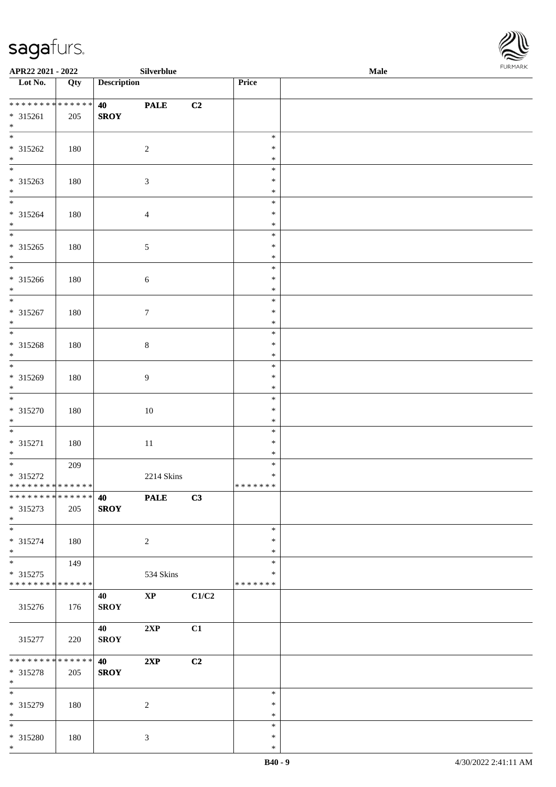\*



| APR22 2021 - 2022                          |         |                    | Silverblue             |       |                  | Male |  |
|--------------------------------------------|---------|--------------------|------------------------|-------|------------------|------|--|
| Lot No.                                    | Qty     | <b>Description</b> |                        |       | Price            |      |  |
| ***************                            |         |                    |                        |       |                  |      |  |
|                                            |         | 40                 | <b>PALE</b>            | C2    |                  |      |  |
| * 315261<br>$*$                            | 205     | <b>SROY</b>        |                        |       |                  |      |  |
|                                            |         |                    |                        |       | $\ast$           |      |  |
| * 315262                                   | 180     |                    | 2                      |       | $\ast$           |      |  |
| $*$                                        |         |                    |                        |       | $\ast$           |      |  |
|                                            |         |                    |                        |       | $\ast$           |      |  |
| * 315263                                   | 180     |                    | $\mathfrak{Z}$         |       | $\ast$           |      |  |
| $*$                                        |         |                    |                        |       | $\ast$           |      |  |
| $*$                                        |         |                    |                        |       | $\ast$           |      |  |
| * 315264                                   | 180     |                    | $\overline{4}$         |       | $\ast$           |      |  |
| $*$                                        |         |                    |                        |       | $\ast$           |      |  |
|                                            |         |                    |                        |       | $\ast$           |      |  |
| * 315265                                   | 180     |                    | $\sqrt{5}$             |       | $\ast$<br>$\ast$ |      |  |
| $*$                                        |         |                    |                        |       | $\ast$           |      |  |
| * 315266                                   | 180     |                    | $\sqrt{6}$             |       | $\ast$           |      |  |
| $*$                                        |         |                    |                        |       | $\ast$           |      |  |
|                                            |         |                    |                        |       | $\ast$           |      |  |
| * 315267                                   | 180     |                    | $\tau$                 |       | $\ast$           |      |  |
| $*$                                        |         |                    |                        |       | $\ast$           |      |  |
|                                            |         |                    |                        |       | $\ast$           |      |  |
| * 315268                                   | 180     |                    | $8\,$                  |       | $\ast$           |      |  |
| $*$                                        |         |                    |                        |       | $\ast$           |      |  |
|                                            |         |                    |                        |       | $\ast$           |      |  |
| * 315269<br>$*$                            | 180     |                    | $\overline{9}$         |       | $\ast$<br>$\ast$ |      |  |
|                                            |         |                    |                        |       | $\ast$           |      |  |
| * 315270                                   | $180\,$ |                    | 10                     |       | $\ast$           |      |  |
| $*$                                        |         |                    |                        |       | $\ast$           |      |  |
| $*$                                        |         |                    |                        |       | $\ast$           |      |  |
| $* 315271$                                 | 180     |                    | $11\,$                 |       | $\ast$           |      |  |
| $*$                                        |         |                    |                        |       | $\ast$           |      |  |
| $\overline{\ast}$                          | 209     |                    |                        |       | $\ast$           |      |  |
| * 315272                                   |         |                    | 2214 Skins             |       | $\ast$           |      |  |
| * * * * * * * * <mark>* * * * * * *</mark> |         |                    |                        |       | *******          |      |  |
| * * * * * * * * <mark>* * * * * * *</mark> |         | <b>PALE</b><br>40  |                        | C3    |                  |      |  |
| * 315273<br>$*$                            | 205     | <b>SROY</b>        |                        |       |                  |      |  |
| $*$                                        |         |                    |                        |       | $\ast$           |      |  |
| $* 315274$                                 | 180     |                    | 2                      |       | $\ast$           |      |  |
| $*$                                        |         |                    |                        |       | $\ast$           |      |  |
|                                            | 149     |                    |                        |       | $\ast$           |      |  |
| * 315275                                   |         |                    | 534 Skins              |       | $\ast$           |      |  |
| * * * * * * * * <mark>* * * * * * *</mark> |         |                    |                        |       | *******          |      |  |
|                                            |         | 40                 | $\mathbf{X}\mathbf{P}$ | C1/C2 |                  |      |  |
| 315276                                     | 176     | <b>SROY</b>        |                        |       |                  |      |  |
|                                            |         | 40                 | 2XP                    | C1    |                  |      |  |
| 315277                                     | 220     | <b>SROY</b>        |                        |       |                  |      |  |
|                                            |         |                    |                        |       |                  |      |  |
| * * * * * * * * <mark>* * * * * * *</mark> |         | <b>40</b>          | 2XP                    | C2    |                  |      |  |
| * 315278                                   | 205     | <b>SROY</b>        |                        |       |                  |      |  |
| $*$                                        |         |                    |                        |       |                  |      |  |
| $\overline{\ }$                            |         |                    |                        |       | $\ast$           |      |  |
| * 315279                                   | 180     |                    | 2                      |       | $\ast$           |      |  |
| $*$<br>$*$                                 |         |                    |                        |       | $\ast$<br>$\ast$ |      |  |
| * 315280                                   | 180     |                    | $\mathbf{3}$           |       | $\ast$           |      |  |
| $*$                                        |         |                    |                        |       | $\ast$           |      |  |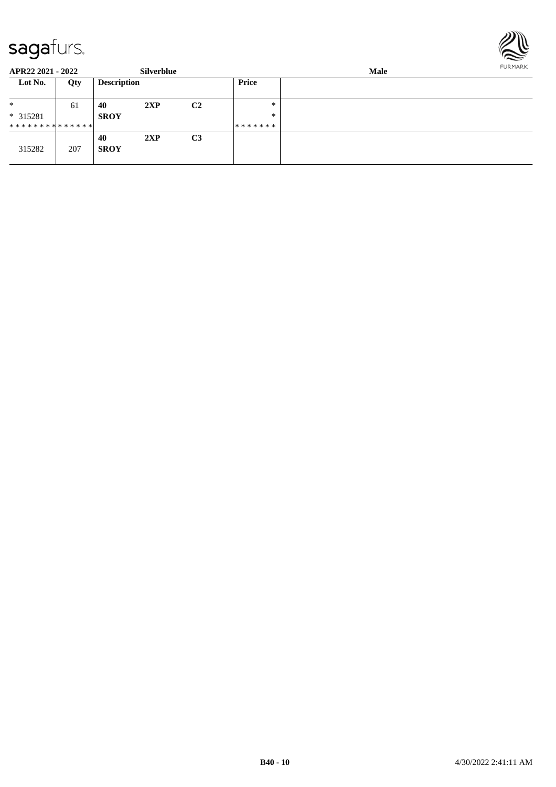

**APR22 2021 - 2022 Silverblue Male Lot No. Qty Description Price** \* \* 315281 \* \* \* \* \* \* \* \* \* \* \* \* \* \* 61 **40 2XP C2 SROY** \* \* \* \* \* \* \* \* \* 315282 207 **40 2XP C3 SROY**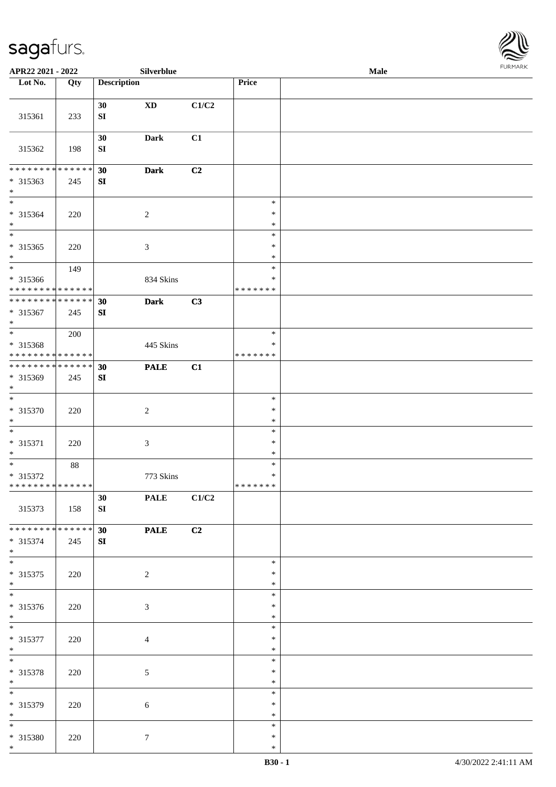

| APR22 2021 - 2022                                                     |     |                    | Silverblue       |       |                                   | <b>Male</b> |  |
|-----------------------------------------------------------------------|-----|--------------------|------------------|-------|-----------------------------------|-------------|--|
| Lot No.                                                               | Qty | <b>Description</b> |                  |       | Price                             |             |  |
| 315361                                                                | 233 | 30<br>${\bf SI}$   | <b>XD</b>        | C1/C2 |                                   |             |  |
| 315362                                                                | 198 | 30<br>SI           | <b>Dark</b>      | C1    |                                   |             |  |
| * * * * * * * * * * * * * *<br>* 315363<br>$*$                        | 245 | 30<br>SI           | <b>Dark</b>      | C2    |                                   |             |  |
| $*$<br>* 315364<br>$*$                                                | 220 |                    | $\overline{c}$   |       | $\ast$<br>$\ast$<br>$\ast$        |             |  |
| $\overline{\phantom{0}}$<br>$* 315365$<br>$*$                         | 220 |                    | 3                |       | $\ast$<br>$\ast$<br>$\ast$        |             |  |
| $\overline{\ast}$<br>* 315366<br>* * * * * * * * * * * * * *          | 149 |                    | 834 Skins        |       | $\ast$<br>$\ast$<br>* * * * * * * |             |  |
| * * * * * * * * * * * * * *<br>* 315367<br>$*$                        | 245 | 30<br>SI           | <b>Dark</b>      | C3    |                                   |             |  |
| $\overline{\ast}$<br>* 315368<br>* * * * * * * * * * * * * * *        | 200 |                    | 445 Skins        |       | $\ast$<br>∗<br>* * * * * * *      |             |  |
| * * * * * * * * * * * * * * *<br>* 315369<br>$*$<br>$\overline{\ast}$ | 245 | 30<br>${\bf SI}$   | <b>PALE</b>      | C1    |                                   |             |  |
| * 315370<br>$*$<br>$*$                                                | 220 |                    | $\boldsymbol{2}$ |       | $\ast$<br>$\ast$<br>$\ast$        |             |  |
| * 315371<br>$*$<br>$\overline{\ast}$                                  | 220 |                    | 3                |       | $\ast$<br>$\ast$<br>$\ast$        |             |  |
| $* 315372$<br>******** <mark>******</mark>                            | 88  |                    | 773 Skins        |       | $\ast$<br>$\ast$<br>*******       |             |  |
| 315373<br>* * * * * * * * <mark>* * * * * * *</mark>                  | 158 | 30<br>SI           | <b>PALE</b>      | C1/C2 |                                   |             |  |
| * 315374<br>$*$                                                       | 245 | 30<br>SI           | <b>PALE</b>      | C2    | $\ast$                            |             |  |
| $* 315375$<br>$*$                                                     | 220 |                    | $\overline{c}$   |       | $\ast$<br>$\ast$<br>$\ast$        |             |  |
| $* 315376$<br>$*$<br>$*$                                              | 220 |                    | 3                |       | $\ast$<br>$\ast$<br>$\ast$        |             |  |
| * 315377<br>$*$<br>$*$                                                | 220 |                    | $\overline{4}$   |       | $\ast$<br>$\ast$<br>$\ast$        |             |  |
| * 315378<br>$*$<br>$*$                                                | 220 |                    | $\mathfrak{S}$   |       | $\ast$<br>$\ast$<br>$\ast$        |             |  |
| * 315379<br>$*$<br>$*$                                                | 220 |                    | $\sqrt{6}$       |       | ∗<br>$\ast$<br>$\ast$             |             |  |
| * 315380<br>$*$                                                       | 220 |                    | $\tau$           |       | $\ast$<br>$\ast$                  |             |  |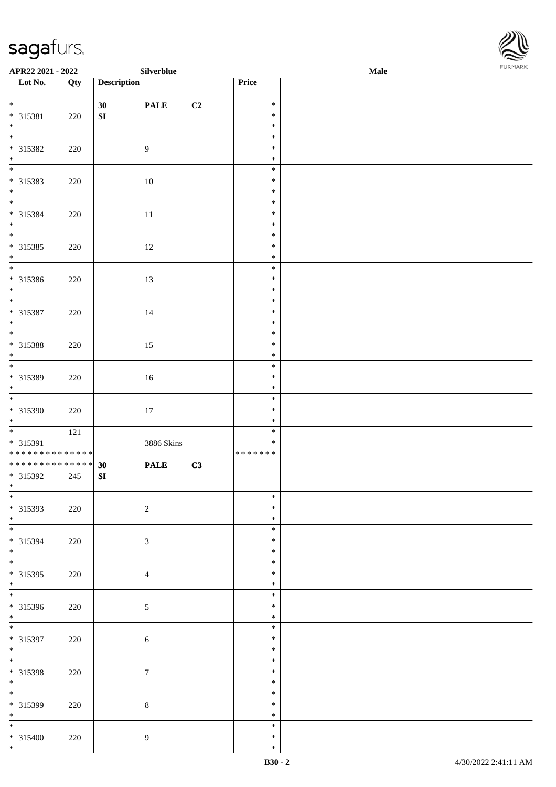\*



| APR22 2021 - 2022                          |     |                    | Silverblue     |    | FURMARK<br>Male  |  |  |  |  |
|--------------------------------------------|-----|--------------------|----------------|----|------------------|--|--|--|--|
| $\overline{\phantom{1}}$ Lot No.           | Qty | <b>Description</b> |                |    | Price            |  |  |  |  |
| $*$                                        |     | 30                 | <b>PALE</b>    | C2 | $\ast$           |  |  |  |  |
| * 315381                                   | 220 | SI                 |                |    | $\ast$           |  |  |  |  |
| $\ast$                                     |     |                    |                |    | $\ast$           |  |  |  |  |
| * 315382                                   | 220 |                    | $\overline{9}$ |    | $\ast$<br>$\ast$ |  |  |  |  |
| $*$                                        |     |                    |                |    | $\ast$           |  |  |  |  |
|                                            |     |                    |                |    | $\ast$           |  |  |  |  |
| * 315383                                   | 220 |                    | $10\,$         |    | $\ast$           |  |  |  |  |
| $*$<br>$*$                                 |     |                    |                |    | $\ast$<br>$\ast$ |  |  |  |  |
| * 315384                                   | 220 |                    | 11             |    | $\ast$           |  |  |  |  |
| $*$                                        |     |                    |                |    | $\ast$           |  |  |  |  |
|                                            |     |                    |                |    | $\ast$           |  |  |  |  |
| * 315385                                   | 220 |                    | 12             |    | $\ast$<br>$\ast$ |  |  |  |  |
| $*$                                        |     |                    |                |    | $\ast$           |  |  |  |  |
| * 315386                                   | 220 |                    | 13             |    | $\ast$           |  |  |  |  |
| $*$                                        |     |                    |                |    | $\ast$           |  |  |  |  |
|                                            |     |                    |                |    | $\ast$           |  |  |  |  |
| * 315387<br>$*$                            | 220 |                    | 14             |    | $\ast$<br>$\ast$ |  |  |  |  |
|                                            |     |                    |                |    | $\ast$           |  |  |  |  |
| * 315388                                   | 220 |                    | 15             |    | $\ast$           |  |  |  |  |
| $*$<br>$\overline{\ast}$                   |     |                    |                |    | $\ast$           |  |  |  |  |
| * 315389                                   | 220 |                    | 16             |    | $\ast$<br>$\ast$ |  |  |  |  |
| $*$                                        |     |                    |                |    | $\ast$           |  |  |  |  |
|                                            |     |                    |                |    | $\ast$           |  |  |  |  |
| * 315390                                   | 220 |                    | 17             |    | $\ast$           |  |  |  |  |
| $*$                                        |     |                    |                |    | $\ast$<br>$\ast$ |  |  |  |  |
| * 315391                                   | 121 |                    | 3886 Skins     |    | $\ast$           |  |  |  |  |
| * * * * * * * * <mark>* * * * * * *</mark> |     |                    |                |    | *******          |  |  |  |  |
| ******** <mark>******</mark>               |     | 30                 | <b>PALE</b>    | C3 |                  |  |  |  |  |
| * 315392<br>$\ast$                         | 245 | SI                 |                |    |                  |  |  |  |  |
| $_{*}$                                     |     |                    |                |    | $\ast$           |  |  |  |  |
| * 315393                                   | 220 |                    | $\overline{2}$ |    | $\ast$           |  |  |  |  |
| $*$                                        |     |                    |                |    | $\ast$           |  |  |  |  |
| * 315394                                   |     |                    | $\mathfrak{Z}$ |    | $\ast$<br>$\ast$ |  |  |  |  |
| $*$                                        | 220 |                    |                |    | $\ast$           |  |  |  |  |
|                                            |     |                    |                |    | $\ast$           |  |  |  |  |
| * 315395                                   | 220 |                    | $\overline{4}$ |    | $\ast$           |  |  |  |  |
| $*$<br>$\overline{\ast}$                   |     |                    |                |    | $\ast$<br>$\ast$ |  |  |  |  |
| * 315396                                   | 220 |                    | $\sqrt{5}$     |    | $\ast$           |  |  |  |  |
| $*$                                        |     |                    |                |    | $\ast$           |  |  |  |  |
|                                            |     |                    |                |    | $\ast$           |  |  |  |  |
| * 315397                                   | 220 |                    | $\sqrt{6}$     |    | $\ast$           |  |  |  |  |
| $*$                                        |     |                    |                |    | $\ast$<br>$\ast$ |  |  |  |  |
| * 315398                                   | 220 |                    | $\tau$         |    | $\ast$           |  |  |  |  |
| $*$                                        |     |                    |                |    | $\ast$           |  |  |  |  |
| $\overline{\phantom{0}}$                   |     |                    |                |    | $\ast$           |  |  |  |  |
| * 315399<br>$*$                            | 220 |                    | $8\,$          |    | $\ast$<br>$\ast$ |  |  |  |  |
| $\overline{\phantom{0}}$                   |     |                    |                |    | $\ast$           |  |  |  |  |
| * 315400                                   | 220 |                    | $\overline{9}$ |    | $\ast$           |  |  |  |  |
| $*$                                        |     |                    |                |    | $\ast$           |  |  |  |  |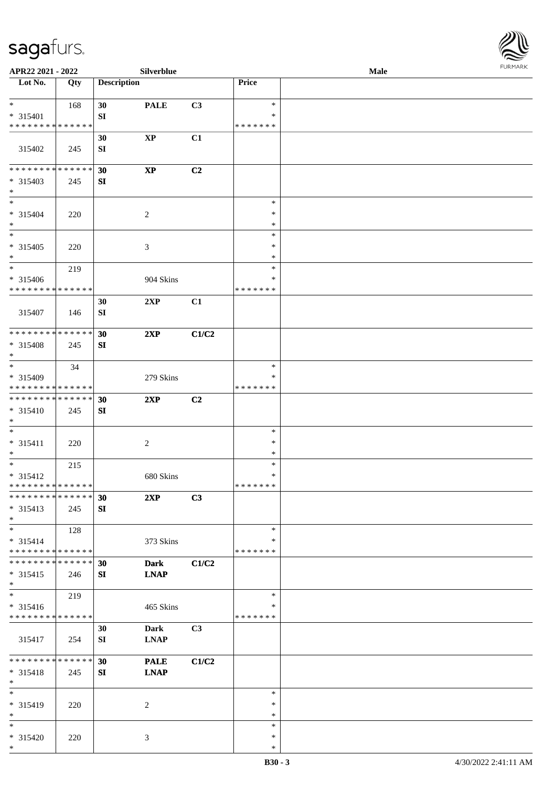\*



| APR22 2021 - 2022                                              |     |                    | Silverblue                 |                |                    | Male |  |
|----------------------------------------------------------------|-----|--------------------|----------------------------|----------------|--------------------|------|--|
| Lot No.                                                        | Qty | <b>Description</b> |                            |                | Price              |      |  |
|                                                                |     |                    |                            |                |                    |      |  |
| $*$                                                            | 168 | 30                 | <b>PALE</b>                | C3             | $\ast$             |      |  |
| * 315401<br>* * * * * * * * * * * * * *                        |     | SI                 |                            |                | ∗<br>* * * * * * * |      |  |
|                                                                |     | 30                 | $\mathbf{XP}$              | C1             |                    |      |  |
| 315402                                                         | 245 | SI                 |                            |                |                    |      |  |
| * * * * * * * * * * * * * *                                    |     | 30                 | $\mathbf{X}\mathbf{P}$     | C2             |                    |      |  |
| * 315403                                                       | 245 | SI                 |                            |                |                    |      |  |
| $*$                                                            |     |                    |                            |                |                    |      |  |
| $*$                                                            |     |                    |                            |                | $\ast$             |      |  |
| * 315404                                                       | 220 |                    | 2                          |                | $\ast$             |      |  |
| $*$                                                            |     |                    |                            |                | $\ast$             |      |  |
| $*$                                                            |     |                    |                            |                | $\ast$<br>$\ast$   |      |  |
| $* 315405$<br>$*$                                              | 220 |                    | 3                          |                | $\ast$             |      |  |
| $*$                                                            | 219 |                    |                            |                | $\ast$             |      |  |
| * 315406                                                       |     |                    | 904 Skins                  |                | *                  |      |  |
| * * * * * * * * * * * * * * *                                  |     |                    |                            |                | * * * * * * *      |      |  |
|                                                                |     | 30                 | 2XP                        | C1             |                    |      |  |
| 315407                                                         | 146 | SI                 |                            |                |                    |      |  |
| * * * * * * * * * * * * * * *                                  |     | 30                 | 2XP                        | C1/C2          |                    |      |  |
| * 315408                                                       | 245 | SI                 |                            |                |                    |      |  |
| $*$                                                            |     |                    |                            |                |                    |      |  |
| $*$                                                            | 34  |                    |                            |                | $\ast$             |      |  |
| * 315409                                                       |     |                    | 279 Skins                  |                | $\ast$             |      |  |
| * * * * * * * * * * * * * *                                    |     |                    |                            |                | * * * * * * *      |      |  |
| * * * * * * * * <mark>* * * * * * *</mark>                     |     | 30                 | 2XP                        | C <sub>2</sub> |                    |      |  |
| * 315410<br>$*$                                                | 245 | SI                 |                            |                |                    |      |  |
| $*$                                                            |     |                    |                            |                | $\ast$             |      |  |
| $* 315411$                                                     | 220 |                    | $\sqrt{2}$                 |                | $\ast$             |      |  |
| $*$                                                            |     |                    |                            |                | $\ast$             |      |  |
| $*$                                                            | 215 |                    |                            |                | $\ast$             |      |  |
| * 315412                                                       |     |                    | 680 Skins                  |                | $\ast$             |      |  |
| * * * * * * * * * * * * * * *<br>* * * * * * * * * * * * * * * |     | 30                 | 2XP                        | C3             | * * * * * * *      |      |  |
| $* 315413$                                                     | 245 | SI                 |                            |                |                    |      |  |
| $*$                                                            |     |                    |                            |                |                    |      |  |
| $*$                                                            | 128 |                    |                            |                | $\ast$             |      |  |
| $* 315414$                                                     |     |                    | 373 Skins                  |                | *                  |      |  |
| * * * * * * * * * * * * * *                                    |     |                    |                            |                | * * * * * * *      |      |  |
| * * * * * * * * * * * * * * *<br>$* 315415$                    | 246 | 30<br>SI           | <b>Dark</b><br><b>LNAP</b> | C1/C2          |                    |      |  |
| $*$                                                            |     |                    |                            |                |                    |      |  |
| $\ast$                                                         | 219 |                    |                            |                | $\ast$             |      |  |
| $* 315416$                                                     |     |                    | 465 Skins                  |                | ∗                  |      |  |
| * * * * * * * * * * * * * *                                    |     |                    |                            |                | * * * * * * *      |      |  |
|                                                                |     | 30                 | <b>Dark</b>                | C3             |                    |      |  |
| 315417                                                         | 254 | SI                 | <b>LNAP</b>                |                |                    |      |  |
| * * * * * * * * * * * * * * *                                  |     | 30                 | <b>PALE</b>                | C1/C2          |                    |      |  |
| * 315418                                                       | 245 | SI                 | <b>LNAP</b>                |                |                    |      |  |
| $*$                                                            |     |                    |                            |                |                    |      |  |
| $*$                                                            |     |                    |                            |                | $\ast$             |      |  |
| * 315419                                                       | 220 |                    | 2                          |                | ∗                  |      |  |
| $*$<br>$*$                                                     |     |                    |                            |                | $\ast$<br>$\ast$   |      |  |
| * 315420                                                       | 220 |                    | 3                          |                | $\ast$             |      |  |
| $*$                                                            |     |                    |                            |                | $\ast$             |      |  |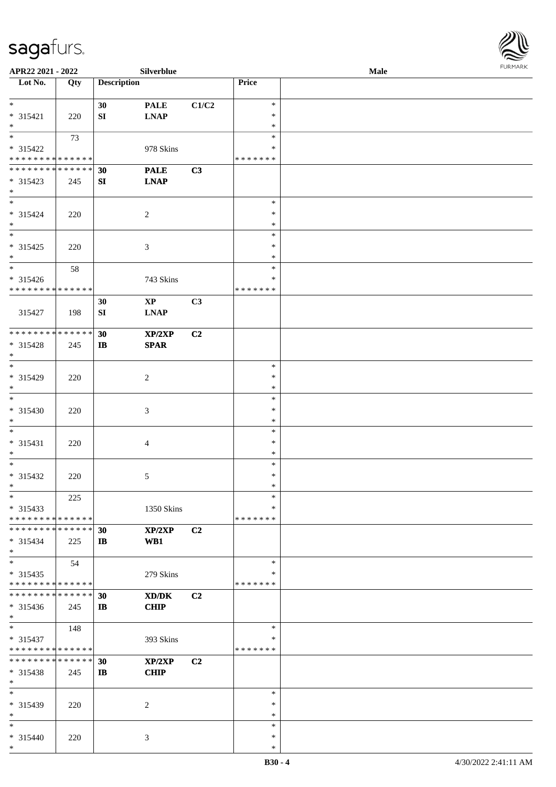

| APR22 2021 - 2022                         |     |                    | Silverblue     |                |                    | <b>FURMARK</b><br>Male |  |  |  |
|-------------------------------------------|-----|--------------------|----------------|----------------|--------------------|------------------------|--|--|--|
| $\overline{\phantom{1}}$ Lot No.          | Qty | <b>Description</b> |                |                | Price              |                        |  |  |  |
| $*$                                       |     | 30                 | <b>PALE</b>    | C1/C2          | $\ast$             |                        |  |  |  |
| $* 315421$                                | 220 | SI                 | <b>LNAP</b>    |                | ∗                  |                        |  |  |  |
| $\ast$<br>$\overline{\ast}$               | 73  |                    |                |                | $\ast$<br>$\ast$   |                        |  |  |  |
| * 315422                                  |     |                    | 978 Skins      |                | $\ast$             |                        |  |  |  |
| * * * * * * * * * * * * * *               |     |                    |                |                | * * * * * * *      |                        |  |  |  |
| ******** <mark>*****</mark> *             |     | 30                 | <b>PALE</b>    | C3             |                    |                        |  |  |  |
| $* 315423$<br>$*$                         | 245 | ${\bf SI}$         | <b>LNAP</b>    |                |                    |                        |  |  |  |
| $*$                                       |     |                    |                |                | $\ast$             |                        |  |  |  |
| $* 315424$                                | 220 |                    | $\overline{c}$ |                | $\ast$             |                        |  |  |  |
| $*$                                       |     |                    |                |                | $\ast$             |                        |  |  |  |
| $\ast$<br>$* 315425$                      | 220 |                    | $\mathfrak{Z}$ |                | $\ast$<br>$\ast$   |                        |  |  |  |
| $\ast$                                    |     |                    |                |                | $\ast$             |                        |  |  |  |
| $\frac{1}{1}$                             | 58  |                    |                |                | $\ast$             |                        |  |  |  |
| * 315426                                  |     |                    | 743 Skins      |                | ∗                  |                        |  |  |  |
| * * * * * * * * * * * * * *               |     | 30                 | $\bold{XP}$    | C <sub>3</sub> | * * * * * * *      |                        |  |  |  |
| 315427                                    | 198 | SI                 | <b>LNAP</b>    |                |                    |                        |  |  |  |
|                                           |     |                    |                |                |                    |                        |  |  |  |
| ******** <mark>******</mark>              |     | 30                 | XP/2XP         | C2             |                    |                        |  |  |  |
| * 315428<br>$\ast$                        | 245 | $\mathbf{I}$       | <b>SPAR</b>    |                |                    |                        |  |  |  |
| $\overline{\phantom{0}}$                  |     |                    |                |                | $\ast$             |                        |  |  |  |
| $* 315429$                                | 220 |                    | 2              |                | $\ast$             |                        |  |  |  |
| $\ast$                                    |     |                    |                |                | $\ast$             |                        |  |  |  |
| $\overline{\ast}$<br>$* 315430$           |     |                    |                |                | $\ast$<br>$\ast$   |                        |  |  |  |
| $\ast$                                    | 220 |                    | $\mathfrak{Z}$ |                | $\ast$             |                        |  |  |  |
| $\ast$                                    |     |                    |                |                | $\ast$             |                        |  |  |  |
| $* 315431$                                | 220 |                    | $\overline{4}$ |                | $\ast$             |                        |  |  |  |
| $\ast$<br>$\overline{\phantom{0}}$        |     |                    |                |                | $\ast$<br>$\ast$   |                        |  |  |  |
| $* 315432$                                | 220 |                    | 5              |                | $\ast$             |                        |  |  |  |
| $\ast$                                    |     |                    |                |                | $\ast$             |                        |  |  |  |
| $\ast$                                    | 225 |                    |                |                | $\ast$             |                        |  |  |  |
| $* 315433$<br>* * * * * * * * * * * * * * |     |                    | 1350 Skins     |                | ∗<br>* * * * * * * |                        |  |  |  |
| * * * * * * * * * * * * * *               |     | 30                 | XP/2XP         | C <sub>2</sub> |                    |                        |  |  |  |
| * 315434                                  | 225 | $\mathbf{I}$       | WB1            |                |                    |                        |  |  |  |
| $\ast$                                    |     |                    |                |                |                    |                        |  |  |  |
| $\overline{\ast}$<br>$* 315435$           | 54  |                    |                |                | $\ast$<br>∗        |                        |  |  |  |
| * * * * * * * * * * * * * *               |     |                    | 279 Skins      |                | * * * * * * *      |                        |  |  |  |
| **************                            |     | 30                 | XD/DK          | C <sub>2</sub> |                    |                        |  |  |  |
| * 315436                                  | 245 | $\mathbf{I}$       | <b>CHIP</b>    |                |                    |                        |  |  |  |
| $\ast$<br>$\ast$                          |     |                    |                |                | $\ast$             |                        |  |  |  |
| $* 315437$                                | 148 |                    | 393 Skins      |                | $\ast$             |                        |  |  |  |
| * * * * * * * * * * * * * *               |     |                    |                |                | * * * * * * *      |                        |  |  |  |
| ******** <mark>******</mark>              |     | 30                 | XP/2XP         | C <sub>2</sub> |                    |                        |  |  |  |
| $* 315438$<br>$\ast$                      | 245 | $\mathbf{I}$       | <b>CHIP</b>    |                |                    |                        |  |  |  |
| $\ast$                                    |     |                    |                |                | $\ast$             |                        |  |  |  |
| * 315439                                  | 220 |                    | $\overline{c}$ |                | $\ast$             |                        |  |  |  |
| $\ast$                                    |     |                    |                |                | $\ast$             |                        |  |  |  |
| $\ast$                                    |     |                    |                |                | $\ast$<br>$\ast$   |                        |  |  |  |
| * 315440<br>$*$                           | 220 |                    | 3              |                | $\ast$             |                        |  |  |  |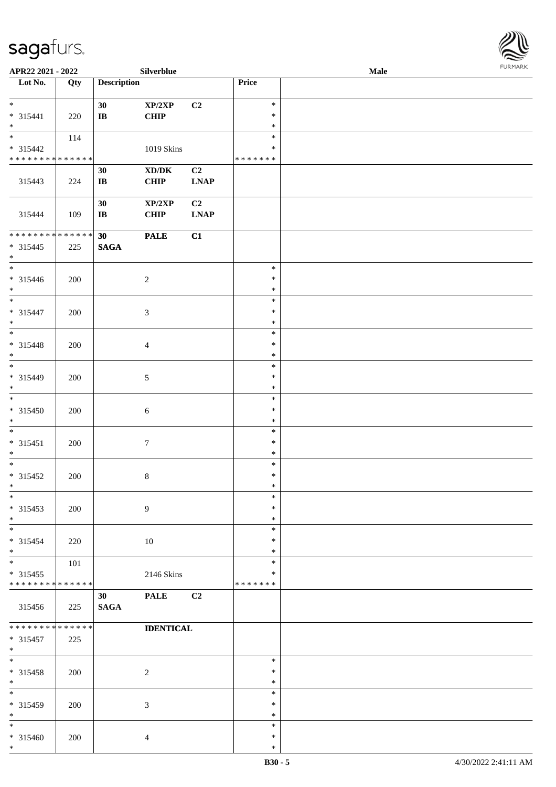| <b>FURMARK</b> |  |
|----------------|--|

| APR22 2021 - 2022               |     |                        | Silverblue                                  |                                     |         | <b>Male</b> |
|---------------------------------|-----|------------------------|---------------------------------------------|-------------------------------------|---------|-------------|
| Lot No.                         | Qty | <b>Description</b>     |                                             |                                     | Price   |             |
|                                 |     |                        |                                             |                                     |         |             |
| $*$                             |     | 30                     | XP/2XP                                      | C2                                  | $\ast$  |             |
| * 315441                        | 220 | $\bf IB$               | <b>CHIP</b>                                 |                                     | $\ast$  |             |
| $*$                             |     |                        |                                             |                                     | $\ast$  |             |
|                                 |     |                        |                                             |                                     | $\ast$  |             |
|                                 | 114 |                        |                                             |                                     |         |             |
| * 315442                        |     |                        | 1019 Skins                                  |                                     | ∗       |             |
| * * * * * * * * * * * * * *     |     |                        |                                             |                                     | ******* |             |
|                                 |     | 30                     | $\mathbf{X}\mathbf{D}/\mathbf{D}\mathbf{K}$ | C2                                  |         |             |
| 315443                          | 224 | $\mathbf{I}\mathbf{B}$ | <b>CHIP</b>                                 | <b>LNAP</b>                         |         |             |
|                                 |     |                        |                                             |                                     |         |             |
|                                 |     | 30                     | XP/2XP                                      | C <sub>2</sub>                      |         |             |
| 315444                          | 109 | $\bf IB$               | <b>CHIP</b>                                 | $\ensuremath{\text{L}N\!AP}\xspace$ |         |             |
|                                 |     |                        |                                             |                                     |         |             |
| ******** <mark>******</mark>    |     | 30                     | <b>PALE</b>                                 | C1                                  |         |             |
| $* 315445$                      |     |                        |                                             |                                     |         |             |
|                                 | 225 | $\mathbf{SAGA}$        |                                             |                                     |         |             |
| $*$<br>$\overline{\phantom{0}}$ |     |                        |                                             |                                     |         |             |
|                                 |     |                        |                                             |                                     | $\ast$  |             |
| $* 315446$                      | 200 |                        | $\sqrt{2}$                                  |                                     | $\ast$  |             |
| $*$                             |     |                        |                                             |                                     | $\ast$  |             |
| $\overline{\phantom{0}}$        |     |                        |                                             |                                     | $\ast$  |             |
| * 315447                        | 200 |                        | 3                                           |                                     | $\ast$  |             |
| $*$                             |     |                        |                                             |                                     | $\ast$  |             |
|                                 |     |                        |                                             |                                     | $\ast$  |             |
| * 315448                        | 200 |                        | $\overline{4}$                              |                                     | $\ast$  |             |
| $*$                             |     |                        |                                             |                                     | $\ast$  |             |
|                                 |     |                        |                                             |                                     | $\ast$  |             |
|                                 |     |                        |                                             |                                     |         |             |
| * 315449                        | 200 |                        | $\mathfrak{S}$                              |                                     | $\ast$  |             |
| $\ast$                          |     |                        |                                             |                                     | $\ast$  |             |
|                                 |     |                        |                                             |                                     | $\ast$  |             |
| * 315450                        | 200 |                        | 6                                           |                                     | $\ast$  |             |
| $*$                             |     |                        |                                             |                                     | $\ast$  |             |
| $*$                             |     |                        |                                             |                                     | $\ast$  |             |
| $* 315451$                      | 200 |                        | $\boldsymbol{7}$                            |                                     | $\ast$  |             |
| $*$                             |     |                        |                                             |                                     | $\ast$  |             |
| $*$                             |     |                        |                                             |                                     | $\ast$  |             |
|                                 |     |                        |                                             |                                     |         |             |
| * 315452                        | 200 |                        | $8\,$                                       |                                     | $\ast$  |             |
| $*$                             |     |                        |                                             |                                     | $\ast$  |             |
| $*$                             |     |                        |                                             |                                     | $\ast$  |             |
| $* 315453$                      | 200 |                        | 9                                           |                                     | $\ast$  |             |
| $*$                             |     |                        |                                             |                                     | $\ast$  |             |
| $*$                             |     |                        |                                             |                                     | $\ast$  |             |
| $* 315454$                      | 220 |                        | 10                                          |                                     | $\ast$  |             |
| $*$                             |     |                        |                                             |                                     | $\ast$  |             |
| $*$                             | 101 |                        |                                             |                                     | $\ast$  |             |
| * 315455                        |     |                        | 2146 Skins                                  |                                     | $\ast$  |             |
| ******** <mark>******</mark>    |     |                        |                                             |                                     | ******* |             |
|                                 |     |                        |                                             |                                     |         |             |
|                                 |     | 30                     | <b>PALE</b>                                 | C <sub>2</sub>                      |         |             |
| 315456                          | 225 | $\mathbf{SAGA}$        |                                             |                                     |         |             |
|                                 |     |                        |                                             |                                     |         |             |
| * * * * * * * * * * * * * *     |     |                        | <b>IDENTICAL</b>                            |                                     |         |             |
| $* 315457$                      | 225 |                        |                                             |                                     |         |             |
| $*$                             |     |                        |                                             |                                     |         |             |
| $*$                             |     |                        |                                             |                                     | $\ast$  |             |
| $* 315458$                      | 200 |                        | $\overline{2}$                              |                                     | $\ast$  |             |
| $*$                             |     |                        |                                             |                                     | $\ast$  |             |
| $\ast$                          |     |                        |                                             |                                     | $\ast$  |             |
| $* 315459$                      | 200 |                        | 3                                           |                                     | $\ast$  |             |
| $*$                             |     |                        |                                             |                                     | $\ast$  |             |
|                                 |     |                        |                                             |                                     | $\ast$  |             |
| $*$                             |     |                        |                                             |                                     |         |             |
| * 315460                        | 200 |                        | $\overline{4}$                              |                                     | $\ast$  |             |
| $*$                             |     |                        |                                             |                                     | $\ast$  |             |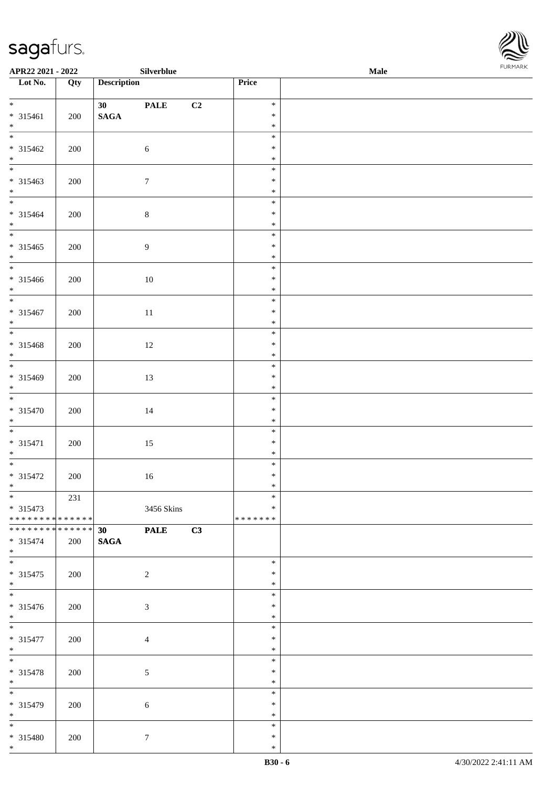\*



| APR22 2021 - 2022                                     |     |                    | Silverblue       |    |                                   | <b>FURMARK</b><br>Male |  |  |
|-------------------------------------------------------|-----|--------------------|------------------|----|-----------------------------------|------------------------|--|--|
| Lot No.                                               | Qty | <b>Description</b> |                  |    | Price                             |                        |  |  |
| $\overline{\phantom{0}}$                              |     | 30                 | <b>PALE</b>      | C2 | $\ast$                            |                        |  |  |
| $* 315461$<br>$*$                                     | 200 | $\mathbf{SAGA}$    |                  |    | $\ast$<br>$\ast$                  |                        |  |  |
|                                                       |     |                    |                  |    | $\ast$                            |                        |  |  |
| $* 315462$<br>$*$                                     | 200 |                    | $6\,$            |    | $\ast$<br>$\ast$                  |                        |  |  |
| $* 315463$<br>$*$                                     | 200 |                    | $7\phantom{.0}$  |    | $\ast$<br>$\ast$<br>$\ast$        |                        |  |  |
| $* 315464$<br>$*$                                     | 200 |                    | $\,8\,$          |    | $\ast$<br>$\ast$<br>$\ast$        |                        |  |  |
| $* 315465$<br>$\frac{*}{*}$                           | 200 |                    | $\boldsymbol{9}$ |    | $\ast$<br>$\ast$<br>$\ast$        |                        |  |  |
| $* 315466$<br>$*$                                     | 200 |                    | $10\,$           |    | $\ast$<br>$\ast$<br>$\ast$        |                        |  |  |
| $\overline{\phantom{0}}$<br>$* 315467$<br>$\ast$      | 200 |                    | $11\,$           |    | $\ast$<br>$\ast$<br>$\ast$        |                        |  |  |
| * 315468<br>$\ast$                                    | 200 |                    | $12\,$           |    | $\ast$<br>$\ast$<br>$\ast$        |                        |  |  |
| * 315469<br>$\ast$                                    | 200 |                    | 13               |    | $\ast$<br>$\ast$<br>$\ast$        |                        |  |  |
| $\overline{\phantom{0}}$<br>$* 315470$<br>$\ast$      | 200 |                    | $14\,$           |    | $\ast$<br>$\ast$<br>$\ast$        |                        |  |  |
| $\overline{\phantom{a}^*}$<br>$* 315471$<br>$\ast$    | 200 |                    | 15               |    | $\ast$<br>$\ast$<br>$\ast$        |                        |  |  |
| $\overline{\phantom{0}}$<br>$* 315472$<br>$\ast$      | 200 |                    | 16               |    | $\ast$<br>$\ast$<br>$\ast$        |                        |  |  |
| $\ast$<br>$* 315473$<br>* * * * * * * * * * * * * *   | 231 |                    | 3456 Skins       |    | $\ast$<br>$\ast$<br>* * * * * * * |                        |  |  |
| * * * * * * * * * * * * * * *<br>$* 315474$<br>$\ast$ | 200 | 30<br><b>SAGA</b>  | <b>PALE</b>      | C3 |                                   |                        |  |  |
| $\overline{\phantom{a}^*}$<br>$* 315475$<br>$*$       | 200 |                    | $\overline{c}$   |    | $\ast$<br>$\ast$<br>$\ast$        |                        |  |  |
| $\overline{\phantom{0}}$<br>* 315476<br>$*$           | 200 |                    | $\mathfrak{Z}$   |    | $\ast$<br>$\ast$<br>$\ast$        |                        |  |  |
| $\overline{\phantom{0}}$<br>* 315477<br>$*$           | 200 |                    | $\overline{4}$   |    | $\ast$<br>$\ast$<br>$\ast$        |                        |  |  |
| $\overline{\phantom{a}^*}$<br>* 315478<br>$\ast$      | 200 |                    | $\sqrt{5}$       |    | $\ast$<br>$\ast$<br>$\ast$        |                        |  |  |
| $\overline{\phantom{0}}$<br>* 315479<br>$\ast$        | 200 |                    | $\sqrt{6}$       |    | $\ast$<br>$\ast$<br>$\ast$        |                        |  |  |
| $*$<br>* 315480                                       | 200 |                    | $\overline{7}$   |    | $\ast$<br>$\ast$                  |                        |  |  |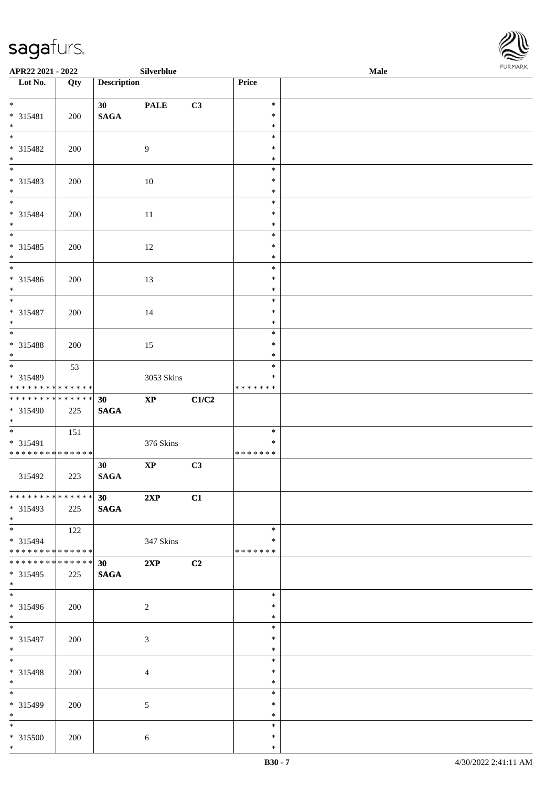

| APR22 2021 - 2022                                                                      |     |                                      | Silverblue     |       |                                      | Male |  |
|----------------------------------------------------------------------------------------|-----|--------------------------------------|----------------|-------|--------------------------------------|------|--|
| Lot No.                                                                                | Qty | <b>Description</b>                   |                |       | Price                                |      |  |
| $*$<br>* 315481                                                                        | 200 | 30<br><b>SAGA</b>                    | <b>PALE</b>    | C3    | $\ast$<br>$\ast$                     |      |  |
| $*$<br>$\overline{\ast}$<br>* 315482<br>$*$                                            | 200 |                                      | 9              |       | $\ast$<br>$\ast$<br>$\ast$<br>$\ast$ |      |  |
| * 315483<br>$\ast$                                                                     | 200 |                                      | 10             |       | $\ast$<br>$\ast$<br>$\ast$           |      |  |
| $*$<br>* 315484<br>$*$                                                                 | 200 |                                      | 11             |       | $\ast$<br>$\ast$<br>$\ast$           |      |  |
| * 315485<br>$\ast$                                                                     | 200 |                                      | 12             |       | $\ast$<br>$\ast$<br>$\ast$           |      |  |
| * 315486<br>$\ast$                                                                     | 200 |                                      | 13             |       | $\ast$<br>$\ast$<br>$\ast$           |      |  |
| $\overline{\mathbf{r}}$<br>* 315487<br>$*$                                             | 200 |                                      | 14             |       | $\ast$<br>$\ast$<br>$\ast$           |      |  |
| * 315488<br>$*$<br>$\overline{\phantom{0}}$                                            | 200 |                                      | 15             |       | $\ast$<br>$\ast$<br>$\ast$<br>$\ast$ |      |  |
| * 315489<br>******** <mark>******</mark><br>* * * * * * * * <mark>* * * * * * *</mark> | 53  |                                      | 3053 Skins     |       | $\ast$<br>*******                    |      |  |
| * 315490<br>$*$<br>$\overline{\mathbf{r}}$                                             | 225 | 30<br><b>SAGA</b>                    | $\mathbf{XP}$  | C1/C2 |                                      |      |  |
| * 315491<br>* * * * * * * * <mark>* * * * * * *</mark>                                 | 151 |                                      | 376 Skins      |       | $\ast$<br>$\ast$<br>*******          |      |  |
| 315492<br>* * * * * * * * <mark>* * * * * * *</mark>                                   | 223 | 30<br>$\mathbf{SAGA}$                | $\bold{XP}$    | C3    |                                      |      |  |
| * 315493<br>$*$<br>$\overline{\ast}$                                                   | 225 | $\overline{30}$ $2XP$<br><b>SAGA</b> |                | C1    |                                      |      |  |
| $* 315494$<br>* * * * * * * * * * * * * * *<br>******** <mark>******</mark>            | 122 |                                      | 347 Skins      |       | $\ast$<br>∗<br>* * * * * * *         |      |  |
| * 315495<br>$*$                                                                        | 225 | 30<br><b>SAGA</b>                    | 2XP            | C2    | $\ast$                               |      |  |
| * 315496<br>$*$                                                                        | 200 |                                      | 2              |       | $\ast$<br>$\ast$<br>$\ast$           |      |  |
| * 315497<br>$*$<br>$\ddot{x}$                                                          | 200 |                                      | $\mathfrak{Z}$ |       | $\ast$<br>$\ast$<br>$\ast$           |      |  |
| * 315498<br>$*$                                                                        | 200 |                                      | $\overline{4}$ |       | $\ast$<br>$\ast$<br>$\ast$           |      |  |
| * 315499<br>$*$<br>$*$                                                                 | 200 |                                      | 5              |       | $\ast$<br>$\ast$<br>$\ast$           |      |  |
| * 315500<br>$\ast$                                                                     | 200 |                                      | 6              |       | $\ast$<br>$\ast$                     |      |  |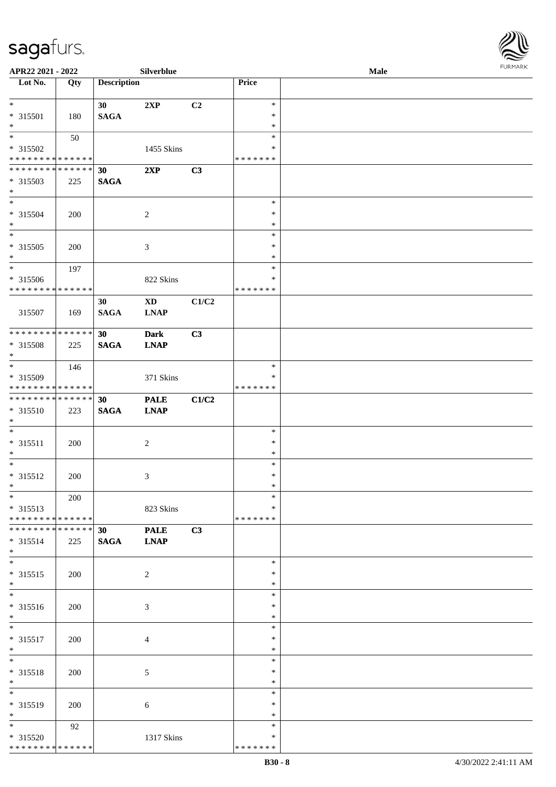

| APR22 2021 - 2022             |     |                    | Silverblue     |       |               | Male |  |
|-------------------------------|-----|--------------------|----------------|-------|---------------|------|--|
| Lot No.                       | Qty | <b>Description</b> |                |       | <b>Price</b>  |      |  |
|                               |     |                    |                |       |               |      |  |
| $\ast$                        |     | 30                 | 2XP            | C2    | $\ast$        |      |  |
| * 315501                      | 180 | <b>SAGA</b>        |                |       | $\ast$        |      |  |
| $\ast$                        |     |                    |                |       | $\ast$        |      |  |
| $\overline{\phantom{0}}$      | 50  |                    |                |       | $\ast$        |      |  |
| * 315502                      |     |                    | 1455 Skins     |       | *             |      |  |
| * * * * * * * * * * * * * *   |     |                    |                |       | * * * * * * * |      |  |
| * * * * * * * * * * * * * *   |     | 30                 | 2XP            | C3    |               |      |  |
| * 315503                      | 225 | <b>SAGA</b>        |                |       |               |      |  |
| $\ast$                        |     |                    |                |       |               |      |  |
| $\overline{\ast}$             |     |                    |                |       | $\ast$        |      |  |
| * 315504                      | 200 |                    | $\sqrt{2}$     |       | $\ast$        |      |  |
| $\ast$                        |     |                    |                |       | $\ast$        |      |  |
| $\overline{\phantom{0}}$      |     |                    |                |       | $\ast$        |      |  |
| $* 315505$                    | 200 |                    | $\mathfrak{Z}$ |       | $\ast$        |      |  |
| $\ast$                        |     |                    |                |       | $\ast$        |      |  |
| $\overline{\phantom{a}^*}$    | 197 |                    |                |       | $\ast$        |      |  |
| $* 315506$                    |     |                    | 822 Skins      |       | $\ast$        |      |  |
| ******** <mark>******</mark>  |     |                    |                |       | * * * * * * * |      |  |
|                               |     | 30                 | <b>XD</b>      | C1/C2 |               |      |  |
| 315507                        | 169 | <b>SAGA</b>        | <b>LNAP</b>    |       |               |      |  |
|                               |     |                    |                |       |               |      |  |
| **************                |     | 30                 | <b>Dark</b>    | C3    |               |      |  |
| * 315508                      | 225 | <b>SAGA</b>        | <b>LNAP</b>    |       |               |      |  |
| $\ast$                        |     |                    |                |       |               |      |  |
| $\overline{\phantom{a}^*}$    | 146 |                    |                |       | $\ast$        |      |  |
| * 315509                      |     |                    | 371 Skins      |       | ∗             |      |  |
| * * * * * * * * * * * * * *   |     |                    |                |       | * * * * * * * |      |  |
| **************                |     | 30                 | <b>PALE</b>    | C1/C2 |               |      |  |
| * 315510                      | 223 | $\mathbf{SAGA}$    | <b>LNAP</b>    |       |               |      |  |
| $\ast$                        |     |                    |                |       |               |      |  |
| $\ast$                        |     |                    |                |       | $\ast$        |      |  |
| $* 315511$                    | 200 |                    | $\sqrt{2}$     |       | $\ast$        |      |  |
| $\ast$                        |     |                    |                |       | $\ast$        |      |  |
| $\ast$                        |     |                    |                |       | $\ast$        |      |  |
| $* 315512$                    | 200 |                    | 3              |       | $\ast$        |      |  |
| $*$                           |     |                    |                |       | $\ast$        |      |  |
| $*$                           | 200 |                    |                |       | $\ast$        |      |  |
| $* 315513$                    |     |                    | 823 Skins      |       | *             |      |  |
| * * * * * * * * * * * * * * * |     |                    |                |       | * * * * * * * |      |  |
| * * * * * * * * * * * * * * * |     | 30 <sup>°</sup>    | <b>PALE</b>    | C3    |               |      |  |
| $* 315514$                    | 225 | <b>SAGA</b>        | <b>LNAP</b>    |       |               |      |  |
| $*$                           |     |                    |                |       |               |      |  |
| $\ast$                        |     |                    |                |       | $\ast$        |      |  |
| $* 315515$                    | 200 |                    | $\overline{c}$ |       | ∗             |      |  |
| $*$                           |     |                    |                |       | $\ast$        |      |  |
| $\overline{\phantom{a}^*}$    |     |                    |                |       | $\ast$        |      |  |
| * 315516                      | 200 |                    | 3              |       | *             |      |  |
| $*$                           |     |                    |                |       | $\ast$        |      |  |
| $*$                           |     |                    |                |       | $\ast$        |      |  |
| * 315517                      | 200 |                    | $\overline{4}$ |       | $\ast$        |      |  |
| $*$                           |     |                    |                |       | $\ast$        |      |  |
| $\ast$                        |     |                    |                |       | $\ast$        |      |  |
| * 315518                      | 200 |                    | 5              |       | $\ast$        |      |  |
| $*$                           |     |                    |                |       | $\ast$        |      |  |
| $\overline{\phantom{0}}$      |     |                    |                |       | $\ast$        |      |  |
| * 315519                      | 200 |                    | 6              |       | ∗             |      |  |
| $*$                           |     |                    |                |       | $\ast$        |      |  |
| $*$                           | 92  |                    |                |       | $\ast$        |      |  |
| * 315520                      |     |                    | 1317 Skins     |       | *             |      |  |
| * * * * * * * * * * * * * *   |     |                    |                |       | * * * * * * * |      |  |
|                               |     |                    |                |       |               |      |  |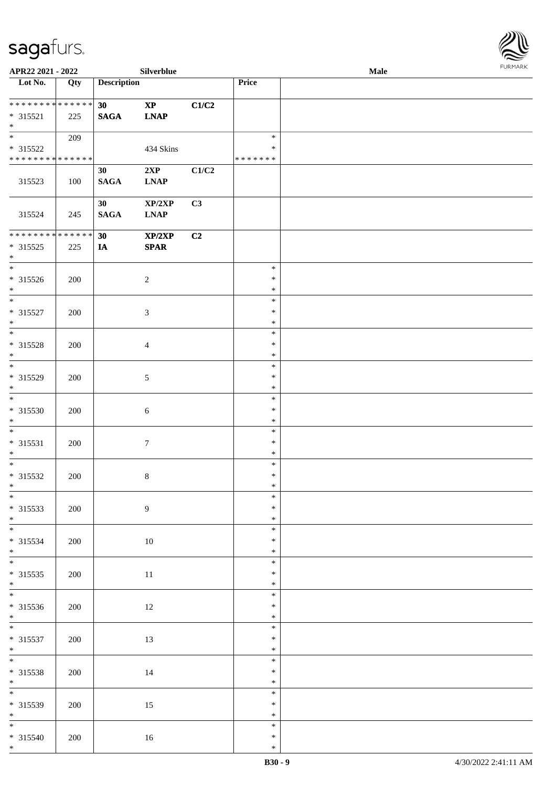

| APR22 2021 - 2022                                   |     |                                    | Silverblue                            |             |                              | <b>Male</b> |  |
|-----------------------------------------------------|-----|------------------------------------|---------------------------------------|-------------|------------------------------|-------------|--|
| Lot No.                                             | Qty | <b>Description</b>                 |                                       |             | Price                        |             |  |
| ******** <mark>******</mark><br>$* 315521$<br>$*$   | 225 | 30 <sup>°</sup><br>$\mathbf{SAGA}$ | $\mathbf{X}\mathbf{P}$<br><b>LNAP</b> | C1/C2       |                              |             |  |
| * 315522<br>* * * * * * * * * * * * * *             | 209 |                                    | 434 Skins                             |             | $\ast$<br>∗<br>* * * * * * * |             |  |
| 315523                                              | 100 | 30<br>$\mathbf{SAGA}$              | 2XP<br><b>LNAP</b>                    | $\rm C1/C2$ |                              |             |  |
| 315524                                              | 245 | 30<br>$\mathbf{SAGA}$              | XP/2XP<br><b>LNAP</b>                 | C3          |                              |             |  |
| * * * * * * * * * * * * * *<br>$* 315525$<br>$\ast$ | 225 | 30<br>IA                           | XP/2XP<br>SPAR                        | C2          |                              |             |  |
| $\overline{\phantom{a}^*}$<br>$* 315526$<br>$\ast$  | 200 |                                    | $\overline{c}$                        |             | $\ast$<br>$\ast$<br>$\ast$   |             |  |
| $\overline{\phantom{a}^*}$<br>$* 315527$<br>$\ast$  | 200 |                                    | $\mathfrak{Z}$                        |             | $\ast$<br>$\ast$<br>$\ast$   |             |  |
| $\overline{\ast}$<br>* 315528<br>$\ast$             | 200 |                                    | $\overline{4}$                        |             | $\ast$<br>$\ast$<br>$\ast$   |             |  |
| $\overline{\phantom{0}}$<br>* 315529<br>$*$         | 200 |                                    | $\sqrt{5}$                            |             | $\ast$<br>$\ast$<br>$\ast$   |             |  |
| $\overline{\phantom{a}^*}$<br>* 315530<br>$*$       | 200 |                                    | $\sqrt{6}$                            |             | $\ast$<br>$\ast$<br>$\ast$   |             |  |
| $\ast$<br>$* 315531$<br>$*$                         | 200 |                                    | $\tau$                                |             | $\ast$<br>$\ast$<br>$\ast$   |             |  |
| $*$<br>* 315532<br>$*$                              | 200 |                                    | $\,8\,$                               |             | $\ast$<br>$\ast$<br>$\ast$   |             |  |
| $*$<br>* 315533<br>$*$                              | 200 |                                    | $\overline{9}$                        |             | $\ast$<br>$\ast$<br>$\ast$   |             |  |
| * 315534<br>$*$                                     | 200 |                                    | 10                                    |             | $\ast$<br>$\ast$<br>$\ast$   |             |  |
| $\overline{\ast}$<br>$* 315535$<br>$*$              | 200 |                                    | $11\,$                                |             | $\ast$<br>$\ast$<br>$\ast$   |             |  |
| * 315536<br>$*$                                     | 200 |                                    | 12                                    |             | $\ast$<br>$\ast$<br>$\ast$   |             |  |
| $* 315537$<br>$*$                                   | 200 |                                    | 13                                    |             | $\ast$<br>$\ast$<br>$\ast$   |             |  |
| $\overline{\phantom{0}}$<br>$* 315538$<br>$*$       | 200 |                                    | 14                                    |             | $\ast$<br>$\ast$<br>$\ast$   |             |  |
| $\overline{\phantom{0}}$<br>$* 315539$<br>$*$       | 200 |                                    | 15                                    |             | $\ast$<br>$\ast$<br>$\ast$   |             |  |
| * 315540<br>$*$                                     | 200 |                                    | 16                                    |             | $\ast$<br>$\ast$<br>$\ast$   |             |  |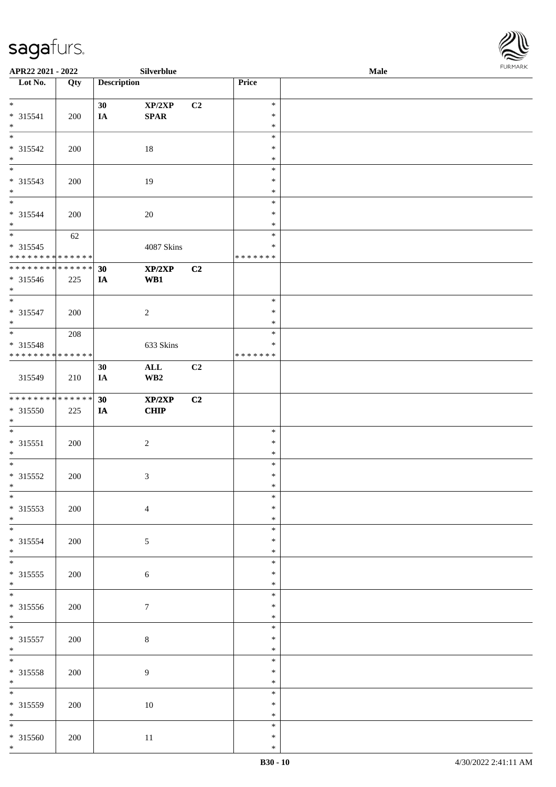

| APR22 2021 - 2022             |     |                    | Silverblue              |                |         | <b>Male</b> |  |
|-------------------------------|-----|--------------------|-------------------------|----------------|---------|-------------|--|
| Lot No.                       | Qty | <b>Description</b> |                         |                | Price   |             |  |
|                               |     |                    |                         |                |         |             |  |
| $*$                           |     | 30                 | XP/2XP                  | C <sub>2</sub> | $\ast$  |             |  |
| * 315541                      | 200 | IA                 | <b>SPAR</b>             |                | $\ast$  |             |  |
| $*$                           |     |                    |                         |                | $\ast$  |             |  |
|                               |     |                    |                         |                | $\ast$  |             |  |
|                               |     |                    |                         |                |         |             |  |
| * 315542                      | 200 |                    | $18\,$                  |                | $\ast$  |             |  |
| $\ast$                        |     |                    |                         |                | $\ast$  |             |  |
| $\overline{\phantom{0}}$      |     |                    |                         |                | $\ast$  |             |  |
| * 315543                      | 200 |                    | 19                      |                | $\ast$  |             |  |
| $*$                           |     |                    |                         |                | $\ast$  |             |  |
| $*$                           |     |                    |                         |                | $\ast$  |             |  |
| * 315544                      | 200 |                    | $20\,$                  |                | $\ast$  |             |  |
| $*$                           |     |                    |                         |                | $\ast$  |             |  |
|                               |     |                    |                         |                | $\ast$  |             |  |
|                               | 62  |                    |                         |                |         |             |  |
| $* 315545$                    |     |                    | 4087 Skins              |                | $\ast$  |             |  |
| * * * * * * * * * * * * * *   |     |                    |                         |                | ******* |             |  |
| * * * * * * * * * * * * * * * |     | 30                 | XP/2XP                  | C2             |         |             |  |
| $* 315546$                    | 225 | IA                 | W <sub>B1</sub>         |                |         |             |  |
| $*$                           |     |                    |                         |                |         |             |  |
| $*$                           |     |                    |                         |                | $\ast$  |             |  |
| * 315547                      | 200 |                    | $\overline{2}$          |                | $\ast$  |             |  |
| $*$                           |     |                    |                         |                | $\ast$  |             |  |
| $*$                           |     |                    |                         |                |         |             |  |
|                               | 208 |                    |                         |                | $\ast$  |             |  |
| * 315548                      |     |                    | 633 Skins               |                | $\ast$  |             |  |
| * * * * * * * * * * * * * *   |     |                    |                         |                | ******* |             |  |
|                               |     | 30                 | $\mathbf{ALL}$          | C <sub>2</sub> |         |             |  |
| 315549                        | 210 | IA                 | $\mathbf{W}\mathbf{B2}$ |                |         |             |  |
|                               |     |                    |                         |                |         |             |  |
| * * * * * * * * * * * * * *   |     | 30                 | XP/2XP                  | C2             |         |             |  |
|                               |     |                    |                         |                |         |             |  |
| * 315550                      | 225 | IA                 | CHIP                    |                |         |             |  |
| $*$                           |     |                    |                         |                |         |             |  |
| $*$                           |     |                    |                         |                | $\ast$  |             |  |
| $* 315551$                    | 200 |                    | $\sqrt{2}$              |                | $\ast$  |             |  |
| $*$                           |     |                    |                         |                | $\ast$  |             |  |
| $*$                           |     |                    |                         |                | $\ast$  |             |  |
| $* 315552$                    | 200 |                    | 3                       |                | $\ast$  |             |  |
| $*$                           |     |                    |                         |                | $\ast$  |             |  |
| $*$                           |     |                    |                         |                | $\ast$  |             |  |
| $* 315553$                    | 200 |                    | $\overline{4}$          |                | $\ast$  |             |  |
| $*$                           |     |                    |                         |                | $\ast$  |             |  |
|                               |     |                    |                         |                |         |             |  |
|                               |     |                    |                         |                | $\ast$  |             |  |
| $* 315554$                    | 200 |                    | 5                       |                | $\ast$  |             |  |
| $*$                           |     |                    |                         |                | $\ast$  |             |  |
| $*$                           |     |                    |                         |                | $\ast$  |             |  |
| $* 315555$                    | 200 |                    | $\sqrt{6}$              |                | $\ast$  |             |  |
| $*$                           |     |                    |                         |                | $\ast$  |             |  |
| $\overline{\ast}$             |     |                    |                         |                | $\ast$  |             |  |
| * 315556                      | 200 |                    | $\tau$                  |                | $\ast$  |             |  |
| $*$                           |     |                    |                         |                | $\ast$  |             |  |
| $*$                           |     |                    |                         |                |         |             |  |
|                               |     |                    |                         |                | $\ast$  |             |  |
| $* 315557$                    | 200 |                    | $\,8\,$                 |                | $\ast$  |             |  |
| $*$                           |     |                    |                         |                | $\ast$  |             |  |
| $*$                           |     |                    |                         |                | $\ast$  |             |  |
| $* 315558$                    | 200 |                    | $\overline{9}$          |                | $\ast$  |             |  |
| $*$                           |     |                    |                         |                | $\ast$  |             |  |
|                               |     |                    |                         |                | $\ast$  |             |  |
|                               |     |                    |                         |                | $\ast$  |             |  |
| $* 315559$<br>$*$             | 200 |                    | $10\,$                  |                | $\ast$  |             |  |
| $\overline{\phantom{0}}$      |     |                    |                         |                |         |             |  |
|                               |     |                    |                         |                | $\ast$  |             |  |
| $* 315560$                    | 200 |                    | $11\,$                  |                | $\ast$  |             |  |
| $*$                           |     |                    |                         |                | $\ast$  |             |  |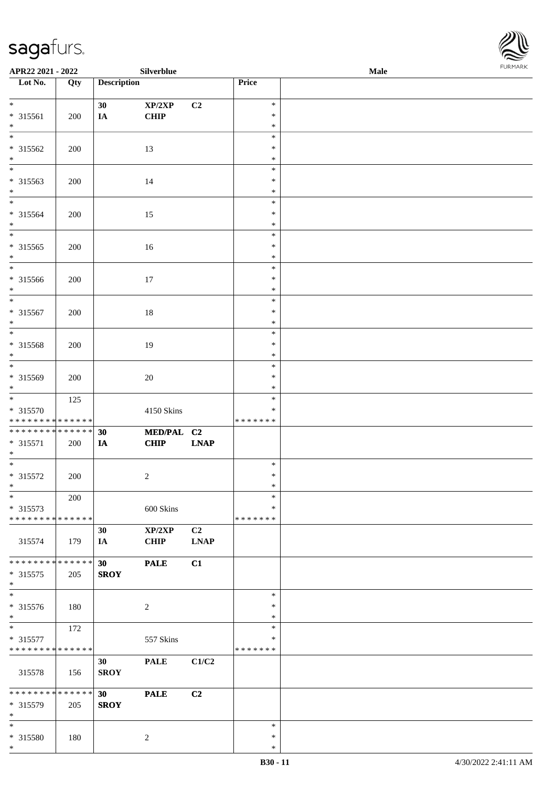

| APR22 2021 - 2022                          |        |                    | Silverblue     |                |               | Male |  |
|--------------------------------------------|--------|--------------------|----------------|----------------|---------------|------|--|
| Lot No.                                    | Qty    | <b>Description</b> |                |                | Price         |      |  |
|                                            |        |                    |                |                |               |      |  |
| $*$                                        |        | 30                 | XP/2XP         | C2             | $\ast$        |      |  |
| * 315561                                   | 200    | IA                 | <b>CHIP</b>    |                | $\ast$        |      |  |
| $*$                                        |        |                    |                |                | $\ast$        |      |  |
| $\overline{\ }$                            |        |                    |                |                | $\ast$        |      |  |
| * 315562                                   |        |                    |                |                | $\ast$        |      |  |
|                                            | 200    |                    | 13             |                |               |      |  |
| $*$                                        |        |                    |                |                | $\ast$        |      |  |
|                                            |        |                    |                |                | $\ast$        |      |  |
| * 315563                                   | 200    |                    | 14             |                | $\ast$        |      |  |
| $*$                                        |        |                    |                |                | $\ast$        |      |  |
| $*$                                        |        |                    |                |                | $\ast$        |      |  |
| * 315564                                   | 200    |                    | 15             |                | $\ast$        |      |  |
| $*$                                        |        |                    |                |                | $\ast$        |      |  |
|                                            |        |                    |                |                | $\ast$        |      |  |
| * 315565                                   | 200    |                    | 16             |                | $\ast$        |      |  |
| $*$                                        |        |                    |                |                | $\ast$        |      |  |
| $*$                                        |        |                    |                |                | $\ast$        |      |  |
|                                            |        |                    |                |                | $\ast$        |      |  |
| * 315566                                   | 200    |                    | 17             |                |               |      |  |
| $*$                                        |        |                    |                |                | $\ast$        |      |  |
| $*$                                        |        |                    |                |                | $\ast$        |      |  |
| * 315567                                   | 200    |                    | 18             |                | $\ast$        |      |  |
| $\ast$                                     |        |                    |                |                | $\ast$        |      |  |
|                                            |        |                    |                |                | $\ast$        |      |  |
| * 315568                                   | 200    |                    | 19             |                | $\ast$        |      |  |
| $*$                                        |        |                    |                |                | $\ast$        |      |  |
|                                            |        |                    |                |                | $\ast$        |      |  |
| * 315569                                   | 200    |                    | 20             |                | $\ast$        |      |  |
| $\ast$                                     |        |                    |                |                | $\ast$        |      |  |
| $*$                                        | 125    |                    |                |                | $\ast$        |      |  |
|                                            |        |                    |                |                |               |      |  |
| * 315570                                   |        |                    | 4150 Skins     |                | $\ast$        |      |  |
| * * * * * * * * <mark>* * * * * * *</mark> |        |                    |                |                | * * * * * * * |      |  |
| * * * * * * * * * * * * * * *              |        | 30                 | MED/PAL C2     |                |               |      |  |
| * 315571                                   | 200    | IA                 | CHIP           | <b>LNAP</b>    |               |      |  |
| $*$                                        |        |                    |                |                |               |      |  |
| $*$                                        |        |                    |                |                | $\ast$        |      |  |
| * 315572                                   | 200    |                    | $\overline{c}$ |                | $\ast$        |      |  |
| $*$                                        |        |                    |                |                | $\ast$        |      |  |
| $*$                                        | 200    |                    |                |                | $\ast$        |      |  |
| * 315573                                   |        |                    | 600 Skins      |                | $\ast$        |      |  |
| * * * * * * * * * * * * * * *              |        |                    |                |                | * * * * * * * |      |  |
|                                            |        |                    |                |                |               |      |  |
|                                            |        | 30                 | XP/2XP         | C <sub>2</sub> |               |      |  |
| 315574                                     | 179    | IA                 | <b>CHIP</b>    | <b>LNAP</b>    |               |      |  |
|                                            |        |                    |                |                |               |      |  |
| * * * * * * * *                            | ****** | 30                 | <b>PALE</b>    | C1             |               |      |  |
| * 315575                                   | 205    | <b>SROY</b>        |                |                |               |      |  |
| $*$                                        |        |                    |                |                |               |      |  |
| $\overline{\phantom{0}}$                   |        |                    |                |                | $\ast$        |      |  |
| * 315576                                   | 180    |                    | $\overline{c}$ |                | $\ast$        |      |  |
| $*$                                        |        |                    |                |                | $\ast$        |      |  |
|                                            | 172    |                    |                |                | $\ast$        |      |  |
| * 315577                                   |        |                    | 557 Skins      |                | $\ast$        |      |  |
| * * * * * * * * * * * * * *                |        |                    |                |                | *******       |      |  |
|                                            |        |                    |                |                |               |      |  |
|                                            |        | 30                 | <b>PALE</b>    | C1/C2          |               |      |  |
| 315578                                     | 156    | <b>SROY</b>        |                |                |               |      |  |
|                                            |        |                    |                |                |               |      |  |
| ******** <mark>******</mark>               |        | 30                 | <b>PALE</b>    | C2             |               |      |  |
| * 315579                                   | 205    | <b>SROY</b>        |                |                |               |      |  |
| $*$                                        |        |                    |                |                |               |      |  |
| $*$                                        |        |                    |                |                | $\ast$        |      |  |
| * 315580                                   | 180    |                    | 2              |                | $\ast$        |      |  |
| $\ast$                                     |        |                    |                |                | $\ast$        |      |  |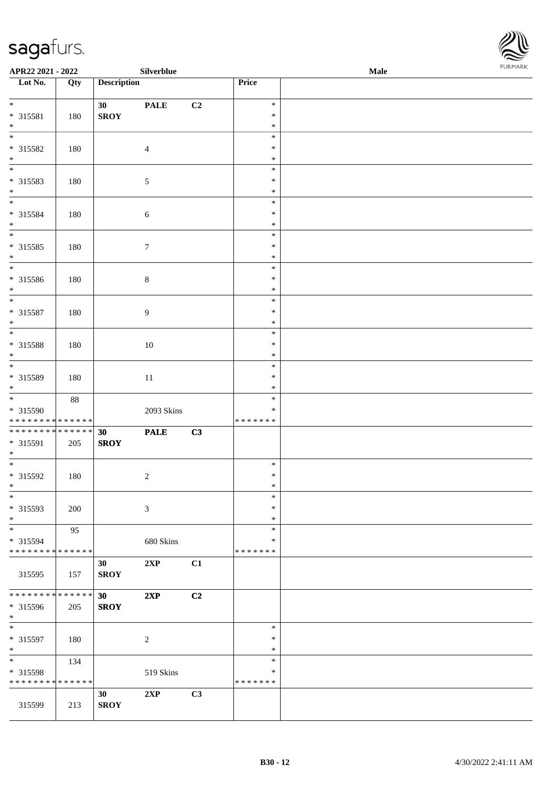

| APR22 2021 - 2022                          |             |                    | Silverblue       |                |                  | Male |  |
|--------------------------------------------|-------------|--------------------|------------------|----------------|------------------|------|--|
| Lot No.                                    | Qty         | <b>Description</b> |                  |                | Price            |      |  |
|                                            |             |                    |                  |                |                  |      |  |
| $*$                                        |             | 30 <sup>°</sup>    | <b>PALE</b>      | C <sub>2</sub> | $\ast$           |      |  |
| * 315581                                   | 180         | <b>SROY</b>        |                  |                | $\ast$           |      |  |
| $*$                                        |             |                    |                  |                | $\ast$           |      |  |
|                                            |             |                    |                  |                | $\ast$           |      |  |
| * 315582                                   | 180         |                    | $\overline{4}$   |                | $\ast$<br>$\ast$ |      |  |
| $*$                                        |             |                    |                  |                | $\ast$           |      |  |
| * 315583                                   | 180         |                    | $\mathfrak{S}$   |                | $\ast$           |      |  |
| $*$                                        |             |                    |                  |                | $\ast$           |      |  |
| $*$                                        |             |                    |                  |                | $\ast$           |      |  |
| * 315584                                   | 180         |                    | $\sqrt{6}$       |                | $\ast$           |      |  |
| $*$                                        |             |                    |                  |                | $\ast$           |      |  |
|                                            |             |                    |                  |                | $\ast$           |      |  |
| * 315585                                   | 180         |                    | $\boldsymbol{7}$ |                | $\ast$           |      |  |
| $\ast$                                     |             |                    |                  |                | $\ast$           |      |  |
| $\overline{\phantom{0}}$                   |             |                    |                  |                | $\ast$           |      |  |
| * 315586                                   | 180         |                    | $\,8\,$          |                | $\ast$           |      |  |
| $\ast$                                     |             |                    |                  |                | $\ast$           |      |  |
| $\overline{\ast}$                          |             |                    |                  |                | $\ast$           |      |  |
| * 315587                                   | 180         |                    | $\overline{9}$   |                | $\ast$           |      |  |
| $\ast$<br>$\overline{\phantom{0}}$         |             |                    |                  |                | $\ast$           |      |  |
|                                            |             |                    |                  |                | $\ast$<br>$\ast$ |      |  |
| * 315588<br>$\ast$                         | 180         |                    | 10               |                | $\ast$           |      |  |
|                                            |             |                    |                  |                | $\ast$           |      |  |
| * 315589                                   | 180         |                    | 11               |                | $\ast$           |      |  |
| $\ast$                                     |             |                    |                  |                | $\ast$           |      |  |
| $*$                                        | 88          |                    |                  |                | $\ast$           |      |  |
| * 315590                                   |             |                    | 2093 Skins       |                | $\ast$           |      |  |
| * * * * * * * * <mark>* * * * * * *</mark> |             |                    |                  |                | * * * * * * *    |      |  |
| * * * * * * * * <mark>* * * * * * *</mark> |             | 30                 | <b>PALE</b>      | C3             |                  |      |  |
| * 315591                                   | 205         | <b>SROY</b>        |                  |                |                  |      |  |
| $\ast$                                     |             |                    |                  |                |                  |      |  |
| $\overline{\ast}$                          |             |                    |                  |                | $\ast$           |      |  |
| * 315592                                   | 180         |                    | 2                |                | $\ast$           |      |  |
| $*$<br>$\ast$                              |             |                    |                  |                | $\ast$<br>$\ast$ |      |  |
| * 315593                                   |             |                    |                  |                | $\ast$           |      |  |
| $*$                                        | 200         |                    | $\mathfrak{Z}$   |                | $\ast$           |      |  |
|                                            | 95          |                    |                  |                | $\ast$           |      |  |
| * 315594                                   |             |                    | 680 Skins        |                | *                |      |  |
| * * * * * * * * <mark>* * * * * * *</mark> |             |                    |                  |                | * * * * * * *    |      |  |
|                                            |             | 30                 | 2XP              | C1             |                  |      |  |
| 315595                                     | 157         | <b>SROY</b>        |                  |                |                  |      |  |
|                                            |             |                    |                  |                |                  |      |  |
| * * * * * * * * <mark>* * * * * * *</mark> |             | 30                 | 2XP              | C <sub>2</sub> |                  |      |  |
| * 315596                                   | 205         | <b>SROY</b>        |                  |                |                  |      |  |
| $*$                                        |             |                    |                  |                |                  |      |  |
| $\overline{\mathbf{r}}$                    |             |                    |                  |                | $\ast$           |      |  |
| * 315597                                   | 180         |                    | 2                |                | $\ast$           |      |  |
| $*$<br>$*$                                 |             |                    |                  |                | $\ast$           |      |  |
|                                            | 134         |                    |                  |                | $\ast$<br>$\ast$ |      |  |
| * 315598<br>* * * * * * * *                | * * * * * * |                    | 519 Skins        |                | * * * * * * *    |      |  |
|                                            |             | 30 <sup>1</sup>    | 2XP              | C3             |                  |      |  |
| 315599                                     | 213         | <b>SROY</b>        |                  |                |                  |      |  |
|                                            |             |                    |                  |                |                  |      |  |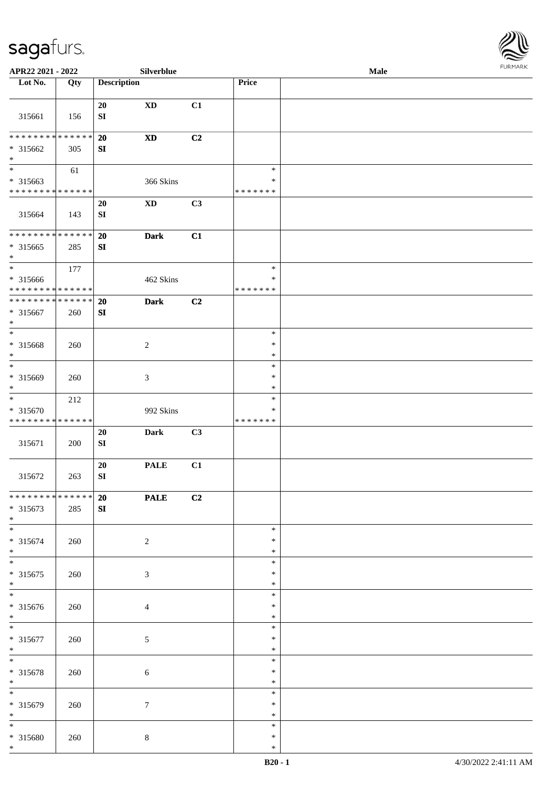

| APR22 2021 - 2022                                                            |     |                    | Silverblue                 |    |                                   | Male | <b>FURMARK</b> |
|------------------------------------------------------------------------------|-----|--------------------|----------------------------|----|-----------------------------------|------|----------------|
| Lot No.                                                                      | Qty | <b>Description</b> |                            |    | Price                             |      |                |
| 315661                                                                       | 156 | 20<br>SI           | $\mathbf{X}\mathbf{D}$     | C1 |                                   |      |                |
| * * * * * * * * * * * * * * *<br>* 315662<br>$\ast$                          | 305 | 20<br>SI           | $\boldsymbol{\mathrm{XD}}$ | C2 |                                   |      |                |
| $\overline{\phantom{a}^*}$<br>* 315663<br>* * * * * * * * * * * * * *        | 61  |                    | 366 Skins                  |    | $\ast$<br>∗<br>* * * * * * *      |      |                |
| 315664                                                                       | 143 | 20<br>${\bf SI}$   | <b>XD</b>                  | C3 |                                   |      |                |
| ******** <mark>******</mark><br>$* 315665$<br>$\ast$                         | 285 | 20<br>SI           | <b>Dark</b>                | C1 |                                   |      |                |
| $\overline{\phantom{0}}$<br>* 315666<br>* * * * * * * * * * * * * *          | 177 |                    | 462 Skins                  |    | $\ast$<br>∗<br>* * * * * * *      |      |                |
| **************<br>$* 315667$<br>$\ast$                                       | 260 | 20<br>SI           | <b>Dark</b>                | C2 |                                   |      |                |
| $\overline{\phantom{a}^*}$<br>* 315668<br>$\ast$<br>$\overline{\phantom{0}}$ | 260 |                    | $\overline{2}$             |    | $\ast$<br>$\ast$<br>$\ast$        |      |                |
| * 315669<br>$\ast$                                                           | 260 |                    | $\mathfrak{Z}$             |    | $\ast$<br>$\ast$<br>$\ast$        |      |                |
| $\overline{\ast}$<br>$* 315670$<br>* * * * * * * * * * * * * *               | 212 |                    | 992 Skins                  |    | $\ast$<br>$\ast$<br>* * * * * * * |      |                |
| 315671                                                                       | 200 | 20<br>${\bf SI}$   | <b>Dark</b>                | C3 |                                   |      |                |
| 315672                                                                       | 263 | 20<br>${\bf SI}$   | <b>PALE</b>                | C1 |                                   |      |                |
| **************<br>$* 315673$<br>$\ast$                                       | 285 | 20<br>SI           | <b>PALE</b>                | C2 |                                   |      |                |
| $*$<br>* 315674<br>$\ast$                                                    | 260 |                    | $\sqrt{2}$                 |    | $\ast$<br>$\ast$<br>$\ast$        |      |                |
| $\overline{\phantom{a}^*}$<br>$* 315675$<br>$*$                              | 260 |                    | $\mathfrak{Z}$             |    | $\ast$<br>$\ast$<br>$\ast$        |      |                |
| $\overline{\phantom{a}^*}$<br>$* 315676$<br>$\ast$                           | 260 |                    | $\overline{4}$             |    | $\ast$<br>$\ast$<br>$\ast$        |      |                |
| $\ast$<br>* 315677<br>$\ast$                                                 | 260 |                    | $\mathfrak{S}$             |    | $\ast$<br>$\ast$<br>$\ast$        |      |                |
| $\overline{\phantom{a}^*}$<br>* 315678<br>$\ast$                             | 260 |                    | 6                          |    | $\ast$<br>$\ast$<br>$\ast$        |      |                |
| $\ast$<br>$* 315679$<br>$\ast$                                               | 260 |                    | $7\phantom{.0}$            |    | $\ast$<br>$\ast$<br>$\ast$        |      |                |
| $*$<br>* 315680<br>$*$                                                       | 260 |                    | $8\,$                      |    | $\ast$<br>$\ast$<br>$\ast$        |      |                |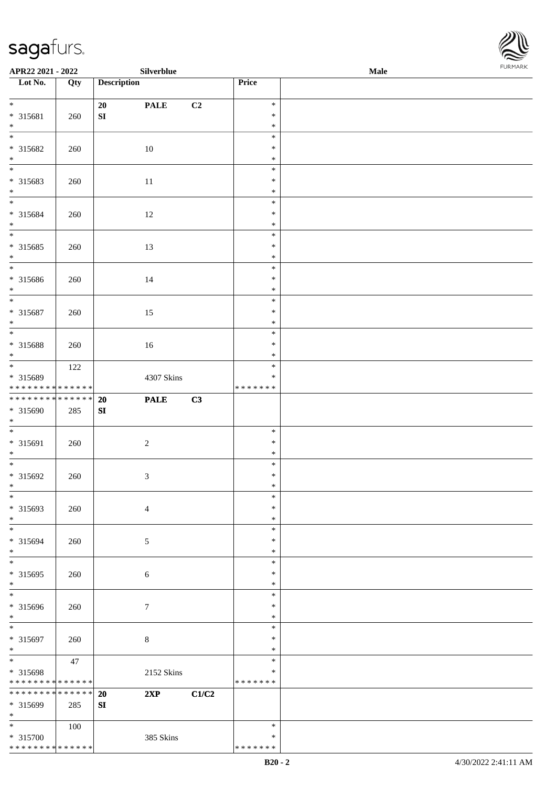\* \* \* \* \* \* \* \* \* \* \* \* \* \* \*



| APR22 2021 - 2022                        |     |                    | Silverblue                         |       |                  | Male | <b>FURMARK</b> |
|------------------------------------------|-----|--------------------|------------------------------------|-------|------------------|------|----------------|
| $\overline{\phantom{1}}$ Lot No.         | Qty | <b>Description</b> |                                    |       | Price            |      |                |
| $\ast$                                   |     | $20\,$             | <b>PALE</b>                        | C2    | $\ast$           |      |                |
| $* 315681$<br>$\ast$                     | 260 | ${\bf S}{\bf I}$   |                                    |       | $\ast$           |      |                |
| $_{\ast}$                                |     |                    |                                    |       | $\ast$<br>$\ast$ |      |                |
| * 315682                                 | 260 |                    | $10\,$                             |       | $\ast$           |      |                |
| $\ast$<br>$_{\ast}^{-}$                  |     |                    |                                    |       | $\ast$           |      |                |
| * 315683                                 | 260 |                    | $11\,$                             |       | $\ast$<br>$\ast$ |      |                |
| $*$                                      |     |                    |                                    |       | $\ast$           |      |                |
| $\overline{\ast}$                        |     |                    |                                    |       | $\ast$           |      |                |
| * 315684<br>$\ast$                       | 260 |                    | $12\,$                             |       | $\ast$<br>$\ast$ |      |                |
| $\ast$                                   |     |                    |                                    |       | $\ast$           |      |                |
| * 315685                                 | 260 |                    | 13                                 |       | $\ast$           |      |                |
| $\ast$<br>$\overline{\phantom{0}}$       |     |                    |                                    |       | $\ast$<br>$\ast$ |      |                |
| * 315686                                 | 260 |                    | 14                                 |       | $\ast$           |      |                |
| $\ast$                                   |     |                    |                                    |       | $\ast$           |      |                |
| $\overline{\phantom{0}}$                 |     |                    |                                    |       | $\ast$<br>$\ast$ |      |                |
| * 315687<br>$\ast$                       | 260 |                    | 15                                 |       | $\ast$           |      |                |
| $\overline{\phantom{0}}$                 |     |                    |                                    |       | $\ast$           |      |                |
| * 315688                                 | 260 |                    | 16                                 |       | $\ast$           |      |                |
| $\ast$<br>$\overline{\phantom{0}}$       | 122 |                    |                                    |       | $\ast$<br>$\ast$ |      |                |
| * 315689                                 |     |                    | 4307 Skins                         |       | $\ast$           |      |                |
| * * * * * * * * * * * * * *              |     |                    |                                    |       | * * * * * * *    |      |                |
| ******** <mark>******</mark><br>* 315690 | 285 | 20<br>SI           | $\ensuremath{\mathbf{PAL}}\xspace$ | C3    |                  |      |                |
| $\ast$                                   |     |                    |                                    |       |                  |      |                |
| $*$                                      |     |                    |                                    |       | $\ast$           |      |                |
| * 315691<br>$\ast$                       | 260 |                    | $\sqrt{2}$                         |       | $\ast$<br>$\ast$ |      |                |
| $\overline{\phantom{0}}$                 |     |                    |                                    |       | $\ast$           |      |                |
| * 315692                                 | 260 |                    | $\mathfrak{Z}$                     |       | $\ast$           |      |                |
| $\ast$<br>$_{\ast}$                      |     |                    |                                    |       | $\ast$<br>$\ast$ |      |                |
| * 315693                                 | 260 |                    | $\overline{4}$                     |       | $\ast$           |      |                |
| $\ast$                                   |     |                    |                                    |       | $\ast$           |      |                |
| $\ast$<br>* 315694                       | 260 |                    | $\sqrt{5}$                         |       | $\ast$<br>$\ast$ |      |                |
| $\ast$                                   |     |                    |                                    |       | $\ast$           |      |                |
| $\overline{\phantom{a}^*}$               |     |                    |                                    |       | $\ast$           |      |                |
| $* 315695$<br>$\ast$                     | 260 |                    | 6                                  |       | $\ast$<br>$\ast$ |      |                |
| $_{\ast}^{-}$                            |     |                    |                                    |       | $\ast$           |      |                |
| * 315696                                 | 260 |                    | $\boldsymbol{7}$                   |       | $\ast$           |      |                |
| $\ast$<br>$\overline{\phantom{0}}$       |     |                    |                                    |       | $\ast$<br>$\ast$ |      |                |
| $* 315697$                               | 260 |                    | $\,8\,$                            |       | $\ast$           |      |                |
| $\ast$<br>$_{\ast}^{-}$                  |     |                    |                                    |       | $\ast$           |      |                |
| * 315698                                 | 47  |                    | 2152 Skins                         |       | $\ast$<br>∗      |      |                |
| * * * * * * * * * * * * * *              |     |                    |                                    |       | * * * * * * *    |      |                |
| * * * * * * * * * * * * * *              |     | 20                 | 2XP                                | C1/C2 |                  |      |                |
| * 315699<br>$\ast$                       | 285 | ${\bf S}{\bf I}$   |                                    |       |                  |      |                |
| $*$                                      | 100 |                    |                                    |       | $\ast$           |      |                |
| $* 315700$                               |     |                    | 385 Skins                          |       | $\ast$           |      |                |

\* \* \* \* \* \* \*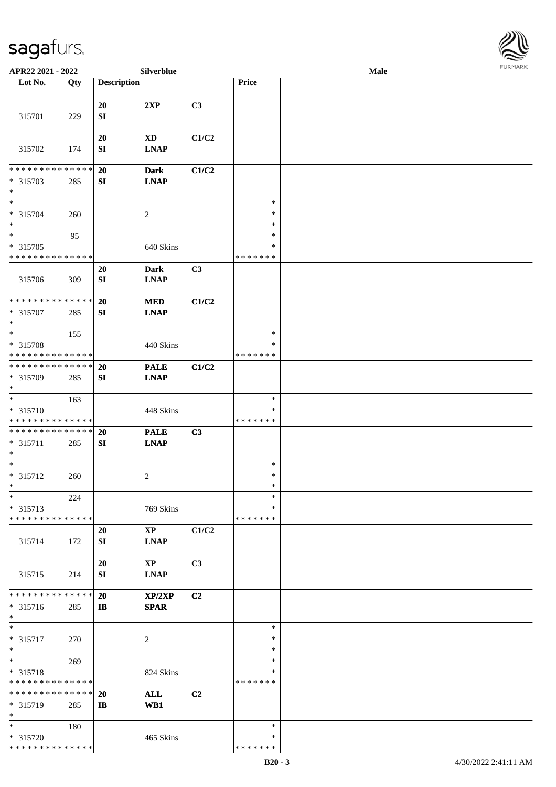

| APR22 2021 - 2022                                                |     |                        | Silverblue                            |                |                                   | Male | <b>FURMARK</b> |
|------------------------------------------------------------------|-----|------------------------|---------------------------------------|----------------|-----------------------------------|------|----------------|
| Lot No.                                                          | Qty | <b>Description</b>     |                                       |                | Price                             |      |                |
| 315701                                                           | 229 | 20<br>SI               | 2XP                                   | C3             |                                   |      |                |
| 315702                                                           | 174 | 20<br>${\bf S}{\bf I}$ | <b>XD</b><br><b>LNAP</b>              | C1/C2          |                                   |      |                |
| * * * * * * * * * * * * * *<br>* 315703<br>$\ast$                | 285 | 20<br>SI               | <b>Dark</b><br><b>LNAP</b>            | C1/C2          |                                   |      |                |
| $\ast$<br>* 315704<br>$\ast$                                     | 260 |                        | $\sqrt{2}$                            |                | $\ast$<br>$\ast$<br>$\ast$        |      |                |
| $\ast$<br>* 315705<br>* * * * * * * * * * * * * *                | 95  |                        | 640 Skins                             |                | $\ast$<br>$\ast$<br>* * * * * * * |      |                |
| 315706                                                           | 309 | 20<br>SI               | <b>Dark</b><br><b>LNAP</b>            | C3             |                                   |      |                |
| * * * * * * * * <mark>* * * * * * *</mark><br>* 315707<br>$\ast$ | 285 | 20<br>SI               | <b>MED</b><br><b>LNAP</b>             | C1/C2          |                                   |      |                |
| $\ast$<br>* 315708<br>* * * * * * * * * * * * * *                | 155 |                        | 440 Skins                             |                | $\ast$<br>$\ast$<br>* * * * * * * |      |                |
| * * * * * * * * * * * * * *<br>* 315709<br>$\ast$                | 285 | 20<br>${\bf S}{\bf I}$ | <b>PALE</b><br><b>LNAP</b>            | C1/C2          |                                   |      |                |
| $\ast$<br>* 315710<br>* * * * * * * * * * * * * *                | 163 |                        | 448 Skins                             |                | $\ast$<br>$\ast$<br>* * * * * * * |      |                |
| **************<br>* 315711<br>$\ast$                             | 285 | 20<br>SI               | <b>PALE</b><br><b>LNAP</b>            | C3             |                                   |      |                |
| $\ast$<br>$* 315712$<br>$\ast$                                   | 260 |                        | 2                                     |                | $\ast$<br>$\ast$<br>$\ast$        |      |                |
| $\ast$<br>* 315713<br>* * * * * * * * * * * * * *                | 224 |                        | 769 Skins                             |                | $\ast$<br>*<br>* * * * * * *      |      |                |
| 315714                                                           | 172 | 20<br>SI               | <b>XP</b><br><b>LNAP</b>              | C1/C2          |                                   |      |                |
| 315715                                                           | 214 | 20<br>SI               | $\mathbf{X}\mathbf{P}$<br><b>LNAP</b> | C <sub>3</sub> |                                   |      |                |
| * * * * * * * * * * * * * *<br>* 315716<br>$\ast$                | 285 | 20<br>$\mathbf{I}$     | XP/2XP<br><b>SPAR</b>                 | C <sub>2</sub> |                                   |      |                |
| $\ast$<br>$* 315717$<br>$\ast$                                   | 270 |                        | 2                                     |                | $\ast$<br>$\ast$<br>$\ast$        |      |                |
| $\ast$<br>* 315718<br>* * * * * * * * * * * * * *                | 269 |                        | 824 Skins                             |                | $\ast$<br>∗<br>* * * * * * *      |      |                |
| * * * * * * * * * * * * * * *<br>* 315719<br>$\ast$              | 285 | 20<br>$\mathbf{I}$     | <b>ALL</b><br>WB1                     | C2             |                                   |      |                |
| $\ast$<br>* 315720<br>* * * * * * * * * * * * * *                | 180 |                        | 465 Skins                             |                | ∗<br>∗<br>* * * * * * *           |      |                |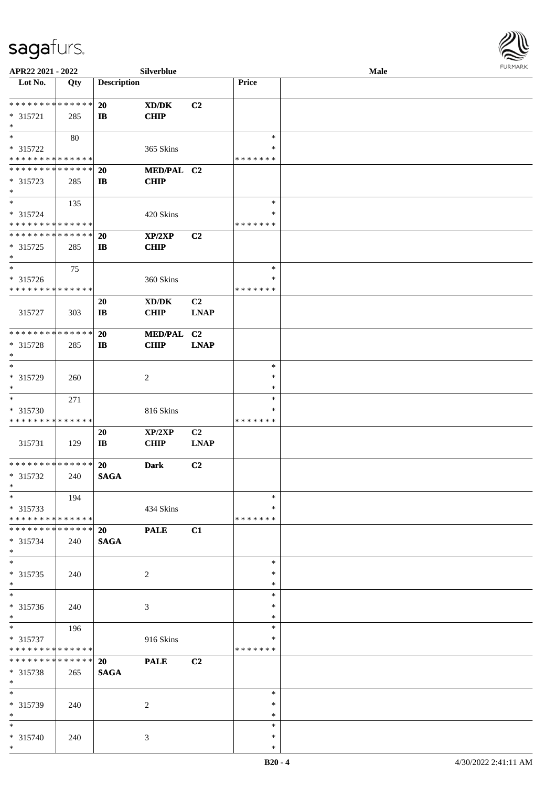

| APR22 2021 - 2022            |             |                       | Silverblue                          |                |               | <b>Male</b> |  |
|------------------------------|-------------|-----------------------|-------------------------------------|----------------|---------------|-------------|--|
| Lot No.                      | Qty         | <b>Description</b>    |                                     |                | Price         |             |  |
|                              |             |                       |                                     |                |               |             |  |
| **************               |             | 20                    | XD/DK                               | C <sub>2</sub> |               |             |  |
| * 315721                     | 285         | $\mathbf{I}$          | <b>CHIP</b>                         |                |               |             |  |
| $\ast$                       |             |                       |                                     |                |               |             |  |
| $\ast$                       | 80          |                       |                                     |                | $\ast$        |             |  |
|                              |             |                       |                                     |                | ∗             |             |  |
| * 315722                     |             |                       | 365 Skins                           |                |               |             |  |
| * * * * * * * * * * * * * *  |             |                       |                                     |                | * * * * * * * |             |  |
| * * * * * * * * * * * * * *  |             | <b>20</b>             | MED/PAL C2                          |                |               |             |  |
| $* 315723$                   | 285         | $\mathbf{I}$          | <b>CHIP</b>                         |                |               |             |  |
| $\ast$                       |             |                       |                                     |                |               |             |  |
| $\ast$                       | 135         |                       |                                     |                | $\ast$        |             |  |
| * 315724                     |             |                       | 420 Skins                           |                | *             |             |  |
| * * * * * * * * * * * * * *  |             |                       |                                     |                | * * * * * * * |             |  |
| * * * * * * * * * * * * * *  |             | <b>20</b>             | XP/2XP                              | C <sub>2</sub> |               |             |  |
| $* 315725$                   | 285         | $\mathbf{I}$          | <b>CHIP</b>                         |                |               |             |  |
| $\ast$                       |             |                       |                                     |                |               |             |  |
| $\ast$                       |             |                       |                                     |                | $\ast$        |             |  |
|                              | 75          |                       |                                     |                |               |             |  |
| * 315726                     |             |                       | 360 Skins                           |                | $\ast$        |             |  |
| * * * * * * * * * * * * * *  |             |                       |                                     |                | * * * * * * * |             |  |
|                              |             | 20                    | $\bold{X}\bold{D}/\bold{D}\bold{K}$ | C <sub>2</sub> |               |             |  |
| 315727                       | 303         | IB                    | <b>CHIP</b>                         | <b>LNAP</b>    |               |             |  |
|                              |             |                       |                                     |                |               |             |  |
| * * * * * * * * * * * * * *  |             | <b>20</b>             | <b>MED/PAL</b>                      | C2             |               |             |  |
| * 315728                     | 285         | $\mathbf{I}$          | <b>CHIP</b>                         | <b>LNAP</b>    |               |             |  |
| $\ast$                       |             |                       |                                     |                |               |             |  |
| $\ast$                       |             |                       |                                     |                | $\ast$        |             |  |
|                              |             |                       |                                     |                |               |             |  |
| * 315729                     | 260         |                       | $\overline{c}$                      |                | $\ast$        |             |  |
| $\ast$                       |             |                       |                                     |                | $\ast$        |             |  |
| $\ast$                       | 271         |                       |                                     |                | $\ast$        |             |  |
| * 315730                     |             |                       | 816 Skins                           |                | *             |             |  |
| * * * * * * * * * * * * * *  |             |                       |                                     |                | * * * * * * * |             |  |
|                              |             | 20                    | XP/2XP                              | C2             |               |             |  |
| 315731                       | 129         | $\mathbf{I}$ <b>B</b> | <b>CHIP</b>                         | <b>LNAP</b>    |               |             |  |
|                              |             |                       |                                     |                |               |             |  |
| ******** <mark>******</mark> |             | <b>20</b>             | <b>Dark</b>                         | C2             |               |             |  |
| * 315732                     | 240         | <b>SAGA</b>           |                                     |                |               |             |  |
| $*$                          |             |                       |                                     |                |               |             |  |
| $*$                          |             |                       |                                     |                | $\ast$        |             |  |
|                              | 194         |                       |                                     |                |               |             |  |
| $* 315733$                   |             |                       | 434 Skins                           |                | *             |             |  |
| * * * * * * * * * * * * * *  |             |                       |                                     |                | * * * * * * * |             |  |
| * * * * * * * *              | * * * * * * | 20                    | <b>PALE</b>                         | C1             |               |             |  |
| * 315734                     | 240         | <b>SAGA</b>           |                                     |                |               |             |  |
| $*$                          |             |                       |                                     |                |               |             |  |
| $\ast$                       |             |                       |                                     |                | $\ast$        |             |  |
| $* 315735$                   | 240         |                       | $\overline{c}$                      |                | ∗             |             |  |
| $\ast$                       |             |                       |                                     |                | $\ast$        |             |  |
| $\ast$                       |             |                       |                                     |                | $\ast$        |             |  |
|                              |             |                       |                                     |                |               |             |  |
| * 315736                     | 240         |                       | 3                                   |                | *             |             |  |
| $*$                          |             |                       |                                     |                | $\ast$        |             |  |
| $\ast$                       | 196         |                       |                                     |                | $\ast$        |             |  |
| * 315737                     |             |                       | 916 Skins                           |                | *             |             |  |
| * * * * * * * * * * * * * *  |             |                       |                                     |                | * * * * * * * |             |  |
| ********                     | * * * * * * | <b>20</b>             | <b>PALE</b>                         | C2             |               |             |  |
| * 315738                     | 265         | <b>SAGA</b>           |                                     |                |               |             |  |
| $*$                          |             |                       |                                     |                |               |             |  |
| $\ast$                       |             |                       |                                     |                | $\ast$        |             |  |
| * 315739                     | 240         |                       | 2                                   |                | *             |             |  |
| $\ast$                       |             |                       |                                     |                | $\ast$        |             |  |
| $*$                          |             |                       |                                     |                |               |             |  |
|                              |             |                       |                                     |                | $\ast$        |             |  |
| * 315740                     | 240         |                       | 3                                   |                | $\ast$        |             |  |
| $*$                          |             |                       |                                     |                | $\ast$        |             |  |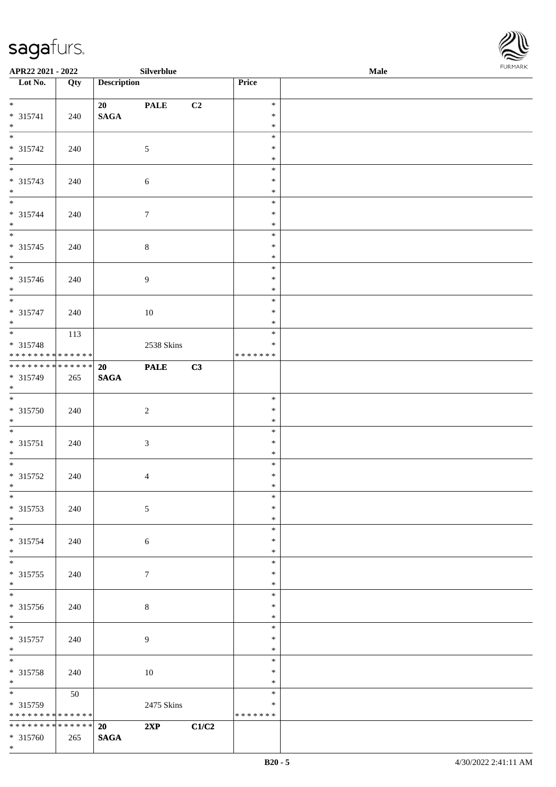\*



| APR22 2021 - 2022                                                          |                  |                    | Silverblue       |       |                  | Male | <b>FURMARK</b> |
|----------------------------------------------------------------------------|------------------|--------------------|------------------|-------|------------------|------|----------------|
| Lot No.                                                                    | $\overline{Qty}$ | <b>Description</b> |                  |       | Price            |      |                |
| $*$                                                                        |                  | 20                 | <b>PALE</b>      | C2    | $\ast$           |      |                |
| * 315741                                                                   | 240              | $\mathbf{SAGA}$    |                  |       | $\ast$           |      |                |
| $*$                                                                        |                  |                    |                  |       | $\ast$           |      |                |
| * 315742                                                                   | 240              |                    | $\mathfrak{S}$   |       | $\ast$<br>$\ast$ |      |                |
| $*$                                                                        |                  |                    |                  |       | $\ast$           |      |                |
|                                                                            |                  |                    |                  |       | $\ast$           |      |                |
| * 315743<br>$*$                                                            | 240              |                    | 6                |       | $\ast$<br>$\ast$ |      |                |
| $*$                                                                        |                  |                    |                  |       | $\ast$           |      |                |
| * 315744                                                                   | 240              |                    | $\boldsymbol{7}$ |       | $\ast$           |      |                |
| $*$                                                                        |                  |                    |                  |       | $\ast$<br>$\ast$ |      |                |
| * 315745                                                                   | 240              |                    | $\,8\,$          |       | $\ast$           |      |                |
| $*$                                                                        |                  |                    |                  |       | $\ast$<br>$\ast$ |      |                |
| * 315746                                                                   | 240              |                    | $\overline{9}$   |       | $\ast$           |      |                |
| $*$                                                                        |                  |                    |                  |       | $\ast$           |      |                |
|                                                                            |                  |                    |                  |       | $\ast$<br>$\ast$ |      |                |
| * 315747<br>$*$                                                            | 240              |                    | 10               |       | $\ast$           |      |                |
|                                                                            | 113              |                    |                  |       | $\ast$           |      |                |
| * 315748                                                                   |                  |                    | 2538 Skins       |       | $\ast$           |      |                |
| * * * * * * * * <mark>* * * * * * *</mark><br>******** <mark>******</mark> |                  | 20                 | <b>PALE</b>      | C3    | *******          |      |                |
| * 315749                                                                   | 265              | <b>SAGA</b>        |                  |       |                  |      |                |
| $*$                                                                        |                  |                    |                  |       | $\ast$           |      |                |
| * 315750                                                                   | 240              |                    | $\overline{2}$   |       | $\ast$           |      |                |
| $*$                                                                        |                  |                    |                  |       | $\ast$           |      |                |
|                                                                            |                  |                    |                  |       | $\ast$<br>$\ast$ |      |                |
| * 315751<br>$*$                                                            | 240              |                    | $\mathfrak{Z}$   |       | $\ast$           |      |                |
|                                                                            |                  |                    |                  |       | $\ast$           |      |                |
| * 315752<br>$\ast$                                                         | 240              |                    | $\overline{4}$   |       | $\ast$<br>$\ast$ |      |                |
| $*$                                                                        |                  |                    |                  |       | $\ast$           |      |                |
| * 315753                                                                   | 240              |                    | $\mathfrak{S}$   |       | $\ast$           |      |                |
| $*$                                                                        |                  |                    |                  |       | $\ast$<br>$\ast$ |      |                |
| * 315754                                                                   | 240              |                    | 6                |       | $\ast$           |      |                |
| $*$                                                                        |                  |                    |                  |       | $\ast$           |      |                |
| * 315755                                                                   | 240              |                    | $\tau$           |       | $\ast$<br>$\ast$ |      |                |
| $*$                                                                        |                  |                    |                  |       | $\ast$           |      |                |
| $\overline{\ }$                                                            |                  |                    |                  |       | $\ast$           |      |                |
| * 315756<br>$*$                                                            | 240              |                    | $\,8\,$          |       | $\ast$<br>$\ast$ |      |                |
|                                                                            |                  |                    |                  |       | $\ast$           |      |                |
| * 315757                                                                   | 240              |                    | $\overline{9}$   |       | $\ast$           |      |                |
| $*$<br>$\overline{\phantom{0}}$                                            |                  |                    |                  |       | $\ast$<br>$\ast$ |      |                |
| * 315758                                                                   | 240              |                    | 10               |       | $\ast$           |      |                |
| $*$                                                                        |                  |                    |                  |       | $\ast$           |      |                |
| $*$                                                                        | 50               |                    |                  |       | $\ast$<br>$\ast$ |      |                |
| $* 315759$<br>* * * * * * * * * * * * * *                                  |                  |                    | 2475 Skins       |       | * * * * * * *    |      |                |
| * * * * * * * * * * * * * * <mark>*</mark>                                 |                  | <b>20</b>          | 2XP              | C1/C2 |                  |      |                |
| * 315760                                                                   | 265              | <b>SAGA</b>        |                  |       |                  |      |                |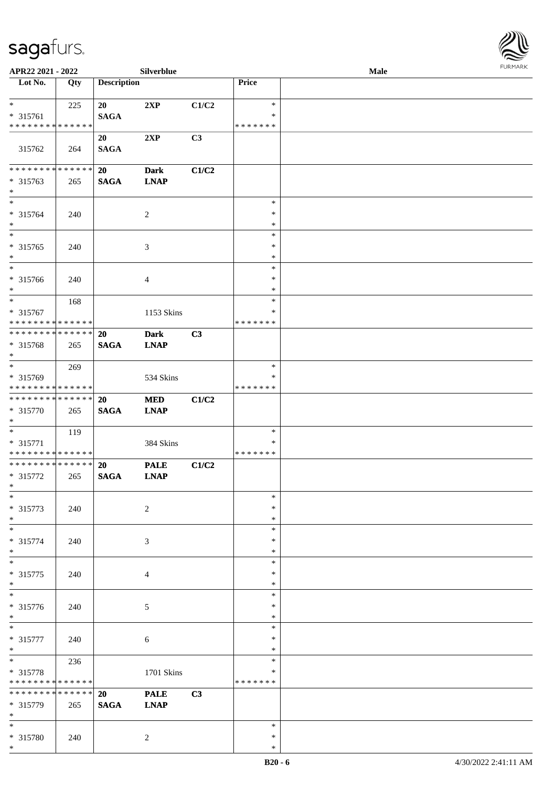

| APR22 2021 - 2022                                      |             |                       | Silverblue                |       |                         | Male |  |
|--------------------------------------------------------|-------------|-----------------------|---------------------------|-------|-------------------------|------|--|
| Lot No.                                                | Qty         | <b>Description</b>    |                           |       | Price                   |      |  |
|                                                        |             |                       |                           |       |                         |      |  |
| $\ast$                                                 | 225         | 20                    | 2XP                       | C1/C2 | $\ast$                  |      |  |
| * 315761<br>* * * * * * * * <mark>* * * * * * *</mark> |             | <b>SAGA</b>           |                           |       | ∗<br>* * * * * * *      |      |  |
|                                                        |             | 20                    | 2XP                       | C3    |                         |      |  |
| 315762                                                 | 264         | <b>SAGA</b>           |                           |       |                         |      |  |
| * * * * * * * * * * * * * *                            |             | 20                    | <b>Dark</b>               | C1/C2 |                         |      |  |
| * 315763                                               | 265         | <b>SAGA</b>           | <b>LNAP</b>               |       |                         |      |  |
| $\ast$                                                 |             |                       |                           |       |                         |      |  |
| $\ast$                                                 |             |                       |                           |       | $\ast$                  |      |  |
| * 315764                                               | 240         |                       | $\sqrt{2}$                |       | $\ast$                  |      |  |
| $\ast$<br>$\ast$                                       |             |                       |                           |       | $\ast$<br>$\ast$        |      |  |
| $* 315765$                                             | 240         |                       | $\mathfrak{Z}$            |       | $\ast$                  |      |  |
| $\ast$                                                 |             |                       |                           |       | $\ast$                  |      |  |
| $\overline{\phantom{a}^*}$                             |             |                       |                           |       | $\ast$                  |      |  |
| * 315766                                               | 240         |                       | $\overline{4}$            |       | $\ast$                  |      |  |
| $\ast$                                                 |             |                       |                           |       | $\ast$                  |      |  |
| $\ast$                                                 | 168         |                       |                           |       | $\ast$                  |      |  |
| * 315767<br>* * * * * * * * * * * * * *                |             |                       | 1153 Skins                |       | $\ast$<br>* * * * * * * |      |  |
| **************                                         |             | <b>20</b>             | <b>Dark</b>               | C3    |                         |      |  |
| * 315768                                               | 265         | <b>SAGA</b>           | <b>LNAP</b>               |       |                         |      |  |
| $\ast$                                                 |             |                       |                           |       |                         |      |  |
| $\ast$                                                 | 269         |                       |                           |       | $\ast$                  |      |  |
| * 315769                                               |             |                       | 534 Skins                 |       | $\ast$                  |      |  |
| * * * * * * * * * * * * * *<br>**************          |             |                       |                           |       | * * * * * * *           |      |  |
| * 315770                                               | 265         | 20<br>$\mathbf{SAGA}$ | <b>MED</b><br><b>LNAP</b> | C1/C2 |                         |      |  |
| $*$                                                    |             |                       |                           |       |                         |      |  |
| $*$                                                    | 119         |                       |                           |       | $\ast$                  |      |  |
| $* 315771$                                             |             |                       | 384 Skins                 |       | $\ast$                  |      |  |
| **************                                         |             |                       |                           |       | * * * * * * *           |      |  |
| **************                                         |             | 20                    | <b>PALE</b>               | C1/C2 |                         |      |  |
| * 315772<br>$*$                                        | 265         | <b>SAGA</b>           | <b>LNAP</b>               |       |                         |      |  |
| $*$                                                    |             |                       |                           |       | $\ast$                  |      |  |
| $* 315773$                                             | 240         |                       | $\sqrt{2}$                |       | $\ast$                  |      |  |
| $\ast$                                                 |             |                       |                           |       | $\ast$                  |      |  |
| $\ast$                                                 |             |                       |                           |       | $\ast$                  |      |  |
| $* 315774$                                             | 240         |                       | 3                         |       | $\ast$                  |      |  |
| $\ast$<br>$\ast$                                       |             |                       |                           |       | $\ast$<br>$\ast$        |      |  |
| $* 315775$                                             | 240         |                       | 4                         |       | $\ast$                  |      |  |
| $\ast$                                                 |             |                       |                           |       | $\ast$                  |      |  |
| $\overline{\phantom{1}}$                               |             |                       |                           |       | $\ast$                  |      |  |
| $* 315776$                                             | 240         |                       | $\sqrt{5}$                |       | $\ast$                  |      |  |
| $*$                                                    |             |                       |                           |       | $\ast$                  |      |  |
| $\ast$                                                 |             |                       |                           |       | $\ast$                  |      |  |
| $* 315777$<br>$\ast$                                   | 240         |                       | $6\,$                     |       | $\ast$<br>$\ast$        |      |  |
| $\ast$                                                 | 236         |                       |                           |       | $\ast$                  |      |  |
| * 315778                                               |             |                       | 1701 Skins                |       | $\ast$                  |      |  |
| * * * * * * * * * * * * * *                            |             |                       |                           |       | * * * * * * *           |      |  |
| * * * * * * * *                                        | * * * * * * | 20                    | <b>PALE</b>               | C3    |                         |      |  |
| * 315779                                               | 265         | <b>SAGA</b>           | <b>LNAP</b>               |       |                         |      |  |
| $\ast$<br>$*$                                          |             |                       |                           |       | $\ast$                  |      |  |
| * 315780                                               | 240         |                       | $\overline{2}$            |       | $\ast$                  |      |  |
| $\ast$                                                 |             |                       |                           |       | $\ast$                  |      |  |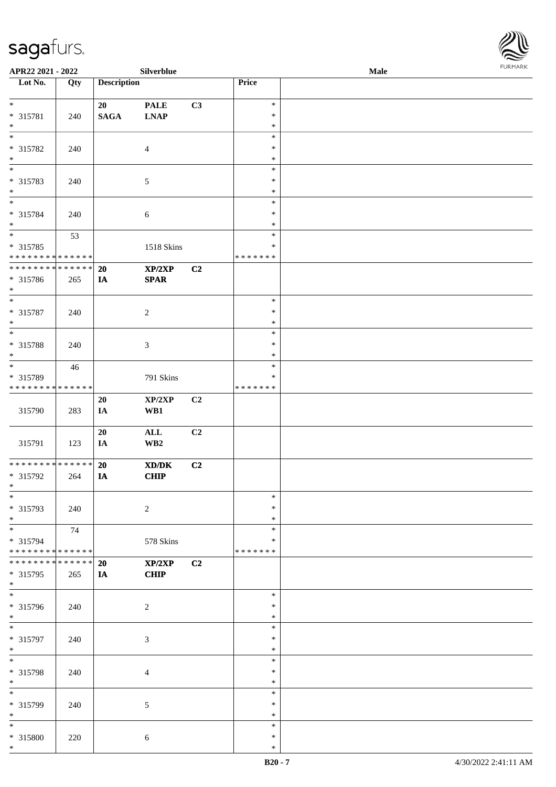

| APR22 2021 - 2022                          |               |                    | Silverblue                                                  |    |               | <b>Male</b> |  |
|--------------------------------------------|---------------|--------------------|-------------------------------------------------------------|----|---------------|-------------|--|
| Lot No.                                    | Qty           | <b>Description</b> |                                                             |    | Price         |             |  |
|                                            |               |                    |                                                             |    |               |             |  |
| $\ast$                                     |               | 20                 | <b>PALE</b>                                                 | C3 | $\ast$        |             |  |
| * 315781                                   | 240           | <b>SAGA</b>        | <b>LNAP</b>                                                 |    | $\ast$        |             |  |
| $\ast$                                     |               |                    |                                                             |    | $\ast$        |             |  |
| $\overline{\ }$                            |               |                    |                                                             |    | $\ast$        |             |  |
|                                            |               |                    |                                                             |    |               |             |  |
| * 315782                                   | 240           |                    | $\overline{4}$                                              |    | $\ast$        |             |  |
| $*$                                        |               |                    |                                                             |    | $\ast$        |             |  |
| $\overline{\phantom{0}}$                   |               |                    |                                                             |    | $\ast$        |             |  |
| * 315783                                   | 240           |                    | $\mathfrak{S}$                                              |    | $\ast$        |             |  |
| $*$                                        |               |                    |                                                             |    | $\ast$        |             |  |
| $*$                                        |               |                    |                                                             |    | $\ast$        |             |  |
| * 315784                                   | 240           |                    | 6                                                           |    | $\ast$        |             |  |
| $*$                                        |               |                    |                                                             |    | $\ast$        |             |  |
|                                            | 53            |                    |                                                             |    | $\ast$        |             |  |
| * 315785                                   |               |                    |                                                             |    | $\ast$        |             |  |
|                                            |               |                    | 1518 Skins                                                  |    |               |             |  |
| * * * * * * * * * * * * * *                |               |                    |                                                             |    | * * * * * * * |             |  |
| * * * * * * * * <mark>*</mark>             | * * * * * * * | 20                 | XP/2XP                                                      | C2 |               |             |  |
| * 315786                                   | 265           | IA                 | SPAR                                                        |    |               |             |  |
| $*$                                        |               |                    |                                                             |    |               |             |  |
|                                            |               |                    |                                                             |    | $\ast$        |             |  |
| * 315787                                   | 240           |                    | $\overline{c}$                                              |    | $\ast$        |             |  |
| $*$                                        |               |                    |                                                             |    | $\ast$        |             |  |
| $\overline{\phantom{0}}$                   |               |                    |                                                             |    | $\ast$        |             |  |
| * 315788                                   | 240           |                    | $\mathfrak{Z}$                                              |    | $\ast$        |             |  |
| $*$                                        |               |                    |                                                             |    | $\ast$        |             |  |
| $\overline{\phantom{0}}$                   |               |                    |                                                             |    |               |             |  |
|                                            | 46            |                    |                                                             |    | $\ast$        |             |  |
| * 315789                                   |               |                    | 791 Skins                                                   |    | $\ast$        |             |  |
| * * * * * * * * <mark>* * * * * * *</mark> |               |                    |                                                             |    | *******       |             |  |
|                                            |               | 20                 | XP/2XP                                                      | C2 |               |             |  |
| 315790                                     | 283           | IA                 | WB1                                                         |    |               |             |  |
|                                            |               |                    |                                                             |    |               |             |  |
|                                            |               | 20                 | $\mathbf{ALL}$                                              | C2 |               |             |  |
| 315791                                     | 123           | IA                 | WB2                                                         |    |               |             |  |
|                                            |               |                    |                                                             |    |               |             |  |
| * * * * * * * * <mark>* * * * * *</mark>   |               | <b>20</b>          | $\boldsymbol{\text{X} \text{D} \text{/} \text{D} \text{K}}$ | C2 |               |             |  |
|                                            |               |                    |                                                             |    |               |             |  |
| * 315792                                   | 264           | IA                 | <b>CHIP</b>                                                 |    |               |             |  |
| $*$                                        |               |                    |                                                             |    |               |             |  |
| $\overline{\ast}$                          |               |                    |                                                             |    | $\ast$        |             |  |
| * 315793                                   | 240           |                    | $\overline{2}$                                              |    | $\ast$        |             |  |
| $*$                                        |               |                    |                                                             |    | $\ast$        |             |  |
| $*$                                        | 74            |                    |                                                             |    | $\ast$        |             |  |
| * 315794                                   |               |                    | 578 Skins                                                   |    | ∗             |             |  |
| * * * * * * * * <mark>* * * * * * *</mark> |               |                    |                                                             |    | *******       |             |  |
| * * * * * * * *                            | * * * * * *   | <b>20</b>          | XP/2XP                                                      | C2 |               |             |  |
| * 315795                                   | 265           | IA                 | <b>CHIP</b>                                                 |    |               |             |  |
| $*$                                        |               |                    |                                                             |    |               |             |  |
| $\overline{\ }$                            |               |                    |                                                             |    | $\ast$        |             |  |
|                                            |               |                    |                                                             |    |               |             |  |
| * 315796                                   | 240           |                    | $\overline{c}$                                              |    | $\ast$        |             |  |
| $*$                                        |               |                    |                                                             |    | $\ast$        |             |  |
|                                            |               |                    |                                                             |    | $\ast$        |             |  |
| * 315797                                   | 240           |                    | $\mathfrak{Z}$                                              |    | $\ast$        |             |  |
| $*$                                        |               |                    |                                                             |    | $\ast$        |             |  |
|                                            |               |                    |                                                             |    | $\ast$        |             |  |
| * 315798                                   | 240           |                    | $\overline{4}$                                              |    | $\ast$        |             |  |
| $*$                                        |               |                    |                                                             |    | $\ast$        |             |  |
|                                            |               |                    |                                                             |    | $\ast$        |             |  |
| * 315799                                   |               |                    |                                                             |    | $\ast$        |             |  |
| $*$                                        | 240           |                    | 5                                                           |    | $\ast$        |             |  |
|                                            |               |                    |                                                             |    |               |             |  |
| $*$                                        |               |                    |                                                             |    | $\ast$        |             |  |
| * 315800                                   | 220           |                    | 6                                                           |    | $\ast$        |             |  |
| $\ast$                                     |               |                    |                                                             |    | $\ast$        |             |  |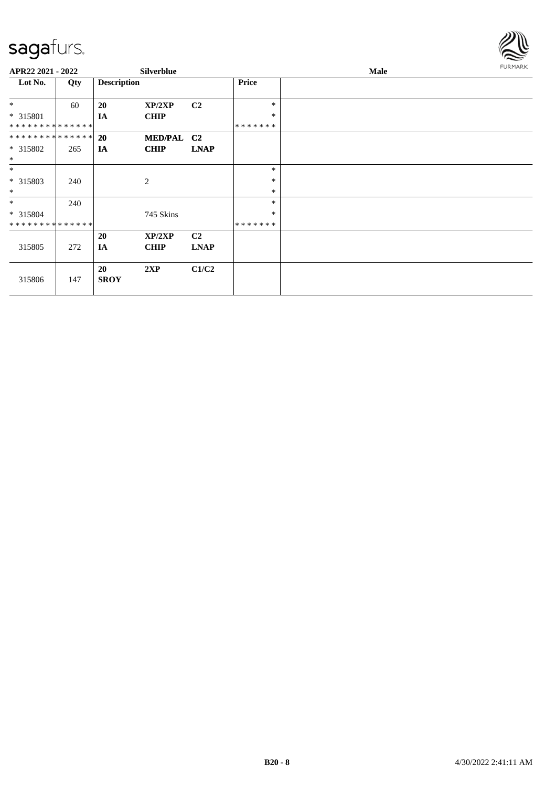

| APR22 2021 - 2022           |     |                    | Silverblue   |                |              | <b>Male</b> | <b>FURMARK</b> |
|-----------------------------|-----|--------------------|--------------|----------------|--------------|-------------|----------------|
| Lot No.                     | Qty | <b>Description</b> |              |                | <b>Price</b> |             |                |
| $*$                         | 60  | <b>20</b>          | XP/2XP       | C <sub>2</sub> | $\ast$       |             |                |
| * 315801                    |     | IA                 | <b>CHIP</b>  |                | $\ast$       |             |                |
| * * * * * * * * * * * * * * |     |                    |              |                | *******      |             |                |
| **************              |     | <b>20</b>          | MED/PAL C2   |                |              |             |                |
| * 315802<br>$\ast$          | 265 | IA                 | <b>CHIP</b>  | <b>LNAP</b>    |              |             |                |
| $*$                         |     |                    |              |                | $\ast$       |             |                |
| * 315803                    | 240 |                    | $\mathbf{2}$ |                | *            |             |                |
| $\ast$                      |     |                    |              |                | $\ast$       |             |                |
| $*$                         | 240 |                    |              |                | *            |             |                |
| * 315804                    |     |                    | 745 Skins    |                | $\ast$       |             |                |
| * * * * * * * * * * * * * * |     |                    |              |                | *******      |             |                |
|                             |     | 20                 | XP/2XP       | C <sub>2</sub> |              |             |                |
| 315805                      | 272 | IA                 | <b>CHIP</b>  | <b>LNAP</b>    |              |             |                |
| 315806                      | 147 | 20<br><b>SROY</b>  | 2XP          | C1/C2          |              |             |                |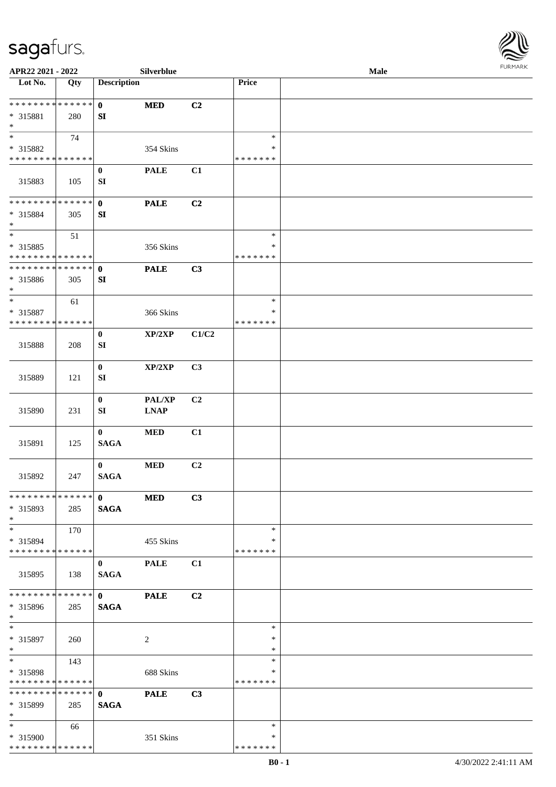

| APR22 2021 - 2022                                                   |     |                             | Silverblue            |       |                                   | <b>Male</b> |  |
|---------------------------------------------------------------------|-----|-----------------------------|-----------------------|-------|-----------------------------------|-------------|--|
| Lot No.                                                             | Qty | <b>Description</b>          |                       |       | Price                             |             |  |
| **************<br>* 315881<br>$\ast$                                | 280 | $\mathbf{0}$<br>SI          | <b>MED</b>            | C2    |                                   |             |  |
| $\overline{\phantom{0}}$<br>* 315882<br>* * * * * * * * * * * * * * | 74  |                             | 354 Skins             |       | $\ast$<br>∗<br>* * * * * * *      |             |  |
| 315883                                                              | 105 | $\bf{0}$<br>SI              | <b>PALE</b>           | C1    |                                   |             |  |
| * * * * * * * * * * * * * *<br>* 315884<br>$\ast$                   | 305 | $\mathbf{0}$<br>${\bf SI}$  | <b>PALE</b>           | C2    |                                   |             |  |
| $\ast$<br>* 315885<br>* * * * * * * * * * * * * *                   | 51  |                             | 356 Skins             |       | $\ast$<br>$\ast$<br>* * * * * * * |             |  |
| * * * * * * * * * * * * * *<br>* 315886<br>$*$                      | 305 | $\mathbf{0}$<br>SI          | <b>PALE</b>           | C3    |                                   |             |  |
| $\ast$<br>* 315887<br>* * * * * * * * * * * * * *                   | 61  |                             | 366 Skins             |       | $\ast$<br>$\ast$<br>* * * * * * * |             |  |
| 315888                                                              | 208 | $\bf{0}$<br>SI              | XP/2XP                | C1/C2 |                                   |             |  |
| 315889                                                              | 121 | $\pmb{0}$<br>SI             | XP/2XP                | C3    |                                   |             |  |
| 315890                                                              | 231 | $\bf{0}$<br>SI              | PAL/XP<br><b>LNAP</b> | C2    |                                   |             |  |
| 315891                                                              | 125 | $\mathbf{0}$<br><b>SAGA</b> | $\bf MED$             | C1    |                                   |             |  |
| 315892                                                              | 247 | $\bf{0}$<br><b>SAGA</b>     | <b>MED</b>            | C2    |                                   |             |  |
| **************<br>* 315893<br>$*$                                   | 285 | $\mathbf{0}$<br><b>SAGA</b> | <b>MED</b>            | C3    |                                   |             |  |
| $\ast$<br>* 315894<br>* * * * * * * * * * * * * *                   | 170 |                             | 455 Skins             |       | $\ast$<br>*<br>* * * * * * *      |             |  |
| 315895                                                              | 138 | $\mathbf{0}$<br><b>SAGA</b> | <b>PALE</b>           | C1    |                                   |             |  |
| * * * * * * * * * * * * * * *<br>* 315896<br>$*$                    | 285 | $\mathbf{0}$<br><b>SAGA</b> | <b>PALE</b>           | C2    |                                   |             |  |
| $*$<br>* 315897<br>$*$                                              | 260 |                             | $\sqrt{2}$            |       | $\ast$<br>$\ast$<br>$\ast$        |             |  |
| $\ast$<br>* 315898<br>* * * * * * * * * * * * * *                   | 143 |                             | 688 Skins             |       | $\ast$<br>$\ast$<br>* * * * * * * |             |  |
| * * * * * * * * * * * * * *<br>* 315899<br>$*$                      | 285 | $\mathbf{0}$<br><b>SAGA</b> | <b>PALE</b>           | C3    |                                   |             |  |
| $*$<br>* 315900<br>* * * * * * * * * * * * * *                      | 66  |                             | 351 Skins             |       | $\ast$<br>∗<br>* * * * * * *      |             |  |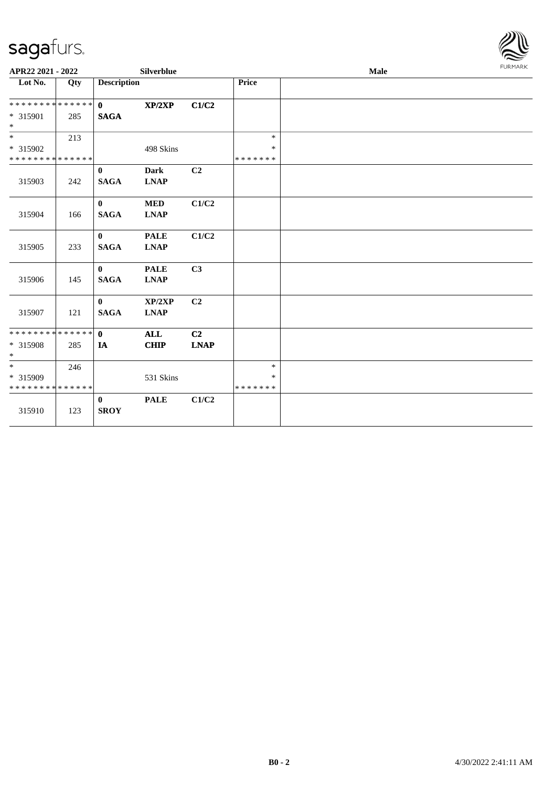

| APR22 2021 - 2022                       |     |                             | Silverblue                                                |                |                   | <b>FUNITANY</b> |  |
|-----------------------------------------|-----|-----------------------------|-----------------------------------------------------------|----------------|-------------------|-----------------|--|
| Lot No.                                 | Qty | <b>Description</b>          |                                                           |                | Price             |                 |  |
| * * * * * * * * * * * * * * *           |     | $\mathbf{0}$                | XP/2XP                                                    | C1/C2          |                   |                 |  |
| * 315901<br>$*$                         | 285 | <b>SAGA</b>                 |                                                           |                |                   |                 |  |
| $*$                                     | 213 |                             |                                                           |                | $\ast$            |                 |  |
| * 315902<br>* * * * * * * * * * * * * * |     |                             | 498 Skins                                                 |                | ∗<br>*******      |                 |  |
| 315903                                  | 242 | $\bf{0}$<br><b>SAGA</b>     | <b>Dark</b><br><b>LNAP</b>                                | C2             |                   |                 |  |
| 315904                                  | 166 | $\mathbf{0}$<br><b>SAGA</b> | <b>MED</b><br><b>LNAP</b>                                 | C1/C2          |                   |                 |  |
| 315905                                  | 233 | $\mathbf{0}$<br><b>SAGA</b> | <b>PALE</b><br>$\mathbf{L}\mathbf{N}\mathbf{A}\mathbf{P}$ | C1/C2          |                   |                 |  |
| 315906                                  | 145 | $\mathbf{0}$<br><b>SAGA</b> | <b>PALE</b><br><b>LNAP</b>                                | C3             |                   |                 |  |
| 315907                                  | 121 | $\mathbf{0}$<br><b>SAGA</b> | XP/2XP<br><b>LNAP</b>                                     | C <sub>2</sub> |                   |                 |  |
| * * * * * * * * * * * * * * *           |     | $\mathbf{0}$                | <b>ALL</b>                                                | C2             |                   |                 |  |
| * 315908<br>$*$                         | 285 | IA                          | <b>CHIP</b>                                               | <b>LNAP</b>    |                   |                 |  |
| $*$                                     | 246 |                             |                                                           |                | $\ast$            |                 |  |
| * 315909<br>* * * * * * * * * * * * * * |     |                             | 531 Skins                                                 |                | $\ast$<br>******* |                 |  |
| 315910                                  | 123 | $\bf{0}$<br><b>SROY</b>     | <b>PALE</b>                                               | C1/C2          |                   |                 |  |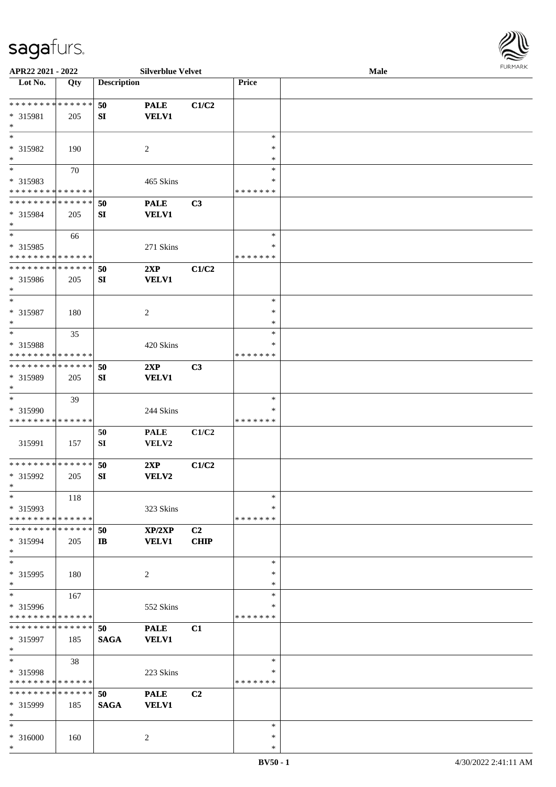

| APR22 2021 - 2022             |     |                    | <b>Silverblue Velvet</b> |                |               | <b>Male</b> |  |
|-------------------------------|-----|--------------------|--------------------------|----------------|---------------|-------------|--|
| Lot No.                       | Qty | <b>Description</b> |                          |                | Price         |             |  |
|                               |     |                    |                          |                |               |             |  |
| * * * * * * * * * * * * * *   |     | 50                 | <b>PALE</b>              | C1/C2          |               |             |  |
| * 315981                      | 205 | SI                 | <b>VELV1</b>             |                |               |             |  |
| $*$                           |     |                    |                          |                |               |             |  |
| $*$                           |     |                    |                          |                | $\ast$        |             |  |
|                               |     |                    |                          |                |               |             |  |
| * 315982                      | 190 |                    | 2                        |                | ∗             |             |  |
| $\ast$                        |     |                    |                          |                | $\ast$        |             |  |
| $\overline{\phantom{0}}$      | 70  |                    |                          |                | $\ast$        |             |  |
| * 315983                      |     |                    | 465 Skins                |                | $\ast$        |             |  |
| * * * * * * * * * * * * * *   |     |                    |                          |                | * * * * * * * |             |  |
| * * * * * * * * * * * * * *   |     | 50                 | <b>PALE</b>              | C3             |               |             |  |
| * 315984                      | 205 | SI                 | <b>VELV1</b>             |                |               |             |  |
| $*$                           |     |                    |                          |                |               |             |  |
| $*$                           |     |                    |                          |                |               |             |  |
|                               | 66  |                    |                          |                | $\ast$        |             |  |
| $* 315985$                    |     |                    | 271 Skins                |                | ∗             |             |  |
| * * * * * * * * * * * * * *   |     |                    |                          |                | * * * * * * * |             |  |
| * * * * * * * * * * * * * *   |     | 50                 | 2XP                      | C1/C2          |               |             |  |
| * 315986                      | 205 | SI                 | <b>VELV1</b>             |                |               |             |  |
| $*$                           |     |                    |                          |                |               |             |  |
| $*$                           |     |                    |                          |                | $\ast$        |             |  |
|                               |     |                    |                          |                | $\ast$        |             |  |
| * 315987                      | 180 |                    | 2                        |                |               |             |  |
| $*$                           |     |                    |                          |                | $\ast$        |             |  |
| $*$                           | 35  |                    |                          |                | $\ast$        |             |  |
| * 315988                      |     |                    | 420 Skins                |                | ∗             |             |  |
| * * * * * * * * * * * * * *   |     |                    |                          |                | * * * * * * * |             |  |
| * * * * * * * * * * * * * * * |     | 50                 | 2XP                      | C3             |               |             |  |
| * 315989                      | 205 | SI                 | <b>VELV1</b>             |                |               |             |  |
| $*$                           |     |                    |                          |                |               |             |  |
| $*$                           |     |                    |                          |                | $\ast$        |             |  |
|                               | 39  |                    |                          |                |               |             |  |
| * 315990                      |     |                    | 244 Skins                |                | ∗             |             |  |
| * * * * * * * * * * * * * *   |     |                    |                          |                | * * * * * * * |             |  |
|                               |     | 50                 | <b>PALE</b>              | C1/C2          |               |             |  |
| 315991                        | 157 | SI                 | VELV2                    |                |               |             |  |
|                               |     |                    |                          |                |               |             |  |
| * * * * * * * * * * * * * *   |     | 50                 | 2XP                      | C1/C2          |               |             |  |
| * 315992                      | 205 | SI                 | VELV2                    |                |               |             |  |
|                               |     |                    |                          |                |               |             |  |
| $*$                           |     |                    |                          |                |               |             |  |
| $*$                           | 118 |                    |                          |                | $\ast$        |             |  |
| * 315993                      |     |                    | 323 Skins                |                | ∗             |             |  |
| * * * * * * * * * * * * * *   |     |                    |                          |                | * * * * * * * |             |  |
| * * * * * * * * * * * * * * * |     | 50                 | XP/2XP                   | C <sub>2</sub> |               |             |  |
| * 315994                      | 205 | $\mathbf{I}$       | <b>VELV1</b>             | <b>CHIP</b>    |               |             |  |
| $*$                           |     |                    |                          |                |               |             |  |
| $*$                           |     |                    |                          |                | $\ast$        |             |  |
|                               |     |                    |                          |                | $\ast$        |             |  |
| * 315995                      | 180 |                    | 2                        |                |               |             |  |
| $*$                           |     |                    |                          |                | $\ast$        |             |  |
| $*$                           | 167 |                    |                          |                | $\ast$        |             |  |
| * 315996                      |     |                    | 552 Skins                |                | ∗             |             |  |
| * * * * * * * * * * * * * *   |     |                    |                          |                | * * * * * * * |             |  |
| * * * * * * * * * * * * * * * |     | 50                 | <b>PALE</b>              | C1             |               |             |  |
| * 315997                      | 185 | <b>SAGA</b>        | <b>VELV1</b>             |                |               |             |  |
| $*$                           |     |                    |                          |                |               |             |  |
| $*$                           |     |                    |                          |                | $\ast$        |             |  |
|                               | 38  |                    |                          |                |               |             |  |
| * 315998                      |     |                    | 223 Skins                |                | $\ast$        |             |  |
| * * * * * * * * * * * * * *   |     |                    |                          |                | * * * * * * * |             |  |
| * * * * * * * * * * * * * * * |     | 50                 | <b>PALE</b>              | C2             |               |             |  |
| * 315999                      | 185 | <b>SAGA</b>        | <b>VELV1</b>             |                |               |             |  |
| $*$                           |     |                    |                          |                |               |             |  |
| $*$                           |     |                    |                          |                | $\ast$        |             |  |
| * 316000                      | 160 |                    | 2                        |                | $\ast$        |             |  |
| $\ast$                        |     |                    |                          |                | $\ast$        |             |  |
|                               |     |                    |                          |                |               |             |  |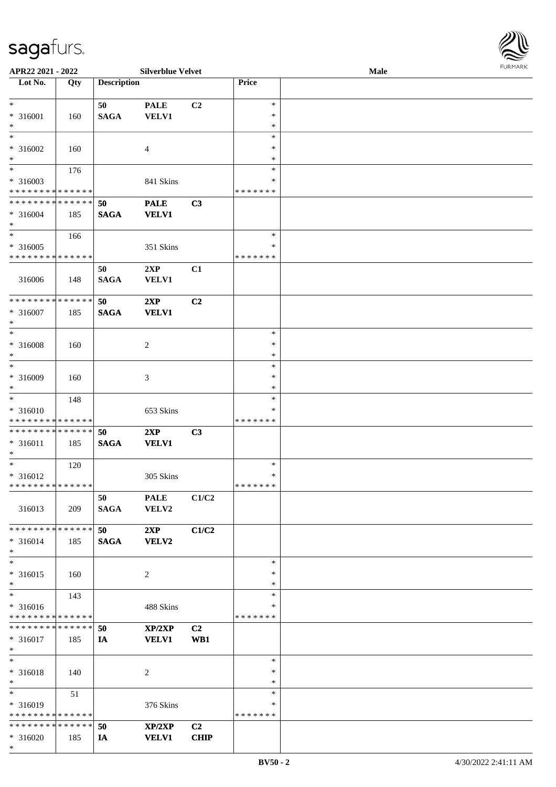\*

| $\ast$                       |     | 50              | <b>PALE</b>    | C2          | $\ast$        |  |
|------------------------------|-----|-----------------|----------------|-------------|---------------|--|
| * 316001                     | 160 | <b>SAGA</b>     | VELV1          |             | $\ast$        |  |
| $\ast$                       |     |                 |                |             | $\ast$        |  |
| $\ast$                       |     |                 |                |             |               |  |
|                              |     |                 |                |             | $\ast$        |  |
| $* 316002$                   | 160 |                 | $\overline{4}$ |             | $\ast$        |  |
| $\ast$                       |     |                 |                |             | $\ast$        |  |
| $\overline{\phantom{0}}$     | 176 |                 |                |             | $\ast$        |  |
| * 316003                     |     |                 | 841 Skins      |             | $\ast$        |  |
| * * * * * * * * * * * * * *  |     |                 |                |             | * * * * * * * |  |
| **************               |     | 50              | <b>PALE</b>    | C3          |               |  |
|                              |     |                 |                |             |               |  |
| $* 316004$                   | 185 | <b>SAGA</b>     | <b>VELV1</b>   |             |               |  |
| $\ast$                       |     |                 |                |             |               |  |
| $\ast$                       | 166 |                 |                |             | $\ast$        |  |
| $* 316005$                   |     |                 | 351 Skins      |             | $\ast$        |  |
| * * * * * * * * * * * * * *  |     |                 |                |             | * * * * * * * |  |
|                              |     | 50              | 2XP            | C1          |               |  |
|                              |     |                 |                |             |               |  |
| 316006                       | 148 | <b>SAGA</b>     | <b>VELV1</b>   |             |               |  |
|                              |     |                 |                |             |               |  |
| ******** <mark>******</mark> |     | 50              | 2XP            | C2          |               |  |
| * 316007                     | 185 | <b>SAGA</b>     | <b>VELV1</b>   |             |               |  |
| $\ast$                       |     |                 |                |             |               |  |
| $\ast$                       |     |                 |                |             | $\ast$        |  |
| * 316008                     | 160 |                 | $\overline{c}$ |             | $\ast$        |  |
| $\ast$                       |     |                 |                |             | $\ast$        |  |
| $\ast$                       |     |                 |                |             |               |  |
|                              |     |                 |                |             | $\ast$        |  |
| * 316009                     | 160 |                 | 3              |             | $\ast$        |  |
| $\ast$                       |     |                 |                |             | $\ast$        |  |
| $\ast$                       | 148 |                 |                |             | $\ast$        |  |
| * 316010                     |     |                 | 653 Skins      |             | *             |  |
| * * * * * * * * * * * * * *  |     |                 |                |             | * * * * * * * |  |
| **************               |     | 50              | 2XP            | C3          |               |  |
|                              |     |                 |                |             |               |  |
| $* 316011$                   | 185 | <b>SAGA</b>     | <b>VELV1</b>   |             |               |  |
| $\ast$                       |     |                 |                |             |               |  |
| $\ast$                       | 120 |                 |                |             | $\ast$        |  |
| $* 316012$                   |     |                 | 305 Skins      |             | *             |  |
| * * * * * * * * * * * * * *  |     |                 |                |             | * * * * * * * |  |
|                              |     | 50              | <b>PALE</b>    | C1/C2       |               |  |
| 316013                       | 209 | $\mathbf{SAGA}$ | <b>VELV2</b>   |             |               |  |
|                              |     |                 |                |             |               |  |
|                              |     |                 |                |             |               |  |
| * * * * * * * * * * * * * *  |     | 50              | 2XP            | C1/C2       |               |  |
| $* 316014$                   | 185 | <b>SAGA</b>     | <b>VELV2</b>   |             |               |  |
| $\ast$                       |     |                 |                |             |               |  |
| $\ast$                       |     |                 |                |             | $\ast$        |  |
| * 316015                     | 160 |                 | 2              |             | *             |  |
| $\ast$                       |     |                 |                |             | $\ast$        |  |
| $_{\ast}^{-}$                |     |                 |                |             |               |  |
|                              | 143 |                 |                |             | $\ast$        |  |
| * 316016                     |     |                 | 488 Skins      |             | $\ast$        |  |
| * * * * * * * * * * * * * *  |     |                 |                |             | * * * * * * * |  |
| * * * * * * * * * * * * * *  |     | 50              | XP/2XP         | C2          |               |  |
| * 316017                     | 185 | IA              | <b>VELV1</b>   | WB1         |               |  |
| $*$                          |     |                 |                |             |               |  |
| $\ast$                       |     |                 |                |             |               |  |
|                              |     |                 |                |             | $\ast$        |  |
| $* 316018$                   | 140 |                 | $\overline{c}$ |             | $\ast$        |  |
| $*$                          |     |                 |                |             | $\ast$        |  |
| $\ast$                       | 51  |                 |                |             | $\ast$        |  |
| * 316019                     |     |                 | 376 Skins      |             | $\ast$        |  |
| * * * * * * * * * * * * * *  |     |                 |                |             | * * * * * * * |  |
|                              |     |                 |                |             |               |  |
| * * * * * * * * * * * * * *  |     | 50              | XP/2XP         | C2          |               |  |
| $* 316020$                   | 185 | IA              | <b>VELV1</b>   | <b>CHIP</b> |               |  |

 $\overline{\phantom{a}}$ 

**APR22 2021 - 2022 Silverblue Velvet Male**

**Lot No. Qty Description Price**

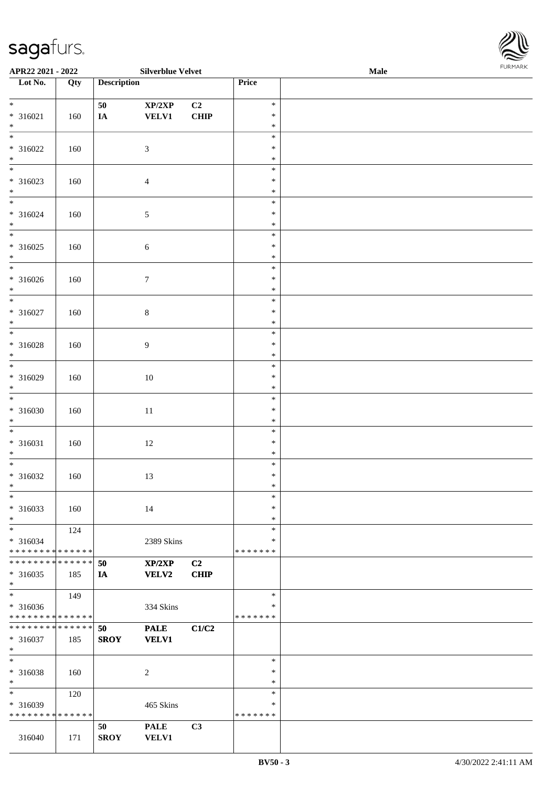

| APR22 2021 - 2022                          |     |                    | <b>Silverblue Velvet</b> |             |               | Male |  |
|--------------------------------------------|-----|--------------------|--------------------------|-------------|---------------|------|--|
| Lot No.                                    | Qty | <b>Description</b> |                          |             | Price         |      |  |
|                                            |     |                    |                          |             |               |      |  |
| $*$                                        |     | 50                 | XP/2XP                   | C2          | $\ast$        |      |  |
| * 316021                                   | 160 | $I\!\!A$           | <b>VELV1</b>             | CHIP        | $\ast$        |      |  |
| $*$                                        |     |                    |                          |             | $\ast$        |      |  |
|                                            |     |                    |                          |             | $\ast$        |      |  |
|                                            |     |                    |                          |             |               |      |  |
| * 316022                                   | 160 |                    | $\sqrt{3}$               |             | $\ast$        |      |  |
| $\ast$                                     |     |                    |                          |             | $\ast$        |      |  |
|                                            |     |                    |                          |             | $\ast$        |      |  |
| $* 316023$                                 | 160 |                    | $\overline{4}$           |             | $\ast$        |      |  |
| $*$                                        |     |                    |                          |             | $\ast$        |      |  |
| $\overline{\ast}$                          |     |                    |                          |             | $\ast$        |      |  |
| $* 316024$                                 | 160 |                    | $\sqrt{5}$               |             | $\ast$        |      |  |
|                                            |     |                    |                          |             | $\ast$        |      |  |
| $*$                                        |     |                    |                          |             |               |      |  |
|                                            |     |                    |                          |             | $\ast$        |      |  |
| $* 316025$                                 | 160 |                    | $\sqrt{6}$               |             | $\ast$        |      |  |
| $*$                                        |     |                    |                          |             | $\ast$        |      |  |
|                                            |     |                    |                          |             | $\ast$        |      |  |
| $* 316026$                                 | 160 |                    | $\boldsymbol{7}$         |             | $\ast$        |      |  |
| $*$                                        |     |                    |                          |             | $\ast$        |      |  |
|                                            |     |                    |                          |             | $\ast$        |      |  |
| $* 316027$                                 |     |                    |                          |             | $\ast$        |      |  |
|                                            | 160 |                    | $\,8\,$                  |             |               |      |  |
| $*$                                        |     |                    |                          |             | $\ast$        |      |  |
|                                            |     |                    |                          |             | $\ast$        |      |  |
| * 316028                                   | 160 |                    | 9                        |             | $\ast$        |      |  |
| $*$                                        |     |                    |                          |             | $\ast$        |      |  |
|                                            |     |                    |                          |             | $\ast$        |      |  |
| * 316029                                   | 160 |                    | 10                       |             | $\ast$        |      |  |
| $*$                                        |     |                    |                          |             | $\ast$        |      |  |
| $\overline{\phantom{0}}$                   |     |                    |                          |             | $\ast$        |      |  |
|                                            |     |                    |                          |             |               |      |  |
| * 316030                                   | 160 |                    | 11                       |             | $\ast$        |      |  |
| $*$                                        |     |                    |                          |             | $\ast$        |      |  |
| $*$                                        |     |                    |                          |             | $\ast$        |      |  |
| $* 316031$                                 | 160 |                    | 12                       |             | $\ast$        |      |  |
| $\ast$                                     |     |                    |                          |             | $\ast$        |      |  |
| $\overline{\ast}$                          |     |                    |                          |             | $\ast$        |      |  |
| $* 316032$                                 | 160 |                    | 13                       |             | $\ast$        |      |  |
| $*$                                        |     |                    |                          |             | $\ast$        |      |  |
|                                            |     |                    |                          |             |               |      |  |
| $\ast$                                     |     |                    |                          |             | $\ast$        |      |  |
| * 316033                                   | 160 |                    | 14                       |             | $\ast$        |      |  |
| $*$                                        |     |                    |                          |             | $\ast$        |      |  |
| $*$                                        | 124 |                    |                          |             | $\ast$        |      |  |
| * 316034                                   |     |                    | 2389 Skins               |             | ∗             |      |  |
| * * * * * * * * <mark>* * * * * * *</mark> |     |                    |                          |             | *******       |      |  |
| * * * * * * * * * * * * * * *              |     | 50                 | XP/2XP                   | C2          |               |      |  |
| * 316035                                   | 185 | IA                 | <b>VELV2</b>             | <b>CHIP</b> |               |      |  |
| $*$                                        |     |                    |                          |             |               |      |  |
| $*$                                        |     |                    |                          |             | $\ast$        |      |  |
|                                            | 149 |                    |                          |             |               |      |  |
| * 316036                                   |     |                    | 334 Skins                |             | ∗             |      |  |
| * * * * * * * * * * * * * *                |     |                    |                          |             | *******       |      |  |
| * * * * * * * * * * * * * * <mark>*</mark> |     | 50                 | <b>PALE</b>              | C1/C2       |               |      |  |
| * 316037                                   | 185 | <b>SROY</b>        | <b>VELV1</b>             |             |               |      |  |
| $*$                                        |     |                    |                          |             |               |      |  |
| $*$                                        |     |                    |                          |             | $\ast$        |      |  |
| * 316038                                   | 160 |                    | $\sqrt{2}$               |             | $\ast$        |      |  |
| $*$                                        |     |                    |                          |             | $\ast$        |      |  |
| $*$                                        |     |                    |                          |             | $\ast$        |      |  |
|                                            | 120 |                    |                          |             |               |      |  |
| * 316039                                   |     |                    | 465 Skins                |             | ∗             |      |  |
| * * * * * * * * * * * * * *                |     |                    |                          |             | * * * * * * * |      |  |
|                                            |     | 50                 | <b>PALE</b>              | C3          |               |      |  |
| 316040                                     | 171 | <b>SROY</b>        | <b>VELV1</b>             |             |               |      |  |
|                                            |     |                    |                          |             |               |      |  |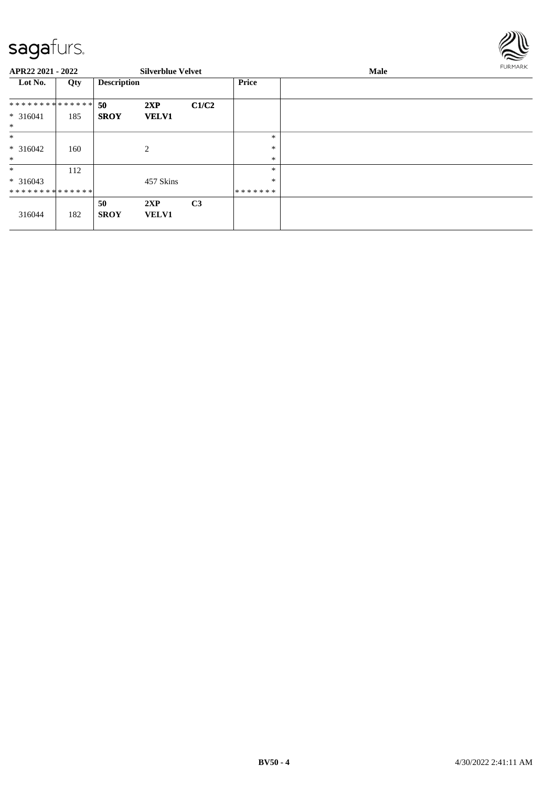

| APR22 2021 - 2022             |     |                    | <b>Silverblue Velvet</b> |                |              | <b>FURMARK</b> |  |
|-------------------------------|-----|--------------------|--------------------------|----------------|--------------|----------------|--|
| Lot No.                       | Qty | <b>Description</b> |                          |                | <b>Price</b> |                |  |
| * * * * * * * * * * * * * * * |     | 50                 | 2XP                      | C1/C2          |              |                |  |
| $* 316041$<br>$\ast$          | 185 | <b>SROY</b>        | <b>VELV1</b>             |                |              |                |  |
| $\ast$                        |     |                    |                          |                | *            |                |  |
| $* 316042$                    | 160 |                    | 2                        |                | $\ast$       |                |  |
| $\ast$                        |     |                    |                          |                | $\ast$       |                |  |
| $\ast$                        | 112 |                    |                          |                | $\ast$       |                |  |
| $* 316043$                    |     |                    | 457 Skins                |                | $\ast$       |                |  |
| **************                |     |                    |                          |                | *******      |                |  |
| 316044                        | 182 | 50<br><b>SROY</b>  | 2XP<br><b>VELV1</b>      | C <sub>3</sub> |              |                |  |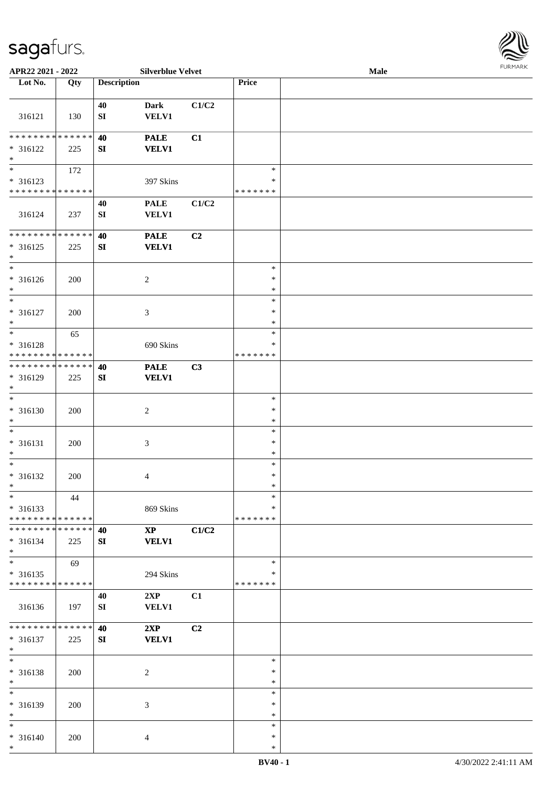\* \*

\* \*

\*

\*

\*

\* \*

\*

\*

\*

\*

\*

\*

\* \*

\* \*

\*

\*

\*

\*

\*

\* \* \* \* \* \* \* \* \* \* \* \* \* \* \* 316137 225

\* 316138 | 200 | 2

\* 316139 200 3

\* 316140 200 4

**APR22 2021 - 2022** 

| APR22 2021 - 2022                          |     |                    | <b>Silverblue Velvet</b> |                |               | <b>FURPIARA</b><br>Male |
|--------------------------------------------|-----|--------------------|--------------------------|----------------|---------------|-------------------------|
| Lot No.                                    | Qty | <b>Description</b> |                          |                | Price         |                         |
|                                            |     |                    |                          |                |               |                         |
|                                            |     | 40                 | <b>Dark</b>              | C1/C2          |               |                         |
| 316121                                     | 130 | ${\bf S}{\bf I}$   | <b>VELV1</b>             |                |               |                         |
|                                            |     |                    |                          |                |               |                         |
| * * * * * * * * <mark>* * * * * * *</mark> |     | 40                 | <b>PALE</b>              | C1             |               |                         |
| * 316122                                   | 225 | SI                 | <b>VELV1</b>             |                |               |                         |
| $\ast$                                     |     |                    |                          |                |               |                         |
|                                            | 172 |                    |                          |                | $\ast$        |                         |
| $* 316123$                                 |     |                    | 397 Skins                |                | ∗             |                         |
| * * * * * * * * <mark>* * * * * * *</mark> |     |                    |                          |                | *******       |                         |
|                                            |     | 40                 | <b>PALE</b>              | C1/C2          |               |                         |
| 316124                                     | 237 | SI                 | <b>VELV1</b>             |                |               |                         |
|                                            |     |                    |                          |                |               |                         |
| * * * * * * * * * * * * * *                |     | 40                 | <b>PALE</b>              | C <sub>2</sub> |               |                         |
| * 316125                                   | 225 | SI                 | <b>VELV1</b>             |                |               |                         |
| $\ast$                                     |     |                    |                          |                |               |                         |
| $\ast$                                     |     |                    |                          |                | $\ast$        |                         |
| * 316126                                   | 200 |                    | $\overline{2}$           |                | $\ast$        |                         |
| $\ast$                                     |     |                    |                          |                | $\ast$        |                         |
| $\ast$                                     |     |                    |                          |                | $\ast$        |                         |
| $* 316127$                                 | 200 |                    | $\mathfrak{Z}$           |                | $\ast$        |                         |
| $\ast$                                     |     |                    |                          |                | $\ast$        |                         |
| $\overline{\ast}$                          | 65  |                    |                          |                | $\ast$        |                         |
| * 316128                                   |     |                    | 690 Skins                |                | $\ast$        |                         |
| * * * * * * * * <mark>* * * * * *</mark>   |     |                    |                          |                | * * * * * * * |                         |
| * * * * * * * * * * * * * *                |     |                    | <b>PALE</b>              |                |               |                         |
|                                            |     | 40                 |                          | C3             |               |                         |
| * 316129<br>$\ast$                         | 225 | SI                 | <b>VELV1</b>             |                |               |                         |
| $\ast$                                     |     |                    |                          |                | $\ast$        |                         |
| $* 316130$                                 |     |                    |                          |                | ∗             |                         |
| $\ast$                                     | 200 |                    | 2                        |                | *             |                         |
| $\ast$                                     |     |                    |                          |                |               |                         |
|                                            |     |                    |                          |                | $\ast$        |                         |
| * 316131                                   | 200 |                    | 3                        |                | ∗             |                         |
| $\ast$                                     |     |                    |                          |                | $\ast$        |                         |
| $\ast$                                     |     |                    |                          |                | $\ast$        |                         |
| $* 316132$                                 | 200 |                    | 4                        |                | $\ast$        |                         |
| $*$ $-$                                    |     |                    |                          |                | $\ast$        |                         |
| $\ast$                                     | 44  |                    |                          |                | $\ast$        |                         |
| $* 316133$                                 |     |                    | 869 Skins                |                | $\ast$        |                         |
| * * * * * * * * <mark>* * * * * * *</mark> |     |                    |                          |                | *******       |                         |
| * * * * * * * * <mark>* * * * * *</mark>   |     | 40                 | $\mathbf{XP}$            | C1/C2          |               |                         |
| $* 316134$                                 | 225 | SI                 | <b>VELV1</b>             |                |               |                         |
| $\ast$                                     |     |                    |                          |                |               |                         |
| $\ast$                                     | 69  |                    |                          |                | $\ast$        |                         |
| $* 316135$                                 |     |                    | 294 Skins                |                | ∗             |                         |
| * * * * * * * * <mark>* * * * * *</mark>   |     |                    |                          |                | * * * * * * * |                         |
|                                            |     | 40                 | 2XP                      | C1             |               |                         |
| 316136                                     | 197 | SI                 | <b>VELV1</b>             |                |               |                         |
|                                            |     |                    |                          |                |               |                         |
|                                            |     |                    | 2XP                      | C <sub>2</sub> |               |                         |
| $* 316137$                                 | 225 | SI                 | <b>VELV1</b>             |                |               |                         |
|                                            |     |                    |                          |                |               |                         |

\* \* \*

\* \* \*

\* \*

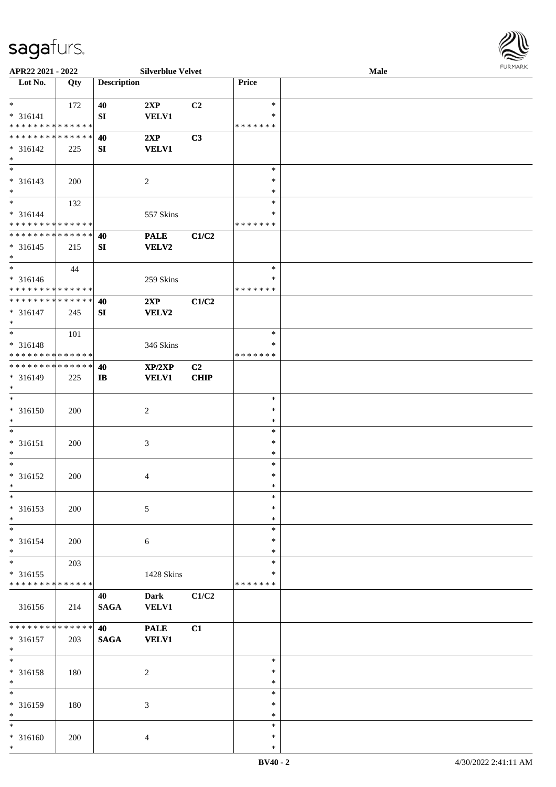

| APR22 2021 - 2022                                            |     |                    | <b>Silverblue Velvet</b> |                |                  | Male | <b>FURMARK</b> |
|--------------------------------------------------------------|-----|--------------------|--------------------------|----------------|------------------|------|----------------|
| Lot No.                                                      | Qty | <b>Description</b> |                          |                | Price            |      |                |
| $*$                                                          | 172 | 40                 | 2XP                      | C2             | $\ast$           |      |                |
| * 316141                                                     |     | SI                 | <b>VELV1</b>             |                | $\ast$           |      |                |
| * * * * * * * * * * * * * *<br>* * * * * * * * * * * * * *   |     |                    |                          |                | * * * * * * *    |      |                |
| $* 316142$                                                   | 225 | 40<br>SI           | 2XP<br><b>VELV1</b>      | C3             |                  |      |                |
| $\ast$                                                       |     |                    |                          |                |                  |      |                |
| $*$                                                          |     |                    |                          |                | $\ast$           |      |                |
| $* 316143$                                                   | 200 |                    | $\overline{c}$           |                | $\ast$           |      |                |
| $*$                                                          |     |                    |                          |                | $\ast$           |      |                |
| $*$                                                          | 132 |                    |                          |                | $\ast$           |      |                |
| * 316144                                                     |     |                    | 557 Skins                |                | ∗                |      |                |
| * * * * * * * * * * * * * *<br>* * * * * * * * * * * * * * * |     |                    |                          |                | * * * * * * *    |      |                |
| $* 316145$                                                   | 215 | 40<br>SI           | <b>PALE</b><br>VELV2     | C1/C2          |                  |      |                |
| $*$                                                          |     |                    |                          |                |                  |      |                |
| $\ast$                                                       | 44  |                    |                          |                | $\ast$           |      |                |
| $* 316146$                                                   |     |                    | 259 Skins                |                | $\ast$           |      |                |
| * * * * * * * * * * * * * *                                  |     |                    |                          |                | * * * * * * *    |      |                |
| * * * * * * * * * * * * * * *                                |     | 40                 | 2XP                      | C1/C2          |                  |      |                |
| * 316147                                                     | 245 | SI                 | VELV2                    |                |                  |      |                |
| $*$<br>$*$                                                   |     |                    |                          |                |                  |      |                |
|                                                              | 101 |                    |                          |                | $\ast$<br>*      |      |                |
| * 316148<br>* * * * * * * * * * * * * *                      |     |                    | 346 Skins                |                | * * * * * * *    |      |                |
| * * * * * * * * * * * * * * *                                |     | 40                 | XP/2XP                   | C <sub>2</sub> |                  |      |                |
| * 316149                                                     | 225 | $\mathbf{I}$       | <b>VELV1</b>             | <b>CHIP</b>    |                  |      |                |
| $\ast$                                                       |     |                    |                          |                |                  |      |                |
| $*$                                                          |     |                    |                          |                | $\ast$           |      |                |
| * 316150                                                     | 200 |                    | 2                        |                | $\ast$           |      |                |
| $\ast$<br>$*$                                                |     |                    |                          |                | $\ast$<br>$\ast$ |      |                |
| * 316151                                                     | 200 |                    | 3                        |                | $\ast$           |      |                |
| $\ast$                                                       |     |                    |                          |                | $\ast$           |      |                |
| $*$                                                          |     |                    |                          |                | $\ast$           |      |                |
| $* 316152$                                                   | 200 |                    | 4                        |                | $\ast$           |      |                |
| $\ast$                                                       |     |                    |                          |                | $\ast$           |      |                |
| $\ast$                                                       |     |                    |                          |                | $\ast$           |      |                |
| * 316153                                                     | 200 |                    | 5                        |                | $\ast$           |      |                |
| $*$                                                          |     |                    |                          |                | $\ast$           |      |                |
| $*$                                                          |     |                    |                          |                | $\ast$<br>$\ast$ |      |                |
| * 316154<br>$*$                                              | 200 |                    | 6                        |                | *                |      |                |
| $\overline{\ast}$                                            | 203 |                    |                          |                | $\ast$           |      |                |
| $* 316155$                                                   |     |                    | 1428 Skins               |                | $\ast$           |      |                |
| * * * * * * * * * * * * * *                                  |     |                    |                          |                | * * * * * * *    |      |                |
|                                                              |     | 40                 | <b>Dark</b>              | C1/C2          |                  |      |                |
| 316156                                                       | 214 | <b>SAGA</b>        | <b>VELV1</b>             |                |                  |      |                |
| ******** <mark>******</mark>                                 |     |                    |                          |                |                  |      |                |
|                                                              |     | 40                 | <b>PALE</b>              | C1             |                  |      |                |
| $* 316157$<br>$*$                                            | 203 | <b>SAGA</b>        | <b>VELV1</b>             |                |                  |      |                |
| $\overline{\ast}$                                            |     |                    |                          |                | $\ast$           |      |                |
| $* 316158$                                                   | 180 |                    | $\overline{c}$           |                | $\ast$           |      |                |
| $*$                                                          |     |                    |                          |                | $\ast$           |      |                |
| $\overline{\phantom{0}}$                                     |     |                    |                          |                | $\ast$           |      |                |
| $* 316159$                                                   | 180 |                    | $\mathfrak{Z}$           |                | $\ast$           |      |                |
| $*$                                                          |     |                    |                          |                | $\ast$           |      |                |
| $*$                                                          |     |                    |                          |                | $\ast$<br>$\ast$ |      |                |
| $* 316160$<br>$*$                                            | 200 |                    | 4                        |                | $\ast$           |      |                |
|                                                              |     |                    |                          |                |                  |      |                |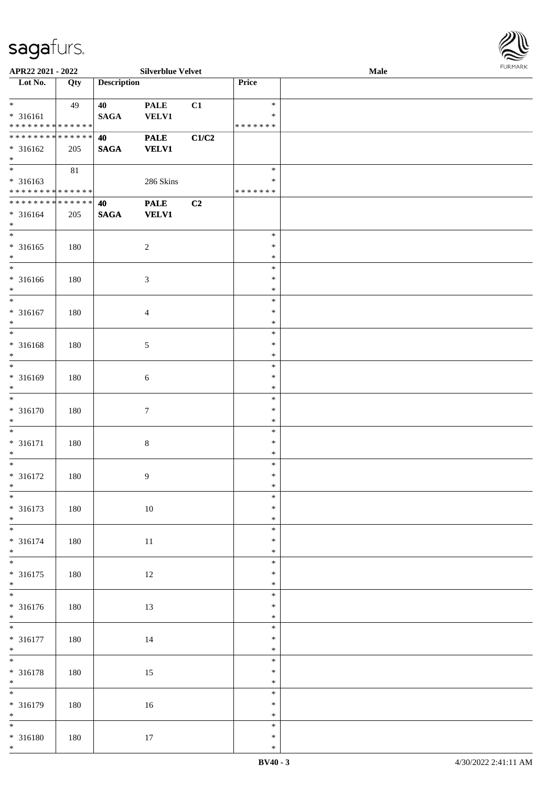| APR22 2021 - 2022                                             |     |                    | <b>Silverblue Velvet</b>    |       |                                   | <b>Male</b> |  |
|---------------------------------------------------------------|-----|--------------------|-----------------------------|-------|-----------------------------------|-------------|--|
| Lot No.                                                       | Qty | <b>Description</b> |                             |       | Price                             |             |  |
| $*$<br>* 316161<br>* * * * * * * * <mark>* * * * * * *</mark> | 49  | 40<br><b>SAGA</b>  | <b>PALE</b><br><b>VELV1</b> | C1    | $\ast$<br>$\ast$<br>*******       |             |  |
| * * * * * * * * * * * * * * *<br>* 316162<br>$\ast$           | 205 | 40<br><b>SAGA</b>  | <b>PALE</b><br><b>VELV1</b> | C1/C2 |                                   |             |  |
| * 316163<br>* * * * * * * * <mark>* * * * * * *</mark>        | 81  |                    | 286 Skins                   |       | $\ast$<br>$\ast$<br>* * * * * * * |             |  |
| * * * * * * * * * * * * * * <mark>*</mark><br>* 316164<br>$*$ | 205 | 40<br><b>SAGA</b>  | <b>PALE</b><br><b>VELV1</b> | C2    |                                   |             |  |
| $\overline{\ }$<br>$* 316165$<br>$\ast$                       | 180 |                    | $\sqrt{2}$                  |       | $\ast$<br>$\ast$<br>$\ast$        |             |  |
| * 316166<br>$*$                                               | 180 |                    | $\mathfrak{Z}$              |       | $\ast$<br>$\ast$<br>$\ast$        |             |  |
| $\overline{\ast}$<br>* 316167<br>$\ast$                       | 180 |                    | $\overline{4}$              |       | $\ast$<br>$\ast$<br>$\ast$        |             |  |
| $\overline{\phantom{0}}$<br>* 316168<br>$\ast$                | 180 |                    | $\mathfrak{S}$              |       | $\ast$<br>$\ast$<br>$\ast$        |             |  |
| $\overline{\phantom{0}}$<br>* 316169<br>$\ast$                | 180 |                    | $\sqrt{6}$                  |       | $\ast$<br>$\ast$<br>$\ast$        |             |  |
| * 316170<br>$*$                                               | 180 |                    | $\boldsymbol{7}$            |       | $\ast$<br>$\ast$<br>$\ast$        |             |  |
| $*$<br>* 316171<br>$\ast$                                     | 180 |                    | $\,8\,$                     |       | $\ast$<br>$\ast$<br>$\ast$        |             |  |
| $\ddot{x}$<br>* 316172<br>$\ddot{x}$                          | 180 |                    | $\overline{9}$              |       | $\ast$<br>$\ast$<br>$\ast$        |             |  |
| $\overline{\ast}$<br>* 316173<br>$*$                          | 180 |                    | $10\,$                      |       | $\ast$<br>$\ast$<br>$\ast$        |             |  |
| * 316174<br>$*$                                               | 180 |                    | 11                          |       | $\ast$<br>$\ast$<br>$\ast$        |             |  |
| $*$<br>* 316175<br>$*$                                        | 180 |                    | 12                          |       | $\ast$<br>$\ast$<br>$\ast$        |             |  |
| * 316176<br>$*$                                               | 180 |                    | 13                          |       | $\ast$<br>$\ast$<br>$\ast$        |             |  |
| $\overline{\mathbf{r}}$<br>* 316177<br>$*$                    | 180 |                    | 14                          |       | $\ast$<br>$\ast$<br>$\ast$        |             |  |
| * 316178<br>$*$                                               | 180 |                    | 15                          |       | $\ast$<br>$\ast$<br>$\ast$        |             |  |
| * 316179<br>$*$                                               | 180 |                    | 16                          |       | $\ast$<br>$\ast$<br>$\ast$        |             |  |
| $\overline{\mathbf{r}}$<br>* 316180                           | 180 |                    | 17                          |       | $\ast$<br>$\ast$                  |             |  |

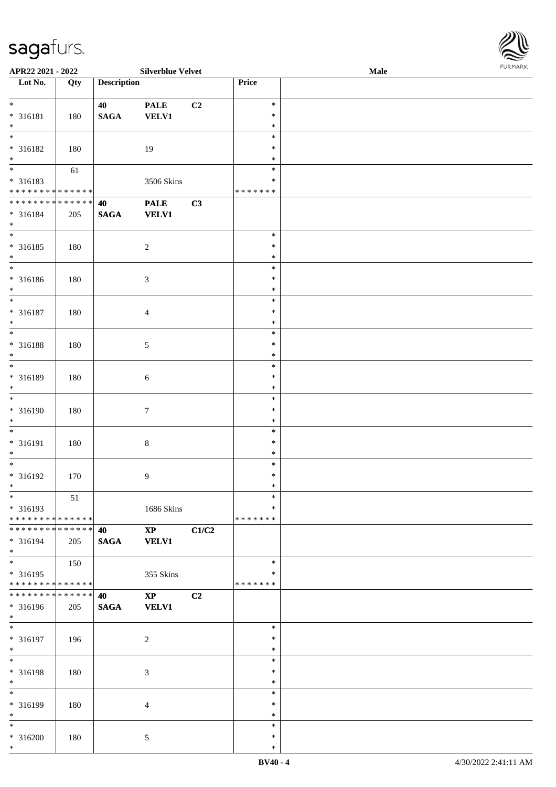| APR22 2021 - 2022             |     |                    | <b>Silverblue Velvet</b> |                |               | Male |  |
|-------------------------------|-----|--------------------|--------------------------|----------------|---------------|------|--|
| Lot No.                       | Qty | <b>Description</b> |                          |                | Price         |      |  |
|                               |     |                    |                          |                |               |      |  |
| $*$                           |     | 40                 | <b>PALE</b>              | C <sub>2</sub> | $\ast$        |      |  |
| * 316181                      | 180 | <b>SAGA</b>        | <b>VELV1</b>             |                | $\ast$        |      |  |
| $\ast$                        |     |                    |                          |                | $\ast$        |      |  |
| $\overline{\ast}$             |     |                    |                          |                | $\ast$        |      |  |
|                               |     |                    |                          |                |               |      |  |
| * 316182                      | 180 |                    | 19                       |                | $\ast$        |      |  |
| $*$                           |     |                    |                          |                | $\ast$        |      |  |
| $\overline{\phantom{0}}$      | 61  |                    |                          |                | $\ast$        |      |  |
| * 316183                      |     |                    | 3506 Skins               |                | $\ast$        |      |  |
| * * * * * * * * * * * * * *   |     |                    |                          |                | * * * * * * * |      |  |
| ******** <mark>******</mark>  |     | 40                 | <b>PALE</b>              | C3             |               |      |  |
| * 316184                      | 205 | $\mathbf{SAGA}$    | <b>VELV1</b>             |                |               |      |  |
| $*$                           |     |                    |                          |                |               |      |  |
| $*$                           |     |                    |                          |                | $\ast$        |      |  |
|                               |     |                    |                          |                |               |      |  |
| * 316185                      | 180 |                    | $\sqrt{2}$               |                | $\ast$        |      |  |
| $*$                           |     |                    |                          |                | $\ast$        |      |  |
| $\overline{\phantom{0}}$      |     |                    |                          |                | $\ast$        |      |  |
| $* 316186$                    | 180 |                    | $\mathfrak{Z}$           |                | $\ast$        |      |  |
| $*$                           |     |                    |                          |                | $\ast$        |      |  |
| $\ast$                        |     |                    |                          |                | $\ast$        |      |  |
|                               |     |                    |                          |                | $\ast$        |      |  |
| $* 316187$                    | 180 |                    | $\overline{4}$           |                |               |      |  |
| $*$                           |     |                    |                          |                | $\ast$        |      |  |
| $*$                           |     |                    |                          |                | $\ast$        |      |  |
| $* 316188$                    | 180 |                    | 5                        |                | $\ast$        |      |  |
| $\ast$                        |     |                    |                          |                | $\ast$        |      |  |
| $*$                           |     |                    |                          |                | $\ast$        |      |  |
| * 316189                      | 180 |                    | $\sqrt{6}$               |                | $\ast$        |      |  |
| $*$                           |     |                    |                          |                | $\ast$        |      |  |
| $*$                           |     |                    |                          |                |               |      |  |
|                               |     |                    |                          |                | $\ast$        |      |  |
| $* 316190$                    | 180 |                    | $\tau$                   |                | $\ast$        |      |  |
| $*$                           |     |                    |                          |                | $\ast$        |      |  |
| $*$                           |     |                    |                          |                | $\ast$        |      |  |
| * 316191                      | 180 |                    | $8\,$                    |                | $\ast$        |      |  |
| $*$                           |     |                    |                          |                | $\ast$        |      |  |
| $*$                           |     |                    |                          |                | $\ast$        |      |  |
|                               |     |                    |                          |                | $\ast$        |      |  |
| $* 316192$                    | 170 |                    | 9                        |                |               |      |  |
| $*$                           |     |                    |                          |                | $\ast$        |      |  |
| $\ast$                        | 51  |                    |                          |                | $\ast$        |      |  |
| * 316193                      |     |                    | 1686 Skins               |                | $\ast$        |      |  |
| * * * * * * * * * * * * * *   |     |                    |                          |                | * * * * * * * |      |  |
| * * * * * * * * * * * * * * * |     | 40                 | $\mathbf{X}\mathbf{P}$   | C1/C2          |               |      |  |
| * 316194                      | 205 | <b>SAGA</b>        | <b>VELV1</b>             |                |               |      |  |
| $*$                           |     |                    |                          |                |               |      |  |
| $*$                           |     |                    |                          |                |               |      |  |
|                               | 150 |                    |                          |                | $\ast$        |      |  |
| * 316195                      |     |                    | 355 Skins                |                | $\ast$        |      |  |
| * * * * * * * * * * * * * *   |     |                    |                          |                | * * * * * * * |      |  |
| * * * * * * * * * * * * * *   |     | 40                 | $\mathbf{X}\mathbf{P}$   | C <sub>2</sub> |               |      |  |
| * 316196                      | 205 | <b>SAGA</b>        | <b>VELV1</b>             |                |               |      |  |
| $*$                           |     |                    |                          |                |               |      |  |
| $*$                           |     |                    |                          |                | $\ast$        |      |  |
|                               |     |                    |                          |                |               |      |  |
| * 316197                      | 196 |                    | $\sqrt{2}$               |                | $\ast$        |      |  |
| $*$                           |     |                    |                          |                | $\ast$        |      |  |
| $*$                           |     |                    |                          |                | $\ast$        |      |  |
| * 316198                      | 180 |                    | $\mathfrak{Z}$           |                | $\ast$        |      |  |
| $*$                           |     |                    |                          |                | $\ast$        |      |  |
| $*$                           |     |                    |                          |                | $\ast$        |      |  |
|                               |     |                    |                          |                | $\ast$        |      |  |
| * 316199                      | 180 |                    | $\overline{4}$           |                |               |      |  |
| $*$                           |     |                    |                          |                | $\ast$        |      |  |
| $*$                           |     |                    |                          |                | $\ast$        |      |  |
| * 316200                      | 180 |                    | $\mathfrak{S}$           |                | $\ast$        |      |  |

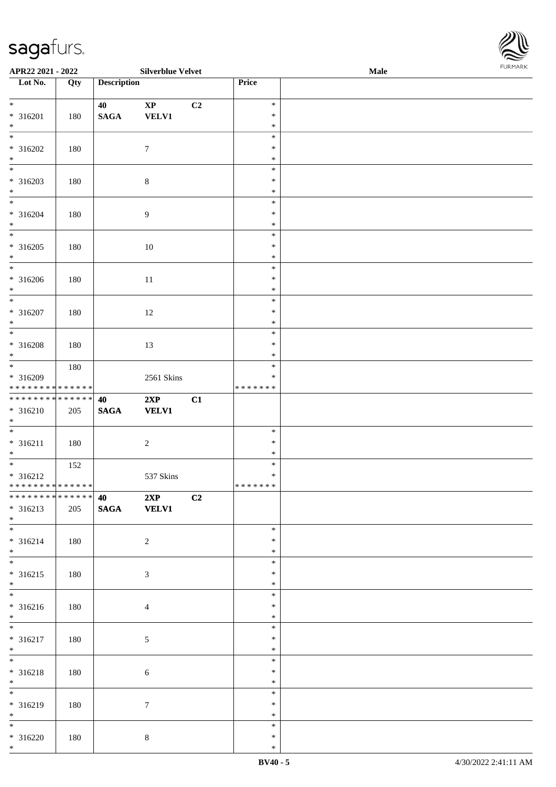| APR22 2021 - 2022                          |     |                    | <b>Silverblue Velvet</b> |    |               | Male |  |
|--------------------------------------------|-----|--------------------|--------------------------|----|---------------|------|--|
| Lot No.                                    | Qty | <b>Description</b> |                          |    | <b>Price</b>  |      |  |
|                                            |     |                    |                          |    |               |      |  |
| $*$                                        |     | 40                 | $\mathbf{X}\mathbf{P}$   | C2 | $\ast$        |      |  |
| $* 316201$                                 | 180 | <b>SAGA</b>        | <b>VELV1</b>             |    | $\ast$        |      |  |
| $\ast$                                     |     |                    |                          |    | $\ast$        |      |  |
| $\overline{\ }$                            |     |                    |                          |    | $\ast$        |      |  |
| $* 316202$                                 | 180 |                    | $\tau$                   |    | $\ast$        |      |  |
| $*$                                        |     |                    |                          |    | $\ast$        |      |  |
|                                            |     |                    |                          |    | $\ast$        |      |  |
|                                            |     |                    |                          |    |               |      |  |
| * 316203                                   | 180 |                    | $\,8\,$                  |    | $\ast$        |      |  |
| $*$                                        |     |                    |                          |    | $\ast$        |      |  |
| $\overline{\ast}$                          |     |                    |                          |    | $\ast$        |      |  |
| * 316204                                   | 180 |                    | $\boldsymbol{9}$         |    | $\ast$        |      |  |
| $*$                                        |     |                    |                          |    | $\ast$        |      |  |
| $\overline{\ast}$                          |     |                    |                          |    | $\ast$        |      |  |
| * 316205                                   | 180 |                    | 10                       |    | $\ast$        |      |  |
| $\ast$                                     |     |                    |                          |    | $\ast$        |      |  |
| $\overline{\phantom{0}}$                   |     |                    |                          |    | $\ast$        |      |  |
|                                            |     |                    |                          |    |               |      |  |
| * 316206                                   | 180 |                    | 11                       |    | $\ast$        |      |  |
| $\ast$                                     |     |                    |                          |    | $\ast$        |      |  |
|                                            |     |                    |                          |    | $\ast$        |      |  |
| $* 316207$                                 | 180 |                    | 12                       |    | $\ast$        |      |  |
| $\ast$                                     |     |                    |                          |    | $\ast$        |      |  |
|                                            |     |                    |                          |    | $\ast$        |      |  |
| * 316208                                   | 180 |                    | 13                       |    | $\ast$        |      |  |
| $\ast$                                     |     |                    |                          |    | $\ast$        |      |  |
| $\overline{\phantom{0}}$                   | 180 |                    |                          |    | $\ast$        |      |  |
|                                            |     |                    |                          |    | $\ast$        |      |  |
| * 316209                                   |     |                    | 2561 Skins               |    |               |      |  |
| ******** <mark>******</mark>               |     |                    |                          |    | * * * * * * * |      |  |
| **************                             |     | 40                 | 2XP                      | C1 |               |      |  |
| $* 316210$                                 | 205 | <b>SAGA</b>        | <b>VELV1</b>             |    |               |      |  |
| $*$                                        |     |                    |                          |    |               |      |  |
| $\ddot{x}$                                 |     |                    |                          |    | $\ast$        |      |  |
| $* 316211$                                 | 180 |                    | $\boldsymbol{2}$         |    | $\ast$        |      |  |
| $*$                                        |     |                    |                          |    | $\ast$        |      |  |
|                                            | 152 |                    |                          |    | $\ast$        |      |  |
| $* 316212$                                 |     |                    | 537 Skins                |    | $\ast$        |      |  |
| * * * * * * * * <mark>* * * * * * *</mark> |     |                    |                          |    | *******       |      |  |
| **************                             |     | $\frac{1}{40}$ 2XP |                          | C2 |               |      |  |
|                                            |     |                    |                          |    |               |      |  |
| * 316213                                   | 205 |                    | SAGA VELV1               |    |               |      |  |
| $*$                                        |     |                    |                          |    |               |      |  |
|                                            |     |                    |                          |    | $\ast$        |      |  |
| $* 316214$                                 | 180 |                    | $\overline{2}$           |    | $\ast$        |      |  |
| $*$                                        |     |                    |                          |    | $\ast$        |      |  |
|                                            |     |                    |                          |    | $\ast$        |      |  |
| * 316215                                   | 180 |                    | $\mathfrak{Z}$           |    | $\ast$        |      |  |
| $*$                                        |     |                    |                          |    | $\ast$        |      |  |
|                                            |     |                    |                          |    | $\ast$        |      |  |
|                                            |     |                    |                          |    | $\ast$        |      |  |
| $* 316216$                                 | 180 |                    | $\overline{4}$           |    |               |      |  |
| $*$<br>$\overline{\mathbf{r}}$             |     |                    |                          |    | $\ast$        |      |  |
|                                            |     |                    |                          |    | $\ast$        |      |  |
| $* 316217$                                 | 180 |                    | $\mathfrak{S}$           |    | $\ast$        |      |  |
| $*$                                        |     |                    |                          |    | $\ast$        |      |  |
|                                            |     |                    |                          |    | $\ast$        |      |  |
| * 316218                                   | 180 |                    | $\sqrt{6}$               |    | $\ast$        |      |  |
|                                            |     |                    |                          |    | $\ast$        |      |  |
| $*$                                        |     |                    |                          |    | $\ast$        |      |  |
| * 316219                                   | 180 |                    | $\tau$                   |    | $\ast$        |      |  |
| $*$                                        |     |                    |                          |    | $\ast$        |      |  |
| $\overline{\phantom{0}}$                   |     |                    |                          |    |               |      |  |
|                                            |     |                    |                          |    | $\ast$        |      |  |
| $* 316220$                                 | 180 |                    | $\,8\,$                  |    | $\ast$        |      |  |

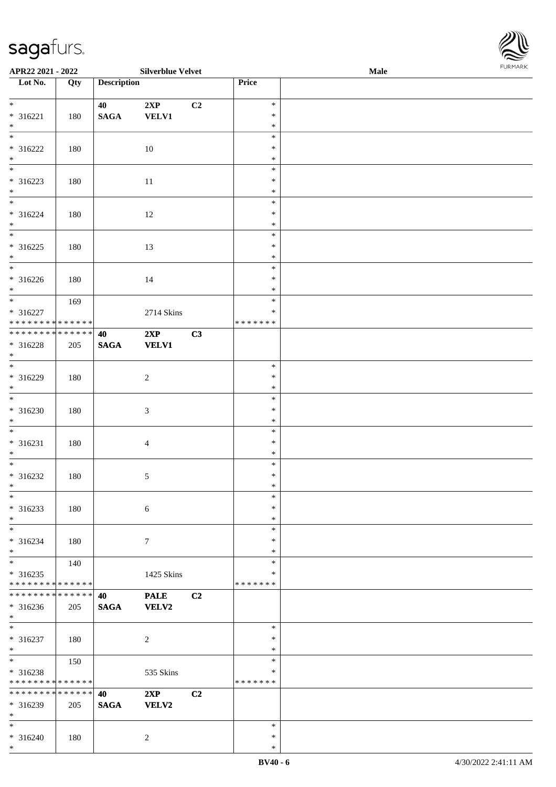| APR22 2021 - 2022                                    |     |                    | <b>Silverblue Velvet</b> |    |               | Male |  |
|------------------------------------------------------|-----|--------------------|--------------------------|----|---------------|------|--|
| Lot No.                                              | Qty | <b>Description</b> |                          |    | Price         |      |  |
|                                                      |     |                    |                          |    |               |      |  |
| $*$                                                  |     | 40                 | 2XP                      | C2 | $\ast$        |      |  |
| $* 316221$                                           | 180 | $\mathbf{SAGA}$    | <b>VELV1</b>             |    | $\ast$        |      |  |
| $*$                                                  |     |                    |                          |    | $\ast$        |      |  |
|                                                      |     |                    |                          |    | $\ast$        |      |  |
| * 316222                                             | 180 |                    | 10                       |    | $\ast$        |      |  |
| $*$                                                  |     |                    |                          |    | $\ast$        |      |  |
|                                                      |     |                    |                          |    | $\ast$        |      |  |
| $* 316223$                                           | 180 |                    | 11                       |    | $\ast$        |      |  |
| $*$                                                  |     |                    |                          |    | $\ast$        |      |  |
| $*$                                                  |     |                    |                          |    | $\ast$        |      |  |
| $* 316224$                                           | 180 |                    | 12                       |    | $\ast$        |      |  |
| $*$                                                  |     |                    |                          |    | $\ast$        |      |  |
|                                                      |     |                    |                          |    | $\ast$        |      |  |
| * 316225                                             | 180 |                    | 13                       |    | $\ast$        |      |  |
| $*$                                                  |     |                    |                          |    | $\ast$        |      |  |
|                                                      |     |                    |                          |    | $\ast$        |      |  |
| $* 316226$                                           | 180 |                    | 14                       |    | $\ast$        |      |  |
| $*$                                                  |     |                    |                          |    | $\ast$        |      |  |
| $*$                                                  | 169 |                    |                          |    | $\ast$        |      |  |
| * 316227                                             |     |                    | 2714 Skins               |    | $\ast$        |      |  |
| * * * * * * * * <mark>* * * * * *</mark>             |     |                    |                          |    | * * * * * * * |      |  |
| * * * * * * * * <mark>* * * * * * *</mark>           |     | 40                 | 2XP                      | C3 |               |      |  |
| * 316228                                             | 205 | <b>SAGA</b>        | <b>VELV1</b>             |    |               |      |  |
| $*$                                                  |     |                    |                          |    |               |      |  |
|                                                      |     |                    |                          |    | $\ast$        |      |  |
| * 316229                                             | 180 |                    | $\overline{c}$           |    | $\ast$        |      |  |
| $\ast$                                               |     |                    |                          |    | $\ast$        |      |  |
| $\ddot{x}$                                           |     |                    |                          |    | $\ast$        |      |  |
| $* 316230$                                           | 180 |                    | $\mathfrak{Z}$           |    | $\ast$        |      |  |
| $*$                                                  |     |                    |                          |    | $\ast$        |      |  |
| $\ddot{x}$                                           |     |                    |                          |    | $\ast$        |      |  |
| $* 316231$                                           | 180 |                    | $\overline{4}$           |    | $\ast$        |      |  |
| $\ast$                                               |     |                    |                          |    | $\ast$        |      |  |
| $\overline{\ast}$                                    |     |                    |                          |    | $\ast$        |      |  |
| $* 316232$                                           | 180 |                    | $\sqrt{5}$               |    | $\ast$        |      |  |
| $\ast$                                               |     |                    |                          |    | $\ast$        |      |  |
| $\ast$                                               |     |                    |                          |    | $\ast$        |      |  |
| * 316233                                             | 180 |                    | 6                        |    | $\ast$        |      |  |
| $*$                                                  |     |                    |                          |    | $\ast$        |      |  |
| $\ddot{x}$                                           |     |                    |                          |    | $\ast$        |      |  |
| * 316234                                             |     |                    |                          |    | $\ast$        |      |  |
| $\ast$                                               | 180 |                    | $\tau$                   |    | $\ast$        |      |  |
| $\ddot{x}$                                           | 140 |                    |                          |    | $\ast$        |      |  |
| $* 316235$                                           |     |                    |                          |    | ∗             |      |  |
| * * * * * * * * <mark>* * * * * * *</mark>           |     |                    | 1425 Skins               |    | *******       |      |  |
| * * * * * * * * * * * * * * <mark>*</mark>           |     | 40                 | <b>PALE</b>              | C2 |               |      |  |
|                                                      |     |                    | VELV2                    |    |               |      |  |
| * 316236<br>$*$                                      | 205 | <b>SAGA</b>        |                          |    |               |      |  |
| $\ast$                                               |     |                    |                          |    | $\ast$        |      |  |
|                                                      |     |                    |                          |    | $\ast$        |      |  |
| $* 316237$<br>$*$                                    | 180 |                    | 2                        |    | $\ast$        |      |  |
| $*$                                                  |     |                    |                          |    | $\ast$        |      |  |
|                                                      | 150 |                    |                          |    | $\ast$        |      |  |
| * 316238<br>* * * * * * * * <mark>* * * * * *</mark> |     |                    | 535 Skins                |    | *******       |      |  |
| * * * * * * * * <mark>* * * * * * *</mark>           |     |                    |                          |    |               |      |  |
|                                                      |     | 40                 | 2XP                      | C2 |               |      |  |
| * 316239                                             | 205 | <b>SAGA</b>        | <b>VELV2</b>             |    |               |      |  |
| $*$                                                  |     |                    |                          |    |               |      |  |
| $\ast$                                               |     |                    |                          |    | $\ast$        |      |  |
| $* 316240$                                           | 180 |                    | $\overline{2}$           |    | $\ast$        |      |  |

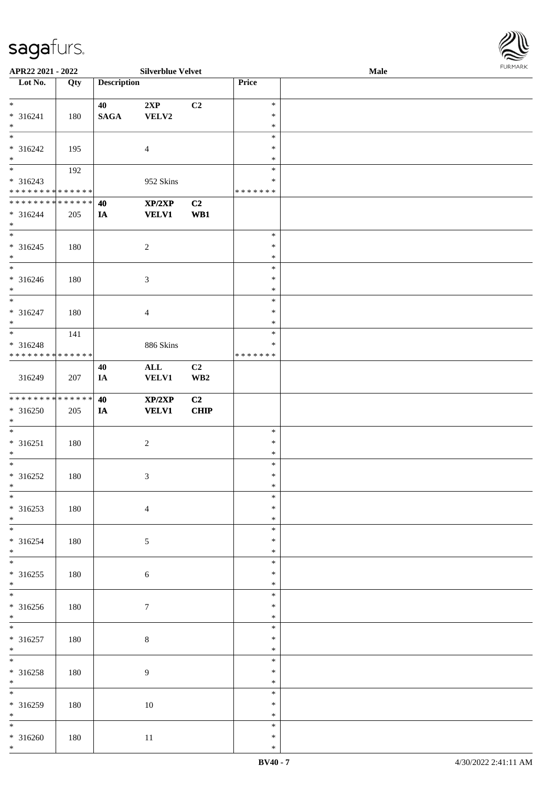\*

| $*$                                |     | 40          | 2XP              | C2             | $\ast$        |  |
|------------------------------------|-----|-------------|------------------|----------------|---------------|--|
| $* 316241$                         | 180 | <b>SAGA</b> | VELV2            |                | $\ast$        |  |
| $*$                                |     |             |                  |                | $\ast$        |  |
| $\overline{\phantom{a}^*}$         |     |             |                  |                | $\ast$        |  |
| $* 316242$                         | 195 |             | $\overline{4}$   |                | $\ast$        |  |
| $*$                                |     |             |                  |                | $\ast$        |  |
| $\ast$                             | 192 |             |                  |                | $\ast$        |  |
| $* 316243$                         |     |             | 952 Skins        |                | $\ast$        |  |
| **************<br>**************   |     |             |                  |                | * * * * * * * |  |
|                                    |     | 40          | XP/2XP           | C <sub>2</sub> |               |  |
| $* 316244$<br>$*$                  | 205 | IA          | <b>VELV1</b>     | WB1            |               |  |
| $\overline{\phantom{0}}$           |     |             |                  |                | $\ast$        |  |
| $* 316245$                         | 180 |             | $\overline{c}$   |                | $\ast$        |  |
| $*$                                |     |             |                  |                | $\ast$        |  |
| $\ast$                             |     |             |                  |                | $\ast$        |  |
| $* 316246$                         | 180 |             | $\mathfrak{Z}$   |                | ∗             |  |
| $*$                                |     |             |                  |                | $\ast$        |  |
| $\overline{\phantom{0}}$           |     |             |                  |                | $\ast$        |  |
| $* 316247$                         | 180 |             | $\overline{4}$   |                | $\ast$        |  |
| $*$                                |     |             |                  |                | $\ast$        |  |
|                                    | 141 |             |                  |                | $\ast$        |  |
| * 316248                           |     |             | 886 Skins        |                | $\ast$        |  |
| **************                     |     |             |                  |                | * * * * * * * |  |
|                                    |     | 40          | $\mathbf{ALL}$   | C <sub>2</sub> |               |  |
| 316249                             | 207 | IA          | <b>VELV1</b>     | WB2            |               |  |
|                                    |     |             |                  |                |               |  |
| **************                     |     | 40          | XP/2XP           | C <sub>2</sub> |               |  |
| $* 316250$                         | 205 | IA          | <b>VELV1</b>     | <b>CHIP</b>    |               |  |
| $*$                                |     |             |                  |                |               |  |
| $\overline{\phantom{0}}$           |     |             |                  |                | $\ast$        |  |
| $* 316251$                         | 180 |             | $\overline{c}$   |                | $\ast$        |  |
| $\ast$                             |     |             |                  |                | $\ast$        |  |
| $*$                                |     |             |                  |                | $\ast$        |  |
| $* 316252$                         | 180 |             | $\mathfrak{Z}$   |                | $\ast$        |  |
| $*$                                |     |             |                  |                | $\ast$        |  |
| $\overline{\phantom{0}}$           |     |             |                  |                | $\ast$        |  |
| $* 316253$                         | 180 |             | $\overline{4}$   |                | $\ast$        |  |
| $\ast$                             |     |             |                  |                | $\ast$        |  |
| $\ast$                             |     |             |                  |                | $\ast$        |  |
| * 316254                           | 180 |             | $\sqrt{5}$       |                | $\ast$        |  |
| $\ast$                             |     |             |                  |                | $\ast$        |  |
| $\ast$                             |     |             |                  |                | $\ast$        |  |
| $* 316255$                         | 180 |             | $\sqrt{6}$       |                | $\ast$        |  |
| $*$ $*$                            |     |             |                  |                | $\ast$        |  |
|                                    |     |             |                  |                | $\ast$        |  |
| $* 316256$                         | 180 |             | $\boldsymbol{7}$ |                | $\ast$        |  |
| $*$<br>$\overline{\phantom{a}^*}$  |     |             |                  |                | $\ast$        |  |
|                                    |     |             |                  |                | $\ast$        |  |
| $* 316257$<br>$\ast$               | 180 |             | $\,8\,$          |                | $\ast$        |  |
| $\overline{\ast}$                  |     |             |                  |                | $\ast$        |  |
|                                    |     |             |                  |                | $\ast$        |  |
| * 316258                           | 180 |             | $\overline{9}$   |                | $\ast$        |  |
| $\ast$<br>$\overline{\phantom{0}}$ |     |             |                  |                | $\ast$        |  |
|                                    |     |             |                  |                | $\ast$        |  |
| $* 316259$                         | 180 |             | $10\,$           |                | $\ast$        |  |
| $\ast$                             |     |             |                  |                | $\ast$        |  |
|                                    |     |             |                  |                | $\ast$        |  |
| $* 316260$                         | 180 |             | $11\,$           |                | $\ast$        |  |

 $\overline{\phantom{a}}$ 

**APR22 2021 - 2022 Silverblue Velvet Male**

**Lot No. Qty Description Price**

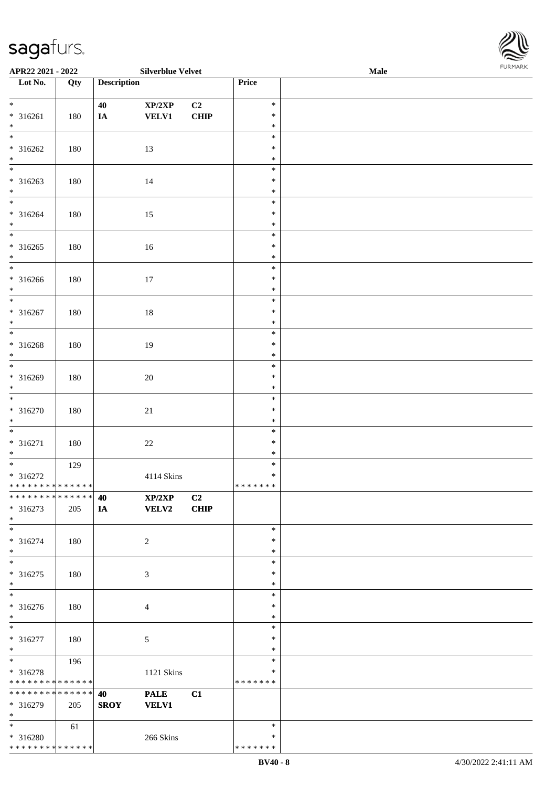\* \* \* \* \* \* \* \* \* \* \* \* \* \*

| APR22 2021 - 2022                  |             |                    | <b>Silverblue Velvet</b> |             |                  | FURMARK<br>Male |  |  |
|------------------------------------|-------------|--------------------|--------------------------|-------------|------------------|-----------------|--|--|
| Lot No.                            | Qty         | <b>Description</b> |                          |             | Price            |                 |  |  |
| $*$                                |             | 40                 | XP/2XP                   | C2          | $\ast$           |                 |  |  |
| $* 316261$                         | 180         | IA                 | VELV1                    | <b>CHIP</b> | $\ast$           |                 |  |  |
| $\ast$                             |             |                    |                          |             | $\ast$           |                 |  |  |
| $\frac{1}{*}$                      |             |                    |                          |             | $\ast$           |                 |  |  |
| $* 316262$                         | 180         |                    | 13                       |             | $\ast$           |                 |  |  |
| $*$<br>$\overline{\phantom{0}}$    |             |                    |                          |             | $\ast$<br>$\ast$ |                 |  |  |
| $* 316263$                         | $180\,$     |                    | $14\,$                   |             | $\ast$           |                 |  |  |
| $*$                                |             |                    |                          |             | $\ast$           |                 |  |  |
| $*$                                |             |                    |                          |             | $\ast$           |                 |  |  |
| $* 316264$                         | 180         |                    | 15                       |             | $\ast$           |                 |  |  |
| $*$                                |             |                    |                          |             | $\ast$           |                 |  |  |
| $\overline{\phantom{0}}$           |             |                    |                          |             | $\ast$           |                 |  |  |
| $* 316265$                         | 180         |                    | $16\,$                   |             | $\ast$           |                 |  |  |
| $*$<br>$\overline{\phantom{0}}$    |             |                    |                          |             | $\ast$           |                 |  |  |
|                                    |             |                    |                          |             | $\ast$           |                 |  |  |
| $* 316266$<br>$\ast$               | 180         |                    | $17\,$                   |             | $\ast$<br>$\ast$ |                 |  |  |
| $\overline{\phantom{0}}$           |             |                    |                          |             | $\ast$           |                 |  |  |
| * 316267                           | $180\,$     |                    | $18\,$                   |             | $\ast$           |                 |  |  |
| $\ast$                             |             |                    |                          |             | $\ast$           |                 |  |  |
| $\frac{1}{*}$                      |             |                    |                          |             | $\ast$           |                 |  |  |
| * 316268                           | 180         |                    | 19                       |             | $\ast$           |                 |  |  |
| $*$                                |             |                    |                          |             | $\ast$           |                 |  |  |
| $\overline{\phantom{0}}$           |             |                    |                          |             | $\ast$           |                 |  |  |
| $* 316269$                         | 180         |                    | $20\,$                   |             | $\ast$           |                 |  |  |
| $*$<br>$\overline{\ast}$           |             |                    |                          |             | $\ast$           |                 |  |  |
|                                    |             |                    |                          |             | $\ast$<br>$\ast$ |                 |  |  |
| $* 316270$<br>$\ast$               | 180         |                    | 21                       |             | $\ast$           |                 |  |  |
| $\overline{\phantom{0}}$           |             |                    |                          |             | $\ast$           |                 |  |  |
| $* 316271$                         | 180         |                    | $22\,$                   |             | $\ast$           |                 |  |  |
| $\ast$                             |             |                    |                          |             | $\ast$           |                 |  |  |
| $\overline{\ast}$                  | 129         |                    |                          |             | $\ast$           |                 |  |  |
| * 316272                           |             |                    | 4114 Skins               |             | $\ast$           |                 |  |  |
| **************                     |             |                    |                          |             | * * * * * * *    |                 |  |  |
| **************                     |             | 40                 | XP/2XP                   | C2          |                  |                 |  |  |
| * 316273                           | 205         | IA                 | <b>VELV2</b>             | CHIP        |                  |                 |  |  |
| $\ast$<br>$\overline{\phantom{0}}$ |             |                    |                          |             | $\ast$           |                 |  |  |
| $* 316274$                         | 180         |                    | $\boldsymbol{2}$         |             | $\ast$           |                 |  |  |
| $*$                                |             |                    |                          |             | $\ast$           |                 |  |  |
| $\overline{\phantom{a}^*}$         |             |                    |                          |             | $\ast$           |                 |  |  |
| $* 316275$                         | 180         |                    | 3                        |             | $\ast$           |                 |  |  |
| $\ast$                             |             |                    |                          |             | $\ast$           |                 |  |  |
| $\overline{\phantom{a}^*}$         |             |                    |                          |             | $\ast$           |                 |  |  |
| * 316276                           | 180         |                    | $\overline{4}$           |             | $\ast$           |                 |  |  |
| $*$                                |             |                    |                          |             | $\ast$           |                 |  |  |
| $\overline{\phantom{a}^*}$         |             |                    |                          |             | $\ast$           |                 |  |  |
| * 316277                           | 180         |                    | 5                        |             | $\ast$           |                 |  |  |
| $\ast$<br>$\ast$                   |             |                    |                          |             | $\ast$<br>$\ast$ |                 |  |  |
| * 316278                           | 196         |                    | 1121 Skins               |             | $\ast$           |                 |  |  |
| * * * * * * * *                    | * * * * * * |                    |                          |             | * * * * * * *    |                 |  |  |
| * * * * * * * * * * * * * *        |             | 40                 | <b>PALE</b>              | C1          |                  |                 |  |  |
| * 316279                           | 205         | <b>SROY</b>        | <b>VELV1</b>             |             |                  |                 |  |  |
| $\ast$                             |             |                    |                          |             |                  |                 |  |  |
| $\ast$                             | 61          |                    |                          |             | $\ast$           |                 |  |  |
| * 316280                           |             |                    | 266 Skins                |             | $\ast$           |                 |  |  |

\* \* \* \* \* \* \*

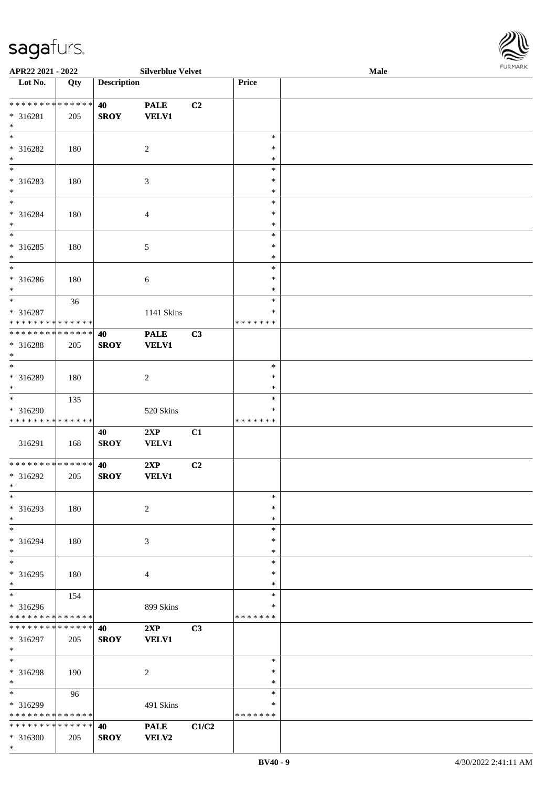

| APR22 2021 - 2022                    |     |                    | <b>Silverblue Velvet</b> |       |               | Male |
|--------------------------------------|-----|--------------------|--------------------------|-------|---------------|------|
| Lot No.                              | Qty | <b>Description</b> |                          |       | Price         |      |
|                                      |     |                    |                          |       |               |      |
| **************                       |     | 40                 | <b>PALE</b>              | C2    |               |      |
| * 316281                             | 205 | <b>SROY</b>        | <b>VELV1</b>             |       |               |      |
| $\ast$                               |     |                    |                          |       |               |      |
| $\ast$                               |     |                    |                          |       | $\ast$        |      |
|                                      |     |                    |                          |       |               |      |
| * 316282                             | 180 |                    | $\overline{2}$           |       | $\ast$        |      |
| $\ast$                               |     |                    |                          |       | ∗             |      |
| $\overline{\phantom{0}}$             |     |                    |                          |       | $\ast$        |      |
| * 316283                             | 180 |                    | $\mathfrak{Z}$           |       | $\ast$        |      |
| $*$                                  |     |                    |                          |       | $\ast$        |      |
| $\overline{\ast}$                    |     |                    |                          |       | $\ast$        |      |
| * 316284                             | 180 |                    | $\overline{4}$           |       | $\ast$        |      |
| $\ast$                               |     |                    |                          |       | $\ast$        |      |
| $\overline{\ast}$                    |     |                    |                          |       | $\ast$        |      |
| $* 316285$                           | 180 |                    | $5\,$                    |       | $\ast$        |      |
| $\ast$                               |     |                    |                          |       | $\ast$        |      |
| $\overline{\phantom{0}}$             |     |                    |                          |       |               |      |
|                                      |     |                    |                          |       | $\ast$        |      |
| $* 316286$                           | 180 |                    | $\sqrt{6}$               |       | $\ast$        |      |
| $*$                                  |     |                    |                          |       | $\ast$        |      |
| $\overline{\ast}$                    | 36  |                    |                          |       | $\ast$        |      |
| $* 316287$                           |     |                    | 1141 Skins               |       | ∗             |      |
| * * * * * * * * * * * * * *          |     |                    |                          |       | * * * * * * * |      |
| **************                       |     | 40                 | <b>PALE</b>              | C3    |               |      |
| * 316288                             | 205 | <b>SROY</b>        | <b>VELV1</b>             |       |               |      |
| $\ast$                               |     |                    |                          |       |               |      |
| $\ast$                               |     |                    |                          |       | $\ast$        |      |
| * 316289                             |     |                    |                          |       | $\ast$        |      |
|                                      | 180 |                    | $\sqrt{2}$               |       | $\ast$        |      |
| $\ast$<br>$\overline{\phantom{a}^*}$ |     |                    |                          |       |               |      |
|                                      | 135 |                    |                          |       | $\ast$        |      |
| * 316290                             |     |                    | 520 Skins                |       | ∗             |      |
| * * * * * * * * * * * * * *          |     |                    |                          |       | * * * * * * * |      |
|                                      |     | 40                 | 2XP                      | C1    |               |      |
| 316291                               | 168 | <b>SROY</b>        | <b>VELV1</b>             |       |               |      |
|                                      |     |                    |                          |       |               |      |
| **************                       |     | 40                 | 2XP                      | C2    |               |      |
| $* 316292$                           | 205 | <b>SROY</b>        | <b>VELV1</b>             |       |               |      |
| $*$                                  |     |                    |                          |       |               |      |
| $*$                                  |     |                    |                          |       | $\ast$        |      |
| * 316293                             | 180 |                    | $\overline{c}$           |       | ∗             |      |
|                                      |     |                    |                          |       |               |      |
| $*$<br>$\ast$                        |     |                    |                          |       | $\ast$        |      |
|                                      |     |                    |                          |       | $\ast$        |      |
| * 316294                             | 180 |                    | 3                        |       | ∗             |      |
| $\ast$                               |     |                    |                          |       | *             |      |
| $\ast$                               |     |                    |                          |       | $\ast$        |      |
| * 316295                             | 180 |                    | 4                        |       | ∗             |      |
| $*$                                  |     |                    |                          |       | *             |      |
| $\ast$                               | 154 |                    |                          |       | $\ast$        |      |
| * 316296                             |     |                    | 899 Skins                |       | *             |      |
| * * * * * * * * * * * * * *          |     |                    |                          |       | * * * * * * * |      |
| * * * * * * * * * * * * * * *        |     | 40                 | 2XP                      | C3    |               |      |
|                                      |     |                    |                          |       |               |      |
| * 316297                             | 205 | <b>SROY</b>        | <b>VELV1</b>             |       |               |      |
| $*$                                  |     |                    |                          |       |               |      |
| $\ast$                               |     |                    |                          |       | $\ast$        |      |
| * 316298                             | 190 |                    | 2                        |       | $\ast$        |      |
| $*$                                  |     |                    |                          |       | $\ast$        |      |
| $\ast$                               | 96  |                    |                          |       | $\ast$        |      |
| * 316299                             |     |                    | 491 Skins                |       | ∗             |      |
| * * * * * * * * * * * * * *          |     |                    |                          |       | * * * * * * * |      |
| * * * * * * * * * * * * * * *        |     | 40                 | <b>PALE</b>              | C1/C2 |               |      |
| $* 316300$                           | 205 | <b>SROY</b>        | <b>VELV2</b>             |       |               |      |
| $*$                                  |     |                    |                          |       |               |      |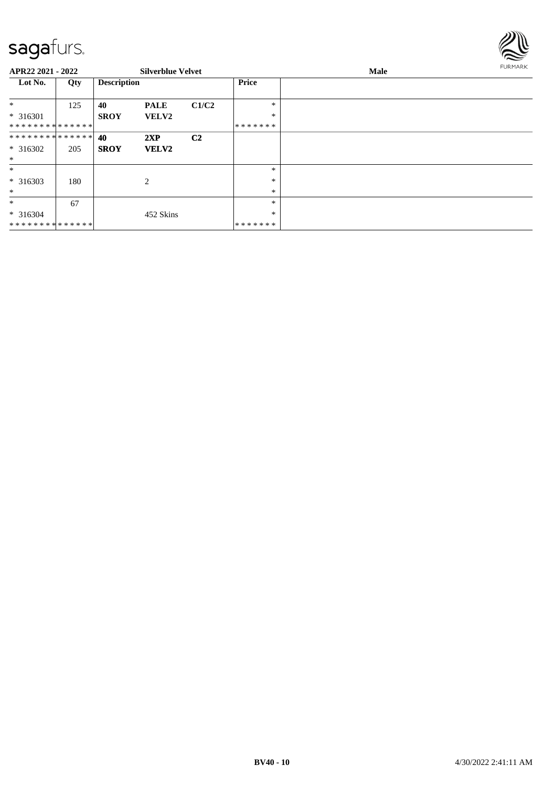

| APR22 2021 - 2022             |     |                    | <b>Silverblue Velvet</b> |                |              | <b>Male</b> | <b>FURMARK</b> |
|-------------------------------|-----|--------------------|--------------------------|----------------|--------------|-------------|----------------|
| Lot No.                       | Qty | <b>Description</b> |                          |                | <b>Price</b> |             |                |
| $\ast$                        | 125 | 40                 | <b>PALE</b>              | C1/C2          | *            |             |                |
| $* 316301$                    |     | <b>SROY</b>        | <b>VELV2</b>             |                | *            |             |                |
| **************                |     |                    |                          |                | *******      |             |                |
| * * * * * * * * * * * * * * * |     | 40                 | 2XP                      | C <sub>2</sub> |              |             |                |
| $* 316302$                    | 205 | <b>SROY</b>        | <b>VELV2</b>             |                |              |             |                |
| $\ast$                        |     |                    |                          |                |              |             |                |
| $\ast$                        |     |                    |                          |                | $\ast$       |             |                |
| $* 316303$                    | 180 |                    | 2                        |                | $\ast$       |             |                |
| $\ast$                        |     |                    |                          |                | $\ast$       |             |                |
| $\ast$                        | 67  |                    |                          |                | $\ast$       |             |                |
| $* 316304$                    |     |                    | 452 Skins                |                | *            |             |                |
| **************                |     |                    |                          |                | *******      |             |                |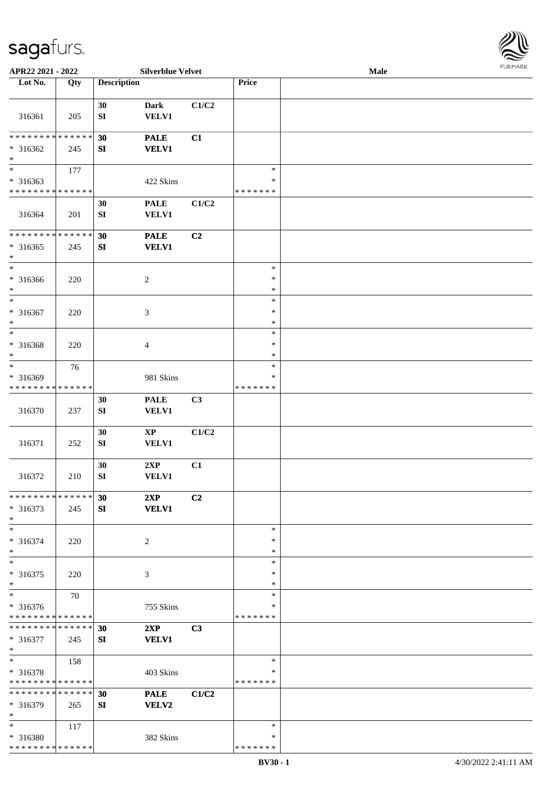$\mathbf{I}$ 

|                               |     | 30                     | <b>Dark</b>                 | C1/C2 |                  |  |
|-------------------------------|-----|------------------------|-----------------------------|-------|------------------|--|
| 316361                        | 205 | ${\bf S}{\bf I}$       | <b>VELV1</b>                |       |                  |  |
| **************                |     |                        |                             |       |                  |  |
| * 316362                      | 245 | 30<br>${\bf S}{\bf I}$ | <b>PALE</b><br><b>VELV1</b> | C1    |                  |  |
| $\ast$                        |     |                        |                             |       |                  |  |
| $\overline{\phantom{a}}$      | 177 |                        |                             |       | $\ast$           |  |
| $* 316363$                    |     |                        | 422 Skins                   |       | ∗                |  |
| **************                |     |                        |                             |       | *******          |  |
|                               |     | 30                     | <b>PALE</b>                 | C1/C2 |                  |  |
| 316364                        | 201 | ${\bf SI}$             | <b>VELV1</b>                |       |                  |  |
| **************                |     | 30                     | <b>PALE</b>                 | C2    |                  |  |
| $* 316365$                    | 245 | SI                     | <b>VELV1</b>                |       |                  |  |
| $\ast$                        |     |                        |                             |       |                  |  |
| $\ast$                        |     |                        |                             |       | $\ast$           |  |
| * 316366                      | 220 |                        | 2                           |       | ∗                |  |
| $\ast$<br>$\overline{\ast}$   |     |                        |                             |       | ∗                |  |
|                               |     |                        |                             |       | $\ast$           |  |
| $* 316367$<br>$\ast$          | 220 |                        | 3                           |       | $\ast$<br>$\ast$ |  |
| $_{*}^{-}$                    |     |                        |                             |       | $\ast$           |  |
| * 316368                      | 220 |                        | $\overline{4}$              |       | $\ast$           |  |
| $\ast$                        |     |                        |                             |       | $\ast$           |  |
| $\ast$                        | 76  |                        |                             |       | $\ast$           |  |
| * 316369                      |     |                        | 981 Skins                   |       | ∗                |  |
| * * * * * * * * * * * * * *   |     |                        |                             |       | *******          |  |
| 316370                        | 237 | 30<br>${\bf S}{\bf I}$ | <b>PALE</b><br><b>VELV1</b> | C3    |                  |  |
|                               |     |                        |                             |       |                  |  |
|                               |     | 30                     | $\bold{XP}$                 | C1/C2 |                  |  |
| 316371                        | 252 | ${\bf S}{\bf I}$       | <b>VELV1</b>                |       |                  |  |
|                               |     |                        |                             |       |                  |  |
|                               |     | 30                     | 2XP                         | C1    |                  |  |
| 316372                        | 210 | SI                     | <b>VELV1</b>                |       |                  |  |
| ******** <mark>*****</mark> * |     | 30                     | 2XP                         | C2    |                  |  |
| $* 316373$                    | 245 | SI                     | <b>VELV1</b>                |       |                  |  |
|                               |     |                        |                             |       |                  |  |
| $\ast$                        |     |                        |                             |       | *                |  |
| $* 316374$                    | 220 |                        | $\overline{c}$              |       | ∗                |  |
| $\ast$<br>$\ast$              |     |                        |                             |       | $\ast$<br>$\ast$ |  |
| $* 316375$                    | 220 |                        | 3                           |       | *                |  |
| $\ast$                        |     |                        |                             |       | $\ast$           |  |
| $\ast$                        | 70  |                        |                             |       | $\ast$           |  |
| * 316376                      |     |                        | 755 Skins                   |       | ∗                |  |
| * * * * * * * * * * * * * *   |     |                        |                             |       | * * * * * * *    |  |
| ******** <mark>*****</mark> * |     | 30                     | 2XP                         | C3    |                  |  |
| $* 316377$<br>$\ast$          | 245 | SI                     | <b>VELV1</b>                |       |                  |  |
| $*$                           | 158 |                        |                             |       | $\ast$           |  |
| * 316378                      |     |                        | 403 Skins                   |       | ∗                |  |
| * * * * * * * * * * * * * *   |     |                        |                             |       | * * * * * * *    |  |
| **************                |     | 30                     | <b>PALE</b>                 | C1/C2 |                  |  |
| * 316379                      | 265 | SI                     | VELV2                       |       |                  |  |
| $\ast$<br>$\ast$              |     |                        |                             |       | $\ast$           |  |
| $* 316380$                    | 117 |                        | 382 Skins                   |       | ∗                |  |
| **************                |     |                        |                             |       | * * * * * * *    |  |

**APR22 2021 - 2022 Silverblue Velvet Male**

**Lot No. Qty Description Price**

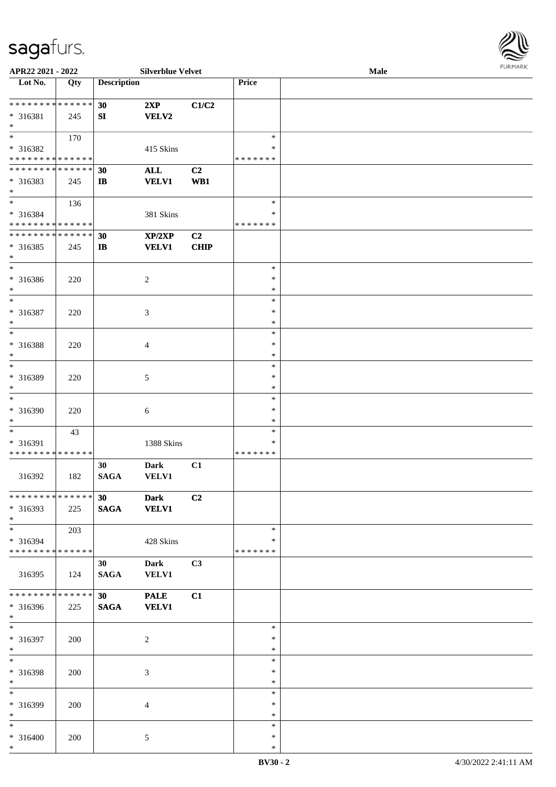

| APR22 2021 - 2022            |     |                    | <b>Silverblue Velvet</b> |                |               | <b>Male</b> |
|------------------------------|-----|--------------------|--------------------------|----------------|---------------|-------------|
| Lot No.                      | Qty | <b>Description</b> |                          |                | Price         |             |
|                              |     |                    |                          |                |               |             |
| * * * * * * * * * * * * * *  |     | 30                 | 2XP                      | C1/C2          |               |             |
|                              |     |                    |                          |                |               |             |
| * 316381                     | 245 | SI                 | VELV2                    |                |               |             |
| $*$                          |     |                    |                          |                |               |             |
|                              | 170 |                    |                          |                | $\ast$        |             |
| * 316382                     |     |                    | 415 Skins                |                | ∗             |             |
| * * * * * * * * * * * * * *  |     |                    |                          |                | * * * * * * * |             |
| * * * * * * * * * * * * * *  |     | 30                 | <b>ALL</b>               | C <sub>2</sub> |               |             |
|                              |     |                    |                          | WB1            |               |             |
| * 316383                     | 245 | $\mathbf{I}$       | <b>VELV1</b>             |                |               |             |
| $*$                          |     |                    |                          |                |               |             |
| $*$                          | 136 |                    |                          |                | $\ast$        |             |
| * 316384                     |     |                    | 381 Skins                |                | $\ast$        |             |
| * * * * * * * * * * * * * *  |     |                    |                          |                | *******       |             |
| * * * * * * * * * * * * * *  |     | 30                 | XP/2XP                   | C2             |               |             |
| $* 316385$                   | 245 | $\mathbf{I}$       | <b>VELV1</b>             | <b>CHIP</b>    |               |             |
| $*$                          |     |                    |                          |                |               |             |
| $*$                          |     |                    |                          |                |               |             |
|                              |     |                    |                          |                | $\ast$        |             |
| * 316386                     | 220 |                    | $\overline{c}$           |                | $\ast$        |             |
| $*$                          |     |                    |                          |                | $\ast$        |             |
| $*$                          |     |                    |                          |                | $\ast$        |             |
| * 316387                     | 220 |                    | 3                        |                | $\ast$        |             |
| $\ast$                       |     |                    |                          |                | $\ast$        |             |
| $*$                          |     |                    |                          |                | $\ast$        |             |
|                              |     |                    |                          |                |               |             |
| * 316388                     | 220 |                    | 4                        |                | $\ast$        |             |
| $\ast$                       |     |                    |                          |                | $\ast$        |             |
| $*$                          |     |                    |                          |                | $\ast$        |             |
| * 316389                     | 220 |                    | 5                        |                | $\ast$        |             |
| $*$                          |     |                    |                          |                | $\ast$        |             |
| $*$                          |     |                    |                          |                | $\ast$        |             |
|                              |     |                    |                          |                |               |             |
| * 316390                     | 220 |                    | 6                        |                | $\ast$        |             |
| $*$                          |     |                    |                          |                | $\ast$        |             |
| $*$                          | 43  |                    |                          |                | $\ast$        |             |
| * 316391                     |     |                    | 1388 Skins               |                | $\ast$        |             |
| * * * * * * * * * * * * * *  |     |                    |                          |                | *******       |             |
|                              |     | 30                 | <b>Dark</b>              | C1             |               |             |
|                              |     |                    |                          |                |               |             |
| 316392                       | 182 | <b>SAGA</b>        | <b>VELV1</b>             |                |               |             |
|                              |     |                    |                          |                |               |             |
| ******** <mark>******</mark> |     | 30                 | <b>Dark</b>              | C <sub>2</sub> |               |             |
| * 316393                     | 225 | <b>SAGA</b>        | <b>VELV1</b>             |                |               |             |
| $*$                          |     |                    |                          |                |               |             |
| $*$ $*$                      | 203 |                    |                          |                | $\ast$        |             |
|                              |     |                    |                          |                | ∗             |             |
| * 316394                     |     |                    | 428 Skins                |                |               |             |
| ******** <mark>******</mark> |     |                    |                          |                | * * * * * * * |             |
|                              |     | 30                 | <b>Dark</b>              | C3             |               |             |
| 316395                       | 124 | <b>SAGA</b>        | <b>VELV1</b>             |                |               |             |
|                              |     |                    |                          |                |               |             |
| ******** <mark>******</mark> |     | 30                 | <b>PALE</b>              | C1             |               |             |
| * 316396                     |     | <b>SAGA</b>        | <b>VELV1</b>             |                |               |             |
|                              | 225 |                    |                          |                |               |             |
| $*$                          |     |                    |                          |                |               |             |
| $*$                          |     |                    |                          |                | $\ast$        |             |
| * 316397                     | 200 |                    | $\sqrt{2}$               |                | $\ast$        |             |
| $*$                          |     |                    |                          |                | $\ast$        |             |
| $*$                          |     |                    |                          |                | $\ast$        |             |
|                              |     |                    |                          |                | $\ast$        |             |
| * 316398                     | 200 |                    | 3                        |                |               |             |
| $*$                          |     |                    |                          |                | $\ast$        |             |
| $*$                          |     |                    |                          |                | $\ast$        |             |
| * 316399                     | 200 |                    | $\overline{4}$           |                | $\ast$        |             |
| $*$                          |     |                    |                          |                | $\ast$        |             |
| $*$                          |     |                    |                          |                | $\ast$        |             |
| $* 316400$                   |     |                    |                          |                | $\ast$        |             |
|                              | 200 |                    | $\mathfrak{S}$           |                |               |             |
| $*$                          |     |                    |                          |                | $\ast$        |             |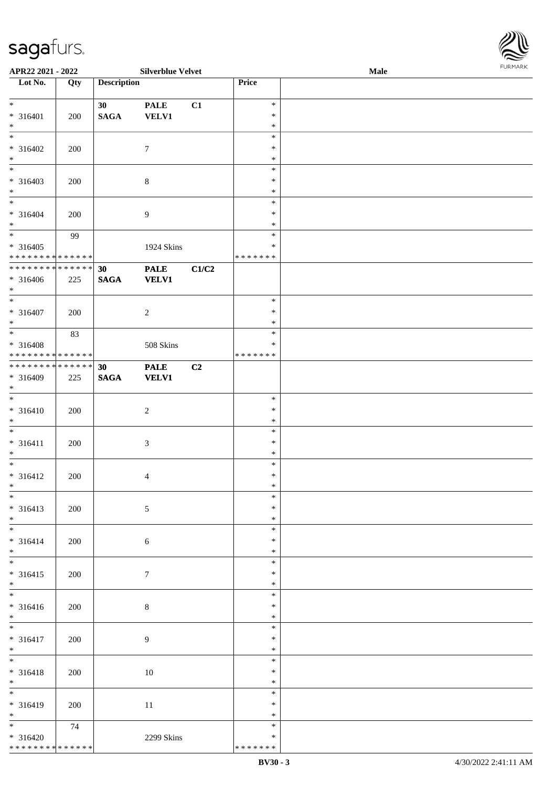| Lot No.                                                                 | Qty               | <b>Description</b>                 |                             |       | Price                             |  |
|-------------------------------------------------------------------------|-------------------|------------------------------------|-----------------------------|-------|-----------------------------------|--|
| $\overline{\ast}$<br>* 316401<br>$\ast$                                 | 200               | 30 <sup>°</sup><br>$\mathbf{SAGA}$ | <b>PALE</b><br><b>VELV1</b> | C1    | $\ast$<br>$\ast$<br>$\ast$        |  |
| $\overline{\phantom{a}^*}$<br>$* 316402$<br>$\ast$                      | 200               |                                    | $\boldsymbol{7}$            |       | $\ast$<br>$\ast$<br>$\ast$        |  |
| $\overline{\phantom{0}}$<br>$* 316403$<br>$\ast$                        | 200               |                                    | $\,8\,$                     |       | $\ast$<br>$\ast$<br>$\ast$        |  |
| $\overline{\phantom{0}}$<br>$* 316404$<br>$*$                           | 200               |                                    | $\overline{9}$              |       | $\ast$<br>$\ast$<br>$\ast$        |  |
| $\overline{\phantom{a}^*}$<br>$* 316405$<br>* * * * * * * * * * * * * * | 99                |                                    | 1924 Skins                  |       | $\ast$<br>$\ast$<br>* * * * * * * |  |
| ******** <mark>******</mark><br>$* 316406$<br>$*$                       | 225               | 30<br>$\mathbf{SAGA}$              | <b>PALE</b><br><b>VELV1</b> | C1/C2 |                                   |  |
| $\overline{\phantom{a}^*}$<br>$* 316407$<br>$*$                         | 200               |                                    | $\sqrt{2}$                  |       | $\ast$<br>$\ast$<br>$\ast$        |  |
| $\overline{\phantom{a}^*}$<br>* 316408<br>**************                | 83                |                                    | $508~\mathrm{Skins}$        |       | $\ast$<br>$\ast$<br>* * * * * * * |  |
| **************                                                          |                   | 30                                 | <b>PALE</b>                 | C2    |                                   |  |
| * 316409<br>$*$                                                         | 225               | $\mathbf{SAGA}$                    | <b>VELV1</b>                |       |                                   |  |
| $\frac{1}{*}$<br>$* 316410$<br>$*$                                      | 200               |                                    | $\sqrt{2}$                  |       | $\ast$<br>$\ast$<br>$\ast$        |  |
| $\overline{\phantom{0}}$<br>$* 316411$<br>$*$                           | 200               |                                    | $\sqrt{3}$                  |       | $\ast$<br>$\ast$<br>$\ast$        |  |
| $*$<br>$* 316412$<br>$*$                                                | 200               |                                    | $\overline{4}$              |       | $\ast$<br>$\ast$<br>$\ast$        |  |
| $* 316413$<br>$\ast$                                                    | 200               |                                    | $\sqrt{5}$                  |       | $\ast$<br>$\ast$<br>$\ast$        |  |
| $\frac{1}{1}$<br>$* 316414$<br>$\ast$                                   | 200               |                                    | $\sqrt{6}$                  |       | $\ast$<br>$\ast$<br>$\ast$        |  |
| $\ast$<br>$* 316415$<br>$*$                                             | 200               |                                    | $\tau$                      |       | $\ast$<br>$\ast$<br>$\ast$        |  |
| $\overline{\phantom{0}}$<br>$* 316416$<br>$*$                           | 200               |                                    | $8\,$                       |       | $\ast$<br>$\ast$<br>$\ast$        |  |
| $\overline{\phantom{0}}$<br>$* 316417$<br>$*$                           | 200               |                                    | $\overline{9}$              |       | $\ast$<br>$\ast$<br>$\ast$        |  |
| $\ast$<br>$* 316418$<br>$*$                                             | 200               |                                    | $10\,$                      |       | $\ast$<br>$\ast$<br>$\ast$        |  |
| $\frac{1}{*}$<br>$* 316419$<br>$\ast$                                   | 200               |                                    | $11\,$                      |       | $\ast$<br>$\ast$<br>$\ast$        |  |
| $\overline{\phantom{0}}$<br>$* 316420$<br>* * * * * * * *               | 74<br>* * * * * * |                                    | 2299 Skins                  |       | $\ast$<br>$\ast$<br>* * * * * * * |  |

**APR22 2021 - 2022 Silverblue Velvet Male**

\* \* \* \* \* \* \*

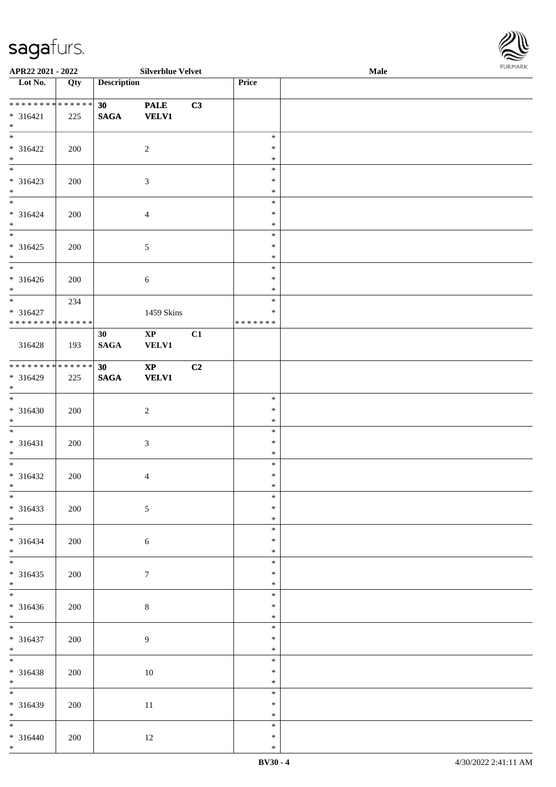

| APR22 2021 - 2022                                                              |     |                                | <b>Silverblue Velvet</b>               |    |                                   | <b>Male</b> | . |
|--------------------------------------------------------------------------------|-----|--------------------------------|----------------------------------------|----|-----------------------------------|-------------|---|
| $\overline{\phantom{1}}$ Lot No.                                               | Qty | <b>Description</b>             |                                        |    | Price                             |             |   |
| **************<br>$* 316421$<br>$*$                                            | 225 | 30 <sub>o</sub><br><b>SAGA</b> | <b>PALE</b><br><b>VELV1</b>            | C3 |                                   |             |   |
| $\overline{\phantom{a}^*}$<br>$* 316422$<br>$\ast$<br>$\overline{\phantom{0}}$ | 200 |                                | $\overline{2}$                         |    | $\ast$<br>$\ast$<br>$\ast$        |             |   |
| $* 316423$<br>$*$<br>$\overline{\phantom{a}^*}$                                | 200 |                                | $\mathfrak{Z}$                         |    | $\ast$<br>$\ast$<br>$\ast$        |             |   |
| $* 316424$<br>$*$                                                              | 200 |                                | $\overline{4}$                         |    | $\ast$<br>$\ast$<br>$\ast$        |             |   |
| $\overline{\phantom{a}^*}$<br>$* 316425$<br>$*$<br>$_{\ast}^{-}$               | 200 |                                | $\mathfrak{S}$                         |    | $\ast$<br>$\ast$<br>$\ast$        |             |   |
| $* 316426$<br>$*$<br>$\overline{\phantom{0}}$                                  | 200 |                                | $\sqrt{6}$                             |    | $\ast$<br>$\ast$<br>$\ast$        |             |   |
| $* 316427$<br>******** <mark>******</mark>                                     | 234 |                                | 1459 Skins                             |    | $\ast$<br>$\ast$<br>* * * * * * * |             |   |
| 316428                                                                         | 193 | 30 <sup>°</sup><br><b>SAGA</b> | $\mathbf{XP}$<br><b>VELV1</b>          | C1 |                                   |             |   |
| **************<br>* 316429<br>$*$<br>$\overline{\ast}$                         | 225 | 30 <sup>7</sup><br><b>SAGA</b> | $\mathbf{X}\mathbf{P}$<br><b>VELV1</b> | C2 |                                   |             |   |
| $* 316430$<br>$*$                                                              | 200 |                                | $\sqrt{2}$                             |    | $\ast$<br>$\ast$<br>$\ast$        |             |   |
| $\ast$<br>$* 316431$<br>$*$                                                    | 200 |                                | $\sqrt{3}$                             |    | $\ast$<br>$\ast$<br>$\ast$        |             |   |
| $*$<br>$* 316432$<br>$*$                                                       | 200 |                                | $\overline{4}$                         |    | $\ast$<br>$\ast$<br>$\ast$        |             |   |
| $*$<br>$* 316433$<br>$*$<br>$\overline{\phantom{0}}$                           | 200 |                                | $\mathfrak{S}$                         |    | $\ast$<br>$\ast$<br>$\ast$        |             |   |
| $* 316434$<br>$*$<br>$\overline{\phantom{0}}$                                  | 200 |                                | 6                                      |    | $\ast$<br>$\ast$<br>$\ast$        |             |   |
| $* 316435$<br>$*$<br>$_{\ast}^{-}$                                             | 200 |                                | $7\phantom{.0}$                        |    | $\ast$<br>$\ast$<br>$\ast$        |             |   |
| $* 316436$<br>$*$<br>$*$                                                       | 200 |                                | $8\,$                                  |    | $\ast$<br>$\ast$<br>$\ast$        |             |   |
| $* 316437$<br>$*$<br>$\overline{\phantom{0}}$                                  | 200 |                                | 9                                      |    | $\ast$<br>$\ast$<br>$\ast$        |             |   |
| $* 316438$<br>$*$<br>$\overline{\phantom{0}}$                                  | 200 |                                | $10\,$                                 |    | $\ast$<br>$\ast$<br>$\ast$        |             |   |
| $* 316439$<br>$*$                                                              | 200 |                                | 11                                     |    | $\ast$<br>$\ast$<br>$\ast$        |             |   |
| $\overline{\phantom{0}}$<br>$* 316440$<br>$*$                                  | 200 |                                | 12                                     |    | $\ast$<br>$\ast$<br>$\ast$        |             |   |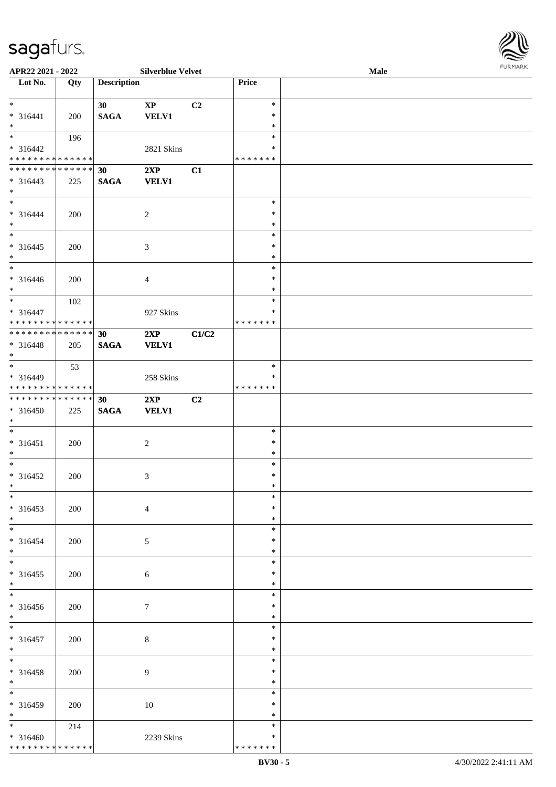

| APR22 2021 - 2022           |     |                    | <b>Silverblue Velvet</b> |                |               | Male |
|-----------------------------|-----|--------------------|--------------------------|----------------|---------------|------|
| Lot No.                     | Qty | <b>Description</b> |                          |                | Price         |      |
|                             |     |                    |                          |                |               |      |
| $\ast$                      |     | 30                 | $\bold{XP}$              | C <sub>2</sub> | $\ast$        |      |
| $* 316441$                  | 200 | <b>SAGA</b>        | <b>VELV1</b>             |                | $\ast$        |      |
| $\ast$                      |     |                    |                          |                | $\ast$        |      |
| $\overline{\phantom{0}}$    | 196 |                    |                          |                | $\ast$        |      |
| $* 316442$                  |     |                    | 2821 Skins               |                | $\ast$        |      |
| * * * * * * * * * * * * * * |     |                    |                          |                | * * * * * * * |      |
| **************              |     | 30                 | 2XP                      | C1             |               |      |
| $* 316443$                  | 225 | <b>SAGA</b>        | <b>VELV1</b>             |                |               |      |
| $*$                         |     |                    |                          |                |               |      |
| $\overline{\phantom{a}^*}$  |     |                    |                          |                | $\ast$        |      |
| $* 316444$                  |     |                    |                          |                | $\ast$        |      |
| $\ast$                      | 200 |                    | $\sqrt{2}$               |                | $\ast$        |      |
| $\overline{\ast}$           |     |                    |                          |                | $\ast$        |      |
|                             |     |                    |                          |                |               |      |
| $* 316445$                  | 200 |                    | $\mathfrak{Z}$           |                | $\ast$        |      |
| $\ast$                      |     |                    |                          |                | $\ast$        |      |
| $_{\ast}^{-}$               |     |                    |                          |                | $\ast$        |      |
| $* 316446$                  | 200 |                    | $\overline{4}$           |                | $\ast$        |      |
| $*$                         |     |                    |                          |                | *             |      |
| $\ast$                      | 102 |                    |                          |                | $\ast$        |      |
| $* 316447$                  |     |                    | 927 Skins                |                | ∗             |      |
| * * * * * * * * * * * * * * |     |                    |                          |                | * * * * * * * |      |
| **************              |     | 30                 | 2XP                      | C1/C2          |               |      |
| $* 316448$                  | 205 | <b>SAGA</b>        | <b>VELV1</b>             |                |               |      |
| $*$                         |     |                    |                          |                |               |      |
| $\overline{\phantom{a}^*}$  | 53  |                    |                          |                | $\ast$        |      |
| * 316449                    |     |                    | 258 Skins                |                | $\ast$        |      |
| * * * * * * * * * * * * * * |     |                    |                          |                | * * * * * * * |      |
| **************              |     | 30                 | 2XP                      | C <sub>2</sub> |               |      |
| $* 316450$                  | 225 | $\mathbf{SAGA}$    | <b>VELV1</b>             |                |               |      |
| $*$                         |     |                    |                          |                |               |      |
| $*$                         |     |                    |                          |                | $\ast$        |      |
| $* 316451$                  |     |                    |                          |                | $\ast$        |      |
| $*$                         | 200 |                    | $\sqrt{2}$               |                | $\ast$        |      |
| $\ast$                      |     |                    |                          |                | $\ast$        |      |
|                             |     |                    |                          |                |               |      |
| $* 316452$                  | 200 |                    | 3                        |                | $\ast$        |      |
| $*$                         |     |                    |                          |                | $\ast$        |      |
| $*$                         |     |                    |                          |                | $\ast$        |      |
| $* 316453$                  | 200 |                    | $\overline{4}$           |                | ∗             |      |
| $*$                         |     |                    |                          |                | $\ast$        |      |
| $\ast$                      |     |                    |                          |                | $\ast$        |      |
| $* 316454$                  | 200 |                    | $5\overline{)}$          |                | *             |      |
| $*$                         |     |                    |                          |                | $\ast$        |      |
| $\ast$                      |     |                    |                          |                | $\ast$        |      |
| $* 316455$                  | 200 |                    | 6                        |                | $\ast$        |      |
| $*$                         |     |                    |                          |                | $\ast$        |      |
| $\overline{\phantom{0}}$    |     |                    |                          |                | $\ast$        |      |
| * 316456                    | 200 |                    | 7                        |                | ∗             |      |
| $*$                         |     |                    |                          |                | $\ast$        |      |
| $*$                         |     |                    |                          |                | $\ast$        |      |
| $* 316457$                  | 200 |                    | 8                        |                | $\ast$        |      |
| $*$                         |     |                    |                          |                | $\ast$        |      |
| $\ast$                      |     |                    |                          |                | $\ast$        |      |
|                             |     |                    |                          |                | $\ast$        |      |
| * 316458<br>$*$             | 200 |                    | 9                        |                | $\ast$        |      |
| $\overline{\phantom{0}}$    |     |                    |                          |                | $\ast$        |      |
|                             |     |                    |                          |                |               |      |
| * 316459                    | 200 |                    | 10                       |                | ∗             |      |
| $*$                         |     |                    |                          |                | $\ast$        |      |
| $*$                         | 214 |                    |                          |                | $\ast$        |      |
| $* 316460$                  |     |                    | 2239 Skins               |                | $\ast$        |      |
| * * * * * * * * * * * * * * |     |                    |                          |                | * * * * * * * |      |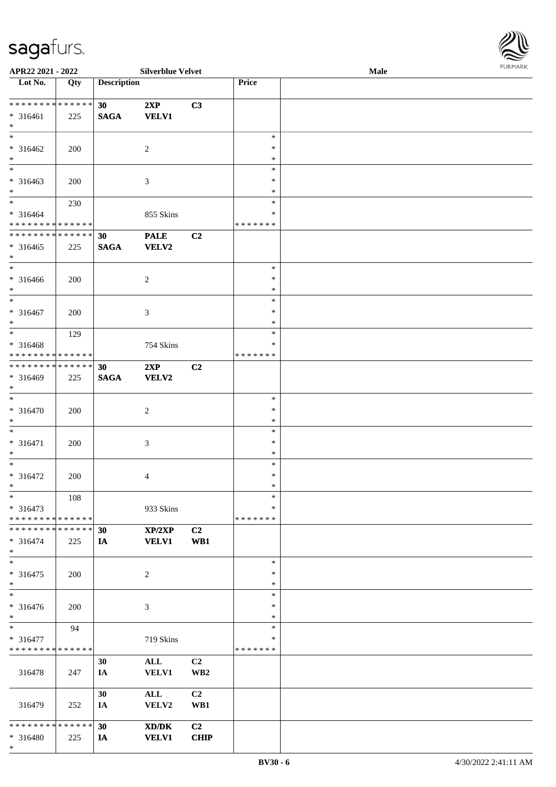\* \* \* \* \* \* \* \* \* \* \* \* \* \* \* 316461 225

\* 316462 200 2

\* 316463 200 3

\* \*

\*

\*

**APR22 2021 - 2022 Silverblue Velvet** 

**Lot No. Qty Description Price**

**SAGA VELV1**

**30 2XP C3**

| <b>Male</b> | <b>FURMARK</b> |
|-------------|----------------|
|             |                |
|             |                |
|             |                |
|             |                |
|             |                |
|             |                |
|             |                |
|             |                |
|             |                |
|             |                |
|             |                |
|             |                |
|             |                |
|             |                |
|             |                |
|             |                |

|                                                                          |             |                 |                                             |                       | $BV30 - 6$       | 4/30/2022 2:41:11 AM |
|--------------------------------------------------------------------------|-------------|-----------------|---------------------------------------------|-----------------------|------------------|----------------------|
| * 316480<br>$\ast$                                                       | 225         | IA              | <b>VELV1</b>                                | <b>CHIP</b>           |                  |                      |
| * * * * * * * *                                                          | * * * * * * | 30              | $\mathbf{X}\mathbf{D}/\mathbf{D}\mathbf{K}$ | C2                    |                  |                      |
| 316479                                                                   | 252         | IA              | VELV2                                       | WB1                   |                  |                      |
|                                                                          |             | 30              | $\mathbf{ALL}$                              | C2                    |                  |                      |
| 316478                                                                   | 247         | 30<br>IA        | ALL<br><b>VELV1</b>                         | C2<br>WB <sub>2</sub> |                  |                      |
| * * * * * * * *                                                          | * * * * * * |                 |                                             |                       | * * * * * * *    |                      |
| * 316477                                                                 |             |                 | 719 Skins                                   |                       | ∗                |                      |
| $\ast$                                                                   | 94          |                 |                                             |                       | $\ast$           |                      |
| $* 316476$<br>$\ast$                                                     | 200         |                 | $\mathfrak{Z}$                              |                       | $\ast$<br>$\ast$ |                      |
| $*$                                                                      |             |                 |                                             |                       | $\ast$           |                      |
| $*$                                                                      |             |                 |                                             |                       | $\ast$           |                      |
| $*$ $-$<br>* 316475                                                      | 200         |                 | 2                                           |                       | $\ast$<br>$\ast$ |                      |
| $*$ $-$                                                                  |             |                 |                                             |                       |                  |                      |
| $* 316474$                                                               | 225         | IA              | <b>VELV1</b>                                | WB1                   |                  |                      |
| * * * * * * * * <mark>* * * * * *</mark><br>******** <mark>******</mark> |             | 30              | XP/2XP                                      | C2                    | *******          |                      |
| $* 316473$                                                               |             |                 | 933 Skins                                   |                       | *                |                      |
| $*$ $-$                                                                  | 108         |                 |                                             |                       | $\ast$           |                      |
| * 316472<br>$*$                                                          | 200         |                 | 4                                           |                       | $\ast$           |                      |
| $*$                                                                      |             |                 |                                             |                       | $\ast$<br>*      |                      |
| $*$                                                                      |             |                 |                                             |                       | $\ast$           |                      |
| * 316471                                                                 | 200         |                 | 3                                           |                       | ∗                |                      |
| $*$                                                                      |             |                 |                                             |                       | $\ast$<br>$\ast$ |                      |
| $* 316470$                                                               | 200         |                 | $\overline{2}$                              |                       | $\ast$           |                      |
| $*$<br>$*$                                                               |             |                 |                                             |                       | $\ast$           |                      |
| * 316469                                                                 | 225         | <b>SAGA</b>     | <b>VELV2</b>                                |                       |                  |                      |
| * * * * * * * * <mark>* * * * * * *</mark>                               |             | 30 <sup>°</sup> | 2XP                                         | C2                    |                  |                      |
| * 316468<br>******** <mark>******</mark>                                 |             |                 | 754 Skins                                   |                       | *<br>*******     |                      |
| $*$                                                                      | 129         |                 |                                             |                       | $\ast$           |                      |
| $*$                                                                      |             |                 |                                             |                       | $\ast$           |                      |
| $\overline{\ast}$<br>$* 316467$                                          | 200         |                 | 3                                           |                       | $\ast$<br>$\ast$ |                      |
| $*$                                                                      |             |                 |                                             |                       | $\ast$           |                      |
| * 316466                                                                 | 200         |                 | 2                                           |                       | $\ast$           |                      |
|                                                                          |             |                 |                                             |                       | $\ast$           |                      |
| $* 316465$<br>$*$                                                        | 225         | <b>SAGA</b>     | <b>VELV2</b>                                |                       |                  |                      |
| * * * * * * * * * * * * * * *                                            |             | 30              | <b>PALE</b>                                 | C <sub>2</sub>        |                  |                      |
| * * * * * * * * * * * * * * *                                            |             |                 |                                             |                       | *******          |                      |
| $* 316464$                                                               | 230         |                 | 855 Skins                                   |                       | $\ast$<br>*      |                      |
| $\ast$                                                                   |             |                 |                                             |                       | $\ast$           |                      |

\* \* \*

\* \*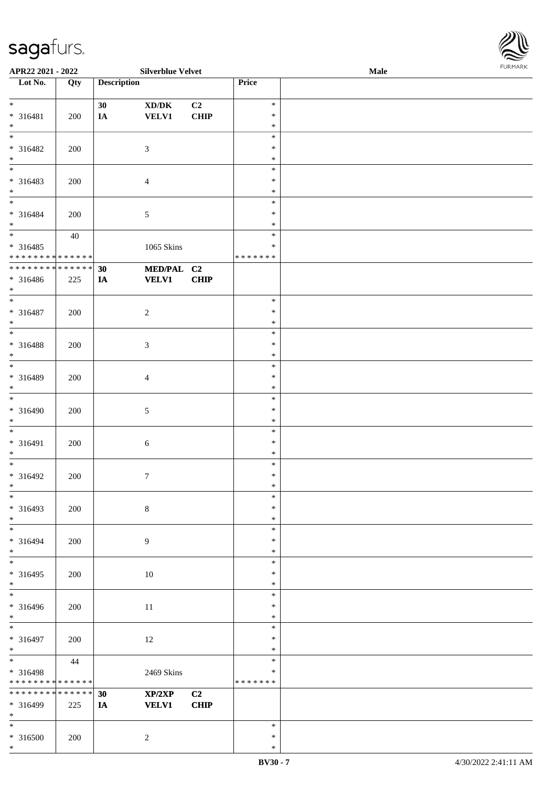

| APR22 2021 - 2022                          |             |                    | <b>Silverblue Velvet</b>            |      |               | <b>Male</b> |  |
|--------------------------------------------|-------------|--------------------|-------------------------------------|------|---------------|-------------|--|
| Lot No.                                    | Qty         | <b>Description</b> |                                     |      | Price         |             |  |
|                                            |             |                    |                                     |      |               |             |  |
| $*$                                        |             | 30                 | $\bold{X}\bold{D}/\bold{D}\bold{K}$ | C2   | $\ast$        |             |  |
| * 316481                                   | 200         | $I\!\!A$           | <b>VELV1</b>                        | CHIP | $\ast$        |             |  |
|                                            |             |                    |                                     |      |               |             |  |
| $*$                                        |             |                    |                                     |      | $\ast$        |             |  |
|                                            |             |                    |                                     |      | $\ast$        |             |  |
| * 316482                                   | 200         |                    | $\mathfrak{Z}$                      |      | $\ast$        |             |  |
| $\ast$                                     |             |                    |                                     |      | $\ast$        |             |  |
| $\overline{\phantom{0}}$                   |             |                    |                                     |      | $\ast$        |             |  |
|                                            |             |                    |                                     |      |               |             |  |
| * 316483                                   | 200         |                    | $\overline{4}$                      |      | $\ast$        |             |  |
| $*$                                        |             |                    |                                     |      | $\ast$        |             |  |
| $*$                                        |             |                    |                                     |      | $\ast$        |             |  |
| * 316484                                   | 200         |                    | $\sqrt{5}$                          |      | $\ast$        |             |  |
| $*$                                        |             |                    |                                     |      | $\ast$        |             |  |
|                                            |             |                    |                                     |      | $\ast$        |             |  |
|                                            | 40          |                    |                                     |      |               |             |  |
| * 316485                                   |             |                    | 1065 Skins                          |      | $\ast$        |             |  |
| * * * * * * * * * * * * * *                |             |                    |                                     |      | *******       |             |  |
| * * * * * * * *                            | * * * * * * | 30                 | MED/PAL C2                          |      |               |             |  |
| * 316486                                   | 225         | IA                 | <b>VELV1</b>                        | CHIP |               |             |  |
| $*$                                        |             |                    |                                     |      |               |             |  |
|                                            |             |                    |                                     |      |               |             |  |
|                                            |             |                    |                                     |      | $\ast$        |             |  |
| * 316487                                   | 200         |                    | $\overline{c}$                      |      | $\ast$        |             |  |
| $*$                                        |             |                    |                                     |      | $\ast$        |             |  |
|                                            |             |                    |                                     |      | $\ast$        |             |  |
| * 316488                                   | 200         |                    | $\mathfrak{Z}$                      |      | $\ast$        |             |  |
|                                            |             |                    |                                     |      |               |             |  |
| $*$                                        |             |                    |                                     |      | $\ast$        |             |  |
|                                            |             |                    |                                     |      | $\ast$        |             |  |
| * 316489                                   | 200         |                    | $\overline{4}$                      |      | $\ast$        |             |  |
| $*$                                        |             |                    |                                     |      | $\ast$        |             |  |
| $\overline{\phantom{0}}$                   |             |                    |                                     |      | $\ast$        |             |  |
|                                            |             |                    |                                     |      | $\ast$        |             |  |
| * 316490                                   | 200         |                    | $\sqrt{5}$                          |      |               |             |  |
| $*$                                        |             |                    |                                     |      | $\ast$        |             |  |
| $*$                                        |             |                    |                                     |      | $\ast$        |             |  |
| * 316491                                   | 200         |                    | $\sqrt{6}$                          |      | $\ast$        |             |  |
| $\ast$                                     |             |                    |                                     |      | $\ast$        |             |  |
| $*$                                        |             |                    |                                     |      | $\ast$        |             |  |
|                                            |             |                    |                                     |      |               |             |  |
| * 316492                                   | 200         |                    | $\tau$                              |      | $\ast$        |             |  |
| $*$                                        |             |                    |                                     |      | $\ast$        |             |  |
| $*$                                        |             |                    |                                     |      | $\ast$        |             |  |
| * 316493                                   | 200         |                    | $\,8\,$                             |      | $\ast$        |             |  |
| $*$                                        |             |                    |                                     |      | $\ast$        |             |  |
| $*$                                        |             |                    |                                     |      | $\ast$        |             |  |
|                                            |             |                    |                                     |      |               |             |  |
| * 316494                                   | 200         |                    | $\overline{9}$                      |      | $\ast$        |             |  |
| $\ast$                                     |             |                    |                                     |      | $\ast$        |             |  |
|                                            |             |                    |                                     |      | $\ast$        |             |  |
| * 316495                                   | 200         |                    | 10                                  |      | $\ast$        |             |  |
| $*$                                        |             |                    |                                     |      | $\ast$        |             |  |
| $*$                                        |             |                    |                                     |      | $\ast$        |             |  |
|                                            |             |                    |                                     |      |               |             |  |
| * 316496                                   | 200         |                    | 11                                  |      | $\ast$        |             |  |
| $*$                                        |             |                    |                                     |      | $\ast$        |             |  |
| $*$                                        |             |                    |                                     |      | $\ast$        |             |  |
| * 316497                                   | 200         |                    | 12                                  |      | $\ast$        |             |  |
| $*$                                        |             |                    |                                     |      | $\ast$        |             |  |
| $*$                                        |             |                    |                                     |      |               |             |  |
|                                            | 44          |                    |                                     |      | $\ast$        |             |  |
| * 316498                                   |             |                    | 2469 Skins                          |      | $\ast$        |             |  |
| * * * * * * * *                            | * * * * * * |                    |                                     |      | * * * * * * * |             |  |
| * * * * * * * * <mark>* * * * * * *</mark> |             | 30                 | $\mathbf{XP}/2\mathbf{XP}$          | C2   |               |             |  |
| * 316499                                   | 225         | IA                 | <b>VELV1</b>                        | CHIP |               |             |  |
| $*$                                        |             |                    |                                     |      |               |             |  |
|                                            |             |                    |                                     |      |               |             |  |
| $*$                                        |             |                    |                                     |      | $\ast$        |             |  |
| * 316500                                   | 200         |                    | $\overline{2}$                      |      | $\ast$        |             |  |
| $\ast$                                     |             |                    |                                     |      | $\ast$        |             |  |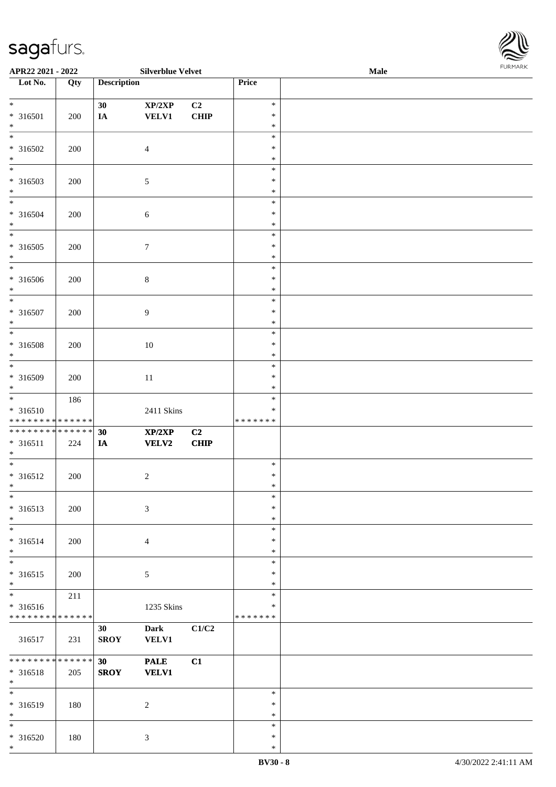

| APR22 2021 - 2022                                                           |     |                    | <b>Silverblue Velvet</b>    |            |                              | Male |  |
|-----------------------------------------------------------------------------|-----|--------------------|-----------------------------|------------|------------------------------|------|--|
| Lot No.                                                                     | Qty | <b>Description</b> |                             |            | Price                        |      |  |
| $\ddot{x}$                                                                  |     | 30                 | XP/2XP                      | C2         | $\ast$                       |      |  |
| * 316501<br>$*$<br>$\overline{\ast}$                                        | 200 | IA                 | <b>VELV1</b>                | CHIP       | $\ast$<br>$\ast$             |      |  |
| * 316502<br>$\ast$                                                          | 200 |                    | $\overline{4}$              |            | $\ast$<br>$\ast$<br>$\ast$   |      |  |
| * 316503<br>$*$                                                             | 200 |                    | $\mathfrak{S}$              |            | $\ast$<br>$\ast$<br>$\ast$   |      |  |
| * 316504<br>$*$                                                             | 200 |                    | 6                           |            | $\ast$<br>$\ast$<br>$\ast$   |      |  |
| * 316505<br>$*$                                                             | 200 |                    | $\boldsymbol{7}$            |            | $\ast$<br>$\ast$<br>$\ast$   |      |  |
| $\overline{\phantom{0}}$<br>* 316506<br>$*$                                 | 200 |                    | $\,8\,$                     |            | $\ast$<br>$\ast$<br>$\ast$   |      |  |
| $\overline{\ast}$<br>* 316507<br>$*$                                        | 200 |                    | 9                           |            | $\ast$<br>$\ast$<br>$\ast$   |      |  |
| $\overline{\ast}$<br>* 316508<br>$\ast$                                     | 200 |                    | $10\,$                      |            | $\ast$<br>$\ast$<br>$\ast$   |      |  |
| * 316509<br>$\ast$                                                          | 200 |                    | 11                          |            | $\ast$<br>$\ast$<br>$\ast$   |      |  |
| $*$<br>$* 316510$<br>* * * * * * * * <mark>* * * * * * *</mark>             | 186 |                    | 2411 Skins                  |            | $\ast$<br>*<br>* * * * * * * |      |  |
| * * * * * * * * <mark>* * * * * * *</mark><br>* 316511<br>$*$               | 224 | 30<br>IA           | XP/2XP<br>VELV2             | C2<br>CHIP |                              |      |  |
| $\overline{\phantom{0}}$<br>$* 316512$<br>$\ast$                            | 200 |                    | $\overline{2}$              |            | $\ast$<br>$\ast$<br>$\ast$   |      |  |
| $\ast$<br>* 316513<br>$*$                                                   | 200 |                    | $\mathfrak{Z}$              |            | $\ast$<br>$\ast$<br>$\ast$   |      |  |
| $*$<br>* 316514<br>$\ast$                                                   | 200 |                    | $\overline{4}$              |            | $\ast$<br>$\ast$<br>$\ast$   |      |  |
| $*$<br>* 316515<br>$*$                                                      | 200 |                    | 5                           |            | $\ast$<br>$\ast$<br>$\ast$   |      |  |
| $\overline{\ast}$<br>* 316516<br>* * * * * * * * <mark>* * * * * * *</mark> | 211 |                    | 1235 Skins                  |            | $\ast$<br>*<br>*******       |      |  |
| 316517                                                                      | 231 | 30<br><b>SROY</b>  | Dark<br><b>VELV1</b>        | C1/C2      |                              |      |  |
| * * * * * * * * <mark>* * * * * * *</mark><br>* 316518<br>$*$               | 205 | 30<br><b>SROY</b>  | <b>PALE</b><br><b>VELV1</b> | C1         |                              |      |  |
| $\overline{\ast}$<br>* 316519<br>$*$                                        | 180 |                    | 2                           |            | $\ast$<br>$\ast$<br>$\ast$   |      |  |
| $*$<br>* 316520<br>$\ast$                                                   | 180 |                    | $\mathbf{3}$                |            | $\ast$<br>$\ast$<br>$\ast$   |      |  |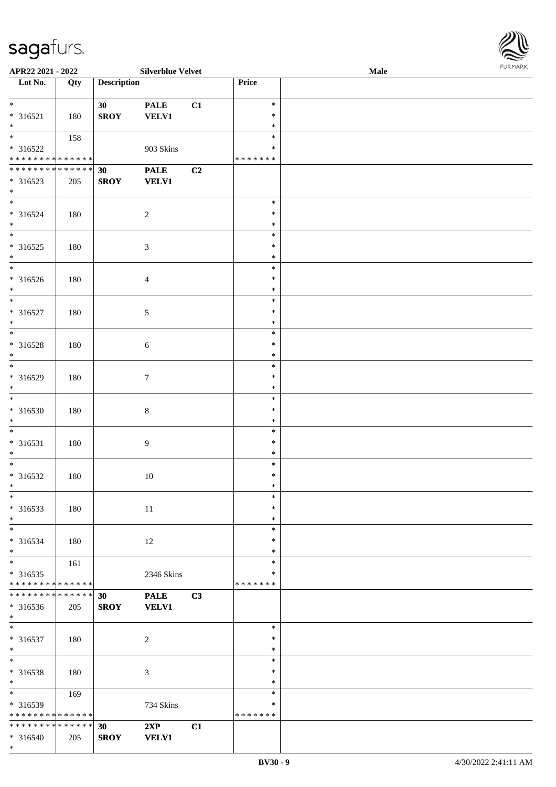| <b>FURMARK</b> |
|----------------|
|                |
|                |
|                |
|                |
|                |
|                |

| APR22 2021 - 2022                             |     |                    | <b>Silverblue Velvet</b>                  |    |                    | Male | <b>FURMARK</b> |
|-----------------------------------------------|-----|--------------------|-------------------------------------------|----|--------------------|------|----------------|
| $\overline{\phantom{1}}$ Lot No.              | Qty | <b>Description</b> |                                           |    | Price              |      |                |
| $\ast$                                        |     | 30                 | <b>PALE</b>                               | C1 | $\ast$             |      |                |
| $* 316521$                                    | 180 | <b>SROY</b>        | <b>VELV1</b>                              |    | $\ast$             |      |                |
| $\ast$                                        |     |                    |                                           |    | $\ast$             |      |                |
| $\overline{\phantom{a}^*}$                    | 158 |                    |                                           |    | $\ast$             |      |                |
| * 316522                                      |     |                    | 903 Skins                                 |    | $\ast$             |      |                |
| **************<br>* * * * * * * * * * * * * * |     |                    |                                           |    | * * * * * * *      |      |                |
|                                               |     | 30                 | $\ensuremath{\mathop{\bf PALE}\nolimits}$ | C2 |                    |      |                |
| $* 316523$<br>$\ast$                          | 205 | <b>SROY</b>        | <b>VELV1</b>                              |    |                    |      |                |
| $\ast$                                        |     |                    |                                           |    | $\ast$             |      |                |
| $* 316524$                                    | 180 |                    | $\sqrt{2}$                                |    | $\ast$             |      |                |
| $\ast$                                        |     |                    |                                           |    | $\ast$             |      |                |
| $\overline{\phantom{0}}$                      |     |                    |                                           |    | $\ast$             |      |                |
| $* 316525$                                    | 180 |                    | $\mathfrak{Z}$                            |    | $\ast$             |      |                |
| $\ast$                                        |     |                    |                                           |    | $\ast$             |      |                |
| $\overline{\phantom{a}^*}$                    |     |                    |                                           |    | $\ast$             |      |                |
| * 316526<br>$\ast$                            | 180 |                    | $\overline{4}$                            |    | $\ast$<br>$\ast$   |      |                |
| $\ast$                                        |     |                    |                                           |    | $\ast$             |      |                |
| $* 316527$                                    | 180 |                    | $\sqrt{5}$                                |    | $\ast$             |      |                |
| $\ast$                                        |     |                    |                                           |    | $\ast$             |      |                |
| $_{\ast}$                                     |     |                    |                                           |    | $\ast$             |      |                |
| $* 316528$                                    | 180 |                    | $\sqrt{6}$                                |    | $\ast$             |      |                |
| $\ast$                                        |     |                    |                                           |    | $\ast$             |      |                |
| $_{\ast}^{-}$                                 |     |                    |                                           |    | $\ast$             |      |                |
| $* 316529$                                    | 180 |                    | $\boldsymbol{7}$                          |    | $\ast$             |      |                |
| $\ast$<br>$\overline{\phantom{a}^*}$          |     |                    |                                           |    | $\ast$<br>$\ast$   |      |                |
| $* 316530$                                    | 180 |                    | $\,8\,$                                   |    | $\ast$             |      |                |
| $\ast$                                        |     |                    |                                           |    | $\ast$             |      |                |
| $\overline{\phantom{a}^*}$                    |     |                    |                                           |    | $\ast$             |      |                |
| * 316531                                      | 180 |                    | $\boldsymbol{9}$                          |    | $\ast$             |      |                |
| $\ast$                                        |     |                    |                                           |    | $\ast$             |      |                |
| $\overline{\ast}$                             |     |                    |                                           |    | $\ast$             |      |                |
| $* 316532$                                    | 180 |                    | $10\,$                                    |    | $\ast$             |      |                |
| $\ast$<br>$\overline{\phantom{a}^*}$          |     |                    |                                           |    | $\ast$             |      |                |
| $* 316533$                                    | 180 |                    |                                           |    | $\ast$<br>$\ast$   |      |                |
| $\ast$                                        |     |                    | $11\,$                                    |    | $\ast$             |      |                |
| $\overline{\phantom{0}}$                      |     |                    |                                           |    | $\ast$             |      |                |
| * 316534                                      | 180 |                    | 12                                        |    | $\ast$             |      |                |
| $\ast$                                        |     |                    |                                           |    | $\ast$             |      |                |
| $_{\ast}$                                     | 161 |                    |                                           |    | $\ast$             |      |                |
| * 316535                                      |     |                    | 2346 Skins                                |    | ∗                  |      |                |
| * * * * * * * * * * * * * *                   |     |                    |                                           |    | * * * * * * *      |      |                |
| **************                                |     | 30                 | <b>PALE</b>                               | C3 |                    |      |                |
| $* 316536$<br>$\ast$                          | 205 | <b>SROY</b>        | <b>VELV1</b>                              |    |                    |      |                |
| $\overline{\phantom{a}}$                      |     |                    |                                           |    | $\ast$             |      |                |
| $* 316537$                                    | 180 |                    | $\overline{c}$                            |    | $\ast$             |      |                |
| $\ast$                                        |     |                    |                                           |    | $\ast$             |      |                |
| $\overline{\ast}$                             |     |                    |                                           |    | $\ast$             |      |                |
| $* 316538$                                    | 180 |                    | $\mathfrak{Z}$                            |    | $\ast$             |      |                |
| $\ast$                                        |     |                    |                                           |    | $\ast$             |      |                |
| $\ast$                                        | 169 |                    |                                           |    | $\ast$             |      |                |
| * 316539<br>* * * * * * * * * * * * * *       |     |                    | 734 Skins                                 |    | ∗<br>* * * * * * * |      |                |
| **************                                |     | 30                 | 2XP                                       | C1 |                    |      |                |
| $* 316540$                                    | 205 | <b>SROY</b>        | <b>VELV1</b>                              |    |                    |      |                |
| $*$                                           |     |                    |                                           |    |                    |      |                |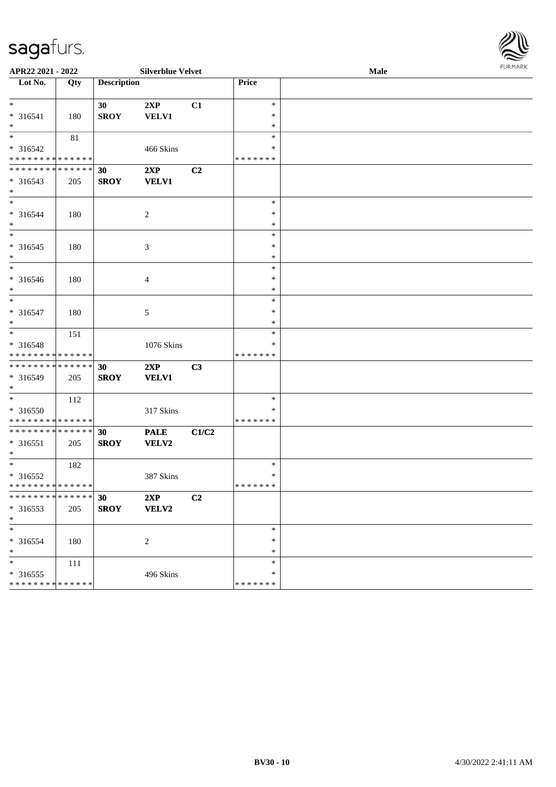

| APR22 2021 - 2022                                                       |     |                    | <b>Silverblue Velvet</b> |                | Male                              |  |  |  |
|-------------------------------------------------------------------------|-----|--------------------|--------------------------|----------------|-----------------------------------|--|--|--|
| Lot No.                                                                 | Qty | <b>Description</b> |                          |                | Price                             |  |  |  |
| $\ast$<br>* 316541<br>$\ast$                                            | 180 | 30<br><b>SROY</b>  | 2XP<br><b>VELV1</b>      | C1             | $\ast$<br>$\ast$<br>$\ast$        |  |  |  |
| $\overline{\ }$<br>* 316542<br>* * * * * * * * <mark>* * * * * *</mark> | 81  |                    | 466 Skins                |                | $\ast$<br>*<br>* * * * * * *      |  |  |  |
| * * * * * * * * <mark>* * * * * * *</mark><br>$* 316543$<br>$*$         | 205 | 30<br><b>SROY</b>  | 2XP<br><b>VELV1</b>      | C2             |                                   |  |  |  |
| $*$<br>* 316544<br>$*$                                                  | 180 |                    | $\overline{c}$           |                | $\ast$<br>$\ast$<br>$\ast$        |  |  |  |
| $* 316545$<br>$\ast$                                                    | 180 |                    | 3                        |                | $\ast$<br>$\ast$<br>$\ast$        |  |  |  |
| * 316546<br>$\ast$                                                      | 180 |                    | $\overline{4}$           |                | $\ast$<br>$\ast$<br>$\ast$        |  |  |  |
| $\overline{\ast}$<br>* 316547<br>$\ast$                                 | 180 |                    | 5                        |                | $\ast$<br>$\ast$<br>$\ast$        |  |  |  |
| $\overline{\mathbf{r}}$<br>* 316548<br>* * * * * * * * * * * * * * *    | 151 |                    | 1076 Skins               |                | $\ast$<br>∗<br>*******            |  |  |  |
| * * * * * * * * * * * * * * *<br>* 316549<br>$\ast$                     | 205 | 30<br><b>SROY</b>  | 2XP<br><b>VELV1</b>      | C <sub>3</sub> |                                   |  |  |  |
| $*$<br>* 316550<br>* * * * * * * * <mark>* * * * * *</mark>             | 112 |                    | 317 Skins                |                | $\ast$<br>∗<br>*******            |  |  |  |
| * * * * * * * * <mark>* * * * * * *</mark><br>$* 316551$<br>$\ast$      | 205 | 30<br><b>SROY</b>  | <b>PALE</b><br>VELV2     | C1/C2          |                                   |  |  |  |
| * 316552<br>* * * * * * * * <mark>* * * * * *</mark>                    | 182 |                    | 387 Skins                |                | $\ast$<br>$\ast$<br>* * * * * * * |  |  |  |
| * * * * * * * * <mark>* * * * * * *</mark><br>* 316553<br>$*$           | 205 | 30<br><b>SROY</b>  | 2XP<br><b>VELV2</b>      | C2             |                                   |  |  |  |
| $\ast$<br>* 316554<br>$\ast$                                            | 180 |                    | 2                        |                | $\ast$<br>$\ast$<br>$\ast$        |  |  |  |
| $*$<br>* 316555<br>* * * * * * * * <mark>* * * * * * *</mark>           | 111 |                    | 496 Skins                |                | $\ast$<br>$\ast$<br>* * * * * * * |  |  |  |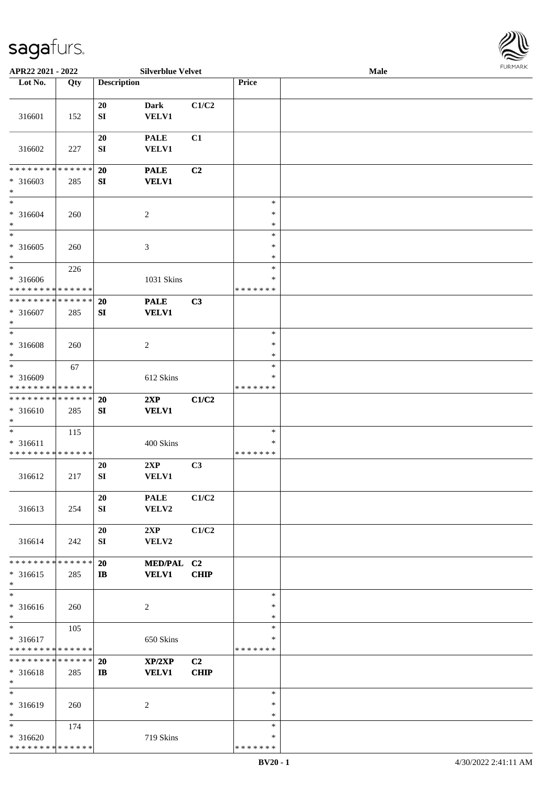

| APR22 2021 - 2022                                                     |                    |                        | <b>Silverblue Velvet</b>    |                               |                                   | <b>FURMARK</b><br>Male |  |  |  |  |
|-----------------------------------------------------------------------|--------------------|------------------------|-----------------------------|-------------------------------|-----------------------------------|------------------------|--|--|--|--|
| Lot No.                                                               | Qty                | <b>Description</b>     |                             |                               | Price                             |                        |  |  |  |  |
| 316601                                                                | 152                | 20<br>SI               | <b>Dark</b><br><b>VELV1</b> | C1/C2                         |                                   |                        |  |  |  |  |
| 316602                                                                | 227                | $20\,$<br>${\bf SI}$   | <b>PALE</b><br>VELV1        | C1                            |                                   |                        |  |  |  |  |
| * * * * * * * *<br>* 316603<br>$\ast$                                 | * * * * * *<br>285 | 20<br>${\bf SI}$       | <b>PALE</b><br><b>VELV1</b> | C <sub>2</sub>                |                                   |                        |  |  |  |  |
| $\ast$<br>$* 316604$<br>$\ast$                                        | 260                |                        | $\sqrt{2}$                  |                               | $\ast$<br>$\ast$<br>$\ast$        |                        |  |  |  |  |
| $\ast$<br>$* 316605$<br>$\ast$                                        | 260                |                        | $\mathfrak{Z}$              |                               | $\ast$<br>$\ast$<br>$\ast$        |                        |  |  |  |  |
| $\overline{\phantom{0}}$<br>* 316606<br>* * * * * * * * * * * * * *   | 226                |                        | 1031 Skins                  |                               | $\ast$<br>∗<br>* * * * * * *      |                        |  |  |  |  |
| * * * * * * * * * * * * * *<br>$* 316607$<br>$\ast$                   | 285                | 20<br>SI               | <b>PALE</b><br><b>VELV1</b> | C3                            |                                   |                        |  |  |  |  |
| $\ast$<br>* 316608<br>$\ast$                                          | 260                |                        | $\overline{c}$              |                               | $\ast$<br>$\ast$<br>$\ast$        |                        |  |  |  |  |
| $\overline{\phantom{a}^*}$<br>* 316609<br>* * * * * * * * * * * * * * | 67                 |                        | 612 Skins                   |                               | $\ast$<br>∗<br>* * * * * * *      |                        |  |  |  |  |
| ******** <mark>******</mark><br>$* 316610$<br>$\ast$                  | 285                | 20<br>${\bf SI}$       | 2XP<br><b>VELV1</b>         | C1/C2                         |                                   |                        |  |  |  |  |
| $\ast$<br>$* 316611$<br>* * * * * * * * * * * * * *                   | 115                |                        | 400 Skins                   |                               | $\ast$<br>$\ast$<br>* * * * * * * |                        |  |  |  |  |
| 316612                                                                | 217                | 20<br>${\bf S}{\bf I}$ | 2XP<br>VELV1                | C <sub>3</sub>                |                                   |                        |  |  |  |  |
| 316613                                                                | 254                | 20<br>SI               | <b>PALE</b><br>VELV2        | C1/C2                         |                                   |                        |  |  |  |  |
| 316614                                                                | 242                | 20<br>SI               | 2XP<br>VELV2                | C1/C2                         |                                   |                        |  |  |  |  |
| * * * * * * * *<br>$* 316615$<br>$\ast$                               | * * * * * *<br>285 | 20<br>$\mathbf{I}$     | MED/PAL C2<br><b>VELV1</b>  | <b>CHIP</b>                   |                                   |                        |  |  |  |  |
| $\ast$<br>$* 316616$<br>$\ast$                                        | 260                |                        | $\overline{c}$              |                               | $\ast$<br>$\ast$<br>$\ast$        |                        |  |  |  |  |
| $\ast$<br>* 316617<br>* * * * * * * * * * * * * *                     | 105                |                        | 650 Skins                   |                               | $\ast$<br>$\ast$<br>* * * * * * * |                        |  |  |  |  |
| * * * * * * * *<br>* 316618<br>$\ast$                                 | * * * * * *<br>285 | 20<br>$\mathbf{I}$     | XP/2XP<br><b>VELV1</b>      | C <sub>2</sub><br><b>CHIP</b> |                                   |                        |  |  |  |  |
| $\ast$<br>* 316619<br>$\ast$                                          | 260                |                        | $\overline{c}$              |                               | $\ast$<br>$\ast$<br>$\ast$        |                        |  |  |  |  |
| $\ast$<br>* 316620<br>**************                                  | 174                |                        | 719 Skins                   |                               | $\ast$<br>$\ast$<br>* * * * * * * |                        |  |  |  |  |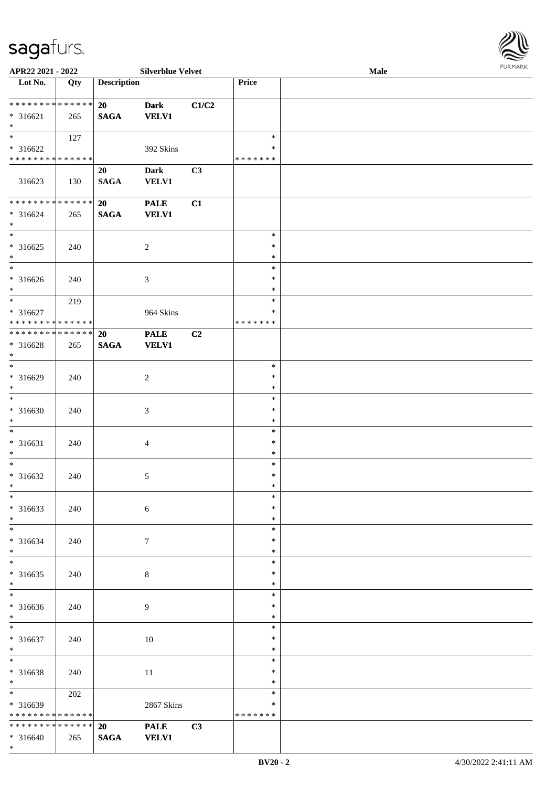| <b>FURMARK</b> |
|----------------|
|                |

| APR22 2021 - 2022             |     |                    | <b>Silverblue Velvet</b> |       |               | Male |  |
|-------------------------------|-----|--------------------|--------------------------|-------|---------------|------|--|
| Lot No.                       | Qty | <b>Description</b> |                          |       | Price         |      |  |
|                               |     |                    |                          |       |               |      |  |
| **************                |     | 20                 | <b>Dark</b>              | C1/C2 |               |      |  |
| $* 316621$                    | 265 | <b>SAGA</b>        | <b>VELV1</b>             |       |               |      |  |
| $\ast$                        |     |                    |                          |       |               |      |  |
| $\ast$                        | 127 |                    |                          |       | $\ast$        |      |  |
|                               |     |                    |                          |       | ∗             |      |  |
| $* 316622$                    |     |                    | 392 Skins                |       |               |      |  |
| **************                |     |                    |                          |       | * * * * * * * |      |  |
|                               |     | 20                 | <b>Dark</b>              | C3    |               |      |  |
| 316623                        | 130 | <b>SAGA</b>        | <b>VELV1</b>             |       |               |      |  |
|                               |     |                    |                          |       |               |      |  |
| **************                |     | 20                 | <b>PALE</b>              | C1    |               |      |  |
| $* 316624$                    | 265 | $\mathbf{SAGA}$    | <b>VELV1</b>             |       |               |      |  |
| $\ast$                        |     |                    |                          |       |               |      |  |
| $\overline{\phantom{a}^*}$    |     |                    |                          |       |               |      |  |
|                               |     |                    |                          |       | $\ast$        |      |  |
| $* 316625$                    | 240 |                    | $\sqrt{2}$               |       | $\ast$        |      |  |
| $\ast$                        |     |                    |                          |       | $\ast$        |      |  |
| $\overline{\phantom{a}^*}$    |     |                    |                          |       | $\ast$        |      |  |
| $* 316626$                    | 240 |                    | $\mathfrak{Z}$           |       | $\ast$        |      |  |
| $\ast$                        |     |                    |                          |       | $\ast$        |      |  |
| $\overline{\ast}$             | 219 |                    |                          |       | $\ast$        |      |  |
|                               |     |                    |                          |       | $\ast$        |      |  |
| $* 316627$                    |     |                    | 964 Skins                |       |               |      |  |
| * * * * * * * * * * * * * * * |     |                    |                          |       | * * * * * * * |      |  |
| **************                |     | <b>20</b>          | <b>PALE</b>              | C2    |               |      |  |
| $* 316628$                    | 265 | <b>SAGA</b>        | <b>VELV1</b>             |       |               |      |  |
| $\ast$                        |     |                    |                          |       |               |      |  |
| $_{*}$                        |     |                    |                          |       | $\ast$        |      |  |
| * 316629                      | 240 |                    | $\sqrt{2}$               |       | $\ast$        |      |  |
| $\ast$                        |     |                    |                          |       | $\ast$        |      |  |
| $\overline{\ast}$             |     |                    |                          |       | $\ast$        |      |  |
|                               |     |                    |                          |       |               |      |  |
| $* 316630$                    | 240 |                    | $\mathfrak{Z}$           |       | $\ast$        |      |  |
| $\ast$                        |     |                    |                          |       | $\ast$        |      |  |
| $\ast$                        |     |                    |                          |       | $\ast$        |      |  |
| $* 316631$                    | 240 |                    | $\overline{4}$           |       | $\ast$        |      |  |
| $\ast$                        |     |                    |                          |       | $\ast$        |      |  |
| $\ast$                        |     |                    |                          |       | $\ast$        |      |  |
|                               |     |                    |                          |       | $\ast$        |      |  |
| $* 316632$                    | 240 |                    | $\mathfrak{S}$           |       |               |      |  |
| $*$                           |     |                    |                          |       | $\ast$        |      |  |
| $\ast$                        |     |                    |                          |       | $\ast$        |      |  |
| $* 316633$                    | 240 |                    | $6\,$                    |       | $\ast$        |      |  |
| $\ast$                        |     |                    |                          |       | $\ast$        |      |  |
| $\ast$                        |     |                    |                          |       | $\ast$        |      |  |
| $* 316634$                    | 240 |                    | $\tau$                   |       | $\ast$        |      |  |
| $\ast$                        |     |                    |                          |       | $\ast$        |      |  |
| $\ast$                        |     |                    |                          |       | $\ast$        |      |  |
|                               |     |                    |                          |       |               |      |  |
| $* 316635$                    | 240 |                    | $8\,$                    |       | $\ast$        |      |  |
| $\ast$                        |     |                    |                          |       | $\ast$        |      |  |
| $\frac{1}{1}$                 |     |                    |                          |       | $\ast$        |      |  |
| * 316636                      | 240 |                    | $\overline{9}$           |       | $\ast$        |      |  |
| $\ast$                        |     |                    |                          |       | $\ast$        |      |  |
| $\ast$                        |     |                    |                          |       | $\ast$        |      |  |
|                               |     |                    |                          |       | $\ast$        |      |  |
| $* 316637$                    | 240 |                    | $10\,$                   |       |               |      |  |
| $\ast$                        |     |                    |                          |       | $\ast$        |      |  |
| $\ast$                        |     |                    |                          |       | $\ast$        |      |  |
| $*316638$                     | 240 |                    | 11                       |       | $\ast$        |      |  |
| $\ast$                        |     |                    |                          |       | $\ast$        |      |  |
| $\overline{\phantom{a}^*}$    | 202 |                    |                          |       | $\ast$        |      |  |
| * 316639                      |     |                    | 2867 Skins               |       | ∗             |      |  |
| * * * * * * * * * * * * * *   |     |                    |                          |       | * * * * * * * |      |  |
|                               |     |                    |                          |       |               |      |  |
| **************                |     | 20                 | <b>PALE</b>              | C3    |               |      |  |
| * 316640                      | 265 | <b>SAGA</b>        | <b>VELV1</b>             |       |               |      |  |
| $*$                           |     |                    |                          |       |               |      |  |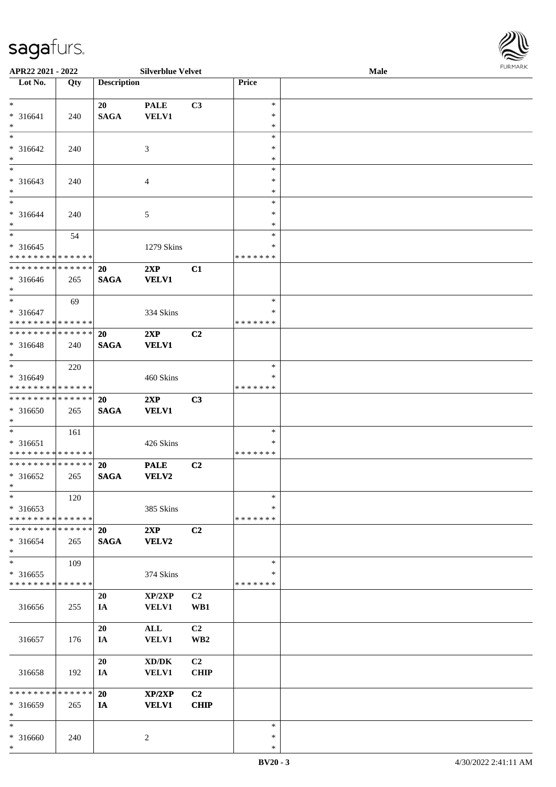

| APR22 2021 - 2022                           |                 |                    | <b>Silverblue Velvet</b> |                 |               | Male | 101111111111 |
|---------------------------------------------|-----------------|--------------------|--------------------------|-----------------|---------------|------|--------------|
| Lot No.                                     | Qty             | <b>Description</b> |                          |                 | Price         |      |              |
|                                             |                 |                    |                          |                 |               |      |              |
| $*$                                         |                 | 20                 | <b>PALE</b>              | C3              | $\ast$        |      |              |
| * 316641                                    | 240             | <b>SAGA</b>        | <b>VELV1</b>             |                 | $\ast$        |      |              |
| $*$                                         |                 |                    |                          |                 | $\ast$        |      |              |
| $*$                                         |                 |                    |                          |                 | $\ast$        |      |              |
| * 316642                                    | 240             |                    | 3                        |                 | $\ast$        |      |              |
| $*$                                         |                 |                    |                          |                 | $\ast$        |      |              |
| $*$                                         |                 |                    |                          |                 | $\ast$        |      |              |
| * 316643                                    | 240             |                    | $\overline{4}$           |                 | $\ast$        |      |              |
| $*$                                         |                 |                    |                          |                 | $\ast$        |      |              |
| $*$                                         |                 |                    |                          |                 | $\ast$        |      |              |
| * 316644                                    | 240             |                    | 5                        |                 | $\ast$        |      |              |
| $*$                                         |                 |                    |                          |                 | $\ast$        |      |              |
|                                             | 54              |                    |                          |                 | $\ast$        |      |              |
|                                             |                 |                    |                          |                 | ∗             |      |              |
| $* 316645$<br>* * * * * * * * * * * * * * * |                 |                    | 1279 Skins               |                 | * * * * * * * |      |              |
| ******** <mark>******</mark>                |                 |                    |                          |                 |               |      |              |
|                                             |                 | 20                 | 2XP                      | C1              |               |      |              |
| * 316646                                    | 265             | <b>SAGA</b>        | <b>VELV1</b>             |                 |               |      |              |
| $*$<br>$*$                                  |                 |                    |                          |                 |               |      |              |
|                                             | 69              |                    |                          |                 | $\ast$        |      |              |
| $* 316647$                                  |                 |                    | 334 Skins                |                 | $\ast$        |      |              |
| * * * * * * * * <mark>* * * * * *</mark>    |                 |                    |                          |                 | * * * * * * * |      |              |
| * * * * * * * * <mark>* * * * * * *</mark>  |                 | <b>20</b>          | 2XP                      | C <sub>2</sub>  |               |      |              |
| $* 316648$                                  | 240             | <b>SAGA</b>        | <b>VELV1</b>             |                 |               |      |              |
| $*$                                         |                 |                    |                          |                 |               |      |              |
| $*$                                         | 220             |                    |                          |                 | $\ast$        |      |              |
| * 316649                                    |                 |                    | 460 Skins                |                 | *             |      |              |
| * * * * * * * * * * * * * *                 |                 |                    |                          |                 | * * * * * * * |      |              |
| * * * * * * * * * * * * * * *               |                 | 20                 | 2XP                      | C3              |               |      |              |
| * 316650                                    | 265             | <b>SAGA</b>        | <b>VELV1</b>             |                 |               |      |              |
| $*$                                         |                 |                    |                          |                 |               |      |              |
| $*$                                         | 161             |                    |                          |                 | $\ast$        |      |              |
| $* 316651$                                  |                 |                    | 426 Skins                |                 | ∗             |      |              |
| * * * * * * * * * * * * * * *               |                 |                    |                          |                 | *******       |      |              |
| ******** <mark>******</mark>                |                 | <b>20</b>          | <b>PALE</b>              | C <sub>2</sub>  |               |      |              |
| * 316652                                    | 265             | <b>SAGA</b>        | <b>VELV2</b>             |                 |               |      |              |
| $*$ $-$                                     |                 |                    |                          |                 |               |      |              |
| $\ast$                                      | 120             |                    |                          |                 | $\ast$        |      |              |
| * 316653                                    |                 |                    | 385 Skins                |                 | $\ast$        |      |              |
| * * * * * * * * * * * * * *                 |                 |                    |                          |                 | * * * * * * * |      |              |
| * * * * * * * * * * * * * * *               |                 | 20                 | 2XP                      | C <sub>2</sub>  |               |      |              |
| * 316654                                    | 265             | <b>SAGA</b>        | <b>VELV2</b>             |                 |               |      |              |
| $*$                                         |                 |                    |                          |                 |               |      |              |
| $\ast$                                      | 109             |                    |                          |                 | $\ast$        |      |              |
| * 316655                                    |                 |                    | 374 Skins                |                 | ∗             |      |              |
| * * * * * * * * * * * * * *                 |                 |                    |                          |                 | * * * * * * * |      |              |
|                                             |                 | <b>20</b>          | XP/2XP                   | C <sub>2</sub>  |               |      |              |
| 316656                                      | 255             | IA                 | <b>VELV1</b>             | WB1             |               |      |              |
|                                             |                 |                    |                          |                 |               |      |              |
|                                             |                 | 20                 | $\mathbf{ALL}$           | C <sub>2</sub>  |               |      |              |
|                                             |                 |                    |                          | WB <sub>2</sub> |               |      |              |
| 316657                                      | 176             | IA                 | <b>VELV1</b>             |                 |               |      |              |
|                                             |                 | 20                 | XD/DK                    | C2              |               |      |              |
|                                             |                 |                    |                          |                 |               |      |              |
| 316658                                      | 192             | IA                 | <b>VELV1</b>             | <b>CHIP</b>     |               |      |              |
| * * * * * * * *                             | $* * * * * * *$ |                    |                          |                 |               |      |              |
|                                             |                 | 20                 | XP/2XP                   | C <sub>2</sub>  |               |      |              |
| * 316659                                    | 265             | IA                 | <b>VELV1</b>             | <b>CHIP</b>     |               |      |              |
| $*$                                         |                 |                    |                          |                 |               |      |              |
| $\ast$                                      |                 |                    |                          |                 | $\ast$        |      |              |
| * 316660                                    | 240             |                    | 2                        |                 | $\ast$        |      |              |
| $\ast$                                      |                 |                    |                          |                 | $\ast$        |      |              |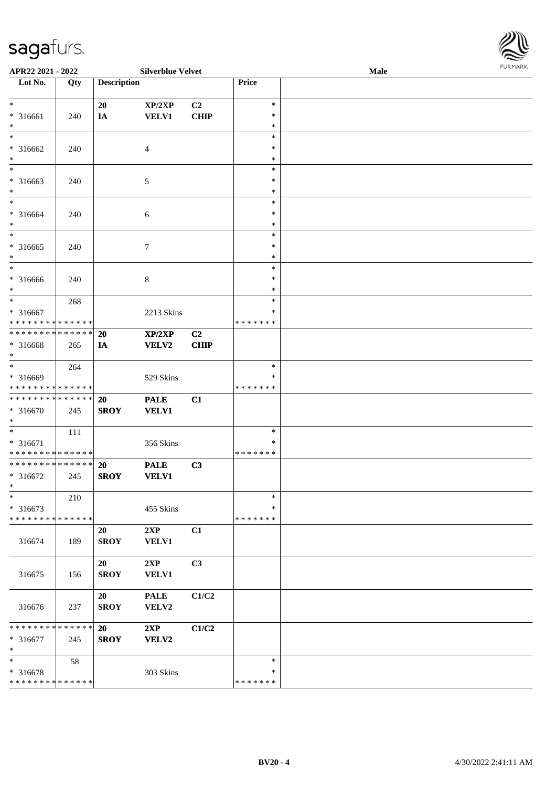

| APR22 2021 - 2022                                      |        |                    | <b>Silverblue Velvet</b> |                |                   | Male | <b>FURPIARR</b> |
|--------------------------------------------------------|--------|--------------------|--------------------------|----------------|-------------------|------|-----------------|
| Lot No.                                                | Qty    | <b>Description</b> |                          |                | Price             |      |                 |
| $*$                                                    |        | 20                 | XP/2XP                   | C2             | $\ast$            |      |                 |
| * 316661                                               | 240    | IA                 | <b>VELV1</b>             | <b>CHIP</b>    | $\ast$            |      |                 |
| $\ast$                                                 |        |                    |                          |                | $\ast$            |      |                 |
| $\ast$                                                 |        |                    |                          |                | $\ast$            |      |                 |
| * 316662                                               | 240    |                    | $\overline{4}$           |                | $\ast$            |      |                 |
| $\ast$                                                 |        |                    |                          |                | $\ast$            |      |                 |
|                                                        |        |                    |                          |                | $\ast$            |      |                 |
| * 316663                                               | 240    |                    | 5                        |                | $\ast$            |      |                 |
| $\ast$                                                 |        |                    |                          |                | $\ast$            |      |                 |
| $\overline{\ast}$                                      |        |                    |                          |                | $\ast$            |      |                 |
| * 316664                                               | 240    |                    | $\sqrt{6}$               |                | $\ast$            |      |                 |
| $\ast$                                                 |        |                    |                          |                | $\ast$            |      |                 |
| $\overline{\phantom{0}}$                               |        |                    |                          |                | $\ast$            |      |                 |
| * 316665                                               | 240    |                    | $\tau$                   |                | $\ast$            |      |                 |
| $\ast$<br>$\overline{\phantom{0}}$                     |        |                    |                          |                | $\ast$            |      |                 |
|                                                        |        |                    |                          |                | $\ast$            |      |                 |
| * 316666                                               | 240    |                    | $\bf 8$                  |                | $\ast$            |      |                 |
| $*$<br>$*$                                             |        |                    |                          |                | $\ast$            |      |                 |
|                                                        | 268    |                    |                          |                | $\ast$            |      |                 |
| * 316667<br>* * * * * * * * <mark>* * * * * * *</mark> |        |                    | 2213 Skins               |                | $\ast$<br>******* |      |                 |
| * * * * * * * * <mark>* * * * * * *</mark>             |        |                    |                          |                |                   |      |                 |
|                                                        |        | 20                 | XP/2XP                   | C <sub>2</sub> |                   |      |                 |
| * 316668<br>$\ast$                                     | 265    | <b>IA</b>          | <b>VELV2</b>             | CHIP           |                   |      |                 |
| $\overline{\phantom{0}}$                               | 264    |                    |                          |                | $\ast$            |      |                 |
| * 316669                                               |        |                    | 529 Skins                |                | ∗                 |      |                 |
| * * * * * * * * <mark>* * * * * *</mark>               |        |                    |                          |                | * * * * * * *     |      |                 |
| * * * * * * * * <mark>* * * * * * *</mark>             |        | 20                 | <b>PALE</b>              | C1             |                   |      |                 |
| * 316670                                               | 245    | <b>SROY</b>        | <b>VELV1</b>             |                |                   |      |                 |
| $\ast$                                                 |        |                    |                          |                |                   |      |                 |
|                                                        | 111    |                    |                          |                | $\ast$            |      |                 |
| $* 316671$                                             |        |                    | 356 Skins                |                | $\ast$            |      |                 |
| * * * * * * * * * * * * * * *                          |        |                    |                          |                | * * * * * * *     |      |                 |
| * * * * * * * * <mark>* * * * * * *</mark>             |        | 20                 | <b>PALE</b>              | C3             |                   |      |                 |
| * 316672                                               | 245    | <b>SROY</b>        | <b>VELV1</b>             |                |                   |      |                 |
| $\ast$                                                 |        |                    |                          |                |                   |      |                 |
| $\ast$                                                 | 210    |                    |                          |                | $\ast$            |      |                 |
| * 316673                                               |        |                    | 455 Skins                |                | $\ast$            |      |                 |
| * * * * * * * * * * * * * *                            |        |                    |                          |                | * * * * * * *     |      |                 |
|                                                        |        | 20                 | 2XP                      | C1             |                   |      |                 |
| 316674                                                 | 189    | <b>SROY</b>        | <b>VELV1</b>             |                |                   |      |                 |
|                                                        |        |                    |                          |                |                   |      |                 |
|                                                        |        | 20                 | 2XP                      | C3             |                   |      |                 |
| 316675                                                 | 156    | <b>SROY</b>        | <b>VELV1</b>             |                |                   |      |                 |
|                                                        |        |                    |                          |                |                   |      |                 |
|                                                        |        | 20                 | <b>PALE</b>              | C1/C2          |                   |      |                 |
| 316676                                                 | 237    | <b>SROY</b>        | VELV2                    |                |                   |      |                 |
|                                                        |        |                    |                          |                |                   |      |                 |
| * * * * * * * *                                        | ****** | <b>20</b>          | 2XP                      | C1/C2          |                   |      |                 |
| * 316677                                               | 245    | <b>SROY</b>        | <b>VELV2</b>             |                |                   |      |                 |
| $\ast$<br>$\ast$                                       |        |                    |                          |                | $\ast$            |      |                 |
| * 316678                                               | 58     |                    |                          |                | *                 |      |                 |
| * * * * * * * * <mark>* * * * * * *</mark>             |        |                    | 303 Skins                |                | * * * * * * *     |      |                 |
|                                                        |        |                    |                          |                |                   |      |                 |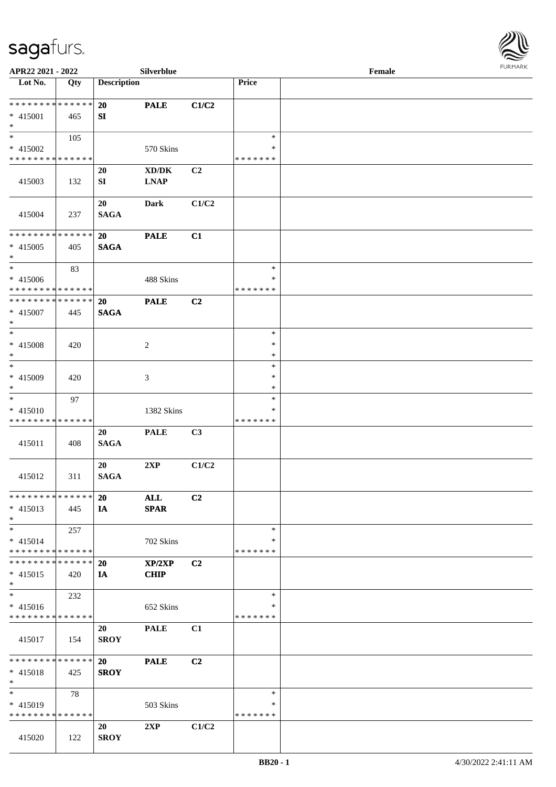

| APR22 2021 - 2022                          |     |                    | Silverblue  |                |               | Female |  |
|--------------------------------------------|-----|--------------------|-------------|----------------|---------------|--------|--|
| Lot No.                                    | Qty | <b>Description</b> |             |                | Price         |        |  |
|                                            |     |                    |             |                |               |        |  |
| ******** <mark>******</mark>               |     | <b>20</b>          | <b>PALE</b> | C1/C2          |               |        |  |
| $* 415001$                                 | 465 | SI                 |             |                |               |        |  |
| $*$                                        |     |                    |             |                |               |        |  |
| $\overline{\ast}$                          | 105 |                    |             |                | $\ast$        |        |  |
| $* 415002$                                 |     |                    | 570 Skins   |                | ∗             |        |  |
| * * * * * * * * * * * * * *                |     |                    |             |                | * * * * * * * |        |  |
|                                            |     | <b>20</b>          | XD/DK       | C <sub>2</sub> |               |        |  |
| 415003                                     | 132 | SI                 | <b>LNAP</b> |                |               |        |  |
|                                            |     |                    |             |                |               |        |  |
|                                            |     | 20                 | <b>Dark</b> | C1/C2          |               |        |  |
| 415004                                     | 237 | <b>SAGA</b>        |             |                |               |        |  |
|                                            |     |                    |             |                |               |        |  |
| * * * * * * * * * * * * * * *              |     | 20                 | <b>PALE</b> | C1             |               |        |  |
| $* 415005$                                 | 405 | <b>SAGA</b>        |             |                |               |        |  |
| $*$                                        |     |                    |             |                |               |        |  |
| $*$                                        | 83  |                    |             |                | $\ast$        |        |  |
| $* 415006$                                 |     |                    | 488 Skins   |                | $\ast$        |        |  |
| * * * * * * * * <mark>* * * * * * *</mark> |     |                    |             |                | * * * * * * * |        |  |
| * * * * * * * * * * * * * *                |     | <b>20</b>          | <b>PALE</b> | C <sub>2</sub> |               |        |  |
| $* 415007$                                 | 445 | <b>SAGA</b>        |             |                |               |        |  |
| $*$                                        |     |                    |             |                |               |        |  |
| $*$                                        |     |                    |             |                | $\ast$        |        |  |
| * 415008                                   | 420 |                    | 2           |                | $\ast$        |        |  |
| $*$                                        |     |                    |             |                | $\ast$        |        |  |
| $*$                                        |     |                    |             |                | $\ast$        |        |  |
| * 415009                                   | 420 |                    | 3           |                | $\ast$        |        |  |
| $*$                                        |     |                    |             |                | $\ast$        |        |  |
| $*$                                        | 97  |                    |             |                | $\ast$        |        |  |
| * 415010                                   |     |                    | 1382 Skins  |                | ∗             |        |  |
| * * * * * * * * * * * * * *                |     |                    |             |                | * * * * * * * |        |  |
|                                            |     | 20                 | <b>PALE</b> | C3             |               |        |  |
| 415011                                     | 408 | <b>SAGA</b>        |             |                |               |        |  |
|                                            |     |                    |             |                |               |        |  |
|                                            |     | 20                 | 2XP         | C1/C2          |               |        |  |
| 415012                                     | 311 | <b>SAGA</b>        |             |                |               |        |  |
|                                            |     |                    |             |                |               |        |  |
| * * * * * * * * * * * * * * *              |     | <b>20</b>          | ALL         | C <sub>2</sub> |               |        |  |
| $* 415013$                                 | 445 | IA                 | <b>SPAR</b> |                |               |        |  |
| $*$                                        |     |                    |             |                |               |        |  |
| $*$                                        | 257 |                    |             |                | $\ast$        |        |  |
| $* 415014$                                 |     |                    | 702 Skins   |                | ∗             |        |  |
| * * * * * * * * * * * * * * *              |     |                    |             |                | * * * * * * * |        |  |
| * * * * * * * * * * * * * * *              |     | <b>20</b>          | XP/2XP      | C2             |               |        |  |
| $* 415015$                                 | 420 | IA                 | <b>CHIP</b> |                |               |        |  |
| $*$                                        |     |                    |             |                |               |        |  |
| $*$                                        | 232 |                    |             |                | $\ast$        |        |  |
| $* 415016$                                 |     |                    | 652 Skins   |                | ∗             |        |  |
| * * * * * * * * * * * * * *                |     |                    |             |                | *******       |        |  |
|                                            |     | 20                 | <b>PALE</b> | C1             |               |        |  |
| 415017                                     | 154 | <b>SROY</b>        |             |                |               |        |  |
|                                            |     |                    |             |                |               |        |  |
| * * * * * * * * * * * * * * *              |     | 20                 | <b>PALE</b> | C2             |               |        |  |
| $* 415018$                                 | 425 | <b>SROY</b>        |             |                |               |        |  |
| $*$                                        |     |                    |             |                |               |        |  |
| $*$                                        | 78  |                    |             |                | $\ast$        |        |  |
| * 415019                                   |     |                    | 503 Skins   |                | ∗             |        |  |
| * * * * * * * * * * * * * *                |     |                    |             |                | * * * * * * * |        |  |
|                                            |     | 20                 | 2XP         | C1/C2          |               |        |  |
| 415020                                     | 122 | <b>SROY</b>        |             |                |               |        |  |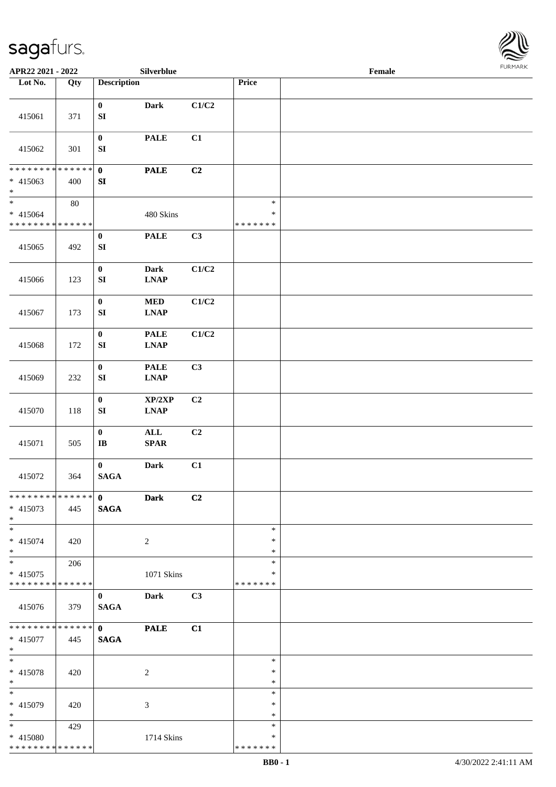

| APR22 2021 - 2022                                                     |        |                                      | Silverblue                   |                           |                                   | Female |  |
|-----------------------------------------------------------------------|--------|--------------------------------------|------------------------------|---------------------------|-----------------------------------|--------|--|
| Lot No.                                                               | Qty    | <b>Description</b>                   |                              |                           | Price                             |        |  |
| 415061                                                                | 371    | $\bf{0}$<br>${\bf S}{\bf I}$         | <b>Dark</b>                  | C1/C2                     |                                   |        |  |
| 415062                                                                | 301    | $\bf{0}$<br>${\bf S}{\bf I}$         | <b>PALE</b>                  | C1                        |                                   |        |  |
| * * * * * * * * * * * * * *<br>$* 415063$<br>$\ast$                   | 400    | $\mathbf 0$<br>SI                    | <b>PALE</b>                  | C <sub>2</sub>            |                                   |        |  |
| $_{\ast}$<br>$* 415064$<br>* * * * * * * * <mark>* * * * * * *</mark> | $80\,$ |                                      | 480 Skins                    |                           | $\ast$<br>$\ast$<br>* * * * * * * |        |  |
| 415065                                                                | 492    | $\bf{0}$<br>SI                       | $\ensuremath{\mathsf{PALE}}$ | C3                        |                                   |        |  |
| 415066                                                                | 123    | $\boldsymbol{0}$<br>${\bf SI}$       | <b>Dark</b><br><b>LNAP</b>   | $\mathbf{C1}/\mathbf{C2}$ |                                   |        |  |
| 415067                                                                | 173    | $\boldsymbol{0}$<br>${\bf S}{\bf I}$ | $\bf MED$<br><b>LNAP</b>     | C1/C2                     |                                   |        |  |
| 415068                                                                | 172    | $\boldsymbol{0}$<br>${\bf S}{\bf I}$ | <b>PALE</b><br><b>LNAP</b>   | C1/C2                     |                                   |        |  |
| 415069                                                                | 232    | $\pmb{0}$<br>${\bf S}{\bf I}$        | <b>PALE</b><br><b>LNAP</b>   | C3                        |                                   |        |  |
| 415070                                                                | 118    | $\boldsymbol{0}$<br>${\bf S}{\bf I}$ | XP/2XP<br><b>LNAP</b>        | C2                        |                                   |        |  |
| 415071                                                                | 505    | $\boldsymbol{0}$<br>$\bf I\bf B$     | $\mathbf{ALL}$<br>$\bf SPAR$ | C2                        |                                   |        |  |
| 415072                                                                | 364    | $\bf{0}$<br>$\mathbf{SAGA}$          | <b>Dark</b>                  | C1                        |                                   |        |  |
| ******** <mark>******</mark><br>$* 415073$<br>$*$                     | 445    | $\mathbf{0}$<br>$\mathbf{SAGA}$      | <b>Dark</b>                  | C2                        |                                   |        |  |
| $\overline{\phantom{0}}$<br>$* 415074$<br>$*$                         | 420    |                                      | $\overline{2}$               |                           | $\ast$<br>*<br>$\ast$             |        |  |
| $*$<br>$* 415075$<br>* * * * * * * * * * * * * *                      | 206    |                                      | 1071 Skins                   |                           | $\ast$<br>∗<br>* * * * * * *      |        |  |
| 415076                                                                | 379    | $\bf{0}$<br><b>SAGA</b>              | <b>Dark</b>                  | C3                        |                                   |        |  |
| * * * * * * * * * * * * * * *<br>$* 415077$<br>$*$                    | 445    | $\mathbf{0}$<br><b>SAGA</b>          | <b>PALE</b>                  | C1                        |                                   |        |  |
| $\ast$<br>* 415078<br>$*$                                             | 420    |                                      | $\overline{c}$               |                           | $\ast$<br>$\ast$<br>$\ast$        |        |  |
| $\overline{\phantom{0}}$<br>* 415079<br>$*$                           | 420    |                                      | 3                            |                           | $\ast$<br>∗<br>$\ast$             |        |  |
| $*$<br>* 415080<br>* * * * * * * * * * * * * *                        | 429    |                                      | 1714 Skins                   |                           | $\ast$<br>*<br>* * * * * * *      |        |  |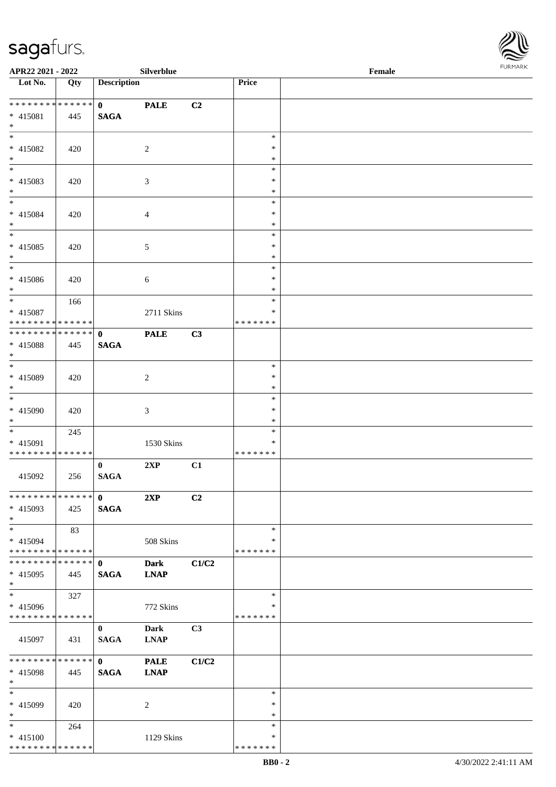

| APR22 2021 - 2022                                      |     |                    | Silverblue     |                |                    | Female |  |
|--------------------------------------------------------|-----|--------------------|----------------|----------------|--------------------|--------|--|
| Lot No.                                                | Qty | <b>Description</b> |                |                | Price              |        |  |
|                                                        |     |                    |                |                |                    |        |  |
| * * * * * * * * * * * * * * <mark>*</mark>             |     | $\mathbf{0}$       | <b>PALE</b>    | C2             |                    |        |  |
| $* 415081$<br>$*$                                      | 445 | <b>SAGA</b>        |                |                |                    |        |  |
|                                                        |     |                    |                |                | $\ast$             |        |  |
| * 415082                                               | 420 |                    | 2              |                | $\ast$             |        |  |
| $\ast$                                                 |     |                    |                |                | $\ast$             |        |  |
|                                                        |     |                    |                |                | $\ast$             |        |  |
| * 415083                                               | 420 |                    | 3              |                | $\ast$             |        |  |
| $\ast$                                                 |     |                    |                |                | $\ast$             |        |  |
| $*$                                                    |     |                    |                |                | $\ast$             |        |  |
| * 415084                                               | 420 |                    | $\overline{4}$ |                | $\ast$             |        |  |
| $*$                                                    |     |                    |                |                | $\ast$             |        |  |
| $\overline{\ast}$                                      |     |                    |                |                | $\ast$             |        |  |
| * 415085                                               | 420 |                    | 5              |                | $\ast$             |        |  |
| $*$                                                    |     |                    |                |                | $\ast$             |        |  |
| $\overline{\phantom{0}}$                               |     |                    |                |                | $\ast$             |        |  |
| * 415086                                               | 420 |                    | $\sqrt{6}$     |                | $\ast$             |        |  |
| $\ast$<br>$\overline{\ast}$                            |     |                    |                |                | $\ast$             |        |  |
|                                                        | 166 |                    |                |                | $\ast$             |        |  |
| * 415087<br>* * * * * * * * <mark>* * * * * *</mark>   |     |                    | 2711 Skins     |                | ∗<br>*******       |        |  |
| * * * * * * * * <mark>* * * * * *</mark> *             |     | $\mathbf{0}$       | <b>PALE</b>    | C3             |                    |        |  |
| * 415088                                               | 445 | <b>SAGA</b>        |                |                |                    |        |  |
| $\ast$                                                 |     |                    |                |                |                    |        |  |
|                                                        |     |                    |                |                | $\ast$             |        |  |
| * 415089                                               | 420 |                    | $\overline{2}$ |                | $\ast$             |        |  |
| $\ast$                                                 |     |                    |                |                | $\ast$             |        |  |
| $\ast$                                                 |     |                    |                |                | $\ast$             |        |  |
| * 415090                                               | 420 |                    | $\mathfrak{Z}$ |                | $\ast$             |        |  |
| $*$                                                    |     |                    |                |                | $\ast$             |        |  |
| $\overline{\mathbf{r}}$                                | 245 |                    |                |                | $\ast$             |        |  |
| * 415091                                               |     |                    | 1530 Skins     |                | $\ast$             |        |  |
| * * * * * * * * <mark>* * * * * * *</mark>             |     |                    |                |                | *******            |        |  |
|                                                        |     | $\mathbf{0}$       | 2XP            | C1             |                    |        |  |
| 415092                                                 | 256 | $\mathbf{SAGA}$    |                |                |                    |        |  |
|                                                        |     |                    |                |                |                    |        |  |
|                                                        |     | 2XP                |                | C2             |                    |        |  |
| $* 415093$                                             | 425 | <b>SAGA</b>        |                |                |                    |        |  |
| $*$                                                    |     |                    |                |                |                    |        |  |
| $*$ $-$                                                | 83  |                    |                |                | $\ast$<br>$\ast$   |        |  |
| * 415094<br>* * * * * * * * <mark>* * * * * * *</mark> |     |                    | 508 Skins      |                | * * * * * * *      |        |  |
|                                                        |     |                    | <b>Dark</b>    | C1/C2          |                    |        |  |
| * 415095                                               | 445 | <b>SAGA</b>        | <b>LNAP</b>    |                |                    |        |  |
| $*$                                                    |     |                    |                |                |                    |        |  |
| $\ddot{x}$                                             | 327 |                    |                |                | $\ast$             |        |  |
| * 415096                                               |     |                    | 772 Skins      |                | ∗                  |        |  |
| * * * * * * * * <mark>* * * * * * *</mark>             |     |                    |                |                | *******            |        |  |
|                                                        |     | $\mathbf{0}$       | <b>Dark</b>    | C <sub>3</sub> |                    |        |  |
| 415097                                                 | 431 | <b>SAGA</b>        | <b>LNAP</b>    |                |                    |        |  |
|                                                        |     |                    |                |                |                    |        |  |
|                                                        |     |                    | <b>PALE</b>    | C1/C2          |                    |        |  |
| * 415098                                               | 445 | <b>SAGA</b>        | <b>LNAP</b>    |                |                    |        |  |
| $*$                                                    |     |                    |                |                |                    |        |  |
| $*$                                                    |     |                    |                |                | $\ast$             |        |  |
| * 415099                                               | 420 |                    | 2              |                | $\ast$             |        |  |
| $*$                                                    |     |                    |                |                | $\ast$             |        |  |
| $\ast$                                                 | 264 |                    |                |                | $\ast$             |        |  |
| $* 415100$<br>* * * * * * * * * * * * * *              |     |                    | 1129 Skins     |                | ∗<br>* * * * * * * |        |  |
|                                                        |     |                    |                |                |                    |        |  |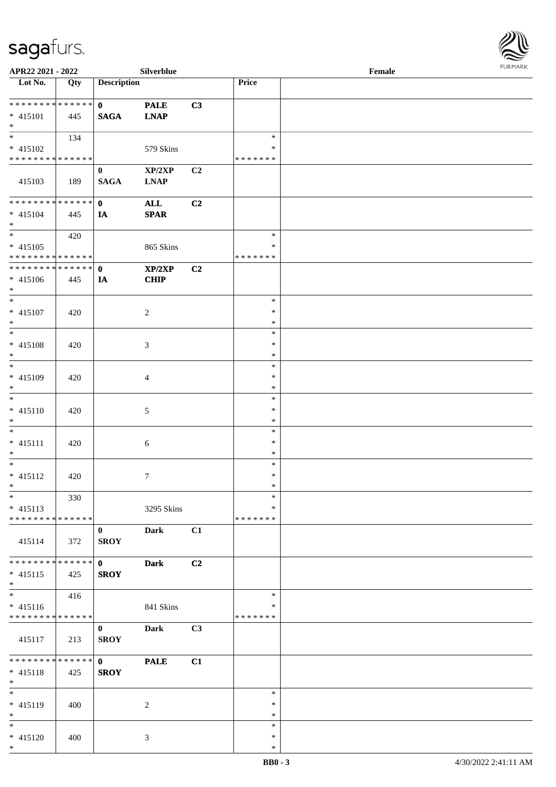

| APR22 2021 - 2022             |     |                    | Silverblue     |    |               | Female |  |
|-------------------------------|-----|--------------------|----------------|----|---------------|--------|--|
| Lot No.                       | Qty | <b>Description</b> |                |    | Price         |        |  |
|                               |     |                    |                |    |               |        |  |
| ******** <mark>******</mark>  |     | $\mathbf{0}$       | <b>PALE</b>    | C3 |               |        |  |
| $* 415101$                    | 445 | <b>SAGA</b>        | <b>LNAP</b>    |    |               |        |  |
| $*$                           |     |                    |                |    |               |        |  |
|                               | 134 |                    |                |    | $\ast$        |        |  |
| $* 415102$                    |     |                    | 579 Skins      |    | ∗             |        |  |
| * * * * * * * * * * * * * *   |     |                    |                |    | * * * * * * * |        |  |
|                               |     |                    |                |    |               |        |  |
|                               |     | $\bf{0}$           | XP/2XP         | C2 |               |        |  |
| 415103                        | 189 | <b>SAGA</b>        | <b>LNAP</b>    |    |               |        |  |
|                               |     |                    |                |    |               |        |  |
| ******** <mark>******</mark>  |     | $\mathbf{0}$       | ALL            | C2 |               |        |  |
| $* 415104$                    | 445 | IA                 | SPAR           |    |               |        |  |
| $*$                           |     |                    |                |    |               |        |  |
| $\overline{\ast}$             | 420 |                    |                |    | $\ast$        |        |  |
| $* 415105$                    |     |                    | 865 Skins      |    | $\ast$        |        |  |
| * * * * * * * * * * * * * * * |     |                    |                |    | * * * * * * * |        |  |
| * * * * * * * * * * * * * * * |     | $\mathbf{0}$       | XP/2XP         | C2 |               |        |  |
| $* 415106$                    | 445 | IA                 | <b>CHIP</b>    |    |               |        |  |
| $*$                           |     |                    |                |    |               |        |  |
| $\overline{\phantom{0}}$      |     |                    |                |    | $\ast$        |        |  |
| $* 415107$                    | 420 |                    | $\overline{c}$ |    | $\ast$        |        |  |
| $*$                           |     |                    |                |    | $\ast$        |        |  |
| $*$                           |     |                    |                |    | $\ast$        |        |  |
|                               |     |                    |                |    |               |        |  |
| $* 415108$                    | 420 |                    | 3              |    | $\ast$        |        |  |
| $*$                           |     |                    |                |    | ∗             |        |  |
| $*$                           |     |                    |                |    | $\ast$        |        |  |
| $* 415109$                    | 420 |                    | 4              |    | $\ast$        |        |  |
| $*$                           |     |                    |                |    | $\ast$        |        |  |
| $\overline{\ast}$             |     |                    |                |    | $\ast$        |        |  |
| $* 415110$                    | 420 |                    | 5              |    | $\ast$        |        |  |
| $*$                           |     |                    |                |    | $\ast$        |        |  |
| $*$                           |     |                    |                |    | $\ast$        |        |  |
| $* 415111$                    | 420 |                    | 6              |    | $\ast$        |        |  |
| $*$                           |     |                    |                |    | $\ast$        |        |  |
| $*$                           |     |                    |                |    | $\ast$        |        |  |
| $* 415112$                    | 420 |                    | $\tau$         |    | $\ast$        |        |  |
| $*$                           |     |                    |                |    | $\ast$        |        |  |
| $*$                           |     |                    |                |    | $\ast$        |        |  |
|                               | 330 |                    |                |    |               |        |  |
| $* 415113$                    |     |                    | 3295 Skins     |    | ∗             |        |  |
| * * * * * * * * * * * * * * * |     |                    |                |    | * * * * * * * |        |  |
|                               |     | $\bf{0}$           | Dark           | C1 |               |        |  |
| 415114                        | 372 | <b>SROY</b>        |                |    |               |        |  |
|                               |     |                    |                |    |               |        |  |
| * * * * * * * * * * * * * * * |     | $\mathbf{0}$       | <b>Dark</b>    | C2 |               |        |  |
| $* 415115$                    | 425 | <b>SROY</b>        |                |    |               |        |  |
| $*$                           |     |                    |                |    |               |        |  |
|                               | 416 |                    |                |    | $\ast$        |        |  |
| $* 415116$                    |     |                    | 841 Skins      |    | ∗             |        |  |
| * * * * * * * * * * * * * *   |     |                    |                |    | * * * * * * * |        |  |
|                               |     | $\mathbf{0}$       | Dark           | C3 |               |        |  |
|                               |     |                    |                |    |               |        |  |
| 415117                        | 213 | <b>SROY</b>        |                |    |               |        |  |
|                               |     |                    |                |    |               |        |  |
| * * * * * * * * * * * * * * * |     | $\mathbf{0}$       | <b>PALE</b>    | C1 |               |        |  |
| $* 415118$                    | 425 | <b>SROY</b>        |                |    |               |        |  |
| $*$                           |     |                    |                |    |               |        |  |
| $*$                           |     |                    |                |    | $\ast$        |        |  |
| $* 415119$                    | 400 |                    | 2              |    | $\ast$        |        |  |
| $*$                           |     |                    |                |    | $\ast$        |        |  |
| $*$                           |     |                    |                |    | $\ast$        |        |  |
| * 415120                      | 400 |                    | 3              |    | $\ast$        |        |  |
| $*$                           |     |                    |                |    | $\ast$        |        |  |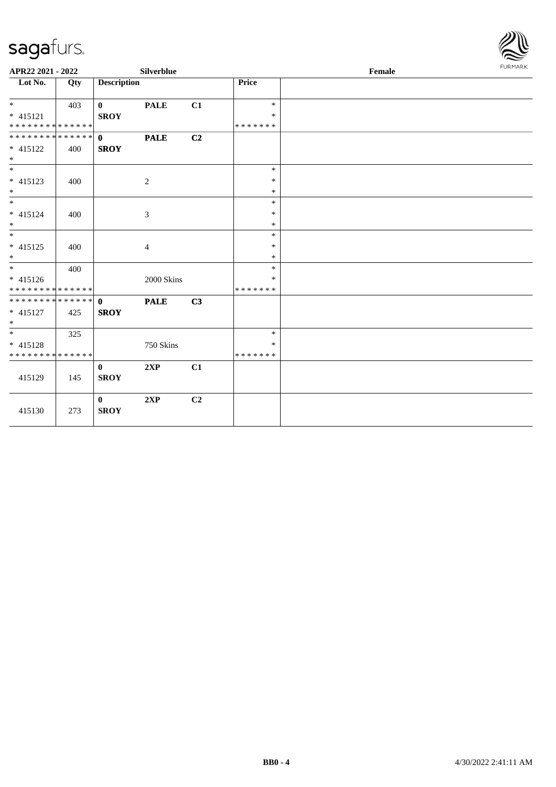

| APR22 2021 - 2022                                  |     |                             | <b>Silverblue</b> |                |                                   | Female | FURMARK |
|----------------------------------------------------|-----|-----------------------------|-------------------|----------------|-----------------------------------|--------|---------|
| $\overline{\phantom{1}}$ Lot No.                   | Qty | <b>Description</b>          |                   |                | Price                             |        |         |
| $* 415121$<br>* * * * * * * * * * * * * * *        | 403 | $\mathbf{0}$<br><b>SROY</b> | <b>PALE</b>       | C1             | $\ast$<br>$\ast$<br>* * * * * * * |        |         |
| * 415122<br>$*$                                    | 400 | <b>SROY</b>                 | <b>PALE</b>       | C <sub>2</sub> |                                   |        |         |
| $*$<br>* 415123<br>$*$                             | 400 |                             | 2                 |                | $\ast$<br>$\ast$<br>$\ast$        |        |         |
| $\frac{1}{1}$<br>$* 415124$<br>$*$                 | 400 |                             | 3                 |                | $\ast$<br>$\ast$<br>$\ast$        |        |         |
| * 415125<br>$*$                                    | 400 |                             | $\overline{4}$    |                | $\ast$<br>$\ast$<br>$\ast$        |        |         |
| $*$<br>$* 415126$<br>* * * * * * * * * * * * * * * | 400 |                             | 2000 Skins        |                | $\ast$<br>*<br>* * * * * * *      |        |         |
| * 415127<br>$*$                                    | 425 | <b>SROY</b>                 | <b>PALE</b>       | C3             |                                   |        |         |
| * 415128<br>* * * * * * * * * * * * * * *          | 325 |                             | 750 Skins         |                | $\ast$<br>*<br>* * * * * * *      |        |         |
| 415129                                             | 145 | $\mathbf{0}$<br><b>SROY</b> | 2XP               | C1             |                                   |        |         |
| 415130                                             | 273 | $\mathbf{0}$<br><b>SROY</b> | 2XP               | C2             |                                   |        |         |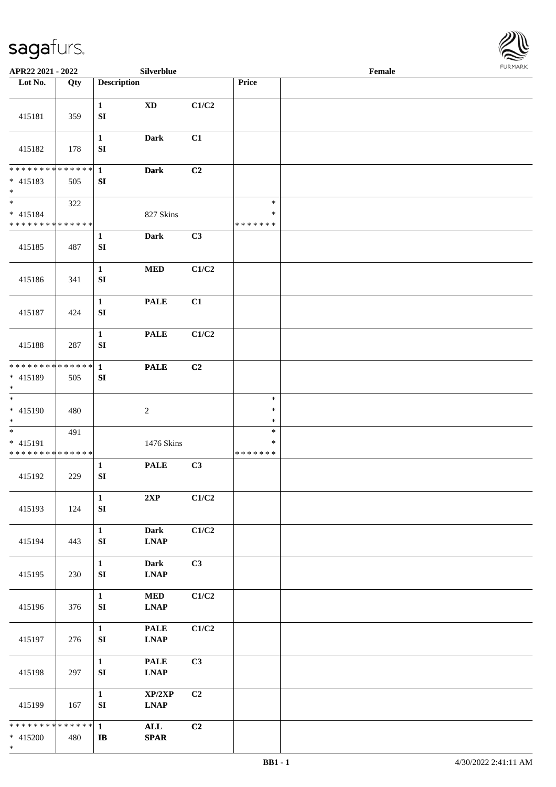

| APR22 2021 - 2022                                                          |     |                                  | Silverblue                 |                |                                   | Female |  |
|----------------------------------------------------------------------------|-----|----------------------------------|----------------------------|----------------|-----------------------------------|--------|--|
| Lot No.                                                                    | Qty | <b>Description</b>               |                            |                | Price                             |        |  |
| 415181                                                                     | 359 | $\mathbf{1}$<br>${\bf S}{\bf I}$ | $\mathbf{X}\mathbf{D}$     | C1/C2          |                                   |        |  |
| 415182                                                                     | 178 | $\mathbf{1}$<br>${\bf S}{\bf I}$ | <b>Dark</b>                | C1             |                                   |        |  |
| * * * * * * * * * * * * * *<br>$* 415183$<br>$\ast$                        | 505 | $\mathbf{1}$<br>${\bf SI}$       | <b>Dark</b>                | C2             |                                   |        |  |
| $\overline{\phantom{a}^*}$<br>$* 415184$<br>* * * * * * * * * * * * * *    | 322 |                                  | 827 Skins                  |                | $\ast$<br>$\ast$<br>* * * * * * * |        |  |
| 415185                                                                     | 487 | $\mathbf{1}$<br>SI               | Dark                       | C3             |                                   |        |  |
| 415186                                                                     | 341 | $\mathbf{1}$<br>SI               | $\bf MED$                  | C1/C2          |                                   |        |  |
| 415187                                                                     | 424 | $\mathbf{1}$<br>${\bf S}{\bf I}$ | <b>PALE</b>                | C1             |                                   |        |  |
| 415188                                                                     | 287 | $\mathbf{1}$<br>SI               | <b>PALE</b>                | C1/C2          |                                   |        |  |
| * * * * * * * * * * * * * *<br>* 415189<br>$*$<br>$\overline{\phantom{0}}$ | 505 | $\mathbf{1}$<br>${\bf SI}$       | <b>PALE</b>                | C <sub>2</sub> |                                   |        |  |
| $* 415190$<br>$*$                                                          | 480 |                                  | $\sqrt{2}$                 |                | $\ast$<br>$\ast$<br>$\ast$        |        |  |
| $\ast$<br>* 415191<br>* * * * * * * * * * * * * *                          | 491 |                                  | 1476 Skins                 |                | $\ast$<br>$\ast$<br>* * * * * * * |        |  |
| 415192                                                                     | 229 | $\mathbf{1}$<br>${\bf SI}$       | <b>PALE</b>                | C3             |                                   |        |  |
| 415193                                                                     | 124 | $\mathbf{1}$<br>${\bf SI}$       | 2XP                        | C1/C2          |                                   |        |  |
| 415194                                                                     | 443 | $\mathbf{1}$<br>SI               | <b>Dark</b><br><b>LNAP</b> | C1/C2          |                                   |        |  |
| 415195                                                                     | 230 | $\mathbf{1}$<br>SI               | <b>Dark</b><br><b>LNAP</b> | C3             |                                   |        |  |
| 415196                                                                     | 376 | $\mathbf{1}$<br>${\bf SI}$       | <b>MED</b><br><b>LNAP</b>  | C1/C2          |                                   |        |  |
| 415197                                                                     | 276 | $\mathbf{1}$<br>SI               | <b>PALE</b><br><b>LNAP</b> | C1/C2          |                                   |        |  |
| 415198                                                                     | 297 | $\mathbf{1}$<br>${\bf SI}$       | <b>PALE</b><br><b>LNAP</b> | C3             |                                   |        |  |
| 415199                                                                     | 167 | $\mathbf{1}$<br>${\bf SI}$       | XP/2XP<br><b>LNAP</b>      | C2             |                                   |        |  |
| * * * * * * * * * * * * * * *<br>* 415200<br>$\ast$                        | 480 | $\mathbf{1}$<br>$\mathbf{I}$     | ALL<br><b>SPAR</b>         | C2             |                                   |        |  |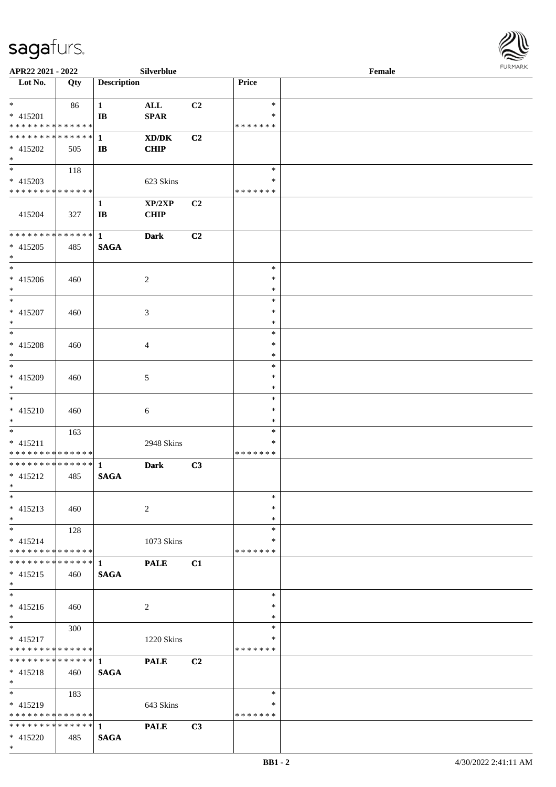

| APR22 2021 - 2022                          |     |                                       | Silverblue            |                |               | Female | <b>FURMARK</b> |
|--------------------------------------------|-----|---------------------------------------|-----------------------|----------------|---------------|--------|----------------|
| $\overline{\phantom{1}}$ Lot No.           | Qty | <b>Description</b>                    |                       |                | Price         |        |                |
| $*$ $*$                                    | 86  | $\mathbf{1}$                          | $\mathbf{ALL}$        | C2             | $\ast$        |        |                |
| $* 415201$                                 |     | $\mathbf{I}$ <b>B</b>                 | <b>SPAR</b>           |                | *             |        |                |
| * * * * * * * * * * * * * * *              |     |                                       |                       |                | * * * * * * * |        |                |
| * * * * * * * * * * * * * * *              |     | $\mathbf{1}$                          | XD/DK                 | C <sub>2</sub> |               |        |                |
| $* 415202$                                 | 505 | $\mathbf{I}$                          | <b>CHIP</b>           |                |               |        |                |
| $*$                                        |     |                                       |                       |                |               |        |                |
| $_{\ast}^{-}$                              | 118 |                                       |                       |                | $\ast$        |        |                |
| $* 415203$                                 |     |                                       | 623 Skins             |                | ∗             |        |                |
| * * * * * * * * * * * * * *                |     |                                       |                       |                | * * * * * * * |        |                |
| 415204                                     | 327 | $\mathbf{1}$<br>$\mathbf{I}$ <b>B</b> | XP/2XP<br><b>CHIP</b> | C2             |               |        |                |
| ******** <mark>******</mark>               |     | $\mathbf{1}$                          | <b>Dark</b>           | C2             |               |        |                |
| $* 415205$                                 | 485 | <b>SAGA</b>                           |                       |                |               |        |                |
| $*$                                        |     |                                       |                       |                |               |        |                |
| $\overline{\phantom{0}}$                   |     |                                       |                       |                | $\ast$        |        |                |
| $* 415206$                                 | 460 |                                       | $\overline{c}$        |                | ∗             |        |                |
| $*$                                        |     |                                       |                       |                | $\ast$        |        |                |
| $\ast$                                     |     |                                       |                       |                | $\ast$        |        |                |
| $* 415207$                                 | 460 |                                       | 3                     |                | $\ast$        |        |                |
| $\ast$                                     |     |                                       |                       |                | $\ast$        |        |                |
| $\ast$                                     |     |                                       |                       |                | $\ast$        |        |                |
| * 415208                                   | 460 |                                       | 4                     |                | $\ast$        |        |                |
| $\ast$                                     |     |                                       |                       |                | $\ast$        |        |                |
| $\overline{\phantom{0}}$                   |     |                                       |                       |                | $\ast$        |        |                |
| * 415209                                   | 460 |                                       | $\mathfrak{S}$        |                | $\ast$        |        |                |
| $\ast$                                     |     |                                       |                       |                | $\ast$        |        |                |
| $\ast$                                     |     |                                       |                       |                | $\ast$        |        |                |
| $* 415210$                                 | 460 |                                       | 6                     |                | $\ast$        |        |                |
| $\ast$                                     |     |                                       |                       |                | $\ast$        |        |                |
| $\ast$                                     | 163 |                                       |                       |                | $\ast$        |        |                |
| $* 415211$                                 |     |                                       | 2948 Skins            |                | $\ast$        |        |                |
| * * * * * * * * * * * * * * *              |     |                                       |                       |                | * * * * * * * |        |                |
| ************** 1                           |     |                                       | <b>Dark</b>           | C3             |               |        |                |
| $* 415212$                                 | 485 | <b>SAGA</b>                           |                       |                |               |        |                |
| $\ast$<br>$\overline{\ast}$                |     |                                       |                       |                | $\ast$        |        |                |
|                                            |     |                                       |                       |                | $\ast$        |        |                |
| $* 415213$<br>$\ast$                       | 460 |                                       | $\overline{c}$        |                | $\ast$        |        |                |
| $\ast$                                     | 128 |                                       |                       |                | $\ast$        |        |                |
| $* 415214$                                 |     |                                       | 1073 Skins            |                | *             |        |                |
| * * * * * * * * <mark>* * * * * * *</mark> |     |                                       |                       |                | * * * * * * * |        |                |
| * * * * * * * * * * * * * * *              |     | $\mathbf{1}$                          | <b>PALE</b>           | C1             |               |        |                |
| $* 415215$                                 | 460 | <b>SAGA</b>                           |                       |                |               |        |                |
| $\ast$                                     |     |                                       |                       |                |               |        |                |
| $_{\ast}^{-}$                              |     |                                       |                       |                | $\ast$        |        |                |
| $* 415216$                                 | 460 |                                       | $\overline{2}$        |                | $\ast$        |        |                |
| $*$                                        |     |                                       |                       |                | $\ast$        |        |                |
| $\ast$                                     | 300 |                                       |                       |                | $\ast$        |        |                |
| $* 415217$                                 |     |                                       | 1220 Skins            |                | $\ast$        |        |                |
| * * * * * * * * * * * * * * *              |     |                                       |                       |                | * * * * * * * |        |                |
| **************                             |     | $\mathbf{1}$                          | <b>PALE</b>           | C2             |               |        |                |
| $* 415218$                                 | 460 | <b>SAGA</b>                           |                       |                |               |        |                |
| $*$                                        |     |                                       |                       |                |               |        |                |
| $_{\ast}^{-}$                              | 183 |                                       |                       |                | $\ast$        |        |                |
| * 415219                                   |     |                                       | 643 Skins             |                | ∗             |        |                |
| * * * * * * * * * * * * * *                |     |                                       |                       |                | * * * * * * * |        |                |
| **************                             |     | 1                                     | <b>PALE</b>           | C3             |               |        |                |
| $* 415220$                                 | 485 | <b>SAGA</b>                           |                       |                |               |        |                |
| $*$                                        |     |                                       |                       |                |               |        |                |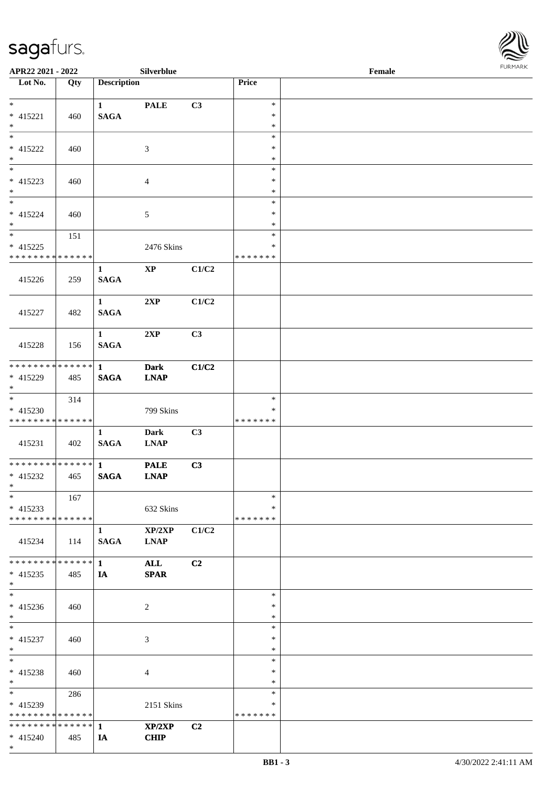\*



| APR22 2021 - 2022                                        |     |                             | Silverblue             |       |                  | Female |  |
|----------------------------------------------------------|-----|-----------------------------|------------------------|-------|------------------|--------|--|
| Lot No.                                                  | Qty | <b>Description</b>          |                        |       | Price            |        |  |
|                                                          |     |                             |                        |       |                  |        |  |
| $\ast$                                                   |     | $\mathbf{1}$                | <b>PALE</b>            | C3    | $\ast$           |        |  |
| $* 415221$                                               | 460 | <b>SAGA</b>                 |                        |       | $\ast$           |        |  |
| $*$<br>$\overline{\phantom{0}}$                          |     |                             |                        |       | $\ast$<br>$\ast$ |        |  |
| * 415222                                                 | 460 |                             | 3                      |       | $\ast$           |        |  |
| $*$                                                      |     |                             |                        |       | $\ast$           |        |  |
|                                                          |     |                             |                        |       | $\ast$           |        |  |
| $* 415223$                                               | 460 |                             | $\overline{4}$         |       | $\ast$           |        |  |
| $*$                                                      |     |                             |                        |       | $\ast$           |        |  |
| $*$                                                      |     |                             |                        |       | $\ast$           |        |  |
| * 415224                                                 | 460 |                             | $\mathfrak{S}$         |       | $\ast$           |        |  |
| $*$                                                      |     |                             |                        |       | $\ast$           |        |  |
| $\overline{\ast}$                                        | 151 |                             |                        |       | $\ast$           |        |  |
| $* 415225$                                               |     |                             | 2476 Skins             |       | $\ast$           |        |  |
| * * * * * * * * * * * * * * *                            |     |                             |                        |       | *******          |        |  |
| 415226                                                   | 259 | $\mathbf{1}$<br><b>SAGA</b> | $\mathbf{X}\mathbf{P}$ | C1/C2 |                  |        |  |
|                                                          |     |                             |                        |       |                  |        |  |
|                                                          |     | $\mathbf{1}$                | 2XP                    | C1/C2 |                  |        |  |
| 415227                                                   | 482 | <b>SAGA</b>                 |                        |       |                  |        |  |
|                                                          |     |                             |                        |       |                  |        |  |
|                                                          |     | $\mathbf{1}$                | 2XP                    | C3    |                  |        |  |
| 415228                                                   | 156 | <b>SAGA</b>                 |                        |       |                  |        |  |
|                                                          |     |                             |                        |       |                  |        |  |
| * * * * * * * * <mark>* * * * * * *</mark>               |     | $\mathbf{1}$                | <b>Dark</b>            | C1/C2 |                  |        |  |
| * 415229                                                 | 485 | <b>SAGA</b>                 | <b>LNAP</b>            |       |                  |        |  |
| $\ast$<br>$\ddot{x}$                                     |     |                             |                        |       | $\ast$           |        |  |
| $* 415230$                                               | 314 |                             | 799 Skins              |       | $\ast$           |        |  |
| * * * * * * * * <mark>* * * * * *</mark>                 |     |                             |                        |       | *******          |        |  |
|                                                          |     | $\mathbf{1}$                | <b>Dark</b>            | C3    |                  |        |  |
| 415231                                                   | 402 | <b>SAGA</b>                 | <b>LNAP</b>            |       |                  |        |  |
|                                                          |     |                             |                        |       |                  |        |  |
|                                                          |     |                             | <b>PALE</b>            | C3    |                  |        |  |
| $* 415232$                                               | 465 | <b>SAGA</b>                 | <b>LNAP</b>            |       |                  |        |  |
| $*$ $-$                                                  |     |                             |                        |       |                  |        |  |
| $\ast$                                                   | 167 |                             |                        |       | $\ast$<br>$\ast$ |        |  |
| $* 415233$<br>* * * * * * * * * * * * * * <mark>*</mark> |     |                             | 632 Skins              |       | *******          |        |  |
|                                                          |     | $\mathbf{1}$                | XP/2XP                 | C1/C2 |                  |        |  |
| 415234                                                   | 114 | SAGA                        | <b>LNAP</b>            |       |                  |        |  |
|                                                          |     |                             |                        |       |                  |        |  |
|                                                          |     |                             | ALL                    | C2    |                  |        |  |
| $* 415235$                                               | 485 | $I$ A                       | <b>SPAR</b>            |       |                  |        |  |
| $*$                                                      |     |                             |                        |       |                  |        |  |
| $\overline{\phantom{0}}$                                 |     |                             |                        |       | $\ast$           |        |  |
| $* 415236$                                               | 460 |                             | 2                      |       | $\ast$           |        |  |
| $\ddot{x}$                                               |     |                             |                        |       | $\ast$           |        |  |
| $*$                                                      |     |                             |                        |       | $\ast$           |        |  |
| $* 415237$<br>$*$                                        | 460 |                             | 3                      |       | $\ast$<br>$\ast$ |        |  |
| $*$ $-$                                                  |     |                             |                        |       | $\ast$           |        |  |
| * 415238                                                 | 460 |                             | $\overline{4}$         |       | $\ast$           |        |  |
| $*$ $-$                                                  |     |                             |                        |       | $\ast$           |        |  |
|                                                          | 286 |                             |                        |       | $\ast$           |        |  |
| * 415239                                                 |     |                             | 2151 Skins             |       | ∗                |        |  |
| * * * * * * * * <mark>* * * * * *</mark>                 |     |                             |                        |       | * * * * * * *    |        |  |
|                                                          |     |                             | XP/2XP                 | C2    |                  |        |  |
| $* 415240$                                               | 485 | <b>IA</b>                   | <b>CHIP</b>            |       |                  |        |  |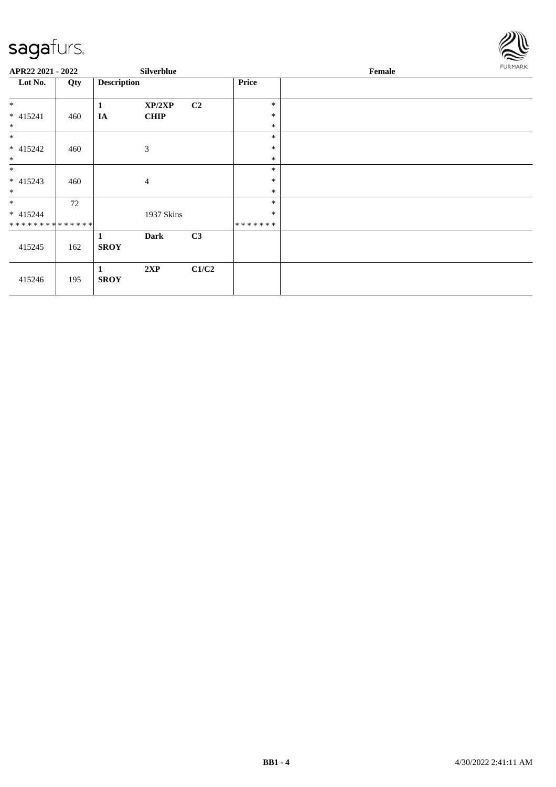

| APR22 2021 - 2022 |     |                    | <b>Silverblue</b> |                |              | Female |  |  |
|-------------------|-----|--------------------|-------------------|----------------|--------------|--------|--|--|
| Lot No.           | Qty | <b>Description</b> |                   |                | <b>Price</b> |        |  |  |
| $*$               |     | 1                  | XP/2XP            | C2             | $\ast$       |        |  |  |
| $* 415241$        | 460 | IA                 | <b>CHIP</b>       |                | $\ast$       |        |  |  |
| $\ast$            |     |                    |                   |                | $\ast$       |        |  |  |
| $\ast$            |     |                    |                   |                | $\ast$       |        |  |  |
| $* 415242$        | 460 |                    | $\mathfrak{Z}$    |                | $\ast$       |        |  |  |
| $\ast$            |     |                    |                   |                | $\ast$       |        |  |  |
| $\ast$            |     |                    |                   |                | $\ast$       |        |  |  |
| $* 415243$        | 460 |                    | $\overline{4}$    |                | $\ast$       |        |  |  |
| $\ast$            |     |                    |                   |                | $\ast$       |        |  |  |
| $*$               | 72  |                    |                   |                | $\ast$       |        |  |  |
| $* 415244$        |     |                    | 1937 Skins        |                | $\ast$       |        |  |  |
| **************    |     |                    |                   |                | *******      |        |  |  |
|                   |     | 1                  | <b>Dark</b>       | C <sub>3</sub> |              |        |  |  |
| 415245            | 162 | <b>SROY</b>        |                   |                |              |        |  |  |
| 415246            | 195 | 1<br><b>SROY</b>   | 2XP               | C1/C2          |              |        |  |  |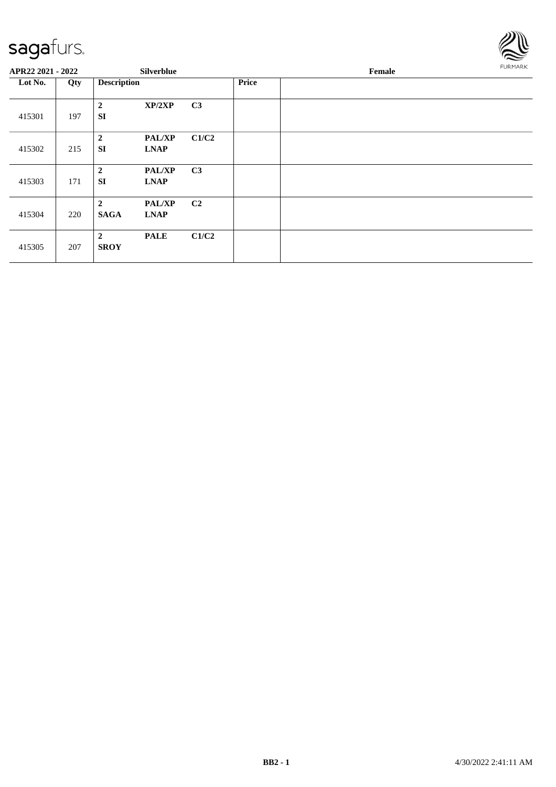

| APR22 2021 - 2022 |     |                                 | <b>Silverblue</b>            |                |              | FURMARK |  |
|-------------------|-----|---------------------------------|------------------------------|----------------|--------------|---------|--|
| Lot No.           | Qty | <b>Description</b>              |                              |                | <b>Price</b> |         |  |
| 415301            | 197 | $\boldsymbol{2}$<br><b>SI</b>   | XP/2XP                       | C3             |              |         |  |
| 415302            | 215 | $\boldsymbol{2}$<br><b>SI</b>   | <b>PAL/XP</b><br><b>LNAP</b> | C1/C2          |              |         |  |
| 415303            | 171 | $\boldsymbol{2}$<br><b>SI</b>   | <b>PAL/XP</b><br><b>LNAP</b> | C <sub>3</sub> |              |         |  |
| 415304            | 220 | $\boldsymbol{2}$<br><b>SAGA</b> | <b>PAL/XP</b><br><b>LNAP</b> | C2             |              |         |  |
| 415305            | 207 | $\overline{2}$<br><b>SROY</b>   | <b>PALE</b>                  | C1/C2          |              |         |  |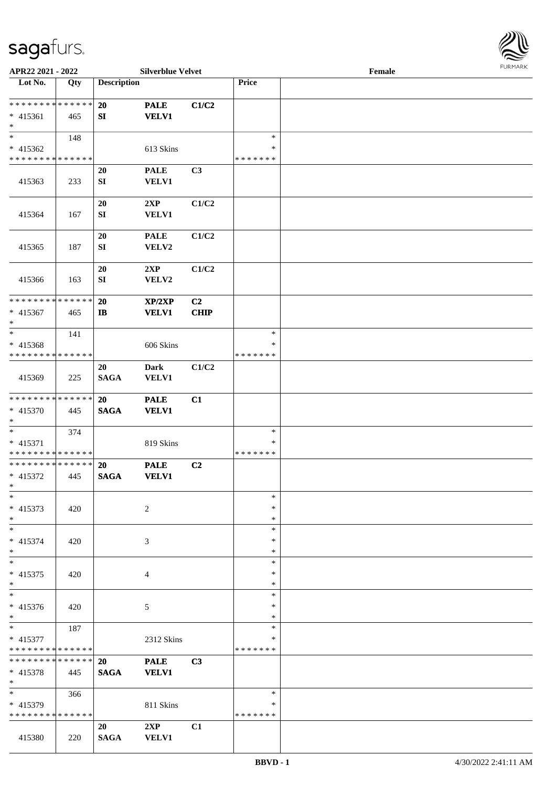

| APR22 2021 - 2022           |     |                    | <b>Silverblue Velvet</b> |                |               | Female |  |
|-----------------------------|-----|--------------------|--------------------------|----------------|---------------|--------|--|
| Lot No.                     | Qty | <b>Description</b> |                          |                | Price         |        |  |
|                             |     |                    |                          |                |               |        |  |
| * * * * * * * * * * * * * * |     | 20                 | <b>PALE</b>              | C1/C2          |               |        |  |
| $* 415361$                  | 465 | SI                 | <b>VELV1</b>             |                |               |        |  |
| $\ast$                      |     |                    |                          |                |               |        |  |
| $\ast$                      | 148 |                    |                          |                | $\ast$        |        |  |
| * 415362                    |     |                    | 613 Skins                |                | ∗             |        |  |
| * * * * * * * * * * * * * * |     |                    |                          |                | * * * * * * * |        |  |
|                             |     | 20                 | <b>PALE</b>              | C3             |               |        |  |
| 415363                      | 233 | ${\bf S}{\bf I}$   | <b>VELV1</b>             |                |               |        |  |
|                             |     |                    |                          |                |               |        |  |
|                             |     | 20                 | 2XP                      | C1/C2          |               |        |  |
| 415364                      | 167 | ${\bf S}{\bf I}$   | <b>VELV1</b>             |                |               |        |  |
|                             |     |                    |                          |                |               |        |  |
|                             |     | 20                 | <b>PALE</b>              | C1/C2          |               |        |  |
| 415365                      | 187 | SI                 | VELV2                    |                |               |        |  |
|                             |     |                    |                          |                |               |        |  |
|                             |     | 20                 | 2XP                      | C1/C2          |               |        |  |
| 415366                      | 163 | ${\bf SI}$         | VELV2                    |                |               |        |  |
|                             |     |                    |                          |                |               |        |  |
| * * * * * * * * * * * * * * |     | 20                 | XP/2XP                   | C <sub>2</sub> |               |        |  |
| $* 415367$                  | 465 | $\mathbf{I}$       | <b>VELV1</b>             | <b>CHIP</b>    |               |        |  |
| $\ast$                      |     |                    |                          |                |               |        |  |
| $*$                         | 141 |                    |                          |                | $\ast$        |        |  |
| * 415368                    |     |                    | 606 Skins                |                | *             |        |  |
| * * * * * * * * * * * * * * |     |                    |                          |                | * * * * * * * |        |  |
|                             |     | 20                 | <b>Dark</b>              | C1/C2          |               |        |  |
| 415369                      | 225 | <b>SAGA</b>        | VELV1                    |                |               |        |  |
|                             |     |                    |                          |                |               |        |  |
| * * * * * * * * * * * * * * |     | 20                 | <b>PALE</b>              | C1             |               |        |  |
| * 415370                    | 445 | <b>SAGA</b>        | <b>VELV1</b>             |                |               |        |  |
| $*$                         |     |                    |                          |                |               |        |  |
| $*$                         | 374 |                    |                          |                | $\ast$        |        |  |
| * 415371                    |     |                    | 819 Skins                |                | $\ast$        |        |  |
| * * * * * * * * * * * * * * |     |                    |                          |                | * * * * * * * |        |  |
| * * * * * * * * * * * * * * |     | 20                 | <b>PALE</b>              | C <sub>2</sub> |               |        |  |
| $* 415372$                  | 445 | <b>SAGA</b>        | <b>VELV1</b>             |                |               |        |  |
| $*$                         |     |                    |                          |                |               |        |  |
| $\ast$                      |     |                    |                          |                | $\ast$        |        |  |
| $* 415373$                  | 420 |                    | 2                        |                | ∗             |        |  |
| $*$                         |     |                    |                          |                | $\ast$        |        |  |
| $*$                         |     |                    |                          |                | $\ast$        |        |  |
| $* 415374$                  | 420 |                    | 3                        |                | *             |        |  |
| $*$                         |     |                    |                          |                | *             |        |  |
| $\ast$                      |     |                    |                          |                | $\ast$        |        |  |
| $* 415375$                  | 420 |                    | 4                        |                | $\ast$        |        |  |
| $*$                         |     |                    |                          |                | *             |        |  |
| $\overline{\phantom{0}}$    |     |                    |                          |                | $\ast$        |        |  |
| * 415376                    | 420 |                    | 5                        |                | *             |        |  |
| $*$                         |     |                    |                          |                | $\ast$        |        |  |
| $\overline{\ast}$           | 187 |                    |                          |                | $\ast$        |        |  |
| * 415377                    |     |                    | 2312 Skins               |                | *             |        |  |
| * * * * * * * * * * * * * * |     |                    |                          |                | *******       |        |  |
| **************              |     | <b>20</b>          | <b>PALE</b>              | C3             |               |        |  |
| $* 415378$                  | 445 | <b>SAGA</b>        | <b>VELV1</b>             |                |               |        |  |
| $*$                         |     |                    |                          |                |               |        |  |
| $*$                         | 366 |                    |                          |                | $\ast$        |        |  |
| * 415379                    |     |                    | 811 Skins                |                | ∗             |        |  |
| * * * * * * * * * * * * * * |     |                    |                          |                | * * * * * * * |        |  |
|                             |     | 20                 | 2XP                      | C1             |               |        |  |
| 415380                      | 220 | <b>SAGA</b>        | <b>VELV1</b>             |                |               |        |  |
|                             |     |                    |                          |                |               |        |  |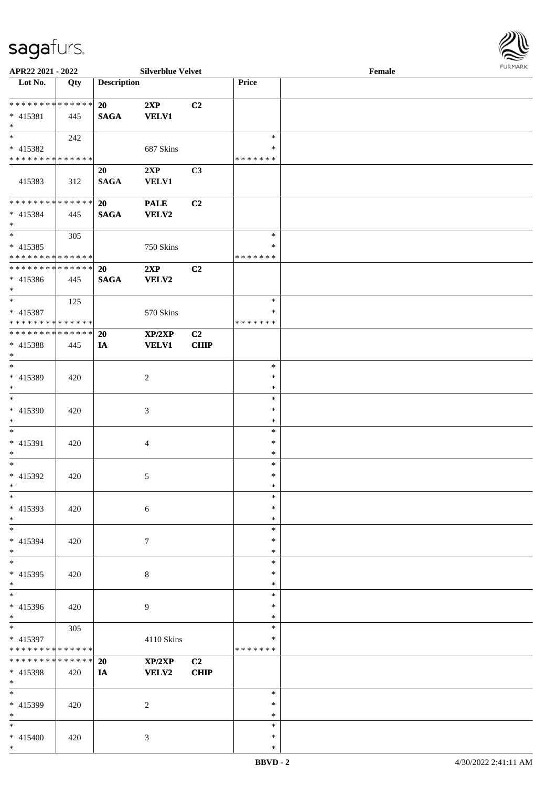

| APR22 2021 - 2022             |     |                    | <b>Silverblue Velvet</b> |                |               | Female |  |
|-------------------------------|-----|--------------------|--------------------------|----------------|---------------|--------|--|
| Lot No.                       | Qty | <b>Description</b> |                          |                | Price         |        |  |
|                               |     |                    |                          |                |               |        |  |
| ******** <mark>******</mark>  |     | 20                 | 2XP                      | C2             |               |        |  |
| $* 415381$                    | 445 | <b>SAGA</b>        | <b>VELV1</b>             |                |               |        |  |
| $*$                           |     |                    |                          |                |               |        |  |
| $\overline{\ast}$             |     |                    |                          |                | $\ast$        |        |  |
|                               | 242 |                    |                          |                |               |        |  |
| $* 415382$                    |     |                    | 687 Skins                |                | ∗             |        |  |
| * * * * * * * * * * * * * *   |     |                    |                          |                | * * * * * * * |        |  |
|                               |     | 20                 | 2XP                      | C3             |               |        |  |
| 415383                        | 312 | <b>SAGA</b>        | <b>VELV1</b>             |                |               |        |  |
|                               |     |                    |                          |                |               |        |  |
| * * * * * * * * * * * * * * * |     | 20                 | <b>PALE</b>              | C2             |               |        |  |
| * 415384                      | 445 | <b>SAGA</b>        | <b>VELV2</b>             |                |               |        |  |
| $*$                           |     |                    |                          |                |               |        |  |
| $*$                           |     |                    |                          |                | $\ast$        |        |  |
|                               | 305 |                    |                          |                |               |        |  |
| $* 415385$                    |     |                    | 750 Skins                |                | $\ast$        |        |  |
| * * * * * * * * * * * * * * * |     |                    |                          |                | * * * * * * * |        |  |
| * * * * * * * * * * * * * *   |     | <b>20</b>          | 2XP                      | C2             |               |        |  |
| $* 415386$                    | 445 | <b>SAGA</b>        | VELV2                    |                |               |        |  |
| $*$                           |     |                    |                          |                |               |        |  |
| $*$                           | 125 |                    |                          |                | $\ast$        |        |  |
| $* 415387$                    |     |                    | 570 Skins                |                | ∗             |        |  |
| * * * * * * * * * * * * * * * |     |                    |                          |                | * * * * * * * |        |  |
| * * * * * * * * * * * * * * * |     | 20                 | XP/2XP                   | C <sub>2</sub> |               |        |  |
|                               |     |                    |                          |                |               |        |  |
| * 415388                      | 445 | IA                 | <b>VELV1</b>             | <b>CHIP</b>    |               |        |  |
| $*$                           |     |                    |                          |                |               |        |  |
| $*$                           |     |                    |                          |                | $\ast$        |        |  |
| $* 415389$                    | 420 |                    | 2                        |                | $\ast$        |        |  |
| $*$                           |     |                    |                          |                | $\ast$        |        |  |
| $*$                           |     |                    |                          |                | $\ast$        |        |  |
| $* 415390$                    | 420 |                    | 3                        |                | $\ast$        |        |  |
| $*$                           |     |                    |                          |                | $\ast$        |        |  |
| $*$                           |     |                    |                          |                | $\ast$        |        |  |
|                               |     |                    |                          |                | $\ast$        |        |  |
| * 415391                      | 420 |                    | 4                        |                |               |        |  |
| $*$                           |     |                    |                          |                | $\ast$        |        |  |
| $*$                           |     |                    |                          |                | $\ast$        |        |  |
| * 415392                      | 420 |                    | 5                        |                | $\ast$        |        |  |
| $*$                           |     |                    |                          |                | $\ast$        |        |  |
| $*$                           |     |                    |                          |                | $\ast$        |        |  |
| * 415393                      | 420 |                    | 6                        |                | ∗             |        |  |
| $*$                           |     |                    |                          |                | $\ast$        |        |  |
| $*$                           |     |                    |                          |                | $\ast$        |        |  |
| * 415394                      |     |                    |                          |                | *             |        |  |
| $*$                           | 420 |                    | 7                        |                | *             |        |  |
|                               |     |                    |                          |                |               |        |  |
| $*$                           |     |                    |                          |                | $\ast$        |        |  |
| $* 415395$                    | 420 |                    | 8                        |                | $\ast$        |        |  |
| $*$                           |     |                    |                          |                | $\ast$        |        |  |
| $*$                           |     |                    |                          |                | $\ast$        |        |  |
| * 415396                      | 420 |                    | 9                        |                | *             |        |  |
| $*$                           |     |                    |                          |                | *             |        |  |
| $*$                           | 305 |                    |                          |                | $\ast$        |        |  |
| * 415397                      |     |                    | 4110 Skins               |                | *             |        |  |
| * * * * * * * * * * * * * *   |     |                    |                          |                | * * * * * * * |        |  |
| * * * * * * * * * * * * * *   |     | 20                 | XP/2XP                   | C <sub>2</sub> |               |        |  |
|                               |     |                    |                          |                |               |        |  |
| * 415398                      | 420 | IA                 | VELV2                    | <b>CHIP</b>    |               |        |  |
| $*$                           |     |                    |                          |                |               |        |  |
| $*$                           |     |                    |                          |                | $\ast$        |        |  |
| * 415399                      | 420 |                    | 2                        |                | ∗             |        |  |
| $*$                           |     |                    |                          |                | $\ast$        |        |  |
| $*$                           |     |                    |                          |                | $\ast$        |        |  |
| * 415400                      | 420 |                    | 3                        |                | $\ast$        |        |  |
| $*$                           |     |                    |                          |                | $\ast$        |        |  |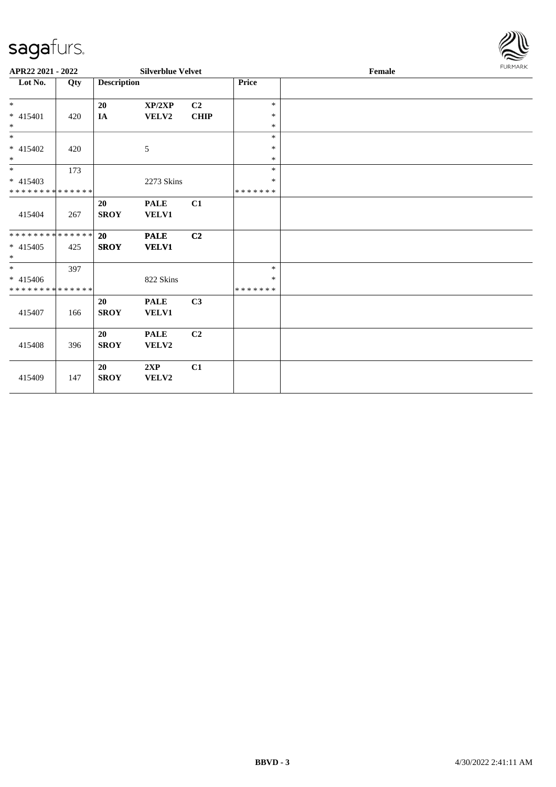

| APR22 2021 - 2022                       |     |                    | <b>Silverblue Velvet</b>    |                |                         | Female |  |  |
|-----------------------------------------|-----|--------------------|-----------------------------|----------------|-------------------------|--------|--|--|
| Lot No.                                 | Qty | <b>Description</b> |                             |                | Price                   |        |  |  |
| $*$                                     |     | 20                 | XP/2XP                      | C2             | $\ast$                  |        |  |  |
| * 415401<br>$*$                         | 420 | IA                 | VELV2                       | CHIP           | $\ast$<br>$\ast$        |        |  |  |
| $\frac{1}{1}$                           |     |                    |                             |                | $\ast$                  |        |  |  |
| $* 415402$                              | 420 |                    | 5                           |                | $\ast$                  |        |  |  |
| $*$                                     |     |                    |                             |                | $\ast$                  |        |  |  |
| $*$                                     | 173 |                    |                             |                | $\ast$                  |        |  |  |
| * 415403<br>* * * * * * * * * * * * * * |     |                    | 2273 Skins                  |                | $\ast$<br>* * * * * * * |        |  |  |
|                                         |     | 20                 | <b>PALE</b>                 | C1             |                         |        |  |  |
| 415404                                  | 267 | <b>SROY</b>        | VELV1                       |                |                         |        |  |  |
| * * * * * * * * * * * * * *             |     | 20                 | <b>PALE</b>                 | C2             |                         |        |  |  |
| $* 415405$<br>$*$                       | 425 | <b>SROY</b>        | <b>VELV1</b>                |                |                         |        |  |  |
| $*$                                     | 397 |                    |                             |                | $\ast$                  |        |  |  |
| * 415406                                |     |                    | 822 Skins                   |                | $\ast$                  |        |  |  |
| * * * * * * * * * * * * * *             |     |                    |                             |                | *******                 |        |  |  |
| 415407                                  | 166 | 20<br><b>SROY</b>  | <b>PALE</b><br><b>VELV1</b> | C <sub>3</sub> |                         |        |  |  |
| 415408                                  | 396 | 20<br><b>SROY</b>  | <b>PALE</b><br>VELV2        | C2             |                         |        |  |  |
| 415409                                  | 147 | 20<br><b>SROY</b>  | 2XP<br>VELV2                | C1             |                         |        |  |  |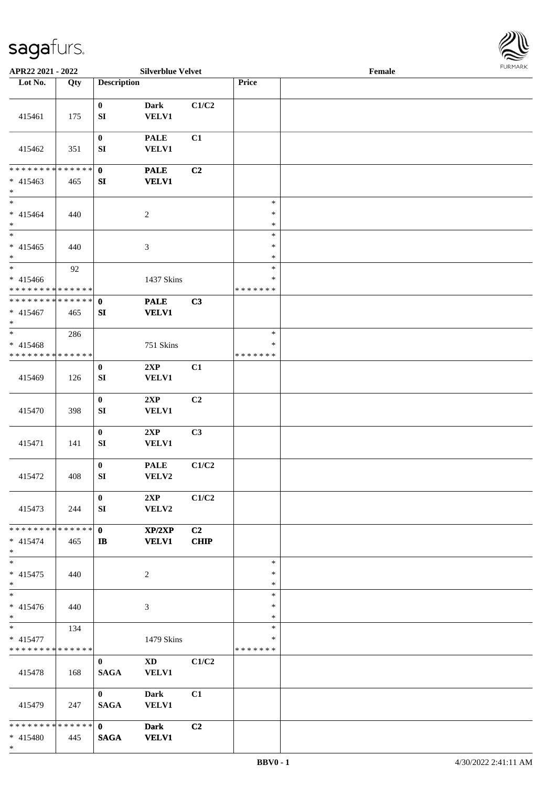\*

 $\overline{\phantom{a}}$ 



| APR22 2021 - 2022                         |     |                    | <b>Silverblue Velvet</b>     |                |                  | Female |  |
|-------------------------------------------|-----|--------------------|------------------------------|----------------|------------------|--------|--|
| Lot No.                                   | Qty | <b>Description</b> |                              |                | Price            |        |  |
|                                           |     |                    |                              |                |                  |        |  |
|                                           |     | $\bf{0}$           | <b>Dark</b>                  | C1/C2          |                  |        |  |
| 415461                                    | 175 | SI                 | VELV1                        |                |                  |        |  |
|                                           |     |                    |                              |                |                  |        |  |
|                                           |     | $\boldsymbol{0}$   | <b>PALE</b>                  | C1             |                  |        |  |
| 415462                                    | 351 | SI                 | <b>VELV1</b>                 |                |                  |        |  |
|                                           |     |                    |                              |                |                  |        |  |
| * * * * * * * * * * * * * * *             |     | $\mathbf{0}$       | <b>PALE</b>                  | C2             |                  |        |  |
| $* 415463$                                | 465 | ${\bf SI}$         | <b>VELV1</b>                 |                |                  |        |  |
| $*$                                       |     |                    |                              |                |                  |        |  |
| $*$                                       |     |                    |                              |                | $\ast$           |        |  |
| $* 415464$                                | 440 |                    | $\sqrt{2}$                   |                | $\ast$           |        |  |
| $*$<br>$\overline{\phantom{0}}$           |     |                    |                              |                | $\ast$           |        |  |
|                                           |     |                    |                              |                | $\ast$           |        |  |
| $* 415465$                                | 440 |                    | $\mathfrak{Z}$               |                | $\ast$           |        |  |
| $*$<br>$*$                                |     |                    |                              |                | $\ast$<br>$\ast$ |        |  |
|                                           | 92  |                    |                              |                | $\ast$           |        |  |
| $* 415466$<br>* * * * * * * * * * * * * * |     |                    | 1437 Skins                   |                | * * * * * * *    |        |  |
| * * * * * * * * * * * * * * *             |     |                    |                              |                |                  |        |  |
|                                           |     | $\mathbf{0}$       | <b>PALE</b>                  | C3             |                  |        |  |
| $* 415467$<br>$*$                         | 465 | SI                 | <b>VELV1</b>                 |                |                  |        |  |
| $*$                                       |     |                    |                              |                | $\ast$           |        |  |
|                                           | 286 |                    |                              |                | $\ast$           |        |  |
| $* 415468$<br>* * * * * * * * * * * * * * |     |                    | 751 Skins                    |                | *******          |        |  |
|                                           |     |                    |                              |                |                  |        |  |
|                                           |     | $\bf{0}$           | 2XP                          | C1             |                  |        |  |
| 415469                                    | 126 | ${\bf S}{\bf I}$   | <b>VELV1</b>                 |                |                  |        |  |
|                                           |     | $\bf{0}$           | 2XP                          | C2             |                  |        |  |
| 415470                                    | 398 | ${\bf S}{\bf I}$   | VELV1                        |                |                  |        |  |
|                                           |     |                    |                              |                |                  |        |  |
|                                           |     | $\boldsymbol{0}$   | 2XP                          | C3             |                  |        |  |
| 415471                                    | 141 | SI                 | <b>VELV1</b>                 |                |                  |        |  |
|                                           |     |                    |                              |                |                  |        |  |
|                                           |     | $\boldsymbol{0}$   | $\ensuremath{\mathsf{PALE}}$ | C1/C2          |                  |        |  |
| 415472                                    | 408 | SI                 | VELV2                        |                |                  |        |  |
|                                           |     |                    |                              |                |                  |        |  |
|                                           |     | $\bf{0}$           | 2XP                          | C1/C2          |                  |        |  |
| 415473                                    | 244 | SI                 | VELV2                        |                |                  |        |  |
|                                           |     |                    |                              |                |                  |        |  |
| * * * * * * * * * * * * * * *             |     | $\mathbf{0}$       | XP/2XP                       | C2             |                  |        |  |
| $* 415474$                                | 465 | $\mathbf{I}$       | <b>VELV1</b>                 | <b>CHIP</b>    |                  |        |  |
| $*$                                       |     |                    |                              |                |                  |        |  |
| $*$                                       |     |                    |                              |                | $\ast$           |        |  |
| $* 415475$                                | 440 |                    | 2                            |                | $\ast$           |        |  |
| $*$                                       |     |                    |                              |                | $\ast$           |        |  |
| $\overline{\phantom{0}}$                  |     |                    |                              |                | $\ast$           |        |  |
| $* 415476$                                | 440 |                    | 3                            |                | $\ast$           |        |  |
| $*$                                       |     |                    |                              |                | $\ast$           |        |  |
| $*$ and $*$                               | 134 |                    |                              |                | $\ast$           |        |  |
| $* 415477$                                |     |                    | 1479 Skins                   |                | $\ast$           |        |  |
| * * * * * * * * * * * * * * *             |     |                    |                              |                | *******          |        |  |
|                                           |     | $\mathbf{0}$       | $\mathbf{X}\mathbf{D}$       | C1/C2          |                  |        |  |
| 415478                                    | 168 | <b>SAGA</b>        | <b>VELV1</b>                 |                |                  |        |  |
|                                           |     |                    |                              |                |                  |        |  |
|                                           |     | $\mathbf{0}$       | <b>Dark</b>                  | C1             |                  |        |  |
| 415479                                    | 247 | <b>SAGA</b>        | <b>VELV1</b>                 |                |                  |        |  |
|                                           |     |                    |                              |                |                  |        |  |
| * * * * * * * * * * * * * * *             |     | $\mathbf{0}$       | <b>Dark</b>                  | C <sub>2</sub> |                  |        |  |
| * 415480                                  | 445 | <b>SAGA</b>        | <b>VELV1</b>                 |                |                  |        |  |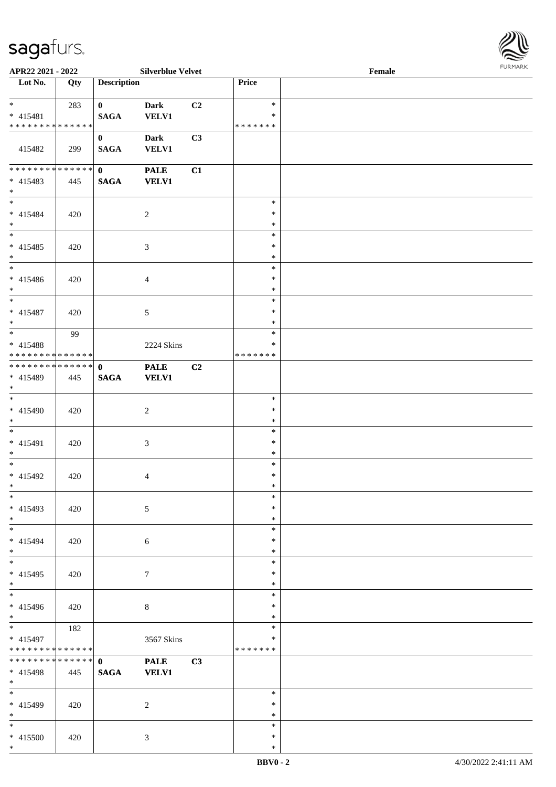\*

 $\overline{\phantom{a}}$ 



| APR22 2021 - 2022                                             |     |                             | <b>Silverblue Velvet</b>    |                |                                      | Female |  |
|---------------------------------------------------------------|-----|-----------------------------|-----------------------------|----------------|--------------------------------------|--------|--|
| Lot No.                                                       | Qty | <b>Description</b>          |                             |                | Price                                |        |  |
| $*$<br>$* 415481$<br>* * * * * * * * * * * * * *              | 283 | $\mathbf{0}$<br><b>SAGA</b> | <b>Dark</b><br><b>VELV1</b> | C <sub>2</sub> | $\ast$<br>$\ast$<br>* * * * * * *    |        |  |
| 415482                                                        | 299 | $\mathbf{0}$<br><b>SAGA</b> | <b>Dark</b><br><b>VELV1</b> | C3             |                                      |        |  |
| __<br>******** <mark>*******</mark><br>$* 415483$<br>$*$      | 445 | $\mathbf{0}$<br><b>SAGA</b> | <b>PALE</b><br><b>VELV1</b> | C1             |                                      |        |  |
| $\overline{\ast}$<br>* 415484<br>$*$                          | 420 |                             | $\overline{2}$              |                | $\ast$<br>$\ast$<br>$\ast$           |        |  |
| $* 415485$<br>$*$                                             | 420 |                             | $\mathfrak{Z}$              |                | $\ast$<br>$\ast$<br>$\ast$           |        |  |
| $\overline{\phantom{0}}$<br>* 415486<br>$*$                   | 420 |                             | $\overline{4}$              |                | $\ast$<br>$\ast$<br>$\ast$           |        |  |
| $\overline{\ast}$<br>* 415487<br>$*$                          | 420 |                             | 5                           |                | $\ast$<br>$\ast$<br>$\ast$           |        |  |
| * 415488<br>******** <mark>******</mark>                      | 99  |                             | 2224 Skins                  |                | $\ast$<br>$\ast$<br>*******          |        |  |
| * * * * * * * * <mark>* * * * * * *</mark><br>* 415489<br>$*$ | 445 | $\mathbf{0}$<br><b>SAGA</b> | <b>PALE</b><br><b>VELV1</b> | C2             |                                      |        |  |
| * 415490<br>$*$                                               | 420 |                             | 2                           |                | $\ast$<br>$\ast$<br>$\ast$           |        |  |
| $*$ $-$<br>* 415491<br>$*$                                    | 420 |                             | $\mathfrak{Z}$              |                | $\ast$<br>$\ast$<br>$\ast$           |        |  |
| $*$<br>* 415492<br>$*$ $*$                                    | 420 |                             | $\overline{4}$              |                | $\ast$<br>$\ast$<br>$\ast$           |        |  |
| $*$<br>* 415493<br>$*$                                        | 420 |                             | 5                           |                | $\ast$<br>$\ast$<br>$\ast$           |        |  |
| $*$<br>* 415494<br>$*$<br>$\overline{\mathbf{r}}$             | 420 |                             | 6                           |                | $\ast$<br>$\ast$<br>$\ast$<br>$\ast$ |        |  |
| * 415495<br>$*$                                               | 420 |                             | $\tau$                      |                | $\ast$<br>$\ast$<br>$\ast$           |        |  |
| * 415496<br>$*$<br>$*$                                        | 420 |                             | $\,8\,$                     |                | $\ast$<br>$\ast$                     |        |  |
| * 415497<br>* * * * * * * * * * * * * *                       | 182 |                             | 3567 Skins                  |                | $\ast$<br>$\ast$<br>*******          |        |  |
| * * * * * * * * <mark>* * * * * * *</mark><br>* 415498<br>$*$ | 445 | $\mathbf{0}$<br><b>SAGA</b> | <b>PALE</b><br><b>VELV1</b> | C3             |                                      |        |  |
| $*$<br>* 415499<br>$*$                                        | 420 |                             | 2                           |                | $\ast$<br>$\ast$<br>$\ast$           |        |  |
| $*$<br>* 415500<br>$*$                                        | 420 |                             | 3                           |                | $\ast$<br>$\ast$<br>$\ast$           |        |  |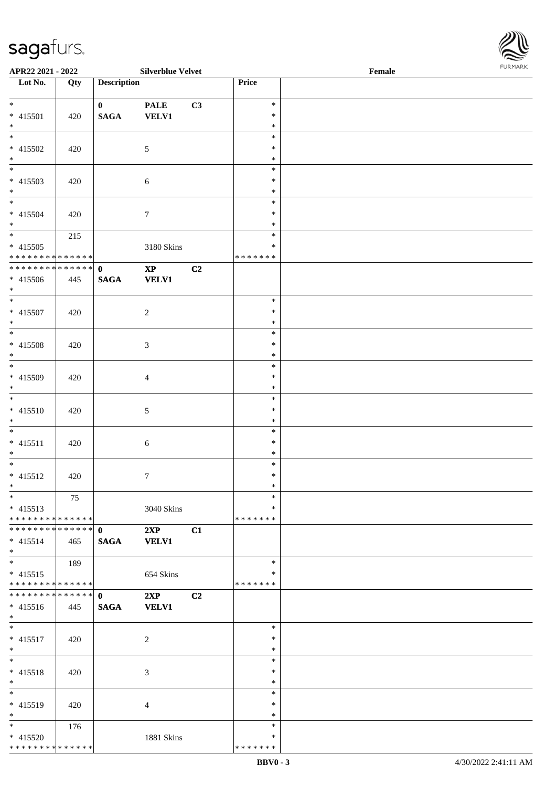\* \* \* \* \* \* \* \* \* \* \* \* \* \*

| $*$                             |     | $\mathbf{0}$ | <b>PALE</b>            | C3 | $\ast$           |  |
|---------------------------------|-----|--------------|------------------------|----|------------------|--|
| $* 415501$                      | 420 | <b>SAGA</b>  | <b>VELV1</b>           |    | $\ast$           |  |
| $*$                             |     |              |                        |    | $\ast$           |  |
| $\overline{\ast}$               |     |              |                        |    | $\ast$           |  |
| $* 415502$                      | 420 |              | $5\overline{)}$        |    | $\ast$           |  |
| $*$<br>$\overline{\phantom{0}}$ |     |              |                        |    | $\ast$           |  |
|                                 |     |              |                        |    | $\ast$           |  |
| $* 415503$                      | 420 |              | 6                      |    | $\ast$           |  |
| $*$                             |     |              |                        |    | $\ast$<br>$\ast$ |  |
| $* 415504$                      | 420 |              | $\mathcal{I}$          |    | $\ast$           |  |
| $*$                             |     |              |                        |    | $\ast$           |  |
|                                 | 215 |              |                        |    | $\ast$           |  |
| $* 415505$                      |     |              | 3180 Skins             |    | $\ast$           |  |
| * * * * * * * * * * * * * *     |     |              |                        |    | * * * * * * *    |  |
| **************                  |     | $\mathbf{0}$ | $\mathbf{X}\mathbf{P}$ | C2 |                  |  |
| $* 415506$                      | 445 | <b>SAGA</b>  | <b>VELV1</b>           |    |                  |  |
| $*$                             |     |              |                        |    |                  |  |
| $\overline{\phantom{0}}$        |     |              |                        |    | $\ast$           |  |
| $* 415507$                      | 420 |              | $\overline{c}$         |    | $\ast$           |  |
| $*$<br>$\overline{\phantom{0}}$ |     |              |                        |    | $\ast$           |  |
|                                 |     |              |                        |    | $\ast$           |  |
| $* 415508$                      | 420 |              | $\mathfrak{Z}$         |    | $\ast$           |  |
| $*$<br>$*$                      |     |              |                        |    | $\ast$<br>$\ast$ |  |
| $* 415509$                      |     |              |                        |    | $\ast$           |  |
| $*$                             | 420 |              | $\overline{4}$         |    | $\ast$           |  |
| $*$                             |     |              |                        |    | $\ast$           |  |
| $* 415510$                      | 420 |              | $5\phantom{.0}$        |    | $\ast$           |  |
| $*$                             |     |              |                        |    | $\ast$           |  |
| $*$                             |     |              |                        |    | $\ast$           |  |
| $* 415511$                      | 420 |              | 6                      |    | $\ast$           |  |
| $*$                             |     |              |                        |    | $\ast$           |  |
|                                 |     |              |                        |    | $\ast$           |  |
| $* 415512$                      | 420 |              | $\tau$                 |    | $\ast$           |  |
| $*$                             |     |              |                        |    | $\ast$           |  |
|                                 | 75  |              |                        |    | $\ast$           |  |
| $* 415513$                      |     |              | 3040 Skins             |    | $\ast$           |  |
| ******** <mark>******</mark>    |     |              |                        |    | *******          |  |
| * * * * * * * * * * * * * * *   |     | $\mathbf{0}$ | 2XP                    | C1 |                  |  |
| $* 415514$<br>$*$               | 465 | <b>SAGA</b>  | <b>VELV1</b>           |    |                  |  |
| $\ast$                          | 189 |              |                        |    | $\ast$           |  |
| $* 415515$                      |     |              | 654 Skins              |    | $\ast$           |  |
| * * * * * * * * * * * * * * *   |     |              |                        |    | * * * * * * *    |  |
| ******** <mark>******</mark>    |     | $\mathbf{0}$ | 2XP                    | C2 |                  |  |
| $* 415516$                      | 445 | <b>SAGA</b>  | <b>VELV1</b>           |    |                  |  |
| $*$                             |     |              |                        |    |                  |  |
| $*$                             |     |              |                        |    | $\ast$           |  |
| $* 415517$                      | 420 |              | $\boldsymbol{2}$       |    | $\ast$           |  |
| $*$                             |     |              |                        |    | $\ast$           |  |
| $\ast$                          |     |              |                        |    | $\ast$           |  |
| $* 415518$                      | 420 |              | $\mathfrak{Z}$         |    | $\ast$           |  |
| $\ast$                          |     |              |                        |    | $\ast$           |  |
| $\overline{\phantom{a}^*}$      |     |              |                        |    | $\ast$           |  |
| * 415519                        | 420 |              | $\overline{4}$         |    | $\ast$           |  |
| $\ast$                          |     |              |                        |    | $\ast$           |  |
| $\ast$                          | 176 |              |                        |    | $\ast$           |  |
| $* 415520$                      |     |              | 1881 Skins             |    | $\ast$           |  |

**APR22 2021 - 2022 Silverblue Velvet Female**

**Lot No. Qty Description Price**

\* \* \* \* \* \* \*

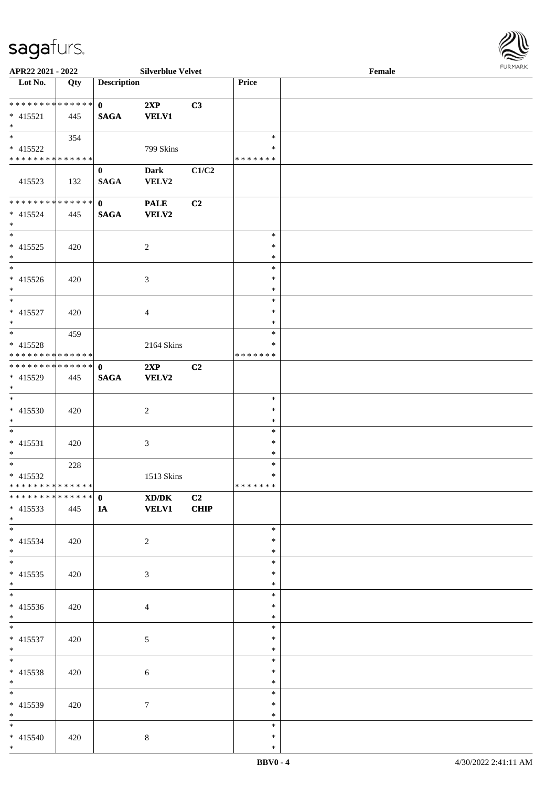

| APR22 2021 - 2022             |     |                    | <b>Silverblue Velvet</b> |                |         | Female |  |
|-------------------------------|-----|--------------------|--------------------------|----------------|---------|--------|--|
| Lot No.                       | Qty | <b>Description</b> |                          |                | Price   |        |  |
|                               |     |                    |                          |                |         |        |  |
| **************                |     | $\mathbf{0}$       | 2XP                      | C3             |         |        |  |
| $* 415521$                    | 445 | <b>SAGA</b>        | <b>VELV1</b>             |                |         |        |  |
| $*$                           |     |                    |                          |                |         |        |  |
|                               | 354 |                    |                          |                | $\ast$  |        |  |
| * 415522                      |     |                    | 799 Skins                |                | ∗       |        |  |
| * * * * * * * * * * * * * * * |     |                    |                          |                | ******* |        |  |
|                               |     |                    |                          |                |         |        |  |
|                               |     | $\mathbf{0}$       | <b>Dark</b>              | C1/C2          |         |        |  |
| 415523                        | 132 | <b>SAGA</b>        | VELV2                    |                |         |        |  |
| **************                |     |                    |                          |                |         |        |  |
|                               |     | $\mathbf{0}$       | <b>PALE</b>              | C <sub>2</sub> |         |        |  |
| $* 415524$                    | 445 | <b>SAGA</b>        | <b>VELV2</b>             |                |         |        |  |
| $*$                           |     |                    |                          |                |         |        |  |
|                               |     |                    |                          |                | $\ast$  |        |  |
| $* 415525$                    | 420 |                    | 2                        |                | $\ast$  |        |  |
| $*$                           |     |                    |                          |                | $\ast$  |        |  |
|                               |     |                    |                          |                | $\ast$  |        |  |
| $* 415526$                    | 420 |                    | 3                        |                | $\ast$  |        |  |
| $*$                           |     |                    |                          |                | $\ast$  |        |  |
| $*$                           |     |                    |                          |                | $\ast$  |        |  |
| $* 415527$                    | 420 |                    | $\overline{4}$           |                | $\ast$  |        |  |
| $*$                           |     |                    |                          |                | $\ast$  |        |  |
|                               |     |                    |                          |                | $\ast$  |        |  |
|                               | 459 |                    |                          |                |         |        |  |
| $* 415528$                    |     |                    | 2164 Skins               |                | ∗       |        |  |
| * * * * * * * * * * * * * * * |     |                    |                          |                | ******* |        |  |
| * * * * * * * * * * * * * * * |     | $\mathbf{0}$       | 2XP                      | C <sub>2</sub> |         |        |  |
| * 415529                      | 445 | <b>SAGA</b>        | <b>VELV2</b>             |                |         |        |  |
| $*$                           |     |                    |                          |                |         |        |  |
|                               |     |                    |                          |                | $\ast$  |        |  |
| * 415530                      | 420 |                    | 2                        |                | $\ast$  |        |  |
| $*$                           |     |                    |                          |                | $\ast$  |        |  |
| $*$                           |     |                    |                          |                | $\ast$  |        |  |
| $* 415531$                    | 420 |                    | $\mathfrak{Z}$           |                | $\ast$  |        |  |
| $*$                           |     |                    |                          |                | $\ast$  |        |  |
| $*$                           | 228 |                    |                          |                | $\ast$  |        |  |
| * 415532                      |     |                    |                          |                | $\ast$  |        |  |
| * * * * * * * * * * * * * * * |     |                    | 1513 Skins               |                | ******* |        |  |
| * * * * * * * * * * * * * * * |     |                    |                          |                |         |        |  |
|                               |     | $\mathbf{0}$       | XD/DK                    | C2             |         |        |  |
| $* 415533$                    | 445 | <b>IA</b>          | <b>VELV1</b>             | <b>CHIP</b>    |         |        |  |
| $*$                           |     |                    |                          |                |         |        |  |
| $*$                           |     |                    |                          |                | $\ast$  |        |  |
| $* 415534$                    | 420 |                    | $\overline{2}$           |                | $\ast$  |        |  |
| $*$                           |     |                    |                          |                | $\ast$  |        |  |
|                               |     |                    |                          |                | $\ast$  |        |  |
| $* 415535$                    | 420 |                    | 3                        |                | $\ast$  |        |  |
| $*$                           |     |                    |                          |                | $\ast$  |        |  |
| $\overline{\ast}$             |     |                    |                          |                | $\ast$  |        |  |
| $* 415536$                    | 420 |                    | $\overline{4}$           |                | $\ast$  |        |  |
| $*$                           |     |                    |                          |                | $\ast$  |        |  |
| $*$                           |     |                    |                          |                | $\ast$  |        |  |
|                               |     |                    |                          |                |         |        |  |
| $* 415537$                    | 420 |                    | 5                        |                | $\ast$  |        |  |
| $*$                           |     |                    |                          |                | $\ast$  |        |  |
| $*$                           |     |                    |                          |                | $\ast$  |        |  |
| $* 415538$                    | 420 |                    | $\sqrt{6}$               |                | $\ast$  |        |  |
| $*$                           |     |                    |                          |                | $\ast$  |        |  |
| $*$                           |     |                    |                          |                | $\ast$  |        |  |
| * 415539                      | 420 |                    | $\tau$                   |                | $\ast$  |        |  |
| $*$                           |     |                    |                          |                | $\ast$  |        |  |
| $*$                           |     |                    |                          |                | $\ast$  |        |  |
| * 415540                      | 420 |                    | $\bf 8$                  |                | $\ast$  |        |  |
| $*$                           |     |                    |                          |                | $\ast$  |        |  |
|                               |     |                    |                          |                |         |        |  |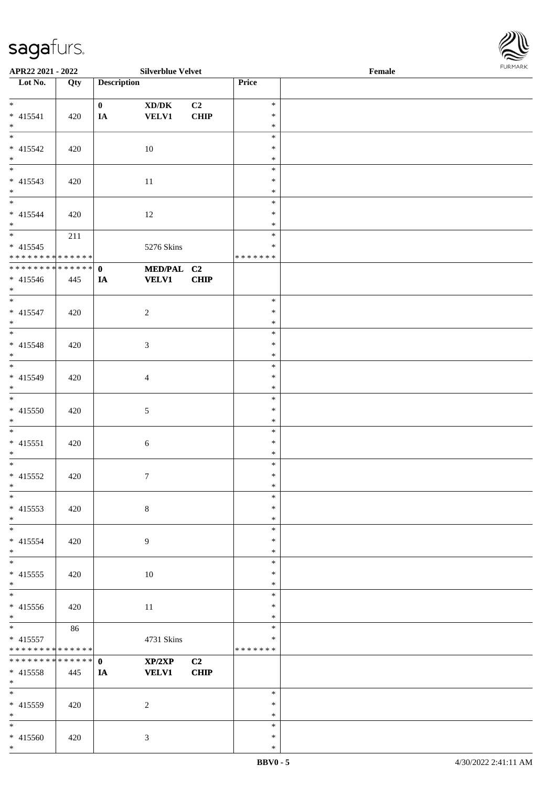\*

| $\overline{\phantom{0}}$      |     | $\mathbf{0}$ | $\bold{X}\bold{D}/\bold{D}\bold{K}$ | C2          | $\ast$        |  |
|-------------------------------|-----|--------------|-------------------------------------|-------------|---------------|--|
| $* 415541$                    | 420 | $I\!\!A$     | <b>VELV1</b>                        | CHIP        | $\ast$        |  |
| $\ast$                        |     |              |                                     |             | $\ast$        |  |
|                               |     |              |                                     |             |               |  |
|                               |     |              |                                     |             | $\ast$        |  |
| $* 415542$                    | 420 |              | 10                                  |             | $\ast$        |  |
| $\ast$                        |     |              |                                     |             | $\ast$        |  |
|                               |     |              |                                     |             | $\ast$        |  |
| $* 415543$                    |     |              |                                     |             | $\ast$        |  |
|                               | 420 |              | $11\,$                              |             |               |  |
| $*$                           |     |              |                                     |             | $\ast$        |  |
|                               |     |              |                                     |             | $\ast$        |  |
| $* 415544$                    | 420 |              | $12\,$                              |             | $\ast$        |  |
| $*$                           |     |              |                                     |             | $\ast$        |  |
|                               | 211 |              |                                     |             | $\ast$        |  |
|                               |     |              |                                     |             |               |  |
| $* 415545$                    |     |              | 5276 Skins                          |             | $\ast$        |  |
| * * * * * * * * * * * * * * * |     |              |                                     |             | * * * * * * * |  |
| * * * * * * * * * * * * * *   |     | $\mathbf{0}$ | MED/PAL C2                          |             |               |  |
| $* 415546$                    | 445 | IA           | <b>VELV1</b>                        | CHIP        |               |  |
| $*$                           |     |              |                                     |             |               |  |
| $\overline{\phantom{0}}$      |     |              |                                     |             | $\ast$        |  |
|                               |     |              |                                     |             |               |  |
| $* 415547$                    | 420 |              | $\overline{2}$                      |             | $\ast$        |  |
| $*$                           |     |              |                                     |             | $\ast$        |  |
|                               |     |              |                                     |             | $\ast$        |  |
| $* 415548$                    | 420 |              | $\mathfrak{Z}$                      |             | $\ast$        |  |
| $*$                           |     |              |                                     |             | $\ast$        |  |
| $*$                           |     |              |                                     |             |               |  |
|                               |     |              |                                     |             | $\ast$        |  |
| $* 415549$                    | 420 |              | $\overline{4}$                      |             | $\ast$        |  |
| $*$                           |     |              |                                     |             | $\ast$        |  |
| $*$                           |     |              |                                     |             | $\ast$        |  |
| $* 415550$                    | 420 |              | $\mathfrak{S}$                      |             | $\ast$        |  |
|                               |     |              |                                     |             |               |  |
| $*$                           |     |              |                                     |             | $\ast$        |  |
| $*$                           |     |              |                                     |             | $\ast$        |  |
| $* 415551$                    | 420 |              | $6\,$                               |             | $\ast$        |  |
| $*$                           |     |              |                                     |             | $\ast$        |  |
| $*$                           |     |              |                                     |             | $\ast$        |  |
| $* 415552$                    |     |              |                                     |             | $\ast$        |  |
|                               | 420 |              | $\boldsymbol{7}$                    |             |               |  |
| $*$                           |     |              |                                     |             | $\ast$        |  |
|                               |     |              |                                     |             | $\ast$        |  |
| $* 415553$                    | 420 |              | 8                                   |             | $\ast$        |  |
| $\ast$                        |     |              |                                     |             | $\ast$        |  |
| $\overline{\phantom{0}}$      |     |              |                                     |             | $\ast$        |  |
|                               |     |              |                                     |             |               |  |
| $* 415554$                    | 420 |              | $\overline{9}$                      |             | ∗             |  |
| $*$                           |     |              |                                     |             | $\ast$        |  |
| $\overline{\phantom{a}^*}$    |     |              |                                     |             | $\ast$        |  |
| $* 415555$                    | 420 |              | $10\,$                              |             | $\ast$        |  |
| $*$                           |     |              |                                     |             | $\ast$        |  |
| $\overline{\phantom{0}}$      |     |              |                                     |             | $\ast$        |  |
|                               |     |              |                                     |             |               |  |
| $* 415556$                    | 420 |              | $11\,$                              |             | $\ast$        |  |
| $*$                           |     |              |                                     |             | $\ast$        |  |
| $\overline{\phantom{0}}$      | 86  |              |                                     |             | $\ast$        |  |
| $* 415557$                    |     |              | 4731 Skins                          |             | $\ast$        |  |
| * * * * * * * * * * * * * *   |     |              |                                     |             | * * * * * * * |  |
| * * * * * * * * * * * * * * * |     |              |                                     |             |               |  |
|                               |     | $\mathbf{0}$ | $\mathbf{XP}/2\mathbf{XP}$          | C2          |               |  |
| $* 415558$                    | 445 | IA           | <b>VELV1</b>                        | <b>CHIP</b> |               |  |
| $*$                           |     |              |                                     |             |               |  |
| $*$                           |     |              |                                     |             | $\ast$        |  |
| $* 415559$                    | 420 |              | $\boldsymbol{2}$                    |             | $\ast$        |  |
| $*$                           |     |              |                                     |             | $\ast$        |  |
|                               |     |              |                                     |             |               |  |
| $\ast$                        |     |              |                                     |             | $\ast$        |  |
| $* 415560$                    | 420 |              | $\sqrt{3}$                          |             | $\ast$        |  |

 $\overline{\phantom{a}}$ 

**APR22 2021 - 2022 Silverblue Velvet Female**

**Lot No. Qty Description Price**

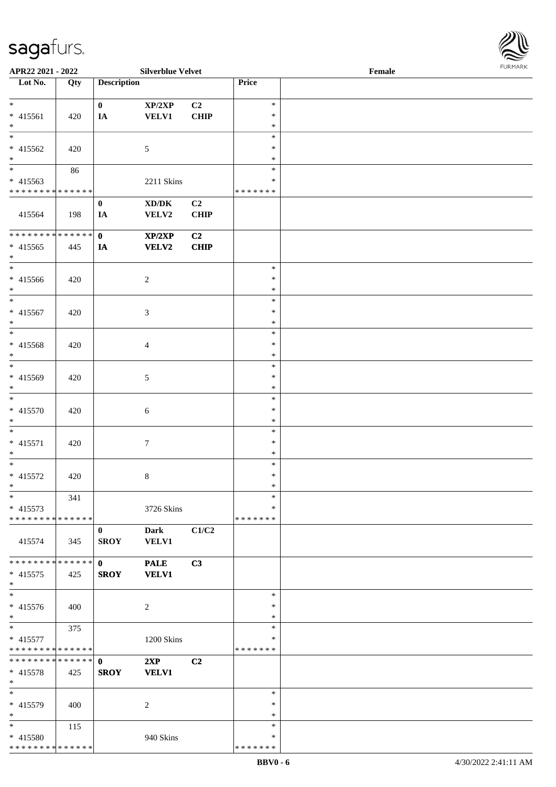\* \* \* \* \* \* \* \* \* \* \* \* \* \*

| APR22 2021 - 2022                    |     |                    | <b>Silverblue Velvet</b>           |             |                  | Female | <b>FURMARK</b> |
|--------------------------------------|-----|--------------------|------------------------------------|-------------|------------------|--------|----------------|
| $\overline{\phantom{1}}$ Lot No.     | Qty | <b>Description</b> |                                    |             | Price            |        |                |
| $\ast$                               |     | $\mathbf{0}$       | XP/2XP                             | C2          | $\ast$           |        |                |
| $* 415561$                           | 420 | IA                 | <b>VELV1</b>                       | CHIP        | $\ast$           |        |                |
| $\ast$                               |     |                    |                                    |             | $\ast$           |        |                |
| $\ast$                               |     |                    |                                    |             | $\ast$           |        |                |
| $* 415562$                           | 420 |                    | 5                                  |             | $\ast$           |        |                |
| $\ast$                               |     |                    |                                    |             | $\ast$           |        |                |
| $\frac{1}{1}$                        | 86  |                    |                                    |             | $\ast$           |        |                |
| $* 415563$                           |     |                    | 2211 Skins                         |             | ∗                |        |                |
| ******** <mark>******</mark>         |     |                    |                                    |             | * * * * * * *    |        |                |
|                                      |     | $\mathbf{0}$       | $\boldsymbol{\text{XD}/\text{DK}}$ | C2          |                  |        |                |
| 415564                               | 198 | <b>IA</b>          | VELV2                              | CHIP        |                  |        |                |
| ******** <mark>******</mark>         |     | $\mathbf{0}$       | XP/2XP                             | C2          |                  |        |                |
| $* 415565$                           | 445 | IA                 | <b>VELV2</b>                       | <b>CHIP</b> |                  |        |                |
| $\ast$                               |     |                    |                                    |             |                  |        |                |
| $_{*}^{-}$                           |     |                    |                                    |             | $\ast$           |        |                |
| $* 415566$                           | 420 |                    | $\sqrt{2}$                         |             | $\ast$           |        |                |
| $\ast$                               |     |                    |                                    |             | $\ast$           |        |                |
| $\ast$                               |     |                    |                                    |             | $\ast$           |        |                |
| * 415567                             | 420 |                    | 3                                  |             | $\ast$           |        |                |
| $\ast$<br>$\overline{\phantom{0}}$   |     |                    |                                    |             | $\ast$           |        |                |
|                                      |     |                    |                                    |             | $\ast$           |        |                |
| * 415568                             | 420 |                    | $\overline{4}$                     |             | $\ast$           |        |                |
| $\ast$<br>$\overline{\phantom{a}^*}$ |     |                    |                                    |             | $\ast$           |        |                |
|                                      |     |                    |                                    |             | $\ast$           |        |                |
| * 415569                             | 420 |                    | 5                                  |             | $\ast$           |        |                |
| $\ast$<br>$\overline{\phantom{a}^*}$ |     |                    |                                    |             | $\ast$<br>$\ast$ |        |                |
|                                      |     |                    |                                    |             | $\ast$           |        |                |
| $* 415570$<br>$\ast$                 | 420 |                    | $\sqrt{6}$                         |             | $\ast$           |        |                |
| $_{\ast}^{-}$                        |     |                    |                                    |             | $\ast$           |        |                |
| $* 415571$                           |     |                    | $\boldsymbol{7}$                   |             | $\ast$           |        |                |
| $\ast$                               | 420 |                    |                                    |             | $\ast$           |        |                |
| $\overline{\phantom{0}}$             |     |                    |                                    |             | $\ast$           |        |                |
| $* 415572$                           | 420 |                    | 8                                  |             | $\ast$           |        |                |
| $\ast$                               |     |                    |                                    |             | $\ast$           |        |                |
| $\ast$                               | 341 |                    |                                    |             | $\ast$           |        |                |
| $* 415573$                           |     |                    | 3726 Skins                         |             | $\ast$           |        |                |
| * * * * * * * * * * * * * *          |     |                    |                                    |             | * * * * * * *    |        |                |
|                                      |     | $\bf{0}$           | <b>Dark</b>                        | C1/C2       |                  |        |                |
| 415574                               | 345 | <b>SROY</b>        | <b>VELV1</b>                       |             |                  |        |                |
|                                      |     |                    |                                    |             |                  |        |                |
| * * * * * * * * * * * * * *          |     | $\mathbf{0}$       | <b>PALE</b>                        | C3          |                  |        |                |
| $* 415575$                           | 425 | <b>SROY</b>        | <b>VELV1</b>                       |             |                  |        |                |
| $\ast$                               |     |                    |                                    |             |                  |        |                |
| $\overline{\phantom{1}}$             |     |                    |                                    |             | $\ast$           |        |                |
| $* 415576$                           | 400 |                    | $\overline{2}$                     |             | $\ast$           |        |                |
| $*$                                  |     |                    |                                    |             | $\ast$           |        |                |
| $\ast$                               | 375 |                    |                                    |             | $\ast$           |        |                |
| $* 415577$                           |     |                    | 1200 Skins                         |             | $\ast$           |        |                |
| **************                       |     |                    |                                    |             | * * * * * * *    |        |                |
| **************                       |     | $\mathbf{0}$       | 2XP                                | C2          |                  |        |                |
| $* 415578$                           | 425 | <b>SROY</b>        | <b>VELV1</b>                       |             |                  |        |                |
| $*$<br>$\overline{\phantom{a}}$      |     |                    |                                    |             | $\ast$           |        |                |
|                                      |     |                    |                                    |             |                  |        |                |
| * 415579<br>$\ast$                   | 400 |                    | 2                                  |             | $\ast$           |        |                |
| $\ast$                               |     |                    |                                    |             | $\ast$<br>$\ast$ |        |                |
|                                      | 115 |                    |                                    |             | $\ast$           |        |                |
| * 415580                             |     |                    | 940 Skins                          |             |                  |        |                |

\* \* \* \* \* \* \*

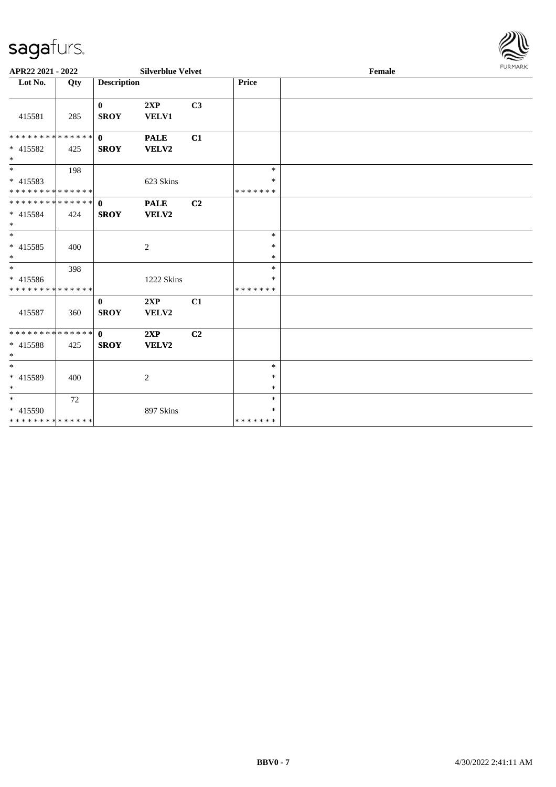

| APR22 2021 - 2022<br><b>Silverblue Velvet</b>    |     |                             |                      |                | <b>FURPIARR</b><br>Female         |  |  |  |  |
|--------------------------------------------------|-----|-----------------------------|----------------------|----------------|-----------------------------------|--|--|--|--|
| Lot No.                                          | Qty | <b>Description</b>          |                      |                | Price                             |  |  |  |  |
| 415581                                           | 285 | $\bf{0}$<br><b>SROY</b>     | 2XP<br><b>VELV1</b>  | C <sub>3</sub> |                                   |  |  |  |  |
| * 415582<br>$*$                                  | 425 | <b>SROY</b>                 | <b>PALE</b><br>VELV2 | C1             |                                   |  |  |  |  |
| $*$<br>* 415583<br>* * * * * * * * * * * * * *   | 198 |                             | 623 Skins            |                | $\ast$<br>$\ast$<br>* * * * * * * |  |  |  |  |
| $* 415584$<br>$*$                                | 424 | <b>SROY</b>                 | <b>PALE</b><br>VELV2 | C <sub>2</sub> |                                   |  |  |  |  |
| $\overline{\ast}$<br>* 415585<br>$*$             | 400 |                             | 2                    |                | $\ast$<br>$\ast$<br>$\ast$        |  |  |  |  |
| $*$<br>$* 415586$<br>* * * * * * * * * * * * * * | 398 |                             | 1222 Skins           |                | $\ast$<br>$\ast$<br>*******       |  |  |  |  |
| 415587                                           | 360 | $\mathbf{0}$<br><b>SROY</b> | 2XP<br>VELV2         | C1             |                                   |  |  |  |  |
| * * * * * * * * * * * * * * *<br>* 415588<br>$*$ | 425 | $\mathbf{0}$<br><b>SROY</b> | 2XP<br><b>VELV2</b>  | C <sub>2</sub> |                                   |  |  |  |  |
| $*$<br>* 415589<br>$*$                           | 400 |                             | $\overline{2}$       |                | $\ast$<br>$\ast$<br>$\ast$        |  |  |  |  |
| $*$<br>* 415590<br>* * * * * * * * * * * * * *   | 72  |                             | 897 Skins            |                | $\ast$<br>$\ast$<br>*******       |  |  |  |  |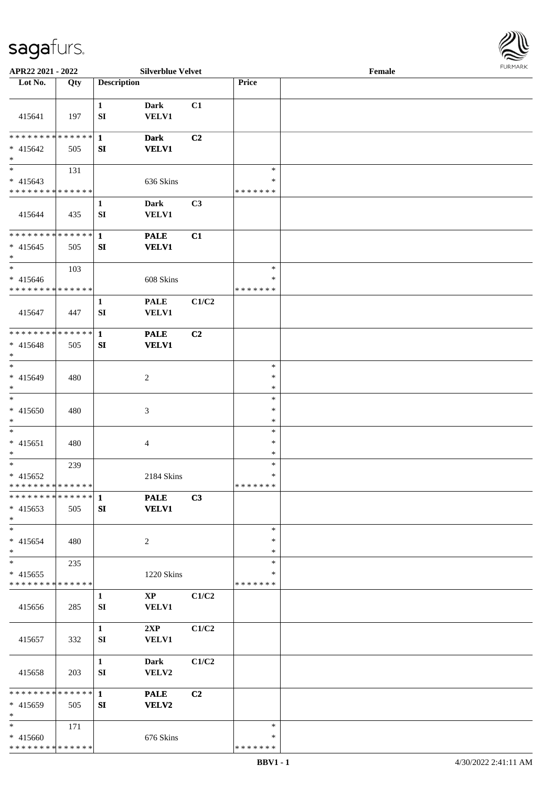

| APR22 2021 - 2022                         |     |                            | <b>Silverblue Velvet</b>    |       |                         | Female |  |
|-------------------------------------------|-----|----------------------------|-----------------------------|-------|-------------------------|--------|--|
| Lot No.                                   | Qty | <b>Description</b>         |                             |       | Price                   |        |  |
|                                           |     |                            |                             |       |                         |        |  |
| 415641                                    | 197 | $\mathbf{1}$<br>SI         | <b>Dark</b><br>VELV1        | C1    |                         |        |  |
| * * * * * * * * * * * * * * *             |     | $\mathbf{1}$               | <b>Dark</b>                 | C2    |                         |        |  |
| $* 415642$<br>$\ast$                      | 505 | SI                         | <b>VELV1</b>                |       |                         |        |  |
| $\overline{\ast}$                         | 131 |                            |                             |       | $\ast$                  |        |  |
| $* 415643$                                |     |                            | 636 Skins                   |       | $\ast$                  |        |  |
| * * * * * * * * * * * * * *               |     |                            |                             |       | * * * * * * *           |        |  |
|                                           |     | 1                          | Dark                        | C3    |                         |        |  |
| 415644                                    | 435 | SI                         | <b>VELV1</b>                |       |                         |        |  |
| * * * * * * * * * * * * * *               |     | $\mathbf{1}$               | <b>PALE</b>                 | C1    |                         |        |  |
| $* 415645$<br>$\ast$                      | 505 | SI                         | <b>VELV1</b>                |       |                         |        |  |
| $\ast$                                    | 103 |                            |                             |       | $\ast$                  |        |  |
| $* 415646$                                |     |                            | 608 Skins                   |       | $\ast$                  |        |  |
| * * * * * * * * * * * * * *               |     |                            |                             |       | * * * * * * *           |        |  |
| 415647                                    | 447 | $\mathbf{1}$<br>${\bf SI}$ | <b>PALE</b><br><b>VELV1</b> | C1/C2 |                         |        |  |
| * * * * * * * * * * * * * * *             |     | $\mathbf{1}$               | <b>PALE</b>                 | C2    |                         |        |  |
| $* 415648$<br>$\ast$                      | 505 | SI                         | <b>VELV1</b>                |       |                         |        |  |
| $\ast$                                    |     |                            |                             |       | $\ast$                  |        |  |
| * 415649<br>$*$                           | 480 |                            | $\overline{c}$              |       | $\ast$<br>$\ast$        |        |  |
| $\ast$                                    |     |                            |                             |       | $\ast$                  |        |  |
| $* 415650$                                | 480 |                            | $\mathfrak{Z}$              |       | $\ast$                  |        |  |
| $*$                                       |     |                            |                             |       | $\ast$                  |        |  |
| $\ast$                                    |     |                            |                             |       | $\ast$                  |        |  |
| $* 415651$                                | 480 |                            | 4                           |       | $\ast$                  |        |  |
| $*$                                       |     |                            |                             |       | $\ast$                  |        |  |
| $*$                                       | 239 |                            |                             |       | $\ast$                  |        |  |
| $* 415652$                                |     |                            | 2184 Skins                  |       | $\ast$                  |        |  |
| * * * * * * * * * * * * * *               |     |                            |                             |       | *******                 |        |  |
| **************                            |     | $\mathbf{1}$               | <b>PALE</b>                 | C3    |                         |        |  |
| $* 415653$<br>$*$                         | 505 | SI                         | <b>VELV1</b>                |       |                         |        |  |
| $*$                                       |     |                            |                             |       | $\ast$                  |        |  |
| * 415654<br>$*$                           | 480 |                            | 2                           |       | $\ast$<br>$\ast$        |        |  |
| $\ast$                                    | 235 |                            |                             |       | $\ast$                  |        |  |
| $* 415655$<br>* * * * * * * * * * * * * * |     |                            | 1220 Skins                  |       | $\ast$<br>* * * * * * * |        |  |
|                                           |     | $\mathbf{1}$               | $\mathbf{X}\mathbf{P}$      | C1/C2 |                         |        |  |
| 415656                                    | 285 | SI                         | <b>VELV1</b>                |       |                         |        |  |
|                                           |     | $\mathbf{1}$               | 2XP                         | C1/C2 |                         |        |  |
| 415657                                    | 332 | SI                         | <b>VELV1</b>                |       |                         |        |  |
|                                           |     | $\mathbf{1}$               | Dark                        | C1/C2 |                         |        |  |
| 415658                                    | 203 | SI                         | VELV2                       |       |                         |        |  |
| * * * * * * * * * * * * * * *             |     | $\mathbf{1}$               | <b>PALE</b>                 | C2    |                         |        |  |
| * 415659<br>$\ast$                        | 505 | SI                         | VELV2                       |       |                         |        |  |
| $*$                                       | 171 |                            |                             |       | $\ast$                  |        |  |
| * 415660                                  |     |                            | 676 Skins                   |       | ∗                       |        |  |
| * * * * * * * * * * * * * *               |     |                            |                             |       | * * * * * * *           |        |  |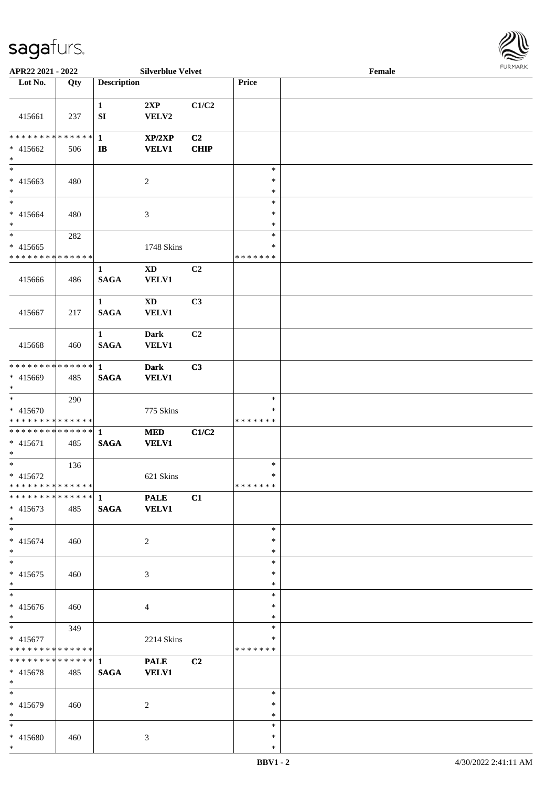

| APR22 2021 - 2022                                                           |                      |                             | <b>Silverblue Velvet</b>    |                |                                   | Female |  |
|-----------------------------------------------------------------------------|----------------------|-----------------------------|-----------------------------|----------------|-----------------------------------|--------|--|
| Lot No.                                                                     | Qty                  | <b>Description</b>          |                             |                | Price                             |        |  |
|                                                                             |                      |                             |                             |                |                                   |        |  |
| 415661                                                                      | 237                  | $\mathbf{1}$<br>SI          | 2XP<br>VELV2                | C1/C2          |                                   |        |  |
| * * * * * * * *                                                             | * * * * * *          | $\mathbf{1}$                | XP/2XP                      | C <sub>2</sub> |                                   |        |  |
| $* 415662$<br>$\ast$                                                        | 506                  | $\mathbf{I}$                | <b>VELV1</b>                | CHIP           |                                   |        |  |
| $\overline{\phantom{0}}$<br>* 415663<br>$*$                                 | 480                  |                             | $\overline{c}$              |                | $\ast$<br>$\ast$<br>$\ast$        |        |  |
| $*$<br>* 415664<br>$*$                                                      | 480                  |                             | $\mathfrak{Z}$              |                | $\ast$<br>$\ast$<br>$\ast$        |        |  |
| $*$                                                                         | 282                  |                             |                             |                | $\ast$                            |        |  |
| $* 415665$<br>* * * * * * * * * * * * * *                                   |                      |                             | 1748 Skins                  |                | $\ast$<br>* * * * * * *           |        |  |
| 415666                                                                      | 486                  | $\mathbf{1}$<br><b>SAGA</b> | <b>XD</b><br><b>VELV1</b>   | C2             |                                   |        |  |
| 415667                                                                      | 217                  | $\mathbf{1}$<br><b>SAGA</b> | XD<br><b>VELV1</b>          | C3             |                                   |        |  |
| 415668                                                                      | 460                  | $\mathbf{1}$<br><b>SAGA</b> | <b>Dark</b><br><b>VELV1</b> | C2             |                                   |        |  |
| * * * * * * * *<br>* 415669<br>$*$                                          | * * * * * *  <br>485 | $\mathbf{1}$<br><b>SAGA</b> | <b>Dark</b><br><b>VELV1</b> | C3             |                                   |        |  |
| $\overline{\ }$<br>$* 415670$<br>* * * * * * * * <mark>* * * * * * *</mark> | 290                  |                             | 775 Skins                   |                | $\ast$<br>∗<br>* * * * * * *      |        |  |
| $* 415671$<br>$\ast$                                                        | 485                  | <b>SAGA</b>                 | <b>MED</b><br><b>VELV1</b>  | C1/C2          |                                   |        |  |
| * 415672<br>* * * * * * * * <mark>* * * * * * *</mark>                      | 136                  |                             | 621 Skins                   |                | $\ast$<br>$\ast$<br>* * * * * * * |        |  |
| ************** 1<br>$* 415673$<br>$*$                                       | 485                  | <b>SAGA</b>                 | <b>PALE</b><br><b>VELV1</b> | C1             |                                   |        |  |
| $*$<br>* 415674<br>$*$                                                      | 460                  |                             | 2                           |                | $\ast$<br>∗<br>$\ast$             |        |  |
| $*$<br>* 415675<br>$*$                                                      | 460                  |                             | $\mathfrak{Z}$              |                | $\ast$<br>$\ast$<br>$\ast$        |        |  |
| $*$<br>* 415676<br>$*$                                                      | 460                  |                             | $\overline{4}$              |                | $\ast$<br>$\ast$<br>$\ast$        |        |  |
| * 415677<br>* * * * * * * * * * * * * *                                     | 349                  |                             | 2214 Skins                  |                | $\ast$<br>*<br>* * * * * * *      |        |  |
| * * * * * * * *<br>* 415678<br>$*$                                          | ****** 1<br>485      | <b>SAGA</b>                 | <b>PALE</b><br><b>VELV1</b> | C <sub>2</sub> |                                   |        |  |
| $*$<br>* 415679<br>$*$                                                      | 460                  |                             | 2                           |                | $\ast$<br>$\ast$<br>$\ast$        |        |  |
| $*$<br>* 415680<br>$*$                                                      | 460                  |                             | $\mathfrak{Z}$              |                | $\ast$<br>∗<br>$\ast$             |        |  |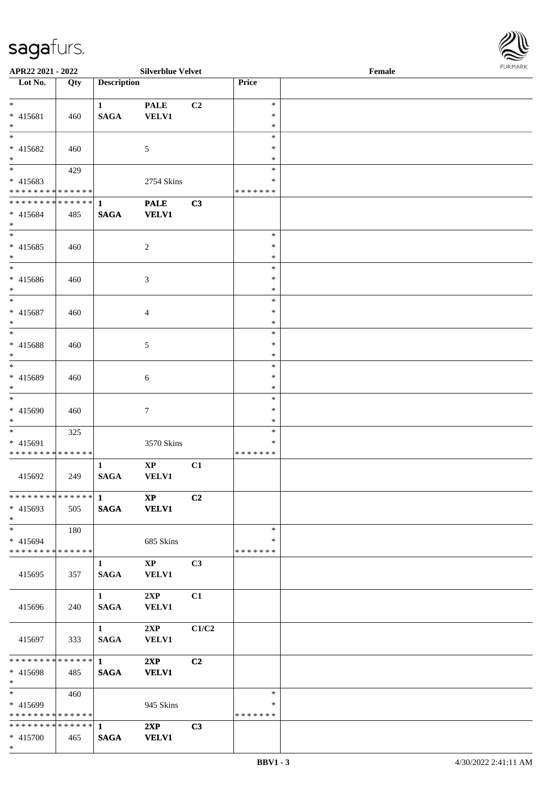

| APR22 2021 - 2022                          |     |                        | <b>Silverblue Velvet</b> |                |                  | Female | $1 \times 1$ |
|--------------------------------------------|-----|------------------------|--------------------------|----------------|------------------|--------|--------------|
| Lot No.                                    | Qty | <b>Description</b>     |                          |                | Price            |        |              |
|                                            |     |                        |                          |                |                  |        |              |
| $*$ $-$                                    |     | $\mathbf{1}$           | <b>PALE</b>              | C2             | $\ast$           |        |              |
| * 415681                                   | 460 | <b>SAGA</b>            | <b>VELV1</b>             |                | $\ast$           |        |              |
| $*$                                        |     |                        |                          |                | $\ast$           |        |              |
| $\overline{\ast}$                          |     |                        |                          |                | $\ast$           |        |              |
| * 415682                                   | 460 |                        | 5                        |                | $\ast$           |        |              |
| $*$                                        |     |                        |                          |                | $\ast$           |        |              |
|                                            | 429 |                        |                          |                | $\ast$           |        |              |
| * 415683                                   |     |                        | 2754 Skins               |                | ∗                |        |              |
| * * * * * * * * * * * * * *                |     |                        |                          |                | *******          |        |              |
| * * * * * * * * <mark>* * * * * * *</mark> |     | 1                      | <b>PALE</b>              | C3             |                  |        |              |
| $* 415684$                                 | 485 | <b>SAGA</b>            | <b>VELV1</b>             |                |                  |        |              |
| $*$                                        |     |                        |                          |                |                  |        |              |
|                                            |     |                        |                          |                | $\ast$           |        |              |
| $* 415685$                                 | 460 |                        | 2                        |                | $\ast$           |        |              |
| $*$                                        |     |                        |                          |                | $\ast$           |        |              |
| $\frac{1}{2}$                              |     |                        |                          |                | $\ast$           |        |              |
| * 415686                                   | 460 |                        | $\mathfrak{Z}$           |                | $\ast$           |        |              |
| $*$                                        |     |                        |                          |                | $\ast$           |        |              |
|                                            |     |                        |                          |                | $\ast$           |        |              |
| * 415687                                   | 460 |                        | $\overline{4}$           |                | $\ast$           |        |              |
| $*$                                        |     |                        |                          |                | $\ast$           |        |              |
|                                            |     |                        |                          |                | $\ast$           |        |              |
| * 415688                                   |     |                        |                          |                | $\ast$           |        |              |
| $*$                                        | 460 |                        | 5                        |                | $\ast$           |        |              |
| $*$                                        |     |                        |                          |                | $\ast$           |        |              |
| * 415689                                   |     |                        |                          |                | $\ast$           |        |              |
| $*$                                        | 460 |                        | 6                        |                | $\ast$           |        |              |
|                                            |     |                        |                          |                | $\ast$           |        |              |
|                                            |     |                        |                          |                | $\ast$           |        |              |
| * 415690                                   | 460 |                        | $\tau$                   |                |                  |        |              |
| $*$                                        |     |                        |                          |                | $\ast$<br>$\ast$ |        |              |
|                                            | 325 |                        |                          |                |                  |        |              |
| * 415691<br>* * * * * * * * * * * * * *    |     |                        | 3570 Skins               |                | *<br>*******     |        |              |
|                                            |     |                        |                          |                |                  |        |              |
|                                            |     | $\mathbf{1}$           | $\mathbf{XP}$            | C1             |                  |        |              |
| 415692                                     | 249 | <b>SAGA</b>            | <b>VELV1</b>             |                |                  |        |              |
|                                            |     |                        |                          |                |                  |        |              |
|                                            |     |                        | $\mathbf{X}\mathbf{P}$   | C2             |                  |        |              |
| $* 415693$                                 | 505 | <b>SAGA</b>            | <b>VELV1</b>             |                |                  |        |              |
| $*$<br>$*$                                 |     |                        |                          |                | $\ast$           |        |              |
|                                            | 180 |                        |                          |                |                  |        |              |
| $* 415694$                                 |     |                        | 685 Skins                |                | ∗                |        |              |
| * * * * * * * * * * * * * * <mark>*</mark> |     |                        |                          |                | *******          |        |              |
|                                            |     | $\mathbf{1}$           | $\mathbf{X}\mathbf{P}$   | C3             |                  |        |              |
| 415695                                     | 357 | <b>SAGA</b>            | <b>VELV1</b>             |                |                  |        |              |
|                                            |     |                        |                          |                |                  |        |              |
|                                            |     | 1                      | 2XP                      | C1             |                  |        |              |
| 415696                                     | 240 | <b>SAGA</b>            | <b>VELV1</b>             |                |                  |        |              |
|                                            |     |                        |                          |                |                  |        |              |
|                                            |     | $1 \quad \blacksquare$ | 2XP                      | C1/C2          |                  |        |              |
| 415697                                     | 333 | <b>SAGA</b>            | <b>VELV1</b>             |                |                  |        |              |
|                                            |     |                        |                          |                |                  |        |              |
|                                            |     |                        | 2XP                      | C <sub>2</sub> |                  |        |              |
| * 415698                                   | 485 | <b>SAGA</b>            | <b>VELV1</b>             |                |                  |        |              |
| $*$                                        |     |                        |                          |                |                  |        |              |
| $*$ $-$                                    | 460 |                        |                          |                | $\ast$           |        |              |
| * 415699                                   |     |                        | 945 Skins                |                | $\ast$           |        |              |
| * * * * * * * * * * * * * *                |     |                        |                          |                | * * * * * * *    |        |              |
| * * * * * * * * <mark>* * * * * * *</mark> |     | $\mathbf{1}$           | 2XP                      | C3             |                  |        |              |
| $* 415700$                                 | 465 | <b>SAGA</b>            | <b>VELV1</b>             |                |                  |        |              |
| $*$                                        |     |                        |                          |                |                  |        |              |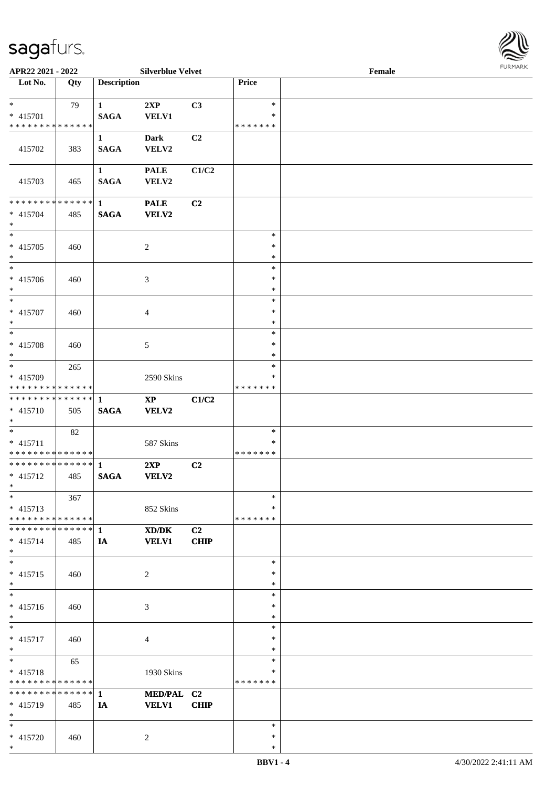

| APR22 2021 - 2022                                               |     |                             | <b>Silverblue Velvet</b>        |                   |                                   | Female |  |
|-----------------------------------------------------------------|-----|-----------------------------|---------------------------------|-------------------|-----------------------------------|--------|--|
| Lot No.                                                         | Qty | <b>Description</b>          |                                 |                   | Price                             |        |  |
| $*$<br>* 415701<br>* * * * * * * * * * * * * *                  | 79  | $\mathbf{1}$<br><b>SAGA</b> | 2XP<br><b>VELV1</b>             | C3                | $\ast$<br>∗<br>* * * * * * *      |        |  |
| 415702                                                          | 383 | $\mathbf{1}$<br><b>SAGA</b> | <b>Dark</b><br>VELV2            | C <sub>2</sub>    |                                   |        |  |
| 415703                                                          | 465 | $\mathbf{1}$<br><b>SAGA</b> | <b>PALE</b><br>VELV2            | C1/C2             |                                   |        |  |
| ******** <mark>******</mark><br>* 415704<br>$*$                 | 485 | $\mathbf{1}$<br><b>SAGA</b> | <b>PALE</b><br>VELV2            | C <sub>2</sub>    |                                   |        |  |
| $*$<br>$* 415705$<br>$*$                                        | 460 |                             | $\sqrt{2}$                      |                   | $\ast$<br>$\ast$<br>$\ast$        |        |  |
| $*$<br>$* 415706$<br>$*$                                        | 460 |                             | 3                               |                   | $\ast$<br>$\ast$<br>$\ast$        |        |  |
| $*$<br>* 415707<br>$\ast$                                       | 460 |                             | 4                               |                   | $\ast$<br>$\ast$<br>$\ast$        |        |  |
| * 415708<br>$\ast$                                              | 460 |                             | 5                               |                   | $\ast$<br>$\ast$<br>$\ast$        |        |  |
| * 415709<br>* * * * * * * * * * * * * *                         | 265 |                             | 2590 Skins                      |                   | $\ast$<br>$\ast$<br>* * * * * * * |        |  |
| ******** <mark>******</mark><br>* 415710<br>$*$                 | 505 | $\mathbf{1}$<br><b>SAGA</b> | $\mathbf{X}\mathbf{P}$<br>VELV2 | C1/C2             |                                   |        |  |
| $*$<br>$* 415711$<br>* * * * * * * * * * * * * * *              | 82  |                             | 587 Skins                       |                   | $\ast$<br>$\ast$<br>*******       |        |  |
| * 415712<br>$*$ $-$                                             | 485 | <b>SAGA</b>                 | 2XP<br>VELV2                    | C2                |                                   |        |  |
| $*$<br>$* 415713$<br>* * * * * * * * * * * * * * *              | 367 |                             | 852 Skins                       |                   | $\ast$<br>∗<br>* * * * * * *      |        |  |
| * * * * * * * * <mark>* * * * * * *</mark><br>$* 415714$<br>$*$ | 485 | -1<br>IA                    | XD/DK<br><b>VELV1</b>           | C2<br><b>CHIP</b> |                                   |        |  |
| $*$<br>$* 415715$<br>$*$                                        | 460 |                             | $\overline{c}$                  |                   | $\ast$<br>$\ast$<br>$\ast$        |        |  |
| $\ast$<br>* 415716<br>$*$                                       | 460 |                             | 3                               |                   | $\ast$<br>$\ast$<br>$\ast$        |        |  |
| $*$<br>* 415717<br>$*$                                          | 460 |                             | $\overline{4}$                  |                   | $\ast$<br>$\ast$<br>$\ast$        |        |  |
| $*$<br>$* 415718$<br>* * * * * * * * * * * * * *                | 65  |                             | 1930 Skins                      |                   | $\ast$<br>$\ast$<br>* * * * * * * |        |  |
| * * * * * * * * * * * * * * *<br>* 415719<br>$*$                | 485 | $\mathbf{1}$<br>IA          | MED/PAL C2<br><b>VELV1</b>      | <b>CHIP</b>       |                                   |        |  |
| $*$<br>* 415720<br>$*$                                          | 460 |                             | 2                               |                   | $\ast$<br>$\ast$<br>$\ast$        |        |  |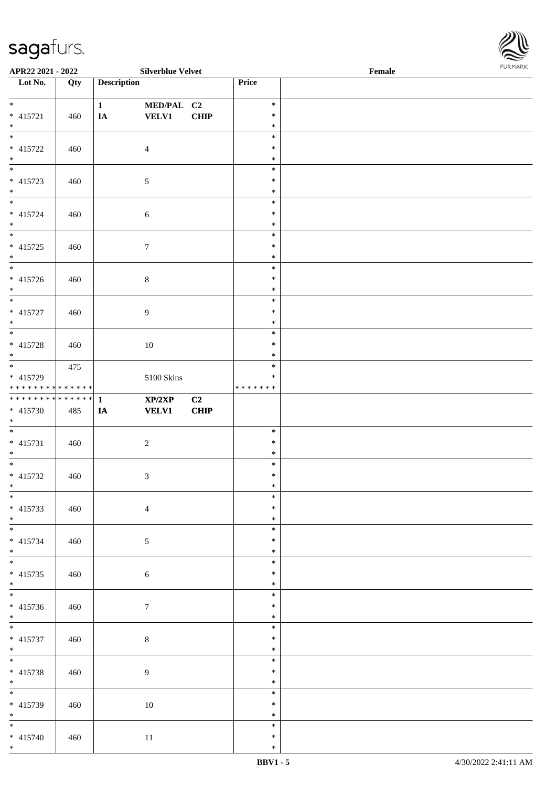

| APR22 2021 - 2022                                    |     |                    | <b>Silverblue Velvet</b>   |                   |                              | Female |  |
|------------------------------------------------------|-----|--------------------|----------------------------|-------------------|------------------------------|--------|--|
| Lot No.                                              | Qty | <b>Description</b> |                            |                   | Price                        |        |  |
| $*$<br>$* 415721$<br>$*$                             | 460 | $\mathbf{1}$<br>IA | MED/PAL C2<br><b>VELV1</b> | <b>CHIP</b>       | $\ast$<br>$\ast$<br>$\ast$   |        |  |
| $\overline{\phantom{0}}$<br>$* 415722$<br>$*$        | 460 | $\overline{4}$     |                            |                   | $\ast$<br>$\ast$<br>$\ast$   |        |  |
| $* 415723$<br>$*$                                    | 460 | $\sqrt{5}$         |                            |                   | $\ast$<br>$\ast$<br>$\ast$   |        |  |
| * 415724<br>$*$<br>$\overline{\phantom{0}}$          | 460 | $\sqrt{6}$         |                            |                   | $\ast$<br>$\ast$<br>$\ast$   |        |  |
| $* 415725$<br>$*$<br>$\overline{\phantom{0}}$        | 460 | $\tau$             |                            |                   | $\ast$<br>$\ast$<br>$\ast$   |        |  |
| $* 415726$<br>$*$<br>$\overline{\phantom{0}}$        | 460 | $\,8\,$            |                            |                   | $\ast$<br>$\ast$<br>$\ast$   |        |  |
| * 415727<br>$*$<br>$\overline{\phantom{0}}$          | 460 | 9                  |                            |                   | $\ast$<br>$\ast$<br>$\ast$   |        |  |
| $* 415728$<br>$*$                                    | 460 | 10                 |                            |                   | $\ast$<br>$\ast$<br>$\ast$   |        |  |
| * 415729<br>******** <mark>******</mark>             | 475 |                    | $5100$ Skins               |                   | $\ast$<br>∗<br>* * * * * * * |        |  |
| ************** 1<br>* 415730<br>$*$                  | 485 | IA                 | XP/2XP<br><b>VELV1</b>     | C2<br><b>CHIP</b> |                              |        |  |
| $*$<br>$* 415731$<br>$*$                             | 460 | $\sqrt{2}$         |                            |                   | $\ast$<br>$\ast$<br>$\ast$   |        |  |
| $*$<br>$* 415732$<br>$*$ $-$                         | 460 | $\mathfrak{Z}$     |                            |                   | $\ast$<br>$\ast$<br>$\ast$   |        |  |
| $*$<br>$* 415733$<br>$*$<br>$\overline{\phantom{0}}$ | 460 | $\overline{4}$     |                            |                   | $\ast$<br>$\ast$<br>$\ast$   |        |  |
| $* 415734$<br>$*$                                    | 460 | 5                  |                            |                   | $\ast$<br>$\ast$<br>$\ast$   |        |  |
| * 415735<br>$*$                                      | 460 | 6                  |                            |                   | $\ast$<br>$\ast$<br>$\ast$   |        |  |
| $* 415736$<br>$*$<br>$\overline{\phantom{0}}$        | 460 | $\boldsymbol{7}$   |                            |                   | $\ast$<br>$\ast$<br>$\ast$   |        |  |
| $* 415737$<br>$*$                                    | 460 | $\,8\,$            |                            |                   | $\ast$<br>$\ast$<br>$\ast$   |        |  |
| $*$<br>$* 415738$<br>$*$                             | 460 | 9                  |                            |                   | $\ast$<br>$\ast$<br>$\ast$   |        |  |
| * 415739<br>$*$                                      | 460 | 10                 |                            |                   | $\ast$<br>$\ast$<br>$\ast$   |        |  |
| $\ast$<br>$* 415740$<br>$\ast$                       | 460 | $11\,$             |                            |                   | $\ast$<br>$\ast$<br>$\ast$   |        |  |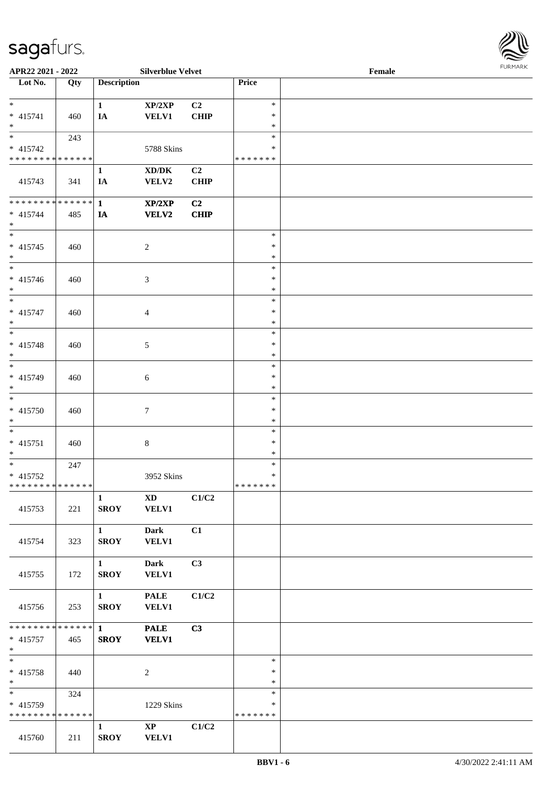

| APR22 2021 - 2022                |     |                        | <b>Silverblue Velvet</b>            |                |               | Female |  |
|----------------------------------|-----|------------------------|-------------------------------------|----------------|---------------|--------|--|
| $\overline{\phantom{1}}$ Lot No. | Qty | <b>Description</b>     |                                     |                | Price         |        |  |
|                                  |     |                        |                                     |                |               |        |  |
| $*$                              |     | $\mathbf{1}$           | XP/2XP                              | C <sub>2</sub> | $\ast$        |        |  |
| * 415741                         | 460 | IA                     | <b>VELV1</b>                        | <b>CHIP</b>    | $\ast$        |        |  |
| $\ast$                           |     |                        |                                     |                | $\ast$        |        |  |
| $\overline{\ast}$                | 243 |                        |                                     |                | $\ast$        |        |  |
|                                  |     |                        |                                     |                | ∗             |        |  |
| $* 415742$                       |     |                        | 5788 Skins                          |                |               |        |  |
| * * * * * * * * * * * * * *      |     |                        |                                     |                | * * * * * * * |        |  |
|                                  |     | $\mathbf{1}$           | $\bold{X}\bold{D}/\bold{D}\bold{K}$ | C2             |               |        |  |
| 415743                           | 341 | IA                     | VELV2                               | <b>CHIP</b>    |               |        |  |
|                                  |     |                        |                                     |                |               |        |  |
| * * * * * * * * * * * * * * *    |     | $\mathbf{1}$           | XP/2XP                              | C <sub>2</sub> |               |        |  |
| $* 415744$                       | 485 | <b>IA</b>              | <b>VELV2</b>                        | CHIP           |               |        |  |
| $*$                              |     |                        |                                     |                |               |        |  |
|                                  |     |                        |                                     |                | $\ast$        |        |  |
| $* 415745$                       | 460 |                        | $\sqrt{2}$                          |                | $\ast$        |        |  |
| $*$                              |     |                        |                                     |                | $\ast$        |        |  |
| $\overline{\phantom{0}}$         |     |                        |                                     |                | $\ast$        |        |  |
|                                  |     |                        |                                     |                |               |        |  |
| $* 415746$                       | 460 |                        | 3                                   |                | $\ast$        |        |  |
| $*$                              |     |                        |                                     |                | $\ast$        |        |  |
| $*$                              |     |                        |                                     |                | $\ast$        |        |  |
| $* 415747$                       | 460 |                        | $\overline{4}$                      |                | $\ast$        |        |  |
| $\ast$                           |     |                        |                                     |                | $\ast$        |        |  |
| $*$                              |     |                        |                                     |                | $\ast$        |        |  |
| * 415748                         | 460 |                        | 5                                   |                | $\ast$        |        |  |
| $*$                              |     |                        |                                     |                | $\ast$        |        |  |
|                                  |     |                        |                                     |                | $\ast$        |        |  |
|                                  |     |                        |                                     |                | $\ast$        |        |  |
| * 415749                         | 460 |                        | 6                                   |                |               |        |  |
| $\ast$                           |     |                        |                                     |                | $\ast$        |        |  |
| $*$                              |     |                        |                                     |                | $\ast$        |        |  |
| $* 415750$                       | 460 |                        | $7\phantom{.0}$                     |                | $\ast$        |        |  |
| $*$                              |     |                        |                                     |                | $\ast$        |        |  |
| $\ast$                           |     |                        |                                     |                | $\ast$        |        |  |
| $* 415751$                       | 460 |                        | $\,8\,$                             |                | $\ast$        |        |  |
| $*$                              |     |                        |                                     |                | $\ast$        |        |  |
| $*$                              | 247 |                        |                                     |                | $\ast$        |        |  |
| $* 415752$                       |     |                        | 3952 Skins                          |                | $\ast$        |        |  |
| * * * * * * * * * * * * * * *    |     |                        |                                     |                | * * * * * * * |        |  |
|                                  |     |                        |                                     |                |               |        |  |
|                                  |     | $\mathbf{1}$           | $\mathbf{X}\mathbf{D}$              | C1/C2          |               |        |  |
| 415753                           | 221 | <b>SROY</b>            | <b>VELV1</b>                        |                |               |        |  |
|                                  |     |                        |                                     |                |               |        |  |
|                                  |     | $1 \quad \blacksquare$ | <b>Dark</b>                         | C1             |               |        |  |
| 415754                           | 323 | <b>SROY</b>            | <b>VELV1</b>                        |                |               |        |  |
|                                  |     |                        |                                     |                |               |        |  |
|                                  |     | $\mathbf{1}$           | <b>Dark</b>                         | C3             |               |        |  |
| 415755                           | 172 | <b>SROY</b>            | <b>VELV1</b>                        |                |               |        |  |
|                                  |     |                        |                                     |                |               |        |  |
|                                  |     | $1 \qquad \qquad$      | <b>PALE</b>                         | C1/C2          |               |        |  |
|                                  |     |                        |                                     |                |               |        |  |
| 415756                           | 253 | <b>SROY</b>            | <b>VELV1</b>                        |                |               |        |  |
|                                  |     |                        |                                     |                |               |        |  |
| * * * * * * * * * * * * * * *    |     | $1 \qquad \qquad$      | <b>PALE</b>                         | C3             |               |        |  |
| $* 415757$                       | 465 | <b>SROY</b>            | <b>VELV1</b>                        |                |               |        |  |
| $*$                              |     |                        |                                     |                |               |        |  |
| $*$                              |     |                        |                                     |                | $\ast$        |        |  |
| * 415758                         | 440 |                        | $\overline{2}$                      |                | $\ast$        |        |  |
| $*$                              |     |                        |                                     |                | $\ast$        |        |  |
| $*$ $*$                          | 324 |                        |                                     |                | $\ast$        |        |  |
| * 415759                         |     |                        | 1229 Skins                          |                | $\ast$        |        |  |
| * * * * * * * * * * * * * *      |     |                        |                                     |                | *******       |        |  |
|                                  |     |                        |                                     |                |               |        |  |
|                                  |     | $\mathbf{1}$           | $\mathbf{XP}$                       | C1/C2          |               |        |  |
| 415760                           | 211 | <b>SROY</b>            | <b>VELV1</b>                        |                |               |        |  |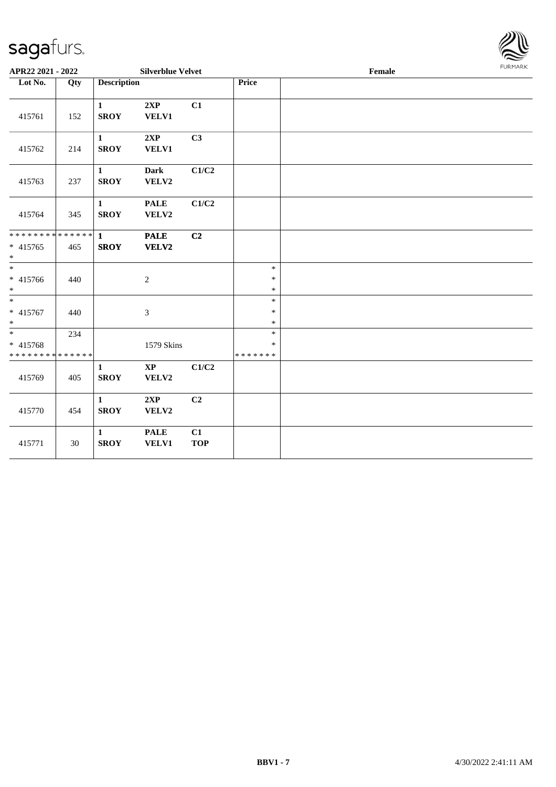

| APR22 2021 - 2022                         |     |                             | <b>Silverblue Velvet</b>        |                  |                         | $\ensuremath{\textnormal{\textbf{Female}}}$ | <b>FURPIARA</b> |
|-------------------------------------------|-----|-----------------------------|---------------------------------|------------------|-------------------------|---------------------------------------------|-----------------|
| Lot No.                                   | Qty | <b>Description</b>          |                                 |                  | <b>Price</b>            |                                             |                 |
| 415761                                    | 152 | $\mathbf{1}$<br><b>SROY</b> | 2XP<br>VELV1                    | C1               |                         |                                             |                 |
| 415762                                    | 214 | $\mathbf{1}$<br><b>SROY</b> | 2XP<br>VELV1                    | C3               |                         |                                             |                 |
| 415763                                    | 237 | $\mathbf{1}$<br><b>SROY</b> | <b>Dark</b><br>VELV2            | C1/C2            |                         |                                             |                 |
| 415764                                    | 345 | $\mathbf{1}$<br><b>SROY</b> | <b>PALE</b><br>VELV2            | C1/C2            |                         |                                             |                 |
| * 415765<br>$\ast$                        | 465 | <b>SROY</b>                 | <b>PALE</b><br>VELV2            | C2               |                         |                                             |                 |
|                                           |     |                             |                                 |                  | $\ast$                  |                                             |                 |
| * 415766<br>$*$                           | 440 |                             | $\sqrt{2}$                      |                  | $\ast$<br>$\ast$        |                                             |                 |
|                                           |     |                             |                                 |                  | $\ast$                  |                                             |                 |
| * 415767<br>$\ast$                        | 440 |                             | $\sqrt{3}$                      |                  | $\ast$<br>$\ast$        |                                             |                 |
| $\overline{\ast}$                         | 234 |                             |                                 |                  | $\ast$                  |                                             |                 |
| * 415768<br>* * * * * * * * * * * * * * * |     |                             | 1579 Skins                      |                  | $\ast$<br>* * * * * * * |                                             |                 |
| 415769                                    | 405 | $\mathbf{1}$<br><b>SROY</b> | $\mathbf{X}\mathbf{P}$<br>VELV2 | C1/C2            |                         |                                             |                 |
| 415770                                    | 454 | $\mathbf{1}$<br><b>SROY</b> | 2XP<br>VELV2                    | C2               |                         |                                             |                 |
| 415771                                    | 30  | $\mathbf{1}$<br><b>SROY</b> | <b>PALE</b><br><b>VELV1</b>     | C1<br><b>TOP</b> |                         |                                             |                 |